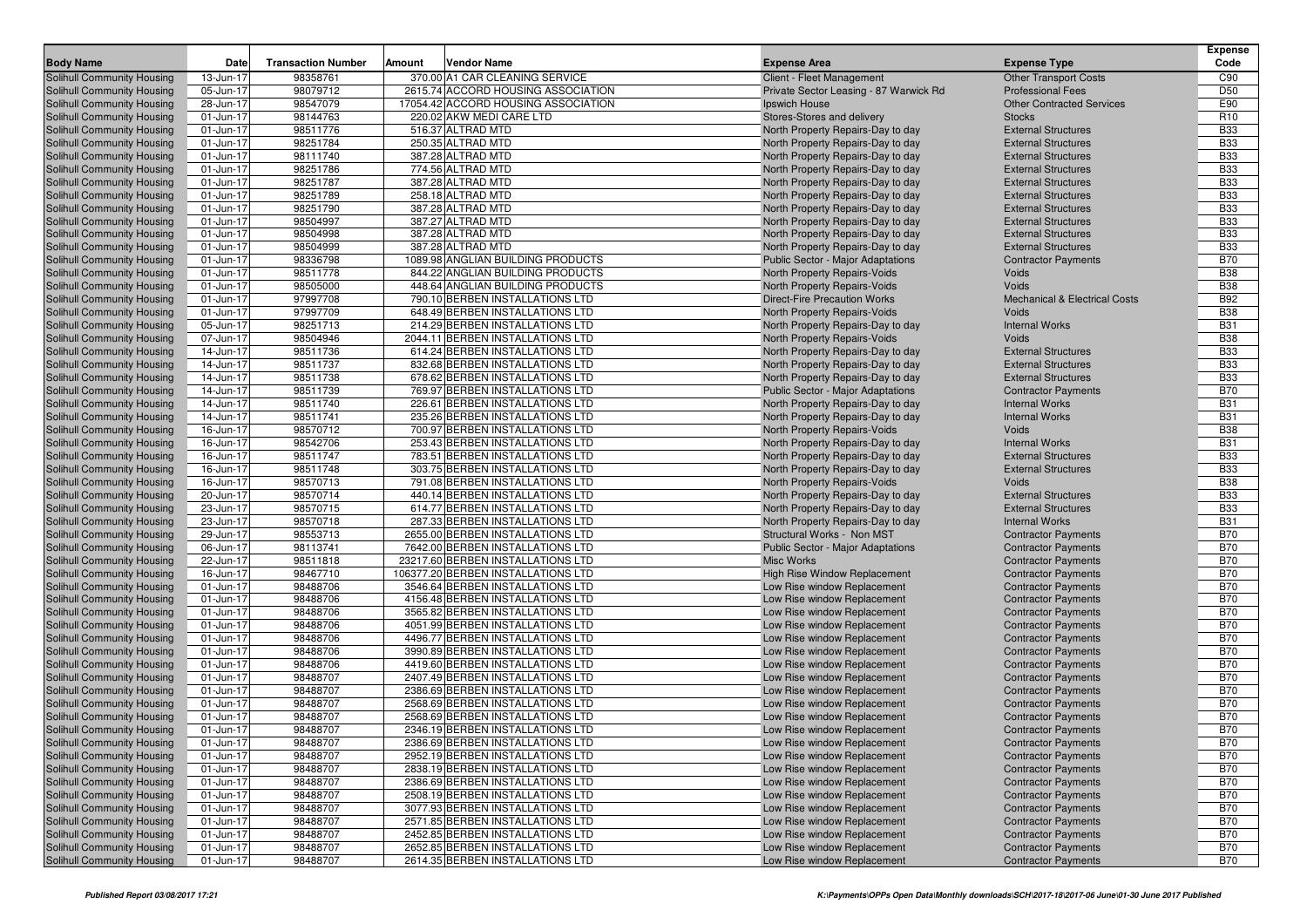| <b>Body Name</b>                                         | Date                   | <b>Transaction Number</b> | Amount | <b>Vendor Name</b>                                                 | <b>Expense Area</b>                                               | <b>Expense Type</b>                                 | <b>Expense</b><br>Code   |
|----------------------------------------------------------|------------------------|---------------------------|--------|--------------------------------------------------------------------|-------------------------------------------------------------------|-----------------------------------------------------|--------------------------|
| <b>Solihull Community Housing</b>                        | 13-Jun-17              | 98358761                  |        | 370.00 A1 CAR CLEANING SERVICE                                     | <b>Client - Fleet Management</b>                                  | <b>Other Transport Costs</b>                        | C90                      |
| Solihull Community Housing                               | 05-Jun-17              | 98079712                  |        | 2615.74 ACCORD HOUSING ASSOCIATION                                 | Private Sector Leasing - 87 Warwick Rd                            | <b>Professional Fees</b>                            | D <sub>50</sub>          |
| Solihull Community Housing                               | 28-Jun-17              | 98547079                  |        | 17054.42 ACCORD HOUSING ASSOCIATION                                | Ipswich House                                                     | <b>Other Contracted Services</b>                    | E90                      |
| Solihull Community Housing                               | 01-Jun-17              | 98144763                  |        | 220.02 AKW MEDI CARE LTD                                           | Stores-Stores and delivery                                        | <b>Stocks</b>                                       | R <sub>10</sub>          |
| Solihull Community Housing                               | 01-Jun-17              | 98511776                  |        | 516.37 ALTRAD MTD                                                  | North Property Repairs-Day to day                                 | <b>External Structures</b>                          | <b>B33</b>               |
| <b>Solihull Community Housing</b>                        | 01-Jun-17              | 98251784                  |        | 250.35 ALTRAD MTD                                                  | North Property Repairs-Day to day                                 | <b>External Structures</b>                          | <b>B33</b>               |
| Solihull Community Housing                               | 01-Jun-17              | 98111740                  |        | 387.28 ALTRAD MTD                                                  | North Property Repairs-Day to day                                 | <b>External Structures</b>                          | <b>B33</b>               |
| Solihull Community Housing                               | 01-Jun-17              | 98251786                  |        | 774.56 ALTRAD MTD                                                  | North Property Repairs-Day to day                                 | <b>External Structures</b>                          | <b>B33</b>               |
| <b>Solihull Community Housing</b>                        | 01-Jun-17              | 98251787                  |        | 387.28 ALTRAD MTD                                                  | North Property Repairs-Day to day                                 | <b>External Structures</b>                          | <b>B33</b>               |
| <b>Solihull Community Housing</b>                        | 01-Jun-17              | 98251789                  |        | 258.18 ALTRAD MTD                                                  | North Property Repairs-Day to day                                 | <b>External Structures</b>                          | <b>B33</b>               |
| Solihull Community Housing                               | 01-Jun-17              | 98251790                  |        | 387.28 ALTRAD MTD                                                  | North Property Repairs-Day to day                                 | <b>External Structures</b>                          | <b>B33</b>               |
| Solihull Community Housing                               | 01-Jun-17              | 98504997                  |        | 387.27 ALTRAD MTD                                                  | North Property Repairs-Day to day                                 | <b>External Structures</b>                          | <b>B33</b>               |
| Solihull Community Housing                               | 01-Jun-17              | 98504998                  |        | 387.28 ALTRAD MTD                                                  | North Property Repairs-Day to day                                 | <b>External Structures</b>                          | <b>B33</b>               |
| <b>Solihull Community Housing</b>                        | 01-Jun-17              | 98504999                  |        | 387.28 ALTRAD MTD                                                  | North Property Repairs-Day to day                                 | <b>External Structures</b>                          | <b>B33</b>               |
| Solihull Community Housing                               | 01-Jun-17              | 98336798                  |        | 1089.98 ANGLIAN BUILDING PRODUCTS                                  | <b>Public Sector - Major Adaptations</b>                          | <b>Contractor Payments</b>                          | <b>B70</b>               |
| Solihull Community Housing                               | 01-Jun-17              | 98511778                  |        | 844.22 ANGLIAN BUILDING PRODUCTS                                   | North Property Repairs-Voids                                      | Voids                                               | <b>B38</b>               |
| Solihull Community Housing                               | 01-Jun-17              | 98505000                  |        | 448.64 ANGLIAN BUILDING PRODUCTS                                   | North Property Repairs-Voids                                      | Voids                                               | <b>B38</b>               |
| Solihull Community Housing                               | 01-Jun-17              | 97997708                  |        | 790.10 BERBEN INSTALLATIONS LTD                                    | <b>Direct-Fire Precaution Works</b>                               | <b>Mechanical &amp; Electrical Costs</b>            | <b>B92</b>               |
| <b>Solihull Community Housing</b>                        | 01-Jun-17              | 97997709                  |        | 648.49 BERBEN INSTALLATIONS LTD                                    | North Property Repairs-Voids                                      | Voids                                               | <b>B38</b>               |
| Solihull Community Housing                               | 05-Jun-17              | 98251713                  |        | 214.29 BERBEN INSTALLATIONS LTD                                    | North Property Repairs-Day to day                                 | <b>Internal Works</b>                               | <b>B31</b>               |
| <b>Solihull Community Housing</b>                        | 07-Jun-17              | 98504946                  |        | 2044.11 BERBEN INSTALLATIONS LTD                                   | North Property Repairs-Voids                                      | Voids                                               | <b>B38</b>               |
| Solihull Community Housing                               | 14-Jun-17              | 98511736                  |        | 614.24 BERBEN INSTALLATIONS LTD                                    | North Property Repairs-Day to day                                 | <b>External Structures</b>                          | <b>B33</b>               |
| Solihull Community Housing                               | 14-Jun-17              | 98511737                  |        | 832.68 BERBEN INSTALLATIONS LTD                                    | North Property Repairs-Day to day                                 | <b>External Structures</b>                          | <b>B33</b>               |
| Solihull Community Housing                               | 14-Jun-17              | 98511738                  |        | 678.62 BERBEN INSTALLATIONS LTD                                    | North Property Repairs-Day to day                                 | <b>External Structures</b>                          | <b>B33</b>               |
| Solihull Community Housing                               | 14-Jun-17              | 98511739<br>98511740      |        | 769.97 BERBEN INSTALLATIONS LTD                                    | <b>Public Sector - Major Adaptations</b>                          | <b>Contractor Payments</b><br><b>Internal Works</b> | <b>B70</b><br><b>B31</b> |
| Solihull Community Housing<br>Solihull Community Housing | 14-Jun-17<br>14-Jun-17 | 98511741                  |        | 226.61 BERBEN INSTALLATIONS LTD<br>235.26 BERBEN INSTALLATIONS LTD | North Property Repairs-Day to day                                 | <b>Internal Works</b>                               | <b>B31</b>               |
| Solihull Community Housing                               | 16-Jun-17              | 98570712                  |        | 700.97 BERBEN INSTALLATIONS LTD                                    | North Property Repairs-Day to day<br>North Property Repairs-Voids | Voids                                               | <b>B38</b>               |
| <b>Solihull Community Housing</b>                        | 16-Jun-17              | 98542706                  |        | 253.43 BERBEN INSTALLATIONS LTD                                    | North Property Repairs-Day to day                                 | <b>Internal Works</b>                               | <b>B31</b>               |
| Solihull Community Housing                               | 16-Jun-17              | 98511747                  |        | 783.51 BERBEN INSTALLATIONS LTD                                    | North Property Repairs-Day to day                                 | <b>External Structures</b>                          | <b>B33</b>               |
| Solihull Community Housing                               | 16-Jun-17              | 98511748                  |        | 303.75 BERBEN INSTALLATIONS LTD                                    | North Property Repairs-Day to day                                 | <b>External Structures</b>                          | <b>B33</b>               |
| Solihull Community Housing                               | 16-Jun-17              | 98570713                  |        | 791.08 BERBEN INSTALLATIONS LTD                                    | North Property Repairs-Voids                                      | Voids                                               | <b>B38</b>               |
| Solihull Community Housing                               | 20-Jun-17              | 98570714                  |        | 440.14 BERBEN INSTALLATIONS LTD                                    | North Property Repairs-Day to day                                 | <b>External Structures</b>                          | <b>B33</b>               |
| Solihull Community Housing                               | 23-Jun-17              | 98570715                  |        | 614.77 BERBEN INSTALLATIONS LTD                                    | North Property Repairs-Day to day                                 | <b>External Structures</b>                          | <b>B33</b>               |
| Solihull Community Housing                               | 23-Jun-17              | 98570718                  |        | 287.33 BERBEN INSTALLATIONS LTD                                    | North Property Repairs-Day to day                                 | <b>Internal Works</b>                               | <b>B31</b>               |
| <b>Solihull Community Housing</b>                        | 29-Jun-17              | 98553713                  |        | 2655.00 BERBEN INSTALLATIONS LTD                                   | Structural Works - Non MST                                        | <b>Contractor Payments</b>                          | <b>B70</b>               |
| Solihull Community Housing                               | 06-Jun-17              | 98113741                  |        | 7642.00 BERBEN INSTALLATIONS LTD                                   | <b>Public Sector - Major Adaptations</b>                          | <b>Contractor Payments</b>                          | <b>B70</b>               |
| Solihull Community Housing                               | 22-Jun-17              | 98511818                  |        | 23217.60 BERBEN INSTALLATIONS LTD                                  | <b>Misc Works</b>                                                 | <b>Contractor Payments</b>                          | <b>B70</b>               |
| <b>Solihull Community Housing</b>                        | 16-Jun-17              | 98467710                  |        | 106377.20 BERBEN INSTALLATIONS LTD                                 | <b>High Rise Window Replacement</b>                               | <b>Contractor Payments</b>                          | <b>B70</b>               |
| Solihull Community Housing                               | 01-Jun-17              | 98488706                  |        | 3546.64 BERBEN INSTALLATIONS LTD                                   | Low Rise window Replacement                                       | <b>Contractor Payments</b>                          | <b>B70</b>               |
| <b>Solihull Community Housing</b>                        | 01-Jun-17              | 98488706                  |        | 4156.48 BERBEN INSTALLATIONS LTD                                   | Low Rise window Replacement                                       | <b>Contractor Payments</b>                          | <b>B70</b>               |
| Solihull Community Housing                               | 01-Jun-17              | 98488706                  |        | 3565.82 BERBEN INSTALLATIONS LTD                                   | Low Rise window Replacement                                       | <b>Contractor Payments</b>                          | <b>B70</b>               |
| Solihull Community Housing                               | 01-Jun-17              | 98488706                  |        | 4051.99 BERBEN INSTALLATIONS LTD                                   | Low Rise window Replacement                                       | <b>Contractor Payments</b>                          | <b>B70</b>               |
| Solihull Community Housing                               | 01-Jun-17              | 98488706                  |        | 4496.77 BERBEN INSTALLATIONS LTD                                   | Low Rise window Replacement                                       | <b>Contractor Payments</b>                          | <b>B70</b>               |
| Solihull Community Housing                               | 01-Jun-17              | 98488706                  |        | 3990.89 BERBEN INSTALLATIONS LTD                                   | Low Rise window Replacement                                       | <b>Contractor Payments</b>                          | <b>B70</b>               |
| Solihull Community Housing                               | 01-Jun-17              | 98488706                  |        | 4419.60 BERBEN INSTALLATIONS LTD                                   | Low Rise window Replacement                                       | <b>Contractor Payments</b>                          | <b>B70</b>               |
| Solihull Community Housing                               | 01-Jun-17              | 98488707                  |        | 2407.49 BERBEN INSTALLATIONS LTD                                   | Low Rise window Replacement                                       | <b>Contractor Payments</b>                          | <b>B70</b>               |
| Solihull Community Housing                               | 01-Jun-17              | 98488707                  |        | 2386.69 BERBEN INSTALLATIONS LTD                                   | Low Rise window Replacement                                       | <b>Contractor Payments</b>                          | <b>B70</b>               |
| <b>Solihull Community Housing</b>                        | 01-Jun-17              | 98488707                  |        | 2568.69 BERBEN INSTALLATIONS LTD                                   | Low Rise window Replacement                                       | <b>Contractor Payments</b>                          | <b>B70</b>               |
| Solihull Community Housing                               | 01-Jun-17              | 98488707                  |        | 2568.69 BERBEN INSTALLATIONS LTD                                   | Low Rise window Replacement                                       | <b>Contractor Payments</b>                          | <b>B70</b>               |
| <b>Solihull Community Housing</b>                        | $01$ -Jun-17           | 98488707                  |        | 2346.19 BERBEN INSTALLATIONS LTD                                   | Low Rise window Replacement                                       | <b>Contractor Payments</b>                          | <b>B70</b>               |
| Solihull Community Housing                               | 01-Jun-17              | 98488707                  |        | 2386.69 BERBEN INSTALLATIONS LTD                                   | Low Rise window Replacement                                       | <b>Contractor Payments</b>                          | <b>B70</b>               |
| Solihull Community Housing                               | 01-Jun-17              | 98488707                  |        | 2952.19 BERBEN INSTALLATIONS LTD                                   | Low Rise window Replacement                                       | <b>Contractor Payments</b>                          | <b>B70</b>               |
| Solihull Community Housing                               | 01-Jun-17              | 98488707                  |        | 2838.19 BERBEN INSTALLATIONS LTD                                   | Low Rise window Replacement                                       | <b>Contractor Payments</b>                          | <b>B70</b>               |
| Solihull Community Housing                               | 01-Jun-17              | 98488707                  |        | 2386.69 BERBEN INSTALLATIONS LTD                                   | Low Rise window Replacement                                       | <b>Contractor Payments</b>                          | <b>B70</b>               |
| Solihull Community Housing                               | 01-Jun-17              | 98488707                  |        | 2508.19 BERBEN INSTALLATIONS LTD                                   | Low Rise window Replacement                                       | <b>Contractor Payments</b>                          | <b>B70</b>               |
| Solihull Community Housing                               | 01-Jun-17              | 98488707                  |        | 3077.93 BERBEN INSTALLATIONS LTD                                   | Low Rise window Replacement                                       | <b>Contractor Payments</b>                          | <b>B70</b>               |
| Solihull Community Housing                               | 01-Jun-17              | 98488707                  |        | 2571.85 BERBEN INSTALLATIONS LTD                                   | Low Rise window Replacement                                       | <b>Contractor Payments</b>                          | <b>B70</b>               |
| Solihull Community Housing                               | 01-Jun-17              | 98488707                  |        | 2452.85 BERBEN INSTALLATIONS LTD                                   | Low Rise window Replacement                                       | <b>Contractor Payments</b>                          | <b>B70</b>               |
| Solihull Community Housing                               | 01-Jun-17              | 98488707                  |        | 2652.85 BERBEN INSTALLATIONS LTD                                   | Low Rise window Replacement                                       | <b>Contractor Payments</b>                          | <b>B70</b>               |
| Solihull Community Housing                               | 01-Jun-17              | 98488707                  |        | 2614.35 BERBEN INSTALLATIONS LTD                                   | Low Rise window Replacement                                       | <b>Contractor Payments</b>                          | <b>B70</b>               |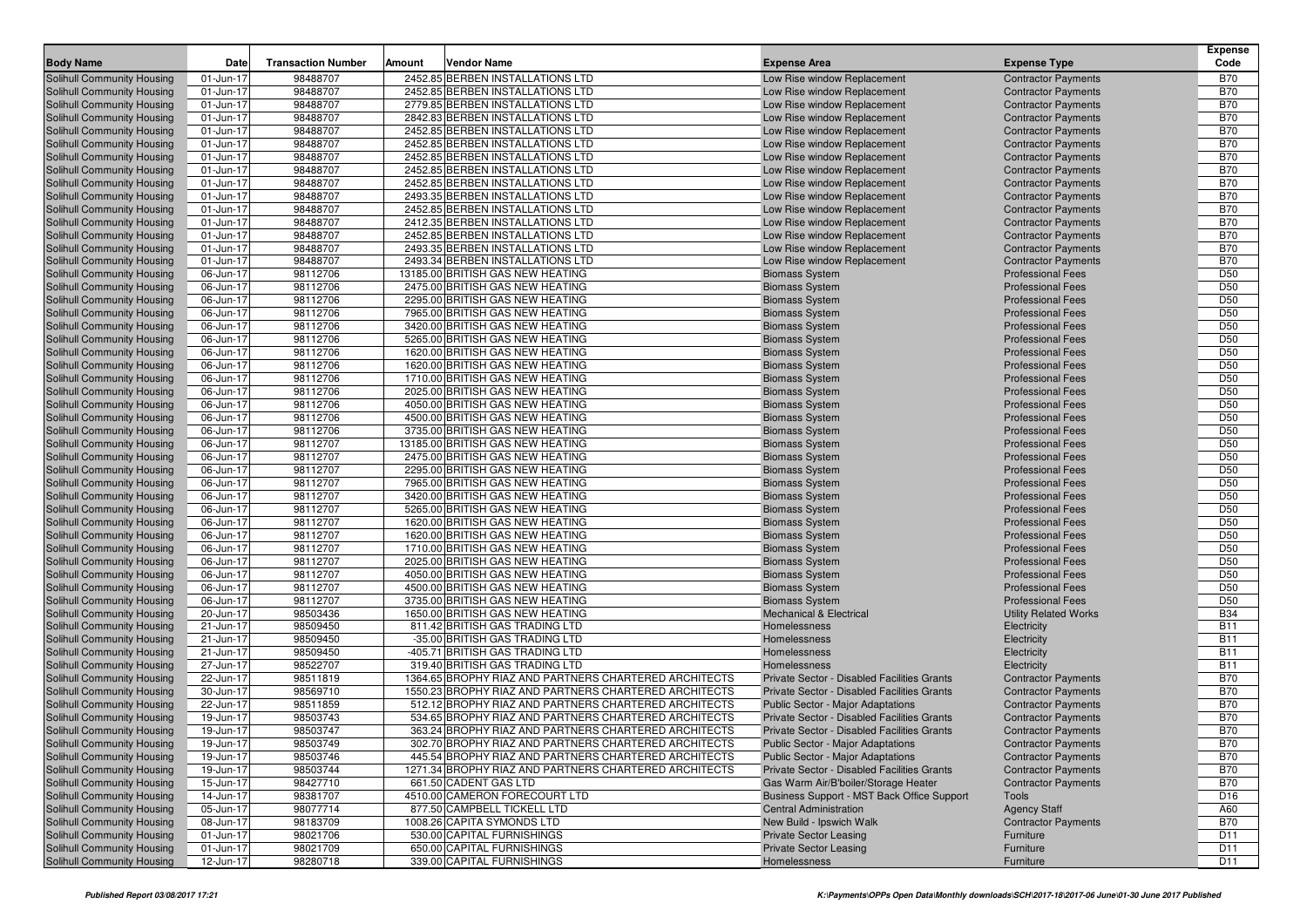| 98488707<br>2452.85 BERBEN INSTALLATIONS LTD<br><b>B70</b><br>Solihull Community Housing<br>01-Jun-17<br>Low Rise window Replacement<br><b>Contractor Payments</b><br>98488707<br><b>B70</b><br><b>Solihull Community Housing</b><br>01-Jun-17<br>2452.85 BERBEN INSTALLATIONS LTD<br>Low Rise window Replacement<br><b>Contractor Payments</b><br><b>B70</b><br>01-Jun-17<br>98488707<br>2779.85 BERBEN INSTALLATIONS LTD<br>Low Rise window Replacement<br><b>Solihull Community Housing</b><br><b>Contractor Payments</b><br>98488707<br><b>B70</b><br><b>Solihull Community Housing</b><br>01-Jun-17<br>2842.83 BERBEN INSTALLATIONS LTD<br>Low Rise window Replacement<br><b>Contractor Payments</b><br>98488707<br><b>B70</b><br><b>Solihull Community Housing</b><br>01-Jun-17<br>2452.85 BERBEN INSTALLATIONS LTD<br>Low Rise window Replacement<br><b>Contractor Payments</b><br>98488707<br>2452.85 BERBEN INSTALLATIONS LTD<br><b>B70</b><br>01-Jun-17<br>Solihull Community Housing<br>Low Rise window Replacement<br><b>Contractor Payments</b><br>2452.85 BERBEN INSTALLATIONS LTD<br><b>B70</b><br><b>Solihull Community Housing</b><br>01-Jun-17<br>98488707<br>Low Rise window Replacement<br><b>Contractor Payments</b><br><b>B70</b><br>01-Jun-17<br>98488707<br>2452.85 BERBEN INSTALLATIONS LTD<br><b>Solihull Community Housing</b><br>Low Rise window Replacement<br><b>Contractor Payments</b><br>98488707<br><b>B70</b><br><b>Solihull Community Housing</b><br>01-Jun-17<br>2452.85 BERBEN INSTALLATIONS LTD<br>Low Rise window Replacement<br><b>Contractor Payments</b><br><b>B70</b><br><b>Solihull Community Housing</b><br>01-Jun-17<br>98488707<br>2493.35 BERBEN INSTALLATIONS LTD<br>Low Rise window Replacement<br><b>Contractor Payments</b><br>98488707<br><b>B70</b><br>01-Jun-17<br>2452.85 BERBEN INSTALLATIONS LTD<br>Low Rise window Replacement<br>Solihull Community Housing<br><b>Contractor Payments</b><br><b>B70</b><br><b>Solihull Community Housing</b><br>01-Jun-17<br>98488707<br>2412.35 BERBEN INSTALLATIONS LTD<br>Low Rise window Replacement<br><b>Contractor Payments</b><br><b>B70</b><br>01-Jun-17<br>98488707<br>2452.85 BERBEN INSTALLATIONS LTD<br><b>Solihull Community Housing</b><br>Low Rise window Replacement<br><b>Contractor Payments</b><br>98488707<br><b>B70</b><br><b>Solihull Community Housing</b><br>2493.35 BERBEN INSTALLATIONS LTD<br>Low Rise window Replacement<br>01-Jun-17<br><b>Contractor Payments</b><br>98488707<br><b>B70</b><br><b>Solihull Community Housing</b><br>01-Jun-17<br>2493.34 BERBEN INSTALLATIONS LTD<br>Low Rise window Replacement<br><b>Contractor Payments</b><br>98112706<br>13185.00 BRITISH GAS NEW HEATING<br>D <sub>50</sub><br><b>Solihull Community Housing</b><br>06-Jun-17<br><b>Biomass System</b><br><b>Professional Fees</b><br>D <sub>50</sub><br>06-Jun-17<br>98112706<br>2475.00 BRITISH GAS NEW HEATING<br><b>Biomass System</b><br><b>Professional Fees</b><br><b>Solihull Community Housing</b><br>D <sub>50</sub><br>06-Jun-17<br>98112706<br>2295.00 BRITISH GAS NEW HEATING<br><b>Professional Fees</b><br><b>Solihull Community Housing</b><br><b>Biomass System</b><br>98112706<br>D <sub>50</sub><br><b>Solihull Community Housing</b><br>06-Jun-17<br>7965.00 BRITISH GAS NEW HEATING<br><b>Biomass System</b><br><b>Professional Fees</b><br>D <sub>50</sub><br><b>Solihull Community Housing</b><br>06-Jun-17<br>98112706<br>3420.00 BRITISH GAS NEW HEATING<br><b>Biomass System</b><br><b>Professional Fees</b><br>98112706<br>D <sub>50</sub><br>06-Jun-17<br>5265.00 BRITISH GAS NEW HEATING<br><b>Biomass System</b><br><b>Professional Fees</b><br><b>Solihull Community Housing</b><br>D <sub>50</sub><br><b>Solihull Community Housing</b><br>06-Jun-17<br>98112706<br>1620.00 BRITISH GAS NEW HEATING<br><b>Biomass System</b><br><b>Professional Fees</b><br>D <sub>50</sub><br>06-Jun-17<br>98112706<br>1620.00 BRITISH GAS NEW HEATING<br><b>Solihull Community Housing</b><br><b>Biomass System</b><br><b>Professional Fees</b><br>98112706<br>D <sub>50</sub><br><b>Solihull Community Housing</b><br>06-Jun-17<br>1710.00 BRITISH GAS NEW HEATING<br><b>Biomass System</b><br><b>Professional Fees</b><br>D <sub>50</sub><br><b>Solihull Community Housing</b><br>06-Jun-17<br>98112706<br>2025.00 BRITISH GAS NEW HEATING<br><b>Biomass System</b><br><b>Professional Fees</b><br>98112706<br>D <sub>50</sub><br><b>Solihull Community Housing</b><br>06-Jun-17<br>4050.00 BRITISH GAS NEW HEATING<br><b>Biomass System</b><br><b>Professional Fees</b><br>D <sub>50</sub><br>06-Jun-17<br>98112706<br>4500.00 BRITISH GAS NEW HEATING<br><b>Biomass System</b><br><b>Professional Fees</b><br><b>Solihull Community Housing</b><br>D <sub>50</sub><br>06-Jun-17<br>98112706<br>3735.00 BRITISH GAS NEW HEATING<br><b>Solihull Community Housing</b><br><b>Biomass System</b><br><b>Professional Fees</b><br>98112707<br>D <sub>50</sub><br><b>Solihull Community Housing</b><br>06-Jun-17<br>13185.00 BRITISH GAS NEW HEATING<br><b>Biomass System</b><br><b>Professional Fees</b><br>98112707<br>D <sub>50</sub><br><b>Solihull Community Housing</b><br>06-Jun-17<br>2475.00 BRITISH GAS NEW HEATING<br><b>Biomass System</b><br><b>Professional Fees</b><br>98112707<br>D <sub>50</sub><br>06-Jun-17<br>2295.00 BRITISH GAS NEW HEATING<br><b>Biomass System</b><br><b>Professional Fees</b><br>Solihull Community Housing<br>98112707<br>D <sub>50</sub><br><b>Solihull Community Housing</b><br>06-Jun-17<br>7965.00 BRITISH GAS NEW HEATING<br><b>Biomass System</b><br><b>Professional Fees</b><br>D <sub>50</sub><br>06-Jun-17<br>98112707<br>3420.00 BRITISH GAS NEW HEATING<br><b>Professional Fees</b><br><b>Solihull Community Housing</b><br><b>Biomass System</b><br>98112707<br>D <sub>50</sub><br><b>Solihull Community Housing</b><br>06-Jun-17<br>5265.00 BRITISH GAS NEW HEATING<br><b>Biomass System</b><br><b>Professional Fees</b><br>98112707<br>D <sub>50</sub><br><b>Solihull Community Housing</b><br>06-Jun-17<br>1620.00 BRITISH GAS NEW HEATING<br><b>Biomass System</b><br><b>Professional Fees</b><br>98112707<br>D <sub>50</sub><br><b>Solihull Community Housing</b><br>06-Jun-17<br>1620.00 BRITISH GAS NEW HEATING<br><b>Biomass System</b><br><b>Professional Fees</b><br>D <sub>50</sub><br>06-Jun-17<br>98112707<br>1710.00 BRITISH GAS NEW HEATING<br><b>Biomass System</b><br><b>Professional Fees</b><br><b>Solihull Community Housing</b><br>98112707<br>D <sub>50</sub><br>06-Jun-17<br>2025.00 BRITISH GAS NEW HEATING<br><b>Solihull Community Housing</b><br><b>Biomass System</b><br><b>Professional Fees</b><br>98112707<br>D <sub>50</sub><br><b>Solihull Community Housing</b><br>06-Jun-17<br>4050.00 BRITISH GAS NEW HEATING<br><b>Biomass System</b><br><b>Professional Fees</b><br>98112707<br>D <sub>50</sub><br><b>Solihull Community Housing</b><br>06-Jun-17<br>4500.00 BRITISH GAS NEW HEATING<br><b>Biomass System</b><br><b>Professional Fees</b><br>98112707<br>D <sub>50</sub><br>06-Jun-17<br>3735.00 BRITISH GAS NEW HEATING<br><b>Biomass System</b><br><b>Professional Fees</b><br><b>Solihull Community Housing</b><br><b>B34</b><br><b>Solihull Community Housing</b><br>20-Jun-17<br>98503436<br>1650.00 BRITISH GAS NEW HEATING<br><b>Mechanical &amp; Electrical</b><br><b>Utility Related Works</b><br><b>B11</b><br>21-Jun-17<br>98509450<br>811.42 BRITISH GAS TRADING LTD<br>Homelessness<br><b>Solihull Community Housing</b><br>Electricity<br><b>B11</b><br><b>Solihull Community Housing</b><br>21-Jun-17<br>98509450<br>-35.00 BRITISH GAS TRADING LTD<br>Homelessness<br>Electricity<br><b>B11</b><br><b>Solihull Community Housing</b><br>21-Jun-17<br>98509450<br>-405.71 BRITISH GAS TRADING LTD<br>Homelessness<br>Electricity<br>98522707<br><b>B11</b><br>27-Jun-17<br>319.40 BRITISH GAS TRADING LTD<br><b>Solihull Community Housing</b><br>Homelessness<br>Electricity<br>1364.65 BROPHY RIAZ AND PARTNERS CHARTERED ARCHITECTS<br><b>B70</b><br>22-Jun-17<br>98511819<br>Private Sector - Disabled Facilities Grants<br>Solihull Community Housing<br><b>Contractor Payments</b><br><b>B70</b><br>98569710<br>30-Jun-17<br>1550.23 BROPHY RIAZ AND PARTNERS CHARTERED ARCHITECTS<br>Private Sector - Disabled Facilities Grants<br><b>Solihull Community Housing</b><br><b>Contractor Payments</b><br><b>B70</b><br><b>Solihull Community Housing</b><br>22-Jun-17<br>98511859<br>512.12 BROPHY RIAZ AND PARTNERS CHARTERED ARCHITECTS<br>Public Sector - Major Adaptations<br><b>Contractor Payments</b><br>98503743<br><b>B70</b><br><b>Solihull Community Housing</b><br>19-Jun-17<br>534.65 BROPHY RIAZ AND PARTNERS CHARTERED ARCHITECTS<br>Private Sector - Disabled Facilities Grants<br><b>Contractor Payments</b><br>98503747<br><b>B70</b><br><b>Solihull Community Housing</b><br>19-Jun-17<br>363.24 BROPHY RIAZ AND PARTNERS CHARTERED ARCHITECTS<br>Private Sector - Disabled Facilities Grants<br><b>Contractor Payments</b><br><b>Solihull Community Housing</b><br>19-Jun-17<br>98503749<br>302.70 BROPHY RIAZ AND PARTNERS CHARTERED ARCHITECTS<br>Public Sector - Major Adaptations<br><b>Contractor Payments</b><br><b>B70</b><br><b>B70</b><br>98503746<br><b>Solihull Community Housing</b><br>19-Jun-17<br>445.54 BROPHY RIAZ AND PARTNERS CHARTERED ARCHITECTS<br>Public Sector - Major Adaptations<br><b>Contractor Payments</b><br>98503744<br>Private Sector - Disabled Facilities Grants<br><b>B70</b><br><b>Solihull Community Housing</b><br>19-Jun-17<br>1271.34 BROPHY RIAZ AND PARTNERS CHARTERED ARCHITECTS<br><b>Contractor Payments</b><br>98427710<br>661.50 CADENT GAS LTD<br><b>B70</b><br><b>Solihull Community Housing</b><br>15-Jun-17<br>Gas Warm Air/B'boiler/Storage Heater<br><b>Contractor Payments</b><br>98381707<br>4510.00 CAMERON FORECOURT LTD<br>D <sub>16</sub><br><b>Solihull Community Housing</b><br>14-Jun-17<br>Business Support - MST Back Office Support<br>Tools<br>98077714<br><b>Solihull Community Housing</b><br>05-Jun-17<br>877.50 CAMPBELL TICKELL LTD<br><b>Central Administration</b><br><b>Agency Staff</b><br>A60<br><b>B70</b><br>98183709<br>Solihull Community Housing<br>08-Jun-17<br>1008.26 CAPITA SYMONDS LTD<br>New Build - Ipswich Walk<br><b>Contractor Payments</b><br><b>Solihull Community Housing</b><br>01-Jun-17<br>98021706<br>530.00 CAPITAL FURNISHINGS<br><b>Private Sector Leasing</b><br>D <sub>11</sub><br>Furniture<br>D <sub>11</sub><br>Solihull Community Housing<br>01-Jun-17<br>98021709<br>650.00 CAPITAL FURNISHINGS<br><b>Private Sector Leasing</b><br>Furniture<br>98280718<br>339.00 CAPITAL FURNISHINGS<br>D <sub>11</sub><br><b>Solihull Community Housing</b><br>12-Jun-17<br>Homelessness<br>Furniture | <b>Body Name</b> | <b>Date</b> | <b>Transaction Number</b> | Amount | <b>Vendor Name</b> | <b>Expense Area</b> | <b>Expense Type</b> | <b>Expense</b><br>Code |
|-----------------------------------------------------------------------------------------------------------------------------------------------------------------------------------------------------------------------------------------------------------------------------------------------------------------------------------------------------------------------------------------------------------------------------------------------------------------------------------------------------------------------------------------------------------------------------------------------------------------------------------------------------------------------------------------------------------------------------------------------------------------------------------------------------------------------------------------------------------------------------------------------------------------------------------------------------------------------------------------------------------------------------------------------------------------------------------------------------------------------------------------------------------------------------------------------------------------------------------------------------------------------------------------------------------------------------------------------------------------------------------------------------------------------------------------------------------------------------------------------------------------------------------------------------------------------------------------------------------------------------------------------------------------------------------------------------------------------------------------------------------------------------------------------------------------------------------------------------------------------------------------------------------------------------------------------------------------------------------------------------------------------------------------------------------------------------------------------------------------------------------------------------------------------------------------------------------------------------------------------------------------------------------------------------------------------------------------------------------------------------------------------------------------------------------------------------------------------------------------------------------------------------------------------------------------------------------------------------------------------------------------------------------------------------------------------------------------------------------------------------------------------------------------------------------------------------------------------------------------------------------------------------------------------------------------------------------------------------------------------------------------------------------------------------------------------------------------------------------------------------------------------------------------------------------------------------------------------------------------------------------------------------------------------------------------------------------------------------------------------------------------------------------------------------------------------------------------------------------------------------------------------------------------------------------------------------------------------------------------------------------------------------------------------------------------------------------------------------------------------------------------------------------------------------------------------------------------------------------------------------------------------------------------------------------------------------------------------------------------------------------------------------------------------------------------------------------------------------------------------------------------------------------------------------------------------------------------------------------------------------------------------------------------------------------------------------------------------------------------------------------------------------------------------------------------------------------------------------------------------------------------------------------------------------------------------------------------------------------------------------------------------------------------------------------------------------------------------------------------------------------------------------------------------------------------------------------------------------------------------------------------------------------------------------------------------------------------------------------------------------------------------------------------------------------------------------------------------------------------------------------------------------------------------------------------------------------------------------------------------------------------------------------------------------------------------------------------------------------------------------------------------------------------------------------------------------------------------------------------------------------------------------------------------------------------------------------------------------------------------------------------------------------------------------------------------------------------------------------------------------------------------------------------------------------------------------------------------------------------------------------------------------------------------------------------------------------------------------------------------------------------------------------------------------------------------------------------------------------------------------------------------------------------------------------------------------------------------------------------------------------------------------------------------------------------------------------------------------------------------------------------------------------------------------------------------------------------------------------------------------------------------------------------------------------------------------------------------------------------------------------------------------------------------------------------------------------------------------------------------------------------------------------------------------------------------------------------------------------------------------------------------------------------------------------------------------------------------------------------------------------------------------------------------------------------------------------------------------------------------------------------------------------------------------------------------------------------------------------------------------------------------------------------------------------------------------------------------------------------------------------------------------------------------------------------------------------------------------------------------------------------------------------------------------------------------------------------------------------------------------------------------------------------------------------------------------------------------------------------------------------------------------------------------------------------------------------------------------------------------------------------------------------------------------------------------------------------------------------------------------------------------------------------------------------------------------------------------------------------------------------------------------------------------------------------------------------------------------------------------------------------------------------------------------------------------------------------------------------------------------------------------------------------------------------------------------------------------------------------------------------------------------------------------------------------------------------------------------------------------------------------------------------------------------------------------------------------------------------------------------------------------------------------------------------------------------------------------------------------------------------------------------------------------------------------------------------------------------------------------------------------------------------------------------------------------------------------------------------------------------------------------------------------------------------------------------------------------------------------------------------------------------------------------------------------------------------------------------------------------------------------------------------------------------------------------------------------------------------------------------------------------------------------------------------------------------------------------------------------------------------------------------------------------------------------------------------------------------------------------------------------------------------------------------------------------------------------------------------------------------------------------------------------------------------------------------------------------------------------------------------------------------------------------------------------------------------------------------------------------------------------------------------------------------------------------------------------------------------------------------------------------------------------------------------------------------------------------------------------------------------------------------------------------------------------------------------------------------------------------------------------------------------------------------------------------------------------------------------------------------------------------------------------------------------------------------------------------------------------------------------------------------------------------------------------------------------------------------------------------------|------------------|-------------|---------------------------|--------|--------------------|---------------------|---------------------|------------------------|
|                                                                                                                                                                                                                                                                                                                                                                                                                                                                                                                                                                                                                                                                                                                                                                                                                                                                                                                                                                                                                                                                                                                                                                                                                                                                                                                                                                                                                                                                                                                                                                                                                                                                                                                                                                                                                                                                                                                                                                                                                                                                                                                                                                                                                                                                                                                                                                                                                                                                                                                                                                                                                                                                                                                                                                                                                                                                                                                                                                                                                                                                                                                                                                                                                                                                                                                                                                                                                                                                                                                                                                                                                                                                                                                                                                                                                                                                                                                                                                                                                                                                                                                                                                                                                                                                                                                                                                                                                                                                                                                                                                                                                                                                                                                                                                                                                                                                                                                                                                                                                                                                                                                                                                                                                                                                                                                                                                                                                                                                                                                                                                                                                                                                                                                                                                                                                                                                                                                                                                                                                                                                                                                                                                                                                                                                                                                                                                                                                                                                                                                                                                                                                                                                                                                                                                                                                                                                                                                                                                                                                                                                                                                                                                                                                                                                                                                                                                                                                                                                                                                                                                                                                                                                                                                                                                                                                                                                                                                                                                                                                                                                                                                                                                                                                                                                                                                                                                                                                                                                                                                                                                                                                                                                                                                                                                                                                                                                                                                                                                                                                                                                                                                                                                                                                                                                                                                                                                                                                                                                                                                                                                                                                                                                                                                                                                                                                                                                                                                                                                                                                                                                                                                                                                                                                                                                                                                                                                                                                                                                                                                                                                                                                                                                                                                                                                                                                                                                             |                  |             |                           |        |                    |                     |                     |                        |
|                                                                                                                                                                                                                                                                                                                                                                                                                                                                                                                                                                                                                                                                                                                                                                                                                                                                                                                                                                                                                                                                                                                                                                                                                                                                                                                                                                                                                                                                                                                                                                                                                                                                                                                                                                                                                                                                                                                                                                                                                                                                                                                                                                                                                                                                                                                                                                                                                                                                                                                                                                                                                                                                                                                                                                                                                                                                                                                                                                                                                                                                                                                                                                                                                                                                                                                                                                                                                                                                                                                                                                                                                                                                                                                                                                                                                                                                                                                                                                                                                                                                                                                                                                                                                                                                                                                                                                                                                                                                                                                                                                                                                                                                                                                                                                                                                                                                                                                                                                                                                                                                                                                                                                                                                                                                                                                                                                                                                                                                                                                                                                                                                                                                                                                                                                                                                                                                                                                                                                                                                                                                                                                                                                                                                                                                                                                                                                                                                                                                                                                                                                                                                                                                                                                                                                                                                                                                                                                                                                                                                                                                                                                                                                                                                                                                                                                                                                                                                                                                                                                                                                                                                                                                                                                                                                                                                                                                                                                                                                                                                                                                                                                                                                                                                                                                                                                                                                                                                                                                                                                                                                                                                                                                                                                                                                                                                                                                                                                                                                                                                                                                                                                                                                                                                                                                                                                                                                                                                                                                                                                                                                                                                                                                                                                                                                                                                                                                                                                                                                                                                                                                                                                                                                                                                                                                                                                                                                                                                                                                                                                                                                                                                                                                                                                                                                                                                                                                             |                  |             |                           |        |                    |                     |                     |                        |
|                                                                                                                                                                                                                                                                                                                                                                                                                                                                                                                                                                                                                                                                                                                                                                                                                                                                                                                                                                                                                                                                                                                                                                                                                                                                                                                                                                                                                                                                                                                                                                                                                                                                                                                                                                                                                                                                                                                                                                                                                                                                                                                                                                                                                                                                                                                                                                                                                                                                                                                                                                                                                                                                                                                                                                                                                                                                                                                                                                                                                                                                                                                                                                                                                                                                                                                                                                                                                                                                                                                                                                                                                                                                                                                                                                                                                                                                                                                                                                                                                                                                                                                                                                                                                                                                                                                                                                                                                                                                                                                                                                                                                                                                                                                                                                                                                                                                                                                                                                                                                                                                                                                                                                                                                                                                                                                                                                                                                                                                                                                                                                                                                                                                                                                                                                                                                                                                                                                                                                                                                                                                                                                                                                                                                                                                                                                                                                                                                                                                                                                                                                                                                                                                                                                                                                                                                                                                                                                                                                                                                                                                                                                                                                                                                                                                                                                                                                                                                                                                                                                                                                                                                                                                                                                                                                                                                                                                                                                                                                                                                                                                                                                                                                                                                                                                                                                                                                                                                                                                                                                                                                                                                                                                                                                                                                                                                                                                                                                                                                                                                                                                                                                                                                                                                                                                                                                                                                                                                                                                                                                                                                                                                                                                                                                                                                                                                                                                                                                                                                                                                                                                                                                                                                                                                                                                                                                                                                                                                                                                                                                                                                                                                                                                                                                                                                                                                                                                             |                  |             |                           |        |                    |                     |                     |                        |
|                                                                                                                                                                                                                                                                                                                                                                                                                                                                                                                                                                                                                                                                                                                                                                                                                                                                                                                                                                                                                                                                                                                                                                                                                                                                                                                                                                                                                                                                                                                                                                                                                                                                                                                                                                                                                                                                                                                                                                                                                                                                                                                                                                                                                                                                                                                                                                                                                                                                                                                                                                                                                                                                                                                                                                                                                                                                                                                                                                                                                                                                                                                                                                                                                                                                                                                                                                                                                                                                                                                                                                                                                                                                                                                                                                                                                                                                                                                                                                                                                                                                                                                                                                                                                                                                                                                                                                                                                                                                                                                                                                                                                                                                                                                                                                                                                                                                                                                                                                                                                                                                                                                                                                                                                                                                                                                                                                                                                                                                                                                                                                                                                                                                                                                                                                                                                                                                                                                                                                                                                                                                                                                                                                                                                                                                                                                                                                                                                                                                                                                                                                                                                                                                                                                                                                                                                                                                                                                                                                                                                                                                                                                                                                                                                                                                                                                                                                                                                                                                                                                                                                                                                                                                                                                                                                                                                                                                                                                                                                                                                                                                                                                                                                                                                                                                                                                                                                                                                                                                                                                                                                                                                                                                                                                                                                                                                                                                                                                                                                                                                                                                                                                                                                                                                                                                                                                                                                                                                                                                                                                                                                                                                                                                                                                                                                                                                                                                                                                                                                                                                                                                                                                                                                                                                                                                                                                                                                                                                                                                                                                                                                                                                                                                                                                                                                                                                                                                             |                  |             |                           |        |                    |                     |                     |                        |
|                                                                                                                                                                                                                                                                                                                                                                                                                                                                                                                                                                                                                                                                                                                                                                                                                                                                                                                                                                                                                                                                                                                                                                                                                                                                                                                                                                                                                                                                                                                                                                                                                                                                                                                                                                                                                                                                                                                                                                                                                                                                                                                                                                                                                                                                                                                                                                                                                                                                                                                                                                                                                                                                                                                                                                                                                                                                                                                                                                                                                                                                                                                                                                                                                                                                                                                                                                                                                                                                                                                                                                                                                                                                                                                                                                                                                                                                                                                                                                                                                                                                                                                                                                                                                                                                                                                                                                                                                                                                                                                                                                                                                                                                                                                                                                                                                                                                                                                                                                                                                                                                                                                                                                                                                                                                                                                                                                                                                                                                                                                                                                                                                                                                                                                                                                                                                                                                                                                                                                                                                                                                                                                                                                                                                                                                                                                                                                                                                                                                                                                                                                                                                                                                                                                                                                                                                                                                                                                                                                                                                                                                                                                                                                                                                                                                                                                                                                                                                                                                                                                                                                                                                                                                                                                                                                                                                                                                                                                                                                                                                                                                                                                                                                                                                                                                                                                                                                                                                                                                                                                                                                                                                                                                                                                                                                                                                                                                                                                                                                                                                                                                                                                                                                                                                                                                                                                                                                                                                                                                                                                                                                                                                                                                                                                                                                                                                                                                                                                                                                                                                                                                                                                                                                                                                                                                                                                                                                                                                                                                                                                                                                                                                                                                                                                                                                                                                                                                             |                  |             |                           |        |                    |                     |                     |                        |
|                                                                                                                                                                                                                                                                                                                                                                                                                                                                                                                                                                                                                                                                                                                                                                                                                                                                                                                                                                                                                                                                                                                                                                                                                                                                                                                                                                                                                                                                                                                                                                                                                                                                                                                                                                                                                                                                                                                                                                                                                                                                                                                                                                                                                                                                                                                                                                                                                                                                                                                                                                                                                                                                                                                                                                                                                                                                                                                                                                                                                                                                                                                                                                                                                                                                                                                                                                                                                                                                                                                                                                                                                                                                                                                                                                                                                                                                                                                                                                                                                                                                                                                                                                                                                                                                                                                                                                                                                                                                                                                                                                                                                                                                                                                                                                                                                                                                                                                                                                                                                                                                                                                                                                                                                                                                                                                                                                                                                                                                                                                                                                                                                                                                                                                                                                                                                                                                                                                                                                                                                                                                                                                                                                                                                                                                                                                                                                                                                                                                                                                                                                                                                                                                                                                                                                                                                                                                                                                                                                                                                                                                                                                                                                                                                                                                                                                                                                                                                                                                                                                                                                                                                                                                                                                                                                                                                                                                                                                                                                                                                                                                                                                                                                                                                                                                                                                                                                                                                                                                                                                                                                                                                                                                                                                                                                                                                                                                                                                                                                                                                                                                                                                                                                                                                                                                                                                                                                                                                                                                                                                                                                                                                                                                                                                                                                                                                                                                                                                                                                                                                                                                                                                                                                                                                                                                                                                                                                                                                                                                                                                                                                                                                                                                                                                                                                                                                                                                             |                  |             |                           |        |                    |                     |                     |                        |
|                                                                                                                                                                                                                                                                                                                                                                                                                                                                                                                                                                                                                                                                                                                                                                                                                                                                                                                                                                                                                                                                                                                                                                                                                                                                                                                                                                                                                                                                                                                                                                                                                                                                                                                                                                                                                                                                                                                                                                                                                                                                                                                                                                                                                                                                                                                                                                                                                                                                                                                                                                                                                                                                                                                                                                                                                                                                                                                                                                                                                                                                                                                                                                                                                                                                                                                                                                                                                                                                                                                                                                                                                                                                                                                                                                                                                                                                                                                                                                                                                                                                                                                                                                                                                                                                                                                                                                                                                                                                                                                                                                                                                                                                                                                                                                                                                                                                                                                                                                                                                                                                                                                                                                                                                                                                                                                                                                                                                                                                                                                                                                                                                                                                                                                                                                                                                                                                                                                                                                                                                                                                                                                                                                                                                                                                                                                                                                                                                                                                                                                                                                                                                                                                                                                                                                                                                                                                                                                                                                                                                                                                                                                                                                                                                                                                                                                                                                                                                                                                                                                                                                                                                                                                                                                                                                                                                                                                                                                                                                                                                                                                                                                                                                                                                                                                                                                                                                                                                                                                                                                                                                                                                                                                                                                                                                                                                                                                                                                                                                                                                                                                                                                                                                                                                                                                                                                                                                                                                                                                                                                                                                                                                                                                                                                                                                                                                                                                                                                                                                                                                                                                                                                                                                                                                                                                                                                                                                                                                                                                                                                                                                                                                                                                                                                                                                                                                                                                             |                  |             |                           |        |                    |                     |                     |                        |
|                                                                                                                                                                                                                                                                                                                                                                                                                                                                                                                                                                                                                                                                                                                                                                                                                                                                                                                                                                                                                                                                                                                                                                                                                                                                                                                                                                                                                                                                                                                                                                                                                                                                                                                                                                                                                                                                                                                                                                                                                                                                                                                                                                                                                                                                                                                                                                                                                                                                                                                                                                                                                                                                                                                                                                                                                                                                                                                                                                                                                                                                                                                                                                                                                                                                                                                                                                                                                                                                                                                                                                                                                                                                                                                                                                                                                                                                                                                                                                                                                                                                                                                                                                                                                                                                                                                                                                                                                                                                                                                                                                                                                                                                                                                                                                                                                                                                                                                                                                                                                                                                                                                                                                                                                                                                                                                                                                                                                                                                                                                                                                                                                                                                                                                                                                                                                                                                                                                                                                                                                                                                                                                                                                                                                                                                                                                                                                                                                                                                                                                                                                                                                                                                                                                                                                                                                                                                                                                                                                                                                                                                                                                                                                                                                                                                                                                                                                                                                                                                                                                                                                                                                                                                                                                                                                                                                                                                                                                                                                                                                                                                                                                                                                                                                                                                                                                                                                                                                                                                                                                                                                                                                                                                                                                                                                                                                                                                                                                                                                                                                                                                                                                                                                                                                                                                                                                                                                                                                                                                                                                                                                                                                                                                                                                                                                                                                                                                                                                                                                                                                                                                                                                                                                                                                                                                                                                                                                                                                                                                                                                                                                                                                                                                                                                                                                                                                                                                             |                  |             |                           |        |                    |                     |                     |                        |
|                                                                                                                                                                                                                                                                                                                                                                                                                                                                                                                                                                                                                                                                                                                                                                                                                                                                                                                                                                                                                                                                                                                                                                                                                                                                                                                                                                                                                                                                                                                                                                                                                                                                                                                                                                                                                                                                                                                                                                                                                                                                                                                                                                                                                                                                                                                                                                                                                                                                                                                                                                                                                                                                                                                                                                                                                                                                                                                                                                                                                                                                                                                                                                                                                                                                                                                                                                                                                                                                                                                                                                                                                                                                                                                                                                                                                                                                                                                                                                                                                                                                                                                                                                                                                                                                                                                                                                                                                                                                                                                                                                                                                                                                                                                                                                                                                                                                                                                                                                                                                                                                                                                                                                                                                                                                                                                                                                                                                                                                                                                                                                                                                                                                                                                                                                                                                                                                                                                                                                                                                                                                                                                                                                                                                                                                                                                                                                                                                                                                                                                                                                                                                                                                                                                                                                                                                                                                                                                                                                                                                                                                                                                                                                                                                                                                                                                                                                                                                                                                                                                                                                                                                                                                                                                                                                                                                                                                                                                                                                                                                                                                                                                                                                                                                                                                                                                                                                                                                                                                                                                                                                                                                                                                                                                                                                                                                                                                                                                                                                                                                                                                                                                                                                                                                                                                                                                                                                                                                                                                                                                                                                                                                                                                                                                                                                                                                                                                                                                                                                                                                                                                                                                                                                                                                                                                                                                                                                                                                                                                                                                                                                                                                                                                                                                                                                                                                                                                             |                  |             |                           |        |                    |                     |                     |                        |
|                                                                                                                                                                                                                                                                                                                                                                                                                                                                                                                                                                                                                                                                                                                                                                                                                                                                                                                                                                                                                                                                                                                                                                                                                                                                                                                                                                                                                                                                                                                                                                                                                                                                                                                                                                                                                                                                                                                                                                                                                                                                                                                                                                                                                                                                                                                                                                                                                                                                                                                                                                                                                                                                                                                                                                                                                                                                                                                                                                                                                                                                                                                                                                                                                                                                                                                                                                                                                                                                                                                                                                                                                                                                                                                                                                                                                                                                                                                                                                                                                                                                                                                                                                                                                                                                                                                                                                                                                                                                                                                                                                                                                                                                                                                                                                                                                                                                                                                                                                                                                                                                                                                                                                                                                                                                                                                                                                                                                                                                                                                                                                                                                                                                                                                                                                                                                                                                                                                                                                                                                                                                                                                                                                                                                                                                                                                                                                                                                                                                                                                                                                                                                                                                                                                                                                                                                                                                                                                                                                                                                                                                                                                                                                                                                                                                                                                                                                                                                                                                                                                                                                                                                                                                                                                                                                                                                                                                                                                                                                                                                                                                                                                                                                                                                                                                                                                                                                                                                                                                                                                                                                                                                                                                                                                                                                                                                                                                                                                                                                                                                                                                                                                                                                                                                                                                                                                                                                                                                                                                                                                                                                                                                                                                                                                                                                                                                                                                                                                                                                                                                                                                                                                                                                                                                                                                                                                                                                                                                                                                                                                                                                                                                                                                                                                                                                                                                                                                             |                  |             |                           |        |                    |                     |                     |                        |
|                                                                                                                                                                                                                                                                                                                                                                                                                                                                                                                                                                                                                                                                                                                                                                                                                                                                                                                                                                                                                                                                                                                                                                                                                                                                                                                                                                                                                                                                                                                                                                                                                                                                                                                                                                                                                                                                                                                                                                                                                                                                                                                                                                                                                                                                                                                                                                                                                                                                                                                                                                                                                                                                                                                                                                                                                                                                                                                                                                                                                                                                                                                                                                                                                                                                                                                                                                                                                                                                                                                                                                                                                                                                                                                                                                                                                                                                                                                                                                                                                                                                                                                                                                                                                                                                                                                                                                                                                                                                                                                                                                                                                                                                                                                                                                                                                                                                                                                                                                                                                                                                                                                                                                                                                                                                                                                                                                                                                                                                                                                                                                                                                                                                                                                                                                                                                                                                                                                                                                                                                                                                                                                                                                                                                                                                                                                                                                                                                                                                                                                                                                                                                                                                                                                                                                                                                                                                                                                                                                                                                                                                                                                                                                                                                                                                                                                                                                                                                                                                                                                                                                                                                                                                                                                                                                                                                                                                                                                                                                                                                                                                                                                                                                                                                                                                                                                                                                                                                                                                                                                                                                                                                                                                                                                                                                                                                                                                                                                                                                                                                                                                                                                                                                                                                                                                                                                                                                                                                                                                                                                                                                                                                                                                                                                                                                                                                                                                                                                                                                                                                                                                                                                                                                                                                                                                                                                                                                                                                                                                                                                                                                                                                                                                                                                                                                                                                                                                             |                  |             |                           |        |                    |                     |                     |                        |
|                                                                                                                                                                                                                                                                                                                                                                                                                                                                                                                                                                                                                                                                                                                                                                                                                                                                                                                                                                                                                                                                                                                                                                                                                                                                                                                                                                                                                                                                                                                                                                                                                                                                                                                                                                                                                                                                                                                                                                                                                                                                                                                                                                                                                                                                                                                                                                                                                                                                                                                                                                                                                                                                                                                                                                                                                                                                                                                                                                                                                                                                                                                                                                                                                                                                                                                                                                                                                                                                                                                                                                                                                                                                                                                                                                                                                                                                                                                                                                                                                                                                                                                                                                                                                                                                                                                                                                                                                                                                                                                                                                                                                                                                                                                                                                                                                                                                                                                                                                                                                                                                                                                                                                                                                                                                                                                                                                                                                                                                                                                                                                                                                                                                                                                                                                                                                                                                                                                                                                                                                                                                                                                                                                                                                                                                                                                                                                                                                                                                                                                                                                                                                                                                                                                                                                                                                                                                                                                                                                                                                                                                                                                                                                                                                                                                                                                                                                                                                                                                                                                                                                                                                                                                                                                                                                                                                                                                                                                                                                                                                                                                                                                                                                                                                                                                                                                                                                                                                                                                                                                                                                                                                                                                                                                                                                                                                                                                                                                                                                                                                                                                                                                                                                                                                                                                                                                                                                                                                                                                                                                                                                                                                                                                                                                                                                                                                                                                                                                                                                                                                                                                                                                                                                                                                                                                                                                                                                                                                                                                                                                                                                                                                                                                                                                                                                                                                                                                             |                  |             |                           |        |                    |                     |                     |                        |
|                                                                                                                                                                                                                                                                                                                                                                                                                                                                                                                                                                                                                                                                                                                                                                                                                                                                                                                                                                                                                                                                                                                                                                                                                                                                                                                                                                                                                                                                                                                                                                                                                                                                                                                                                                                                                                                                                                                                                                                                                                                                                                                                                                                                                                                                                                                                                                                                                                                                                                                                                                                                                                                                                                                                                                                                                                                                                                                                                                                                                                                                                                                                                                                                                                                                                                                                                                                                                                                                                                                                                                                                                                                                                                                                                                                                                                                                                                                                                                                                                                                                                                                                                                                                                                                                                                                                                                                                                                                                                                                                                                                                                                                                                                                                                                                                                                                                                                                                                                                                                                                                                                                                                                                                                                                                                                                                                                                                                                                                                                                                                                                                                                                                                                                                                                                                                                                                                                                                                                                                                                                                                                                                                                                                                                                                                                                                                                                                                                                                                                                                                                                                                                                                                                                                                                                                                                                                                                                                                                                                                                                                                                                                                                                                                                                                                                                                                                                                                                                                                                                                                                                                                                                                                                                                                                                                                                                                                                                                                                                                                                                                                                                                                                                                                                                                                                                                                                                                                                                                                                                                                                                                                                                                                                                                                                                                                                                                                                                                                                                                                                                                                                                                                                                                                                                                                                                                                                                                                                                                                                                                                                                                                                                                                                                                                                                                                                                                                                                                                                                                                                                                                                                                                                                                                                                                                                                                                                                                                                                                                                                                                                                                                                                                                                                                                                                                                                                                             |                  |             |                           |        |                    |                     |                     |                        |
|                                                                                                                                                                                                                                                                                                                                                                                                                                                                                                                                                                                                                                                                                                                                                                                                                                                                                                                                                                                                                                                                                                                                                                                                                                                                                                                                                                                                                                                                                                                                                                                                                                                                                                                                                                                                                                                                                                                                                                                                                                                                                                                                                                                                                                                                                                                                                                                                                                                                                                                                                                                                                                                                                                                                                                                                                                                                                                                                                                                                                                                                                                                                                                                                                                                                                                                                                                                                                                                                                                                                                                                                                                                                                                                                                                                                                                                                                                                                                                                                                                                                                                                                                                                                                                                                                                                                                                                                                                                                                                                                                                                                                                                                                                                                                                                                                                                                                                                                                                                                                                                                                                                                                                                                                                                                                                                                                                                                                                                                                                                                                                                                                                                                                                                                                                                                                                                                                                                                                                                                                                                                                                                                                                                                                                                                                                                                                                                                                                                                                                                                                                                                                                                                                                                                                                                                                                                                                                                                                                                                                                                                                                                                                                                                                                                                                                                                                                                                                                                                                                                                                                                                                                                                                                                                                                                                                                                                                                                                                                                                                                                                                                                                                                                                                                                                                                                                                                                                                                                                                                                                                                                                                                                                                                                                                                                                                                                                                                                                                                                                                                                                                                                                                                                                                                                                                                                                                                                                                                                                                                                                                                                                                                                                                                                                                                                                                                                                                                                                                                                                                                                                                                                                                                                                                                                                                                                                                                                                                                                                                                                                                                                                                                                                                                                                                                                                                                                                             |                  |             |                           |        |                    |                     |                     |                        |
|                                                                                                                                                                                                                                                                                                                                                                                                                                                                                                                                                                                                                                                                                                                                                                                                                                                                                                                                                                                                                                                                                                                                                                                                                                                                                                                                                                                                                                                                                                                                                                                                                                                                                                                                                                                                                                                                                                                                                                                                                                                                                                                                                                                                                                                                                                                                                                                                                                                                                                                                                                                                                                                                                                                                                                                                                                                                                                                                                                                                                                                                                                                                                                                                                                                                                                                                                                                                                                                                                                                                                                                                                                                                                                                                                                                                                                                                                                                                                                                                                                                                                                                                                                                                                                                                                                                                                                                                                                                                                                                                                                                                                                                                                                                                                                                                                                                                                                                                                                                                                                                                                                                                                                                                                                                                                                                                                                                                                                                                                                                                                                                                                                                                                                                                                                                                                                                                                                                                                                                                                                                                                                                                                                                                                                                                                                                                                                                                                                                                                                                                                                                                                                                                                                                                                                                                                                                                                                                                                                                                                                                                                                                                                                                                                                                                                                                                                                                                                                                                                                                                                                                                                                                                                                                                                                                                                                                                                                                                                                                                                                                                                                                                                                                                                                                                                                                                                                                                                                                                                                                                                                                                                                                                                                                                                                                                                                                                                                                                                                                                                                                                                                                                                                                                                                                                                                                                                                                                                                                                                                                                                                                                                                                                                                                                                                                                                                                                                                                                                                                                                                                                                                                                                                                                                                                                                                                                                                                                                                                                                                                                                                                                                                                                                                                                                                                                                                                                             |                  |             |                           |        |                    |                     |                     |                        |
|                                                                                                                                                                                                                                                                                                                                                                                                                                                                                                                                                                                                                                                                                                                                                                                                                                                                                                                                                                                                                                                                                                                                                                                                                                                                                                                                                                                                                                                                                                                                                                                                                                                                                                                                                                                                                                                                                                                                                                                                                                                                                                                                                                                                                                                                                                                                                                                                                                                                                                                                                                                                                                                                                                                                                                                                                                                                                                                                                                                                                                                                                                                                                                                                                                                                                                                                                                                                                                                                                                                                                                                                                                                                                                                                                                                                                                                                                                                                                                                                                                                                                                                                                                                                                                                                                                                                                                                                                                                                                                                                                                                                                                                                                                                                                                                                                                                                                                                                                                                                                                                                                                                                                                                                                                                                                                                                                                                                                                                                                                                                                                                                                                                                                                                                                                                                                                                                                                                                                                                                                                                                                                                                                                                                                                                                                                                                                                                                                                                                                                                                                                                                                                                                                                                                                                                                                                                                                                                                                                                                                                                                                                                                                                                                                                                                                                                                                                                                                                                                                                                                                                                                                                                                                                                                                                                                                                                                                                                                                                                                                                                                                                                                                                                                                                                                                                                                                                                                                                                                                                                                                                                                                                                                                                                                                                                                                                                                                                                                                                                                                                                                                                                                                                                                                                                                                                                                                                                                                                                                                                                                                                                                                                                                                                                                                                                                                                                                                                                                                                                                                                                                                                                                                                                                                                                                                                                                                                                                                                                                                                                                                                                                                                                                                                                                                                                                                                                                             |                  |             |                           |        |                    |                     |                     |                        |
|                                                                                                                                                                                                                                                                                                                                                                                                                                                                                                                                                                                                                                                                                                                                                                                                                                                                                                                                                                                                                                                                                                                                                                                                                                                                                                                                                                                                                                                                                                                                                                                                                                                                                                                                                                                                                                                                                                                                                                                                                                                                                                                                                                                                                                                                                                                                                                                                                                                                                                                                                                                                                                                                                                                                                                                                                                                                                                                                                                                                                                                                                                                                                                                                                                                                                                                                                                                                                                                                                                                                                                                                                                                                                                                                                                                                                                                                                                                                                                                                                                                                                                                                                                                                                                                                                                                                                                                                                                                                                                                                                                                                                                                                                                                                                                                                                                                                                                                                                                                                                                                                                                                                                                                                                                                                                                                                                                                                                                                                                                                                                                                                                                                                                                                                                                                                                                                                                                                                                                                                                                                                                                                                                                                                                                                                                                                                                                                                                                                                                                                                                                                                                                                                                                                                                                                                                                                                                                                                                                                                                                                                                                                                                                                                                                                                                                                                                                                                                                                                                                                                                                                                                                                                                                                                                                                                                                                                                                                                                                                                                                                                                                                                                                                                                                                                                                                                                                                                                                                                                                                                                                                                                                                                                                                                                                                                                                                                                                                                                                                                                                                                                                                                                                                                                                                                                                                                                                                                                                                                                                                                                                                                                                                                                                                                                                                                                                                                                                                                                                                                                                                                                                                                                                                                                                                                                                                                                                                                                                                                                                                                                                                                                                                                                                                                                                                                                                                                             |                  |             |                           |        |                    |                     |                     |                        |
|                                                                                                                                                                                                                                                                                                                                                                                                                                                                                                                                                                                                                                                                                                                                                                                                                                                                                                                                                                                                                                                                                                                                                                                                                                                                                                                                                                                                                                                                                                                                                                                                                                                                                                                                                                                                                                                                                                                                                                                                                                                                                                                                                                                                                                                                                                                                                                                                                                                                                                                                                                                                                                                                                                                                                                                                                                                                                                                                                                                                                                                                                                                                                                                                                                                                                                                                                                                                                                                                                                                                                                                                                                                                                                                                                                                                                                                                                                                                                                                                                                                                                                                                                                                                                                                                                                                                                                                                                                                                                                                                                                                                                                                                                                                                                                                                                                                                                                                                                                                                                                                                                                                                                                                                                                                                                                                                                                                                                                                                                                                                                                                                                                                                                                                                                                                                                                                                                                                                                                                                                                                                                                                                                                                                                                                                                                                                                                                                                                                                                                                                                                                                                                                                                                                                                                                                                                                                                                                                                                                                                                                                                                                                                                                                                                                                                                                                                                                                                                                                                                                                                                                                                                                                                                                                                                                                                                                                                                                                                                                                                                                                                                                                                                                                                                                                                                                                                                                                                                                                                                                                                                                                                                                                                                                                                                                                                                                                                                                                                                                                                                                                                                                                                                                                                                                                                                                                                                                                                                                                                                                                                                                                                                                                                                                                                                                                                                                                                                                                                                                                                                                                                                                                                                                                                                                                                                                                                                                                                                                                                                                                                                                                                                                                                                                                                                                                                                                                             |                  |             |                           |        |                    |                     |                     |                        |
|                                                                                                                                                                                                                                                                                                                                                                                                                                                                                                                                                                                                                                                                                                                                                                                                                                                                                                                                                                                                                                                                                                                                                                                                                                                                                                                                                                                                                                                                                                                                                                                                                                                                                                                                                                                                                                                                                                                                                                                                                                                                                                                                                                                                                                                                                                                                                                                                                                                                                                                                                                                                                                                                                                                                                                                                                                                                                                                                                                                                                                                                                                                                                                                                                                                                                                                                                                                                                                                                                                                                                                                                                                                                                                                                                                                                                                                                                                                                                                                                                                                                                                                                                                                                                                                                                                                                                                                                                                                                                                                                                                                                                                                                                                                                                                                                                                                                                                                                                                                                                                                                                                                                                                                                                                                                                                                                                                                                                                                                                                                                                                                                                                                                                                                                                                                                                                                                                                                                                                                                                                                                                                                                                                                                                                                                                                                                                                                                                                                                                                                                                                                                                                                                                                                                                                                                                                                                                                                                                                                                                                                                                                                                                                                                                                                                                                                                                                                                                                                                                                                                                                                                                                                                                                                                                                                                                                                                                                                                                                                                                                                                                                                                                                                                                                                                                                                                                                                                                                                                                                                                                                                                                                                                                                                                                                                                                                                                                                                                                                                                                                                                                                                                                                                                                                                                                                                                                                                                                                                                                                                                                                                                                                                                                                                                                                                                                                                                                                                                                                                                                                                                                                                                                                                                                                                                                                                                                                                                                                                                                                                                                                                                                                                                                                                                                                                                                                                                             |                  |             |                           |        |                    |                     |                     |                        |
|                                                                                                                                                                                                                                                                                                                                                                                                                                                                                                                                                                                                                                                                                                                                                                                                                                                                                                                                                                                                                                                                                                                                                                                                                                                                                                                                                                                                                                                                                                                                                                                                                                                                                                                                                                                                                                                                                                                                                                                                                                                                                                                                                                                                                                                                                                                                                                                                                                                                                                                                                                                                                                                                                                                                                                                                                                                                                                                                                                                                                                                                                                                                                                                                                                                                                                                                                                                                                                                                                                                                                                                                                                                                                                                                                                                                                                                                                                                                                                                                                                                                                                                                                                                                                                                                                                                                                                                                                                                                                                                                                                                                                                                                                                                                                                                                                                                                                                                                                                                                                                                                                                                                                                                                                                                                                                                                                                                                                                                                                                                                                                                                                                                                                                                                                                                                                                                                                                                                                                                                                                                                                                                                                                                                                                                                                                                                                                                                                                                                                                                                                                                                                                                                                                                                                                                                                                                                                                                                                                                                                                                                                                                                                                                                                                                                                                                                                                                                                                                                                                                                                                                                                                                                                                                                                                                                                                                                                                                                                                                                                                                                                                                                                                                                                                                                                                                                                                                                                                                                                                                                                                                                                                                                                                                                                                                                                                                                                                                                                                                                                                                                                                                                                                                                                                                                                                                                                                                                                                                                                                                                                                                                                                                                                                                                                                                                                                                                                                                                                                                                                                                                                                                                                                                                                                                                                                                                                                                                                                                                                                                                                                                                                                                                                                                                                                                                                                                                             |                  |             |                           |        |                    |                     |                     |                        |
|                                                                                                                                                                                                                                                                                                                                                                                                                                                                                                                                                                                                                                                                                                                                                                                                                                                                                                                                                                                                                                                                                                                                                                                                                                                                                                                                                                                                                                                                                                                                                                                                                                                                                                                                                                                                                                                                                                                                                                                                                                                                                                                                                                                                                                                                                                                                                                                                                                                                                                                                                                                                                                                                                                                                                                                                                                                                                                                                                                                                                                                                                                                                                                                                                                                                                                                                                                                                                                                                                                                                                                                                                                                                                                                                                                                                                                                                                                                                                                                                                                                                                                                                                                                                                                                                                                                                                                                                                                                                                                                                                                                                                                                                                                                                                                                                                                                                                                                                                                                                                                                                                                                                                                                                                                                                                                                                                                                                                                                                                                                                                                                                                                                                                                                                                                                                                                                                                                                                                                                                                                                                                                                                                                                                                                                                                                                                                                                                                                                                                                                                                                                                                                                                                                                                                                                                                                                                                                                                                                                                                                                                                                                                                                                                                                                                                                                                                                                                                                                                                                                                                                                                                                                                                                                                                                                                                                                                                                                                                                                                                                                                                                                                                                                                                                                                                                                                                                                                                                                                                                                                                                                                                                                                                                                                                                                                                                                                                                                                                                                                                                                                                                                                                                                                                                                                                                                                                                                                                                                                                                                                                                                                                                                                                                                                                                                                                                                                                                                                                                                                                                                                                                                                                                                                                                                                                                                                                                                                                                                                                                                                                                                                                                                                                                                                                                                                                                                                             |                  |             |                           |        |                    |                     |                     |                        |
|                                                                                                                                                                                                                                                                                                                                                                                                                                                                                                                                                                                                                                                                                                                                                                                                                                                                                                                                                                                                                                                                                                                                                                                                                                                                                                                                                                                                                                                                                                                                                                                                                                                                                                                                                                                                                                                                                                                                                                                                                                                                                                                                                                                                                                                                                                                                                                                                                                                                                                                                                                                                                                                                                                                                                                                                                                                                                                                                                                                                                                                                                                                                                                                                                                                                                                                                                                                                                                                                                                                                                                                                                                                                                                                                                                                                                                                                                                                                                                                                                                                                                                                                                                                                                                                                                                                                                                                                                                                                                                                                                                                                                                                                                                                                                                                                                                                                                                                                                                                                                                                                                                                                                                                                                                                                                                                                                                                                                                                                                                                                                                                                                                                                                                                                                                                                                                                                                                                                                                                                                                                                                                                                                                                                                                                                                                                                                                                                                                                                                                                                                                                                                                                                                                                                                                                                                                                                                                                                                                                                                                                                                                                                                                                                                                                                                                                                                                                                                                                                                                                                                                                                                                                                                                                                                                                                                                                                                                                                                                                                                                                                                                                                                                                                                                                                                                                                                                                                                                                                                                                                                                                                                                                                                                                                                                                                                                                                                                                                                                                                                                                                                                                                                                                                                                                                                                                                                                                                                                                                                                                                                                                                                                                                                                                                                                                                                                                                                                                                                                                                                                                                                                                                                                                                                                                                                                                                                                                                                                                                                                                                                                                                                                                                                                                                                                                                                                                                             |                  |             |                           |        |                    |                     |                     |                        |
|                                                                                                                                                                                                                                                                                                                                                                                                                                                                                                                                                                                                                                                                                                                                                                                                                                                                                                                                                                                                                                                                                                                                                                                                                                                                                                                                                                                                                                                                                                                                                                                                                                                                                                                                                                                                                                                                                                                                                                                                                                                                                                                                                                                                                                                                                                                                                                                                                                                                                                                                                                                                                                                                                                                                                                                                                                                                                                                                                                                                                                                                                                                                                                                                                                                                                                                                                                                                                                                                                                                                                                                                                                                                                                                                                                                                                                                                                                                                                                                                                                                                                                                                                                                                                                                                                                                                                                                                                                                                                                                                                                                                                                                                                                                                                                                                                                                                                                                                                                                                                                                                                                                                                                                                                                                                                                                                                                                                                                                                                                                                                                                                                                                                                                                                                                                                                                                                                                                                                                                                                                                                                                                                                                                                                                                                                                                                                                                                                                                                                                                                                                                                                                                                                                                                                                                                                                                                                                                                                                                                                                                                                                                                                                                                                                                                                                                                                                                                                                                                                                                                                                                                                                                                                                                                                                                                                                                                                                                                                                                                                                                                                                                                                                                                                                                                                                                                                                                                                                                                                                                                                                                                                                                                                                                                                                                                                                                                                                                                                                                                                                                                                                                                                                                                                                                                                                                                                                                                                                                                                                                                                                                                                                                                                                                                                                                                                                                                                                                                                                                                                                                                                                                                                                                                                                                                                                                                                                                                                                                                                                                                                                                                                                                                                                                                                                                                                                                                             |                  |             |                           |        |                    |                     |                     |                        |
|                                                                                                                                                                                                                                                                                                                                                                                                                                                                                                                                                                                                                                                                                                                                                                                                                                                                                                                                                                                                                                                                                                                                                                                                                                                                                                                                                                                                                                                                                                                                                                                                                                                                                                                                                                                                                                                                                                                                                                                                                                                                                                                                                                                                                                                                                                                                                                                                                                                                                                                                                                                                                                                                                                                                                                                                                                                                                                                                                                                                                                                                                                                                                                                                                                                                                                                                                                                                                                                                                                                                                                                                                                                                                                                                                                                                                                                                                                                                                                                                                                                                                                                                                                                                                                                                                                                                                                                                                                                                                                                                                                                                                                                                                                                                                                                                                                                                                                                                                                                                                                                                                                                                                                                                                                                                                                                                                                                                                                                                                                                                                                                                                                                                                                                                                                                                                                                                                                                                                                                                                                                                                                                                                                                                                                                                                                                                                                                                                                                                                                                                                                                                                                                                                                                                                                                                                                                                                                                                                                                                                                                                                                                                                                                                                                                                                                                                                                                                                                                                                                                                                                                                                                                                                                                                                                                                                                                                                                                                                                                                                                                                                                                                                                                                                                                                                                                                                                                                                                                                                                                                                                                                                                                                                                                                                                                                                                                                                                                                                                                                                                                                                                                                                                                                                                                                                                                                                                                                                                                                                                                                                                                                                                                                                                                                                                                                                                                                                                                                                                                                                                                                                                                                                                                                                                                                                                                                                                                                                                                                                                                                                                                                                                                                                                                                                                                                                                                                             |                  |             |                           |        |                    |                     |                     |                        |
|                                                                                                                                                                                                                                                                                                                                                                                                                                                                                                                                                                                                                                                                                                                                                                                                                                                                                                                                                                                                                                                                                                                                                                                                                                                                                                                                                                                                                                                                                                                                                                                                                                                                                                                                                                                                                                                                                                                                                                                                                                                                                                                                                                                                                                                                                                                                                                                                                                                                                                                                                                                                                                                                                                                                                                                                                                                                                                                                                                                                                                                                                                                                                                                                                                                                                                                                                                                                                                                                                                                                                                                                                                                                                                                                                                                                                                                                                                                                                                                                                                                                                                                                                                                                                                                                                                                                                                                                                                                                                                                                                                                                                                                                                                                                                                                                                                                                                                                                                                                                                                                                                                                                                                                                                                                                                                                                                                                                                                                                                                                                                                                                                                                                                                                                                                                                                                                                                                                                                                                                                                                                                                                                                                                                                                                                                                                                                                                                                                                                                                                                                                                                                                                                                                                                                                                                                                                                                                                                                                                                                                                                                                                                                                                                                                                                                                                                                                                                                                                                                                                                                                                                                                                                                                                                                                                                                                                                                                                                                                                                                                                                                                                                                                                                                                                                                                                                                                                                                                                                                                                                                                                                                                                                                                                                                                                                                                                                                                                                                                                                                                                                                                                                                                                                                                                                                                                                                                                                                                                                                                                                                                                                                                                                                                                                                                                                                                                                                                                                                                                                                                                                                                                                                                                                                                                                                                                                                                                                                                                                                                                                                                                                                                                                                                                                                                                                                                                                             |                  |             |                           |        |                    |                     |                     |                        |
|                                                                                                                                                                                                                                                                                                                                                                                                                                                                                                                                                                                                                                                                                                                                                                                                                                                                                                                                                                                                                                                                                                                                                                                                                                                                                                                                                                                                                                                                                                                                                                                                                                                                                                                                                                                                                                                                                                                                                                                                                                                                                                                                                                                                                                                                                                                                                                                                                                                                                                                                                                                                                                                                                                                                                                                                                                                                                                                                                                                                                                                                                                                                                                                                                                                                                                                                                                                                                                                                                                                                                                                                                                                                                                                                                                                                                                                                                                                                                                                                                                                                                                                                                                                                                                                                                                                                                                                                                                                                                                                                                                                                                                                                                                                                                                                                                                                                                                                                                                                                                                                                                                                                                                                                                                                                                                                                                                                                                                                                                                                                                                                                                                                                                                                                                                                                                                                                                                                                                                                                                                                                                                                                                                                                                                                                                                                                                                                                                                                                                                                                                                                                                                                                                                                                                                                                                                                                                                                                                                                                                                                                                                                                                                                                                                                                                                                                                                                                                                                                                                                                                                                                                                                                                                                                                                                                                                                                                                                                                                                                                                                                                                                                                                                                                                                                                                                                                                                                                                                                                                                                                                                                                                                                                                                                                                                                                                                                                                                                                                                                                                                                                                                                                                                                                                                                                                                                                                                                                                                                                                                                                                                                                                                                                                                                                                                                                                                                                                                                                                                                                                                                                                                                                                                                                                                                                                                                                                                                                                                                                                                                                                                                                                                                                                                                                                                                                                                                             |                  |             |                           |        |                    |                     |                     |                        |
|                                                                                                                                                                                                                                                                                                                                                                                                                                                                                                                                                                                                                                                                                                                                                                                                                                                                                                                                                                                                                                                                                                                                                                                                                                                                                                                                                                                                                                                                                                                                                                                                                                                                                                                                                                                                                                                                                                                                                                                                                                                                                                                                                                                                                                                                                                                                                                                                                                                                                                                                                                                                                                                                                                                                                                                                                                                                                                                                                                                                                                                                                                                                                                                                                                                                                                                                                                                                                                                                                                                                                                                                                                                                                                                                                                                                                                                                                                                                                                                                                                                                                                                                                                                                                                                                                                                                                                                                                                                                                                                                                                                                                                                                                                                                                                                                                                                                                                                                                                                                                                                                                                                                                                                                                                                                                                                                                                                                                                                                                                                                                                                                                                                                                                                                                                                                                                                                                                                                                                                                                                                                                                                                                                                                                                                                                                                                                                                                                                                                                                                                                                                                                                                                                                                                                                                                                                                                                                                                                                                                                                                                                                                                                                                                                                                                                                                                                                                                                                                                                                                                                                                                                                                                                                                                                                                                                                                                                                                                                                                                                                                                                                                                                                                                                                                                                                                                                                                                                                                                                                                                                                                                                                                                                                                                                                                                                                                                                                                                                                                                                                                                                                                                                                                                                                                                                                                                                                                                                                                                                                                                                                                                                                                                                                                                                                                                                                                                                                                                                                                                                                                                                                                                                                                                                                                                                                                                                                                                                                                                                                                                                                                                                                                                                                                                                                                                                                                                             |                  |             |                           |        |                    |                     |                     |                        |
|                                                                                                                                                                                                                                                                                                                                                                                                                                                                                                                                                                                                                                                                                                                                                                                                                                                                                                                                                                                                                                                                                                                                                                                                                                                                                                                                                                                                                                                                                                                                                                                                                                                                                                                                                                                                                                                                                                                                                                                                                                                                                                                                                                                                                                                                                                                                                                                                                                                                                                                                                                                                                                                                                                                                                                                                                                                                                                                                                                                                                                                                                                                                                                                                                                                                                                                                                                                                                                                                                                                                                                                                                                                                                                                                                                                                                                                                                                                                                                                                                                                                                                                                                                                                                                                                                                                                                                                                                                                                                                                                                                                                                                                                                                                                                                                                                                                                                                                                                                                                                                                                                                                                                                                                                                                                                                                                                                                                                                                                                                                                                                                                                                                                                                                                                                                                                                                                                                                                                                                                                                                                                                                                                                                                                                                                                                                                                                                                                                                                                                                                                                                                                                                                                                                                                                                                                                                                                                                                                                                                                                                                                                                                                                                                                                                                                                                                                                                                                                                                                                                                                                                                                                                                                                                                                                                                                                                                                                                                                                                                                                                                                                                                                                                                                                                                                                                                                                                                                                                                                                                                                                                                                                                                                                                                                                                                                                                                                                                                                                                                                                                                                                                                                                                                                                                                                                                                                                                                                                                                                                                                                                                                                                                                                                                                                                                                                                                                                                                                                                                                                                                                                                                                                                                                                                                                                                                                                                                                                                                                                                                                                                                                                                                                                                                                                                                                                                                                             |                  |             |                           |        |                    |                     |                     |                        |
|                                                                                                                                                                                                                                                                                                                                                                                                                                                                                                                                                                                                                                                                                                                                                                                                                                                                                                                                                                                                                                                                                                                                                                                                                                                                                                                                                                                                                                                                                                                                                                                                                                                                                                                                                                                                                                                                                                                                                                                                                                                                                                                                                                                                                                                                                                                                                                                                                                                                                                                                                                                                                                                                                                                                                                                                                                                                                                                                                                                                                                                                                                                                                                                                                                                                                                                                                                                                                                                                                                                                                                                                                                                                                                                                                                                                                                                                                                                                                                                                                                                                                                                                                                                                                                                                                                                                                                                                                                                                                                                                                                                                                                                                                                                                                                                                                                                                                                                                                                                                                                                                                                                                                                                                                                                                                                                                                                                                                                                                                                                                                                                                                                                                                                                                                                                                                                                                                                                                                                                                                                                                                                                                                                                                                                                                                                                                                                                                                                                                                                                                                                                                                                                                                                                                                                                                                                                                                                                                                                                                                                                                                                                                                                                                                                                                                                                                                                                                                                                                                                                                                                                                                                                                                                                                                                                                                                                                                                                                                                                                                                                                                                                                                                                                                                                                                                                                                                                                                                                                                                                                                                                                                                                                                                                                                                                                                                                                                                                                                                                                                                                                                                                                                                                                                                                                                                                                                                                                                                                                                                                                                                                                                                                                                                                                                                                                                                                                                                                                                                                                                                                                                                                                                                                                                                                                                                                                                                                                                                                                                                                                                                                                                                                                                                                                                                                                                                                                             |                  |             |                           |        |                    |                     |                     |                        |
|                                                                                                                                                                                                                                                                                                                                                                                                                                                                                                                                                                                                                                                                                                                                                                                                                                                                                                                                                                                                                                                                                                                                                                                                                                                                                                                                                                                                                                                                                                                                                                                                                                                                                                                                                                                                                                                                                                                                                                                                                                                                                                                                                                                                                                                                                                                                                                                                                                                                                                                                                                                                                                                                                                                                                                                                                                                                                                                                                                                                                                                                                                                                                                                                                                                                                                                                                                                                                                                                                                                                                                                                                                                                                                                                                                                                                                                                                                                                                                                                                                                                                                                                                                                                                                                                                                                                                                                                                                                                                                                                                                                                                                                                                                                                                                                                                                                                                                                                                                                                                                                                                                                                                                                                                                                                                                                                                                                                                                                                                                                                                                                                                                                                                                                                                                                                                                                                                                                                                                                                                                                                                                                                                                                                                                                                                                                                                                                                                                                                                                                                                                                                                                                                                                                                                                                                                                                                                                                                                                                                                                                                                                                                                                                                                                                                                                                                                                                                                                                                                                                                                                                                                                                                                                                                                                                                                                                                                                                                                                                                                                                                                                                                                                                                                                                                                                                                                                                                                                                                                                                                                                                                                                                                                                                                                                                                                                                                                                                                                                                                                                                                                                                                                                                                                                                                                                                                                                                                                                                                                                                                                                                                                                                                                                                                                                                                                                                                                                                                                                                                                                                                                                                                                                                                                                                                                                                                                                                                                                                                                                                                                                                                                                                                                                                                                                                                                                                                             |                  |             |                           |        |                    |                     |                     |                        |
|                                                                                                                                                                                                                                                                                                                                                                                                                                                                                                                                                                                                                                                                                                                                                                                                                                                                                                                                                                                                                                                                                                                                                                                                                                                                                                                                                                                                                                                                                                                                                                                                                                                                                                                                                                                                                                                                                                                                                                                                                                                                                                                                                                                                                                                                                                                                                                                                                                                                                                                                                                                                                                                                                                                                                                                                                                                                                                                                                                                                                                                                                                                                                                                                                                                                                                                                                                                                                                                                                                                                                                                                                                                                                                                                                                                                                                                                                                                                                                                                                                                                                                                                                                                                                                                                                                                                                                                                                                                                                                                                                                                                                                                                                                                                                                                                                                                                                                                                                                                                                                                                                                                                                                                                                                                                                                                                                                                                                                                                                                                                                                                                                                                                                                                                                                                                                                                                                                                                                                                                                                                                                                                                                                                                                                                                                                                                                                                                                                                                                                                                                                                                                                                                                                                                                                                                                                                                                                                                                                                                                                                                                                                                                                                                                                                                                                                                                                                                                                                                                                                                                                                                                                                                                                                                                                                                                                                                                                                                                                                                                                                                                                                                                                                                                                                                                                                                                                                                                                                                                                                                                                                                                                                                                                                                                                                                                                                                                                                                                                                                                                                                                                                                                                                                                                                                                                                                                                                                                                                                                                                                                                                                                                                                                                                                                                                                                                                                                                                                                                                                                                                                                                                                                                                                                                                                                                                                                                                                                                                                                                                                                                                                                                                                                                                                                                                                                                                                             |                  |             |                           |        |                    |                     |                     |                        |
|                                                                                                                                                                                                                                                                                                                                                                                                                                                                                                                                                                                                                                                                                                                                                                                                                                                                                                                                                                                                                                                                                                                                                                                                                                                                                                                                                                                                                                                                                                                                                                                                                                                                                                                                                                                                                                                                                                                                                                                                                                                                                                                                                                                                                                                                                                                                                                                                                                                                                                                                                                                                                                                                                                                                                                                                                                                                                                                                                                                                                                                                                                                                                                                                                                                                                                                                                                                                                                                                                                                                                                                                                                                                                                                                                                                                                                                                                                                                                                                                                                                                                                                                                                                                                                                                                                                                                                                                                                                                                                                                                                                                                                                                                                                                                                                                                                                                                                                                                                                                                                                                                                                                                                                                                                                                                                                                                                                                                                                                                                                                                                                                                                                                                                                                                                                                                                                                                                                                                                                                                                                                                                                                                                                                                                                                                                                                                                                                                                                                                                                                                                                                                                                                                                                                                                                                                                                                                                                                                                                                                                                                                                                                                                                                                                                                                                                                                                                                                                                                                                                                                                                                                                                                                                                                                                                                                                                                                                                                                                                                                                                                                                                                                                                                                                                                                                                                                                                                                                                                                                                                                                                                                                                                                                                                                                                                                                                                                                                                                                                                                                                                                                                                                                                                                                                                                                                                                                                                                                                                                                                                                                                                                                                                                                                                                                                                                                                                                                                                                                                                                                                                                                                                                                                                                                                                                                                                                                                                                                                                                                                                                                                                                                                                                                                                                                                                                                                                             |                  |             |                           |        |                    |                     |                     |                        |
|                                                                                                                                                                                                                                                                                                                                                                                                                                                                                                                                                                                                                                                                                                                                                                                                                                                                                                                                                                                                                                                                                                                                                                                                                                                                                                                                                                                                                                                                                                                                                                                                                                                                                                                                                                                                                                                                                                                                                                                                                                                                                                                                                                                                                                                                                                                                                                                                                                                                                                                                                                                                                                                                                                                                                                                                                                                                                                                                                                                                                                                                                                                                                                                                                                                                                                                                                                                                                                                                                                                                                                                                                                                                                                                                                                                                                                                                                                                                                                                                                                                                                                                                                                                                                                                                                                                                                                                                                                                                                                                                                                                                                                                                                                                                                                                                                                                                                                                                                                                                                                                                                                                                                                                                                                                                                                                                                                                                                                                                                                                                                                                                                                                                                                                                                                                                                                                                                                                                                                                                                                                                                                                                                                                                                                                                                                                                                                                                                                                                                                                                                                                                                                                                                                                                                                                                                                                                                                                                                                                                                                                                                                                                                                                                                                                                                                                                                                                                                                                                                                                                                                                                                                                                                                                                                                                                                                                                                                                                                                                                                                                                                                                                                                                                                                                                                                                                                                                                                                                                                                                                                                                                                                                                                                                                                                                                                                                                                                                                                                                                                                                                                                                                                                                                                                                                                                                                                                                                                                                                                                                                                                                                                                                                                                                                                                                                                                                                                                                                                                                                                                                                                                                                                                                                                                                                                                                                                                                                                                                                                                                                                                                                                                                                                                                                                                                                                                                                             |                  |             |                           |        |                    |                     |                     |                        |
|                                                                                                                                                                                                                                                                                                                                                                                                                                                                                                                                                                                                                                                                                                                                                                                                                                                                                                                                                                                                                                                                                                                                                                                                                                                                                                                                                                                                                                                                                                                                                                                                                                                                                                                                                                                                                                                                                                                                                                                                                                                                                                                                                                                                                                                                                                                                                                                                                                                                                                                                                                                                                                                                                                                                                                                                                                                                                                                                                                                                                                                                                                                                                                                                                                                                                                                                                                                                                                                                                                                                                                                                                                                                                                                                                                                                                                                                                                                                                                                                                                                                                                                                                                                                                                                                                                                                                                                                                                                                                                                                                                                                                                                                                                                                                                                                                                                                                                                                                                                                                                                                                                                                                                                                                                                                                                                                                                                                                                                                                                                                                                                                                                                                                                                                                                                                                                                                                                                                                                                                                                                                                                                                                                                                                                                                                                                                                                                                                                                                                                                                                                                                                                                                                                                                                                                                                                                                                                                                                                                                                                                                                                                                                                                                                                                                                                                                                                                                                                                                                                                                                                                                                                                                                                                                                                                                                                                                                                                                                                                                                                                                                                                                                                                                                                                                                                                                                                                                                                                                                                                                                                                                                                                                                                                                                                                                                                                                                                                                                                                                                                                                                                                                                                                                                                                                                                                                                                                                                                                                                                                                                                                                                                                                                                                                                                                                                                                                                                                                                                                                                                                                                                                                                                                                                                                                                                                                                                                                                                                                                                                                                                                                                                                                                                                                                                                                                                                                             |                  |             |                           |        |                    |                     |                     |                        |
|                                                                                                                                                                                                                                                                                                                                                                                                                                                                                                                                                                                                                                                                                                                                                                                                                                                                                                                                                                                                                                                                                                                                                                                                                                                                                                                                                                                                                                                                                                                                                                                                                                                                                                                                                                                                                                                                                                                                                                                                                                                                                                                                                                                                                                                                                                                                                                                                                                                                                                                                                                                                                                                                                                                                                                                                                                                                                                                                                                                                                                                                                                                                                                                                                                                                                                                                                                                                                                                                                                                                                                                                                                                                                                                                                                                                                                                                                                                                                                                                                                                                                                                                                                                                                                                                                                                                                                                                                                                                                                                                                                                                                                                                                                                                                                                                                                                                                                                                                                                                                                                                                                                                                                                                                                                                                                                                                                                                                                                                                                                                                                                                                                                                                                                                                                                                                                                                                                                                                                                                                                                                                                                                                                                                                                                                                                                                                                                                                                                                                                                                                                                                                                                                                                                                                                                                                                                                                                                                                                                                                                                                                                                                                                                                                                                                                                                                                                                                                                                                                                                                                                                                                                                                                                                                                                                                                                                                                                                                                                                                                                                                                                                                                                                                                                                                                                                                                                                                                                                                                                                                                                                                                                                                                                                                                                                                                                                                                                                                                                                                                                                                                                                                                                                                                                                                                                                                                                                                                                                                                                                                                                                                                                                                                                                                                                                                                                                                                                                                                                                                                                                                                                                                                                                                                                                                                                                                                                                                                                                                                                                                                                                                                                                                                                                                                                                                                                                                             |                  |             |                           |        |                    |                     |                     |                        |
|                                                                                                                                                                                                                                                                                                                                                                                                                                                                                                                                                                                                                                                                                                                                                                                                                                                                                                                                                                                                                                                                                                                                                                                                                                                                                                                                                                                                                                                                                                                                                                                                                                                                                                                                                                                                                                                                                                                                                                                                                                                                                                                                                                                                                                                                                                                                                                                                                                                                                                                                                                                                                                                                                                                                                                                                                                                                                                                                                                                                                                                                                                                                                                                                                                                                                                                                                                                                                                                                                                                                                                                                                                                                                                                                                                                                                                                                                                                                                                                                                                                                                                                                                                                                                                                                                                                                                                                                                                                                                                                                                                                                                                                                                                                                                                                                                                                                                                                                                                                                                                                                                                                                                                                                                                                                                                                                                                                                                                                                                                                                                                                                                                                                                                                                                                                                                                                                                                                                                                                                                                                                                                                                                                                                                                                                                                                                                                                                                                                                                                                                                                                                                                                                                                                                                                                                                                                                                                                                                                                                                                                                                                                                                                                                                                                                                                                                                                                                                                                                                                                                                                                                                                                                                                                                                                                                                                                                                                                                                                                                                                                                                                                                                                                                                                                                                                                                                                                                                                                                                                                                                                                                                                                                                                                                                                                                                                                                                                                                                                                                                                                                                                                                                                                                                                                                                                                                                                                                                                                                                                                                                                                                                                                                                                                                                                                                                                                                                                                                                                                                                                                                                                                                                                                                                                                                                                                                                                                                                                                                                                                                                                                                                                                                                                                                                                                                                                                                             |                  |             |                           |        |                    |                     |                     |                        |
|                                                                                                                                                                                                                                                                                                                                                                                                                                                                                                                                                                                                                                                                                                                                                                                                                                                                                                                                                                                                                                                                                                                                                                                                                                                                                                                                                                                                                                                                                                                                                                                                                                                                                                                                                                                                                                                                                                                                                                                                                                                                                                                                                                                                                                                                                                                                                                                                                                                                                                                                                                                                                                                                                                                                                                                                                                                                                                                                                                                                                                                                                                                                                                                                                                                                                                                                                                                                                                                                                                                                                                                                                                                                                                                                                                                                                                                                                                                                                                                                                                                                                                                                                                                                                                                                                                                                                                                                                                                                                                                                                                                                                                                                                                                                                                                                                                                                                                                                                                                                                                                                                                                                                                                                                                                                                                                                                                                                                                                                                                                                                                                                                                                                                                                                                                                                                                                                                                                                                                                                                                                                                                                                                                                                                                                                                                                                                                                                                                                                                                                                                                                                                                                                                                                                                                                                                                                                                                                                                                                                                                                                                                                                                                                                                                                                                                                                                                                                                                                                                                                                                                                                                                                                                                                                                                                                                                                                                                                                                                                                                                                                                                                                                                                                                                                                                                                                                                                                                                                                                                                                                                                                                                                                                                                                                                                                                                                                                                                                                                                                                                                                                                                                                                                                                                                                                                                                                                                                                                                                                                                                                                                                                                                                                                                                                                                                                                                                                                                                                                                                                                                                                                                                                                                                                                                                                                                                                                                                                                                                                                                                                                                                                                                                                                                                                                                                                                                                             |                  |             |                           |        |                    |                     |                     |                        |
|                                                                                                                                                                                                                                                                                                                                                                                                                                                                                                                                                                                                                                                                                                                                                                                                                                                                                                                                                                                                                                                                                                                                                                                                                                                                                                                                                                                                                                                                                                                                                                                                                                                                                                                                                                                                                                                                                                                                                                                                                                                                                                                                                                                                                                                                                                                                                                                                                                                                                                                                                                                                                                                                                                                                                                                                                                                                                                                                                                                                                                                                                                                                                                                                                                                                                                                                                                                                                                                                                                                                                                                                                                                                                                                                                                                                                                                                                                                                                                                                                                                                                                                                                                                                                                                                                                                                                                                                                                                                                                                                                                                                                                                                                                                                                                                                                                                                                                                                                                                                                                                                                                                                                                                                                                                                                                                                                                                                                                                                                                                                                                                                                                                                                                                                                                                                                                                                                                                                                                                                                                                                                                                                                                                                                                                                                                                                                                                                                                                                                                                                                                                                                                                                                                                                                                                                                                                                                                                                                                                                                                                                                                                                                                                                                                                                                                                                                                                                                                                                                                                                                                                                                                                                                                                                                                                                                                                                                                                                                                                                                                                                                                                                                                                                                                                                                                                                                                                                                                                                                                                                                                                                                                                                                                                                                                                                                                                                                                                                                                                                                                                                                                                                                                                                                                                                                                                                                                                                                                                                                                                                                                                                                                                                                                                                                                                                                                                                                                                                                                                                                                                                                                                                                                                                                                                                                                                                                                                                                                                                                                                                                                                                                                                                                                                                                                                                                                                                             |                  |             |                           |        |                    |                     |                     |                        |
|                                                                                                                                                                                                                                                                                                                                                                                                                                                                                                                                                                                                                                                                                                                                                                                                                                                                                                                                                                                                                                                                                                                                                                                                                                                                                                                                                                                                                                                                                                                                                                                                                                                                                                                                                                                                                                                                                                                                                                                                                                                                                                                                                                                                                                                                                                                                                                                                                                                                                                                                                                                                                                                                                                                                                                                                                                                                                                                                                                                                                                                                                                                                                                                                                                                                                                                                                                                                                                                                                                                                                                                                                                                                                                                                                                                                                                                                                                                                                                                                                                                                                                                                                                                                                                                                                                                                                                                                                                                                                                                                                                                                                                                                                                                                                                                                                                                                                                                                                                                                                                                                                                                                                                                                                                                                                                                                                                                                                                                                                                                                                                                                                                                                                                                                                                                                                                                                                                                                                                                                                                                                                                                                                                                                                                                                                                                                                                                                                                                                                                                                                                                                                                                                                                                                                                                                                                                                                                                                                                                                                                                                                                                                                                                                                                                                                                                                                                                                                                                                                                                                                                                                                                                                                                                                                                                                                                                                                                                                                                                                                                                                                                                                                                                                                                                                                                                                                                                                                                                                                                                                                                                                                                                                                                                                                                                                                                                                                                                                                                                                                                                                                                                                                                                                                                                                                                                                                                                                                                                                                                                                                                                                                                                                                                                                                                                                                                                                                                                                                                                                                                                                                                                                                                                                                                                                                                                                                                                                                                                                                                                                                                                                                                                                                                                                                                                                                                                                             |                  |             |                           |        |                    |                     |                     |                        |
|                                                                                                                                                                                                                                                                                                                                                                                                                                                                                                                                                                                                                                                                                                                                                                                                                                                                                                                                                                                                                                                                                                                                                                                                                                                                                                                                                                                                                                                                                                                                                                                                                                                                                                                                                                                                                                                                                                                                                                                                                                                                                                                                                                                                                                                                                                                                                                                                                                                                                                                                                                                                                                                                                                                                                                                                                                                                                                                                                                                                                                                                                                                                                                                                                                                                                                                                                                                                                                                                                                                                                                                                                                                                                                                                                                                                                                                                                                                                                                                                                                                                                                                                                                                                                                                                                                                                                                                                                                                                                                                                                                                                                                                                                                                                                                                                                                                                                                                                                                                                                                                                                                                                                                                                                                                                                                                                                                                                                                                                                                                                                                                                                                                                                                                                                                                                                                                                                                                                                                                                                                                                                                                                                                                                                                                                                                                                                                                                                                                                                                                                                                                                                                                                                                                                                                                                                                                                                                                                                                                                                                                                                                                                                                                                                                                                                                                                                                                                                                                                                                                                                                                                                                                                                                                                                                                                                                                                                                                                                                                                                                                                                                                                                                                                                                                                                                                                                                                                                                                                                                                                                                                                                                                                                                                                                                                                                                                                                                                                                                                                                                                                                                                                                                                                                                                                                                                                                                                                                                                                                                                                                                                                                                                                                                                                                                                                                                                                                                                                                                                                                                                                                                                                                                                                                                                                                                                                                                                                                                                                                                                                                                                                                                                                                                                                                                                                                                                                             |                  |             |                           |        |                    |                     |                     |                        |
|                                                                                                                                                                                                                                                                                                                                                                                                                                                                                                                                                                                                                                                                                                                                                                                                                                                                                                                                                                                                                                                                                                                                                                                                                                                                                                                                                                                                                                                                                                                                                                                                                                                                                                                                                                                                                                                                                                                                                                                                                                                                                                                                                                                                                                                                                                                                                                                                                                                                                                                                                                                                                                                                                                                                                                                                                                                                                                                                                                                                                                                                                                                                                                                                                                                                                                                                                                                                                                                                                                                                                                                                                                                                                                                                                                                                                                                                                                                                                                                                                                                                                                                                                                                                                                                                                                                                                                                                                                                                                                                                                                                                                                                                                                                                                                                                                                                                                                                                                                                                                                                                                                                                                                                                                                                                                                                                                                                                                                                                                                                                                                                                                                                                                                                                                                                                                                                                                                                                                                                                                                                                                                                                                                                                                                                                                                                                                                                                                                                                                                                                                                                                                                                                                                                                                                                                                                                                                                                                                                                                                                                                                                                                                                                                                                                                                                                                                                                                                                                                                                                                                                                                                                                                                                                                                                                                                                                                                                                                                                                                                                                                                                                                                                                                                                                                                                                                                                                                                                                                                                                                                                                                                                                                                                                                                                                                                                                                                                                                                                                                                                                                                                                                                                                                                                                                                                                                                                                                                                                                                                                                                                                                                                                                                                                                                                                                                                                                                                                                                                                                                                                                                                                                                                                                                                                                                                                                                                                                                                                                                                                                                                                                                                                                                                                                                                                                                                                                             |                  |             |                           |        |                    |                     |                     |                        |
|                                                                                                                                                                                                                                                                                                                                                                                                                                                                                                                                                                                                                                                                                                                                                                                                                                                                                                                                                                                                                                                                                                                                                                                                                                                                                                                                                                                                                                                                                                                                                                                                                                                                                                                                                                                                                                                                                                                                                                                                                                                                                                                                                                                                                                                                                                                                                                                                                                                                                                                                                                                                                                                                                                                                                                                                                                                                                                                                                                                                                                                                                                                                                                                                                                                                                                                                                                                                                                                                                                                                                                                                                                                                                                                                                                                                                                                                                                                                                                                                                                                                                                                                                                                                                                                                                                                                                                                                                                                                                                                                                                                                                                                                                                                                                                                                                                                                                                                                                                                                                                                                                                                                                                                                                                                                                                                                                                                                                                                                                                                                                                                                                                                                                                                                                                                                                                                                                                                                                                                                                                                                                                                                                                                                                                                                                                                                                                                                                                                                                                                                                                                                                                                                                                                                                                                                                                                                                                                                                                                                                                                                                                                                                                                                                                                                                                                                                                                                                                                                                                                                                                                                                                                                                                                                                                                                                                                                                                                                                                                                                                                                                                                                                                                                                                                                                                                                                                                                                                                                                                                                                                                                                                                                                                                                                                                                                                                                                                                                                                                                                                                                                                                                                                                                                                                                                                                                                                                                                                                                                                                                                                                                                                                                                                                                                                                                                                                                                                                                                                                                                                                                                                                                                                                                                                                                                                                                                                                                                                                                                                                                                                                                                                                                                                                                                                                                                                                                             |                  |             |                           |        |                    |                     |                     |                        |
|                                                                                                                                                                                                                                                                                                                                                                                                                                                                                                                                                                                                                                                                                                                                                                                                                                                                                                                                                                                                                                                                                                                                                                                                                                                                                                                                                                                                                                                                                                                                                                                                                                                                                                                                                                                                                                                                                                                                                                                                                                                                                                                                                                                                                                                                                                                                                                                                                                                                                                                                                                                                                                                                                                                                                                                                                                                                                                                                                                                                                                                                                                                                                                                                                                                                                                                                                                                                                                                                                                                                                                                                                                                                                                                                                                                                                                                                                                                                                                                                                                                                                                                                                                                                                                                                                                                                                                                                                                                                                                                                                                                                                                                                                                                                                                                                                                                                                                                                                                                                                                                                                                                                                                                                                                                                                                                                                                                                                                                                                                                                                                                                                                                                                                                                                                                                                                                                                                                                                                                                                                                                                                                                                                                                                                                                                                                                                                                                                                                                                                                                                                                                                                                                                                                                                                                                                                                                                                                                                                                                                                                                                                                                                                                                                                                                                                                                                                                                                                                                                                                                                                                                                                                                                                                                                                                                                                                                                                                                                                                                                                                                                                                                                                                                                                                                                                                                                                                                                                                                                                                                                                                                                                                                                                                                                                                                                                                                                                                                                                                                                                                                                                                                                                                                                                                                                                                                                                                                                                                                                                                                                                                                                                                                                                                                                                                                                                                                                                                                                                                                                                                                                                                                                                                                                                                                                                                                                                                                                                                                                                                                                                                                                                                                                                                                                                                                                                                                             |                  |             |                           |        |                    |                     |                     |                        |
|                                                                                                                                                                                                                                                                                                                                                                                                                                                                                                                                                                                                                                                                                                                                                                                                                                                                                                                                                                                                                                                                                                                                                                                                                                                                                                                                                                                                                                                                                                                                                                                                                                                                                                                                                                                                                                                                                                                                                                                                                                                                                                                                                                                                                                                                                                                                                                                                                                                                                                                                                                                                                                                                                                                                                                                                                                                                                                                                                                                                                                                                                                                                                                                                                                                                                                                                                                                                                                                                                                                                                                                                                                                                                                                                                                                                                                                                                                                                                                                                                                                                                                                                                                                                                                                                                                                                                                                                                                                                                                                                                                                                                                                                                                                                                                                                                                                                                                                                                                                                                                                                                                                                                                                                                                                                                                                                                                                                                                                                                                                                                                                                                                                                                                                                                                                                                                                                                                                                                                                                                                                                                                                                                                                                                                                                                                                                                                                                                                                                                                                                                                                                                                                                                                                                                                                                                                                                                                                                                                                                                                                                                                                                                                                                                                                                                                                                                                                                                                                                                                                                                                                                                                                                                                                                                                                                                                                                                                                                                                                                                                                                                                                                                                                                                                                                                                                                                                                                                                                                                                                                                                                                                                                                                                                                                                                                                                                                                                                                                                                                                                                                                                                                                                                                                                                                                                                                                                                                                                                                                                                                                                                                                                                                                                                                                                                                                                                                                                                                                                                                                                                                                                                                                                                                                                                                                                                                                                                                                                                                                                                                                                                                                                                                                                                                                                                                                                                                             |                  |             |                           |        |                    |                     |                     |                        |
|                                                                                                                                                                                                                                                                                                                                                                                                                                                                                                                                                                                                                                                                                                                                                                                                                                                                                                                                                                                                                                                                                                                                                                                                                                                                                                                                                                                                                                                                                                                                                                                                                                                                                                                                                                                                                                                                                                                                                                                                                                                                                                                                                                                                                                                                                                                                                                                                                                                                                                                                                                                                                                                                                                                                                                                                                                                                                                                                                                                                                                                                                                                                                                                                                                                                                                                                                                                                                                                                                                                                                                                                                                                                                                                                                                                                                                                                                                                                                                                                                                                                                                                                                                                                                                                                                                                                                                                                                                                                                                                                                                                                                                                                                                                                                                                                                                                                                                                                                                                                                                                                                                                                                                                                                                                                                                                                                                                                                                                                                                                                                                                                                                                                                                                                                                                                                                                                                                                                                                                                                                                                                                                                                                                                                                                                                                                                                                                                                                                                                                                                                                                                                                                                                                                                                                                                                                                                                                                                                                                                                                                                                                                                                                                                                                                                                                                                                                                                                                                                                                                                                                                                                                                                                                                                                                                                                                                                                                                                                                                                                                                                                                                                                                                                                                                                                                                                                                                                                                                                                                                                                                                                                                                                                                                                                                                                                                                                                                                                                                                                                                                                                                                                                                                                                                                                                                                                                                                                                                                                                                                                                                                                                                                                                                                                                                                                                                                                                                                                                                                                                                                                                                                                                                                                                                                                                                                                                                                                                                                                                                                                                                                                                                                                                                                                                                                                                                                                             |                  |             |                           |        |                    |                     |                     |                        |
|                                                                                                                                                                                                                                                                                                                                                                                                                                                                                                                                                                                                                                                                                                                                                                                                                                                                                                                                                                                                                                                                                                                                                                                                                                                                                                                                                                                                                                                                                                                                                                                                                                                                                                                                                                                                                                                                                                                                                                                                                                                                                                                                                                                                                                                                                                                                                                                                                                                                                                                                                                                                                                                                                                                                                                                                                                                                                                                                                                                                                                                                                                                                                                                                                                                                                                                                                                                                                                                                                                                                                                                                                                                                                                                                                                                                                                                                                                                                                                                                                                                                                                                                                                                                                                                                                                                                                                                                                                                                                                                                                                                                                                                                                                                                                                                                                                                                                                                                                                                                                                                                                                                                                                                                                                                                                                                                                                                                                                                                                                                                                                                                                                                                                                                                                                                                                                                                                                                                                                                                                                                                                                                                                                                                                                                                                                                                                                                                                                                                                                                                                                                                                                                                                                                                                                                                                                                                                                                                                                                                                                                                                                                                                                                                                                                                                                                                                                                                                                                                                                                                                                                                                                                                                                                                                                                                                                                                                                                                                                                                                                                                                                                                                                                                                                                                                                                                                                                                                                                                                                                                                                                                                                                                                                                                                                                                                                                                                                                                                                                                                                                                                                                                                                                                                                                                                                                                                                                                                                                                                                                                                                                                                                                                                                                                                                                                                                                                                                                                                                                                                                                                                                                                                                                                                                                                                                                                                                                                                                                                                                                                                                                                                                                                                                                                                                                                                                                                             |                  |             |                           |        |                    |                     |                     |                        |
|                                                                                                                                                                                                                                                                                                                                                                                                                                                                                                                                                                                                                                                                                                                                                                                                                                                                                                                                                                                                                                                                                                                                                                                                                                                                                                                                                                                                                                                                                                                                                                                                                                                                                                                                                                                                                                                                                                                                                                                                                                                                                                                                                                                                                                                                                                                                                                                                                                                                                                                                                                                                                                                                                                                                                                                                                                                                                                                                                                                                                                                                                                                                                                                                                                                                                                                                                                                                                                                                                                                                                                                                                                                                                                                                                                                                                                                                                                                                                                                                                                                                                                                                                                                                                                                                                                                                                                                                                                                                                                                                                                                                                                                                                                                                                                                                                                                                                                                                                                                                                                                                                                                                                                                                                                                                                                                                                                                                                                                                                                                                                                                                                                                                                                                                                                                                                                                                                                                                                                                                                                                                                                                                                                                                                                                                                                                                                                                                                                                                                                                                                                                                                                                                                                                                                                                                                                                                                                                                                                                                                                                                                                                                                                                                                                                                                                                                                                                                                                                                                                                                                                                                                                                                                                                                                                                                                                                                                                                                                                                                                                                                                                                                                                                                                                                                                                                                                                                                                                                                                                                                                                                                                                                                                                                                                                                                                                                                                                                                                                                                                                                                                                                                                                                                                                                                                                                                                                                                                                                                                                                                                                                                                                                                                                                                                                                                                                                                                                                                                                                                                                                                                                                                                                                                                                                                                                                                                                                                                                                                                                                                                                                                                                                                                                                                                                                                                                                                             |                  |             |                           |        |                    |                     |                     |                        |
|                                                                                                                                                                                                                                                                                                                                                                                                                                                                                                                                                                                                                                                                                                                                                                                                                                                                                                                                                                                                                                                                                                                                                                                                                                                                                                                                                                                                                                                                                                                                                                                                                                                                                                                                                                                                                                                                                                                                                                                                                                                                                                                                                                                                                                                                                                                                                                                                                                                                                                                                                                                                                                                                                                                                                                                                                                                                                                                                                                                                                                                                                                                                                                                                                                                                                                                                                                                                                                                                                                                                                                                                                                                                                                                                                                                                                                                                                                                                                                                                                                                                                                                                                                                                                                                                                                                                                                                                                                                                                                                                                                                                                                                                                                                                                                                                                                                                                                                                                                                                                                                                                                                                                                                                                                                                                                                                                                                                                                                                                                                                                                                                                                                                                                                                                                                                                                                                                                                                                                                                                                                                                                                                                                                                                                                                                                                                                                                                                                                                                                                                                                                                                                                                                                                                                                                                                                                                                                                                                                                                                                                                                                                                                                                                                                                                                                                                                                                                                                                                                                                                                                                                                                                                                                                                                                                                                                                                                                                                                                                                                                                                                                                                                                                                                                                                                                                                                                                                                                                                                                                                                                                                                                                                                                                                                                                                                                                                                                                                                                                                                                                                                                                                                                                                                                                                                                                                                                                                                                                                                                                                                                                                                                                                                                                                                                                                                                                                                                                                                                                                                                                                                                                                                                                                                                                                                                                                                                                                                                                                                                                                                                                                                                                                                                                                                                                                                                                                             |                  |             |                           |        |                    |                     |                     |                        |
|                                                                                                                                                                                                                                                                                                                                                                                                                                                                                                                                                                                                                                                                                                                                                                                                                                                                                                                                                                                                                                                                                                                                                                                                                                                                                                                                                                                                                                                                                                                                                                                                                                                                                                                                                                                                                                                                                                                                                                                                                                                                                                                                                                                                                                                                                                                                                                                                                                                                                                                                                                                                                                                                                                                                                                                                                                                                                                                                                                                                                                                                                                                                                                                                                                                                                                                                                                                                                                                                                                                                                                                                                                                                                                                                                                                                                                                                                                                                                                                                                                                                                                                                                                                                                                                                                                                                                                                                                                                                                                                                                                                                                                                                                                                                                                                                                                                                                                                                                                                                                                                                                                                                                                                                                                                                                                                                                                                                                                                                                                                                                                                                                                                                                                                                                                                                                                                                                                                                                                                                                                                                                                                                                                                                                                                                                                                                                                                                                                                                                                                                                                                                                                                                                                                                                                                                                                                                                                                                                                                                                                                                                                                                                                                                                                                                                                                                                                                                                                                                                                                                                                                                                                                                                                                                                                                                                                                                                                                                                                                                                                                                                                                                                                                                                                                                                                                                                                                                                                                                                                                                                                                                                                                                                                                                                                                                                                                                                                                                                                                                                                                                                                                                                                                                                                                                                                                                                                                                                                                                                                                                                                                                                                                                                                                                                                                                                                                                                                                                                                                                                                                                                                                                                                                                                                                                                                                                                                                                                                                                                                                                                                                                                                                                                                                                                                                                                                                                             |                  |             |                           |        |                    |                     |                     |                        |
|                                                                                                                                                                                                                                                                                                                                                                                                                                                                                                                                                                                                                                                                                                                                                                                                                                                                                                                                                                                                                                                                                                                                                                                                                                                                                                                                                                                                                                                                                                                                                                                                                                                                                                                                                                                                                                                                                                                                                                                                                                                                                                                                                                                                                                                                                                                                                                                                                                                                                                                                                                                                                                                                                                                                                                                                                                                                                                                                                                                                                                                                                                                                                                                                                                                                                                                                                                                                                                                                                                                                                                                                                                                                                                                                                                                                                                                                                                                                                                                                                                                                                                                                                                                                                                                                                                                                                                                                                                                                                                                                                                                                                                                                                                                                                                                                                                                                                                                                                                                                                                                                                                                                                                                                                                                                                                                                                                                                                                                                                                                                                                                                                                                                                                                                                                                                                                                                                                                                                                                                                                                                                                                                                                                                                                                                                                                                                                                                                                                                                                                                                                                                                                                                                                                                                                                                                                                                                                                                                                                                                                                                                                                                                                                                                                                                                                                                                                                                                                                                                                                                                                                                                                                                                                                                                                                                                                                                                                                                                                                                                                                                                                                                                                                                                                                                                                                                                                                                                                                                                                                                                                                                                                                                                                                                                                                                                                                                                                                                                                                                                                                                                                                                                                                                                                                                                                                                                                                                                                                                                                                                                                                                                                                                                                                                                                                                                                                                                                                                                                                                                                                                                                                                                                                                                                                                                                                                                                                                                                                                                                                                                                                                                                                                                                                                                                                                                                                                             |                  |             |                           |        |                    |                     |                     |                        |
|                                                                                                                                                                                                                                                                                                                                                                                                                                                                                                                                                                                                                                                                                                                                                                                                                                                                                                                                                                                                                                                                                                                                                                                                                                                                                                                                                                                                                                                                                                                                                                                                                                                                                                                                                                                                                                                                                                                                                                                                                                                                                                                                                                                                                                                                                                                                                                                                                                                                                                                                                                                                                                                                                                                                                                                                                                                                                                                                                                                                                                                                                                                                                                                                                                                                                                                                                                                                                                                                                                                                                                                                                                                                                                                                                                                                                                                                                                                                                                                                                                                                                                                                                                                                                                                                                                                                                                                                                                                                                                                                                                                                                                                                                                                                                                                                                                                                                                                                                                                                                                                                                                                                                                                                                                                                                                                                                                                                                                                                                                                                                                                                                                                                                                                                                                                                                                                                                                                                                                                                                                                                                                                                                                                                                                                                                                                                                                                                                                                                                                                                                                                                                                                                                                                                                                                                                                                                                                                                                                                                                                                                                                                                                                                                                                                                                                                                                                                                                                                                                                                                                                                                                                                                                                                                                                                                                                                                                                                                                                                                                                                                                                                                                                                                                                                                                                                                                                                                                                                                                                                                                                                                                                                                                                                                                                                                                                                                                                                                                                                                                                                                                                                                                                                                                                                                                                                                                                                                                                                                                                                                                                                                                                                                                                                                                                                                                                                                                                                                                                                                                                                                                                                                                                                                                                                                                                                                                                                                                                                                                                                                                                                                                                                                                                                                                                                                                                                                             |                  |             |                           |        |                    |                     |                     |                        |
|                                                                                                                                                                                                                                                                                                                                                                                                                                                                                                                                                                                                                                                                                                                                                                                                                                                                                                                                                                                                                                                                                                                                                                                                                                                                                                                                                                                                                                                                                                                                                                                                                                                                                                                                                                                                                                                                                                                                                                                                                                                                                                                                                                                                                                                                                                                                                                                                                                                                                                                                                                                                                                                                                                                                                                                                                                                                                                                                                                                                                                                                                                                                                                                                                                                                                                                                                                                                                                                                                                                                                                                                                                                                                                                                                                                                                                                                                                                                                                                                                                                                                                                                                                                                                                                                                                                                                                                                                                                                                                                                                                                                                                                                                                                                                                                                                                                                                                                                                                                                                                                                                                                                                                                                                                                                                                                                                                                                                                                                                                                                                                                                                                                                                                                                                                                                                                                                                                                                                                                                                                                                                                                                                                                                                                                                                                                                                                                                                                                                                                                                                                                                                                                                                                                                                                                                                                                                                                                                                                                                                                                                                                                                                                                                                                                                                                                                                                                                                                                                                                                                                                                                                                                                                                                                                                                                                                                                                                                                                                                                                                                                                                                                                                                                                                                                                                                                                                                                                                                                                                                                                                                                                                                                                                                                                                                                                                                                                                                                                                                                                                                                                                                                                                                                                                                                                                                                                                                                                                                                                                                                                                                                                                                                                                                                                                                                                                                                                                                                                                                                                                                                                                                                                                                                                                                                                                                                                                                                                                                                                                                                                                                                                                                                                                                                                                                                                                                                             |                  |             |                           |        |                    |                     |                     |                        |
|                                                                                                                                                                                                                                                                                                                                                                                                                                                                                                                                                                                                                                                                                                                                                                                                                                                                                                                                                                                                                                                                                                                                                                                                                                                                                                                                                                                                                                                                                                                                                                                                                                                                                                                                                                                                                                                                                                                                                                                                                                                                                                                                                                                                                                                                                                                                                                                                                                                                                                                                                                                                                                                                                                                                                                                                                                                                                                                                                                                                                                                                                                                                                                                                                                                                                                                                                                                                                                                                                                                                                                                                                                                                                                                                                                                                                                                                                                                                                                                                                                                                                                                                                                                                                                                                                                                                                                                                                                                                                                                                                                                                                                                                                                                                                                                                                                                                                                                                                                                                                                                                                                                                                                                                                                                                                                                                                                                                                                                                                                                                                                                                                                                                                                                                                                                                                                                                                                                                                                                                                                                                                                                                                                                                                                                                                                                                                                                                                                                                                                                                                                                                                                                                                                                                                                                                                                                                                                                                                                                                                                                                                                                                                                                                                                                                                                                                                                                                                                                                                                                                                                                                                                                                                                                                                                                                                                                                                                                                                                                                                                                                                                                                                                                                                                                                                                                                                                                                                                                                                                                                                                                                                                                                                                                                                                                                                                                                                                                                                                                                                                                                                                                                                                                                                                                                                                                                                                                                                                                                                                                                                                                                                                                                                                                                                                                                                                                                                                                                                                                                                                                                                                                                                                                                                                                                                                                                                                                                                                                                                                                                                                                                                                                                                                                                                                                                                                                                             |                  |             |                           |        |                    |                     |                     |                        |
|                                                                                                                                                                                                                                                                                                                                                                                                                                                                                                                                                                                                                                                                                                                                                                                                                                                                                                                                                                                                                                                                                                                                                                                                                                                                                                                                                                                                                                                                                                                                                                                                                                                                                                                                                                                                                                                                                                                                                                                                                                                                                                                                                                                                                                                                                                                                                                                                                                                                                                                                                                                                                                                                                                                                                                                                                                                                                                                                                                                                                                                                                                                                                                                                                                                                                                                                                                                                                                                                                                                                                                                                                                                                                                                                                                                                                                                                                                                                                                                                                                                                                                                                                                                                                                                                                                                                                                                                                                                                                                                                                                                                                                                                                                                                                                                                                                                                                                                                                                                                                                                                                                                                                                                                                                                                                                                                                                                                                                                                                                                                                                                                                                                                                                                                                                                                                                                                                                                                                                                                                                                                                                                                                                                                                                                                                                                                                                                                                                                                                                                                                                                                                                                                                                                                                                                                                                                                                                                                                                                                                                                                                                                                                                                                                                                                                                                                                                                                                                                                                                                                                                                                                                                                                                                                                                                                                                                                                                                                                                                                                                                                                                                                                                                                                                                                                                                                                                                                                                                                                                                                                                                                                                                                                                                                                                                                                                                                                                                                                                                                                                                                                                                                                                                                                                                                                                                                                                                                                                                                                                                                                                                                                                                                                                                                                                                                                                                                                                                                                                                                                                                                                                                                                                                                                                                                                                                                                                                                                                                                                                                                                                                                                                                                                                                                                                                                                                                                             |                  |             |                           |        |                    |                     |                     |                        |
|                                                                                                                                                                                                                                                                                                                                                                                                                                                                                                                                                                                                                                                                                                                                                                                                                                                                                                                                                                                                                                                                                                                                                                                                                                                                                                                                                                                                                                                                                                                                                                                                                                                                                                                                                                                                                                                                                                                                                                                                                                                                                                                                                                                                                                                                                                                                                                                                                                                                                                                                                                                                                                                                                                                                                                                                                                                                                                                                                                                                                                                                                                                                                                                                                                                                                                                                                                                                                                                                                                                                                                                                                                                                                                                                                                                                                                                                                                                                                                                                                                                                                                                                                                                                                                                                                                                                                                                                                                                                                                                                                                                                                                                                                                                                                                                                                                                                                                                                                                                                                                                                                                                                                                                                                                                                                                                                                                                                                                                                                                                                                                                                                                                                                                                                                                                                                                                                                                                                                                                                                                                                                                                                                                                                                                                                                                                                                                                                                                                                                                                                                                                                                                                                                                                                                                                                                                                                                                                                                                                                                                                                                                                                                                                                                                                                                                                                                                                                                                                                                                                                                                                                                                                                                                                                                                                                                                                                                                                                                                                                                                                                                                                                                                                                                                                                                                                                                                                                                                                                                                                                                                                                                                                                                                                                                                                                                                                                                                                                                                                                                                                                                                                                                                                                                                                                                                                                                                                                                                                                                                                                                                                                                                                                                                                                                                                                                                                                                                                                                                                                                                                                                                                                                                                                                                                                                                                                                                                                                                                                                                                                                                                                                                                                                                                                                                                                                                                                             |                  |             |                           |        |                    |                     |                     |                        |
|                                                                                                                                                                                                                                                                                                                                                                                                                                                                                                                                                                                                                                                                                                                                                                                                                                                                                                                                                                                                                                                                                                                                                                                                                                                                                                                                                                                                                                                                                                                                                                                                                                                                                                                                                                                                                                                                                                                                                                                                                                                                                                                                                                                                                                                                                                                                                                                                                                                                                                                                                                                                                                                                                                                                                                                                                                                                                                                                                                                                                                                                                                                                                                                                                                                                                                                                                                                                                                                                                                                                                                                                                                                                                                                                                                                                                                                                                                                                                                                                                                                                                                                                                                                                                                                                                                                                                                                                                                                                                                                                                                                                                                                                                                                                                                                                                                                                                                                                                                                                                                                                                                                                                                                                                                                                                                                                                                                                                                                                                                                                                                                                                                                                                                                                                                                                                                                                                                                                                                                                                                                                                                                                                                                                                                                                                                                                                                                                                                                                                                                                                                                                                                                                                                                                                                                                                                                                                                                                                                                                                                                                                                                                                                                                                                                                                                                                                                                                                                                                                                                                                                                                                                                                                                                                                                                                                                                                                                                                                                                                                                                                                                                                                                                                                                                                                                                                                                                                                                                                                                                                                                                                                                                                                                                                                                                                                                                                                                                                                                                                                                                                                                                                                                                                                                                                                                                                                                                                                                                                                                                                                                                                                                                                                                                                                                                                                                                                                                                                                                                                                                                                                                                                                                                                                                                                                                                                                                                                                                                                                                                                                                                                                                                                                                                                                                                                                                                                             |                  |             |                           |        |                    |                     |                     |                        |
|                                                                                                                                                                                                                                                                                                                                                                                                                                                                                                                                                                                                                                                                                                                                                                                                                                                                                                                                                                                                                                                                                                                                                                                                                                                                                                                                                                                                                                                                                                                                                                                                                                                                                                                                                                                                                                                                                                                                                                                                                                                                                                                                                                                                                                                                                                                                                                                                                                                                                                                                                                                                                                                                                                                                                                                                                                                                                                                                                                                                                                                                                                                                                                                                                                                                                                                                                                                                                                                                                                                                                                                                                                                                                                                                                                                                                                                                                                                                                                                                                                                                                                                                                                                                                                                                                                                                                                                                                                                                                                                                                                                                                                                                                                                                                                                                                                                                                                                                                                                                                                                                                                                                                                                                                                                                                                                                                                                                                                                                                                                                                                                                                                                                                                                                                                                                                                                                                                                                                                                                                                                                                                                                                                                                                                                                                                                                                                                                                                                                                                                                                                                                                                                                                                                                                                                                                                                                                                                                                                                                                                                                                                                                                                                                                                                                                                                                                                                                                                                                                                                                                                                                                                                                                                                                                                                                                                                                                                                                                                                                                                                                                                                                                                                                                                                                                                                                                                                                                                                                                                                                                                                                                                                                                                                                                                                                                                                                                                                                                                                                                                                                                                                                                                                                                                                                                                                                                                                                                                                                                                                                                                                                                                                                                                                                                                                                                                                                                                                                                                                                                                                                                                                                                                                                                                                                                                                                                                                                                                                                                                                                                                                                                                                                                                                                                                                                                                                                             |                  |             |                           |        |                    |                     |                     |                        |
|                                                                                                                                                                                                                                                                                                                                                                                                                                                                                                                                                                                                                                                                                                                                                                                                                                                                                                                                                                                                                                                                                                                                                                                                                                                                                                                                                                                                                                                                                                                                                                                                                                                                                                                                                                                                                                                                                                                                                                                                                                                                                                                                                                                                                                                                                                                                                                                                                                                                                                                                                                                                                                                                                                                                                                                                                                                                                                                                                                                                                                                                                                                                                                                                                                                                                                                                                                                                                                                                                                                                                                                                                                                                                                                                                                                                                                                                                                                                                                                                                                                                                                                                                                                                                                                                                                                                                                                                                                                                                                                                                                                                                                                                                                                                                                                                                                                                                                                                                                                                                                                                                                                                                                                                                                                                                                                                                                                                                                                                                                                                                                                                                                                                                                                                                                                                                                                                                                                                                                                                                                                                                                                                                                                                                                                                                                                                                                                                                                                                                                                                                                                                                                                                                                                                                                                                                                                                                                                                                                                                                                                                                                                                                                                                                                                                                                                                                                                                                                                                                                                                                                                                                                                                                                                                                                                                                                                                                                                                                                                                                                                                                                                                                                                                                                                                                                                                                                                                                                                                                                                                                                                                                                                                                                                                                                                                                                                                                                                                                                                                                                                                                                                                                                                                                                                                                                                                                                                                                                                                                                                                                                                                                                                                                                                                                                                                                                                                                                                                                                                                                                                                                                                                                                                                                                                                                                                                                                                                                                                                                                                                                                                                                                                                                                                                                                                                                                                                             |                  |             |                           |        |                    |                     |                     |                        |
|                                                                                                                                                                                                                                                                                                                                                                                                                                                                                                                                                                                                                                                                                                                                                                                                                                                                                                                                                                                                                                                                                                                                                                                                                                                                                                                                                                                                                                                                                                                                                                                                                                                                                                                                                                                                                                                                                                                                                                                                                                                                                                                                                                                                                                                                                                                                                                                                                                                                                                                                                                                                                                                                                                                                                                                                                                                                                                                                                                                                                                                                                                                                                                                                                                                                                                                                                                                                                                                                                                                                                                                                                                                                                                                                                                                                                                                                                                                                                                                                                                                                                                                                                                                                                                                                                                                                                                                                                                                                                                                                                                                                                                                                                                                                                                                                                                                                                                                                                                                                                                                                                                                                                                                                                                                                                                                                                                                                                                                                                                                                                                                                                                                                                                                                                                                                                                                                                                                                                                                                                                                                                                                                                                                                                                                                                                                                                                                                                                                                                                                                                                                                                                                                                                                                                                                                                                                                                                                                                                                                                                                                                                                                                                                                                                                                                                                                                                                                                                                                                                                                                                                                                                                                                                                                                                                                                                                                                                                                                                                                                                                                                                                                                                                                                                                                                                                                                                                                                                                                                                                                                                                                                                                                                                                                                                                                                                                                                                                                                                                                                                                                                                                                                                                                                                                                                                                                                                                                                                                                                                                                                                                                                                                                                                                                                                                                                                                                                                                                                                                                                                                                                                                                                                                                                                                                                                                                                                                                                                                                                                                                                                                                                                                                                                                                                                                                                                                                             |                  |             |                           |        |                    |                     |                     |                        |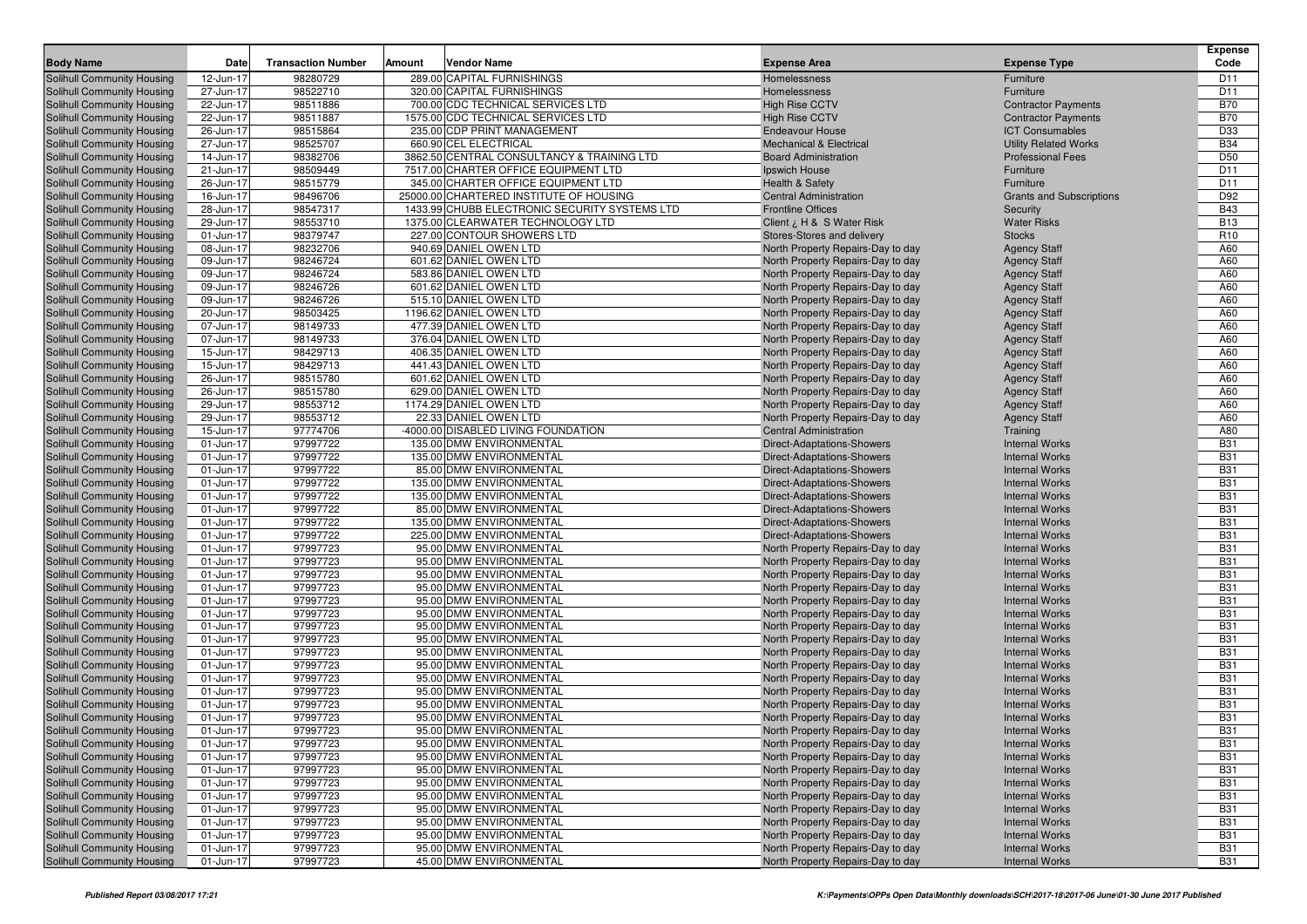| <b>Body Name</b>                                         | <b>Date</b>            | <b>Transaction Number</b> | Amount | <b>Vendor Name</b>                                 | <b>Expense Area</b>                                                    | <b>Expense Type</b>                            | <b>Expense</b><br>Code   |
|----------------------------------------------------------|------------------------|---------------------------|--------|----------------------------------------------------|------------------------------------------------------------------------|------------------------------------------------|--------------------------|
| Solihull Community Housing                               | 12-Jun-17              | 98280729                  |        | 289.00 CAPITAL FURNISHINGS                         | Homelessness                                                           | Furniture                                      | D <sub>11</sub>          |
| Solihull Community Housing                               | 27-Jun-17              | 98522710                  |        | 320.00 CAPITAL FURNISHINGS                         | Homelessness                                                           | Furniture                                      | D11                      |
| Solihull Community Housing                               | 22-Jun-17              | 98511886                  |        | 700.00 CDC TECHNICAL SERVICES LTD                  | <b>High Rise CCTV</b>                                                  | <b>Contractor Payments</b>                     | <b>B70</b>               |
| Solihull Community Housing                               | 22-Jun-17              | 98511887                  |        | 1575.00 CDC TECHNICAL SERVICES LTD                 | <b>High Rise CCTV</b>                                                  | <b>Contractor Payments</b>                     | <b>B70</b>               |
| Solihull Community Housing                               | 26-Jun-17              | 98515864                  |        | 235.00 CDP PRINT MANAGEMENT                        | <b>Endeavour House</b>                                                 | <b>ICT Consumables</b>                         | D33                      |
| Solihull Community Housing                               | 27-Jun-17              | 98525707                  |        | 660.90 CEL ELECTRICAL                              | <b>Mechanical &amp; Electrical</b>                                     | <b>Utility Related Works</b>                   | <b>B34</b>               |
| Solihull Community Housing                               | 14-Jun-17              | 98382706                  |        | 3862.50 CENTRAL CONSULTANCY & TRAINING LTD         | <b>Board Administration</b>                                            | <b>Professional Fees</b>                       | D <sub>50</sub>          |
| Solihull Community Housing                               | 21-Jun-17              | 98509449                  |        | 7517.00 CHARTER OFFICE EQUIPMENT LTD               | Ipswich House                                                          | Furniture                                      | D11                      |
| Solihull Community Housing                               | 26-Jun-17              | 98515779                  |        | 345.00 CHARTER OFFICE EQUIPMENT LTD                | <b>Health &amp; Safety</b>                                             | Furniture                                      | D <sub>11</sub>          |
| Solihull Community Housing                               | 16-Jun-17              | 98496706                  |        | 25000.00 CHARTERED INSTITUTE OF HOUSING            | <b>Central Administration</b>                                          | <b>Grants and Subscriptions</b>                | D92                      |
| Solihull Community Housing                               | 28-Jun-17              | 98547317                  |        | 1433.99 CHUBB ELECTRONIC SECURITY SYSTEMS LTD      | <b>Frontline Offices</b>                                               | Security                                       | <b>B43</b>               |
| Solihull Community Housing                               | 29-Jun-17              | 98553710                  |        | 1375.00 CLEARWATER TECHNOLOGY LTD                  | Client ¿ H & S Water Risk                                              | <b>Water Risks</b>                             | <b>B13</b>               |
| Solihull Community Housing                               | 01-Jun-17              | 98379747                  |        | 227.00 CONTOUR SHOWERS LTD                         | Stores-Stores and delivery                                             | <b>Stocks</b>                                  | R <sub>10</sub>          |
| Solihull Community Housing                               | 08-Jun-17              | 98232706                  |        | 940.69 DANIEL OWEN LTD                             | North Property Repairs-Day to day                                      | <b>Agency Staff</b>                            | A60                      |
| Solihull Community Housing                               | 09-Jun-17              | 98246724                  |        | 601.62 DANIEL OWEN LTD                             | North Property Repairs-Day to day                                      | <b>Agency Staff</b>                            | A60                      |
| Solihull Community Housing                               | 09-Jun-17              | 98246724                  |        | 583.86 DANIEL OWEN LTD                             | North Property Repairs-Day to day                                      | <b>Agency Staff</b>                            | A60                      |
| Solihull Community Housing                               | 09-Jun-17              | 98246726                  |        | 601.62 DANIEL OWEN LTD                             | North Property Repairs-Day to day                                      | <b>Agency Staff</b>                            | A60                      |
| Solihull Community Housing                               | 09-Jun-17              | 98246726                  |        | 515.10 DANIEL OWEN LTD                             | North Property Repairs-Day to day                                      | <b>Agency Staff</b>                            | A60                      |
| Solihull Community Housing                               | 20-Jun-17              | 98503425                  |        | 1196.62 DANIEL OWEN LTD                            | North Property Repairs-Day to day                                      | <b>Agency Staff</b>                            | A60                      |
| Solihull Community Housing                               | 07-Jun-17              | 98149733                  |        | 477.39 DANIEL OWEN LTD                             | North Property Repairs-Day to day                                      | <b>Agency Staff</b>                            | A60                      |
| Solihull Community Housing                               | 07-Jun-17              | 98149733                  |        | 376.04 DANIEL OWEN LTD                             | North Property Repairs-Day to day                                      | <b>Agency Staff</b>                            | A60                      |
| Solihull Community Housing                               | 15-Jun-17              | 98429713                  |        | 406.35 DANIEL OWEN LTD                             | North Property Repairs-Day to day                                      | <b>Agency Staff</b>                            | A60                      |
| Solihull Community Housing                               | 15-Jun-17              | 98429713                  |        | 441.43 DANIEL OWEN LTD                             | North Property Repairs-Day to day                                      | <b>Agency Staff</b>                            | A60                      |
| Solihull Community Housing                               | 26-Jun-17              | 98515780                  |        | 601.62 DANIEL OWEN LTD                             | North Property Repairs-Day to day                                      | <b>Agency Staff</b>                            | A60                      |
| Solihull Community Housing                               | 26-Jun-17              | 98515780                  |        | 629.00 DANIEL OWEN LTD                             | North Property Repairs-Day to day                                      | <b>Agency Staff</b>                            | A60                      |
| Solihull Community Housing                               | 29-Jun-17              | 98553712<br>98553712      |        | 1174.29 DANIEL OWEN LTD<br>22.33 DANIEL OWEN LTD   | North Property Repairs-Day to day                                      | <b>Agency Staff</b>                            | A60<br>A60               |
| Solihull Community Housing<br>Solihull Community Housing | 29-Jun-17<br>15-Jun-17 | 97774706                  |        | -4000.00 DISABLED LIVING FOUNDATION                | North Property Repairs-Day to day<br><b>Central Administration</b>     | <b>Agency Staff</b>                            | A80                      |
| Solihull Community Housing                               | 01-Jun-17              | 97997722                  |        | 135.00 DMW ENVIRONMENTAL                           | Direct-Adaptations-Showers                                             | Training<br><b>Internal Works</b>              | <b>B31</b>               |
| Solihull Community Housing                               | 01-Jun-17              | 97997722                  |        | 135.00 DMW ENVIRONMENTAL                           | Direct-Adaptations-Showers                                             | <b>Internal Works</b>                          | <b>B31</b>               |
| Solihull Community Housing                               | 01-Jun-17              | 97997722                  |        | 85.00 DMW ENVIRONMENTAL                            | Direct-Adaptations-Showers                                             | <b>Internal Works</b>                          | <b>B31</b>               |
| Solihull Community Housing                               | 01-Jun-17              | 97997722                  |        | 135.00 DMW ENVIRONMENTAL                           | Direct-Adaptations-Showers                                             | <b>Internal Works</b>                          | <b>B31</b>               |
| Solihull Community Housing                               | 01-Jun-17              | 97997722                  |        | 135.00 DMW ENVIRONMENTAL                           | Direct-Adaptations-Showers                                             | <b>Internal Works</b>                          | <b>B31</b>               |
| Solihull Community Housing                               | 01-Jun-17              | 97997722                  |        | 85.00 DMW ENVIRONMENTAL                            | Direct-Adaptations-Showers                                             | <b>Internal Works</b>                          | <b>B31</b>               |
| Solihull Community Housing                               | 01-Jun-17              | 97997722                  |        | 135.00 DMW ENVIRONMENTAL                           | Direct-Adaptations-Showers                                             | <b>Internal Works</b>                          | <b>B31</b>               |
| Solihull Community Housing                               | 01-Jun-17              | 97997722                  |        | 225.00 DMW ENVIRONMENTAL                           | Direct-Adaptations-Showers                                             | <b>Internal Works</b>                          | <b>B31</b>               |
| Solihull Community Housing                               | 01-Jun-17              | 97997723                  |        | 95.00 DMW ENVIRONMENTAL                            | North Property Repairs-Day to day                                      | <b>Internal Works</b>                          | <b>B31</b>               |
| Solihull Community Housing                               | 01-Jun-17              | 97997723                  |        | 95.00 DMW ENVIRONMENTAL                            | North Property Repairs-Day to day                                      | <b>Internal Works</b>                          | <b>B31</b>               |
| Solihull Community Housing                               | 01-Jun-17              | 97997723                  |        | 95.00 DMW ENVIRONMENTAL                            | North Property Repairs-Day to day                                      | <b>Internal Works</b>                          | <b>B31</b>               |
| Solihull Community Housing                               | 01-Jun-17              | 97997723                  |        | 95.00 DMW ENVIRONMENTAL                            | North Property Repairs-Day to day                                      | <b>Internal Works</b>                          | <b>B31</b>               |
| Solihull Community Housing                               | 01-Jun-17              | 97997723                  |        | 95.00 DMW ENVIRONMENTAL                            | North Property Repairs-Day to day                                      | <b>Internal Works</b>                          | <b>B31</b>               |
| Solihull Community Housing                               | 01-Jun-17              | 97997723                  |        | 95.00 DMW ENVIRONMENTAL                            | North Property Repairs-Day to day                                      | <b>Internal Works</b>                          | <b>B31</b>               |
| Solihull Community Housing                               | 01-Jun-17              | 97997723                  |        | 95.00 DMW ENVIRONMENTAL                            | North Property Repairs-Day to day                                      | <b>Internal Works</b>                          | <b>B31</b>               |
| Solihull Community Housing                               | 01-Jun-17              | 97997723                  |        | 95.00 DMW ENVIRONMENTAL                            | North Property Repairs-Day to day                                      | <b>Internal Works</b>                          | <b>B31</b>               |
| Solihull Community Housing                               | 01-Jun-17              | 97997723                  |        | 95.00 DMW ENVIRONMENTAL                            | North Property Repairs-Day to day                                      | <b>Internal Works</b>                          | <b>B31</b>               |
| Solihull Community Housing                               | 01-Jun-17              | 97997723                  |        | 95.00 DMW ENVIRONMENTAL                            | North Property Repairs-Day to day                                      | <b>Internal Works</b>                          | <b>B31</b>               |
| Solihull Community Housing                               | 01-Jun-17              | 97997723                  |        | 95.00 DMW ENVIRONMENTAL                            | North Property Repairs-Day to day                                      | <b>Internal Works</b>                          | <b>B31</b>               |
| Solihull Community Housing                               | 01-Jun-17              | 97997723                  |        | 95.00 DMW ENVIRONMENTAL                            | North Property Repairs-Day to day                                      | <b>Internal Works</b>                          | <b>B31</b>               |
| Solihull Community Housing<br>Solihull Community Housing | 01-Jun-17<br>01-Jun-17 | 97997723<br>97997723      |        | 95.00 DMW ENVIRONMENTAL<br>95.00 DMW ENVIRONMENTAL | North Property Repairs-Day to day                                      | <b>Internal Works</b><br><b>Internal Works</b> | <b>B31</b><br><b>B31</b> |
| Solihull Community Housing                               | 01-Jun-17              | 97997723                  |        | 95.00 DMW ENVIRONMENTAL                            | North Property Repairs-Day to day<br>North Property Repairs-Day to day | <b>Internal Works</b>                          | <b>B31</b>               |
| Solihull Community Housing                               | 01-Jun-17              | 97997723                  |        | 95.00 DMW ENVIRONMENTAL                            | North Property Repairs-Day to day                                      | <b>Internal Works</b>                          | <b>B31</b>               |
| Solihull Community Housing                               | 01-Jun-17              | 97997723                  |        | 95.00 DMW ENVIRONMENTAL                            | North Property Repairs-Day to day                                      | <b>Internal Works</b>                          | <b>B31</b>               |
| Solihull Community Housing                               | 01-Jun-17              | 97997723                  |        | 95.00 DMW ENVIRONMENTAL                            | North Property Repairs-Day to day                                      | <b>Internal Works</b>                          | <b>B31</b>               |
| Solihull Community Housing                               | 01-Jun-17              | 97997723                  |        | 95.00 DMW ENVIRONMENTAL                            | North Property Repairs-Day to day                                      | <b>Internal Works</b>                          | <b>B31</b>               |
| Solihull Community Housing                               | 01-Jun-17              | 97997723                  |        | 95.00 DMW ENVIRONMENTAL                            | North Property Repairs-Day to day                                      | <b>Internal Works</b>                          | <b>B31</b>               |
| Solihull Community Housing                               | 01-Jun-17              | 97997723                  |        | 95.00 DMW ENVIRONMENTAL                            | North Property Repairs-Day to day                                      | <b>Internal Works</b>                          | <b>B31</b>               |
| Solihull Community Housing                               | 01-Jun-17              | 97997723                  |        | 95.00 DMW ENVIRONMENTAL                            | North Property Repairs-Day to day                                      | <b>Internal Works</b>                          | <b>B31</b>               |
| Solihull Community Housing                               | 01-Jun-17              | 97997723                  |        | 95.00 DMW ENVIRONMENTAL                            | North Property Repairs-Day to day                                      | <b>Internal Works</b>                          | <b>B31</b>               |
| Solihull Community Housing                               | 01-Jun-17              | 97997723                  |        | 95.00 DMW ENVIRONMENTAL                            | North Property Repairs-Day to day                                      | <b>Internal Works</b>                          | <b>B31</b>               |
| Solihull Community Housing                               | 01-Jun-17              | 97997723                  |        | 45.00 DMW ENVIRONMENTAL                            | North Property Repairs-Day to day                                      | <b>Internal Works</b>                          | <b>B31</b>               |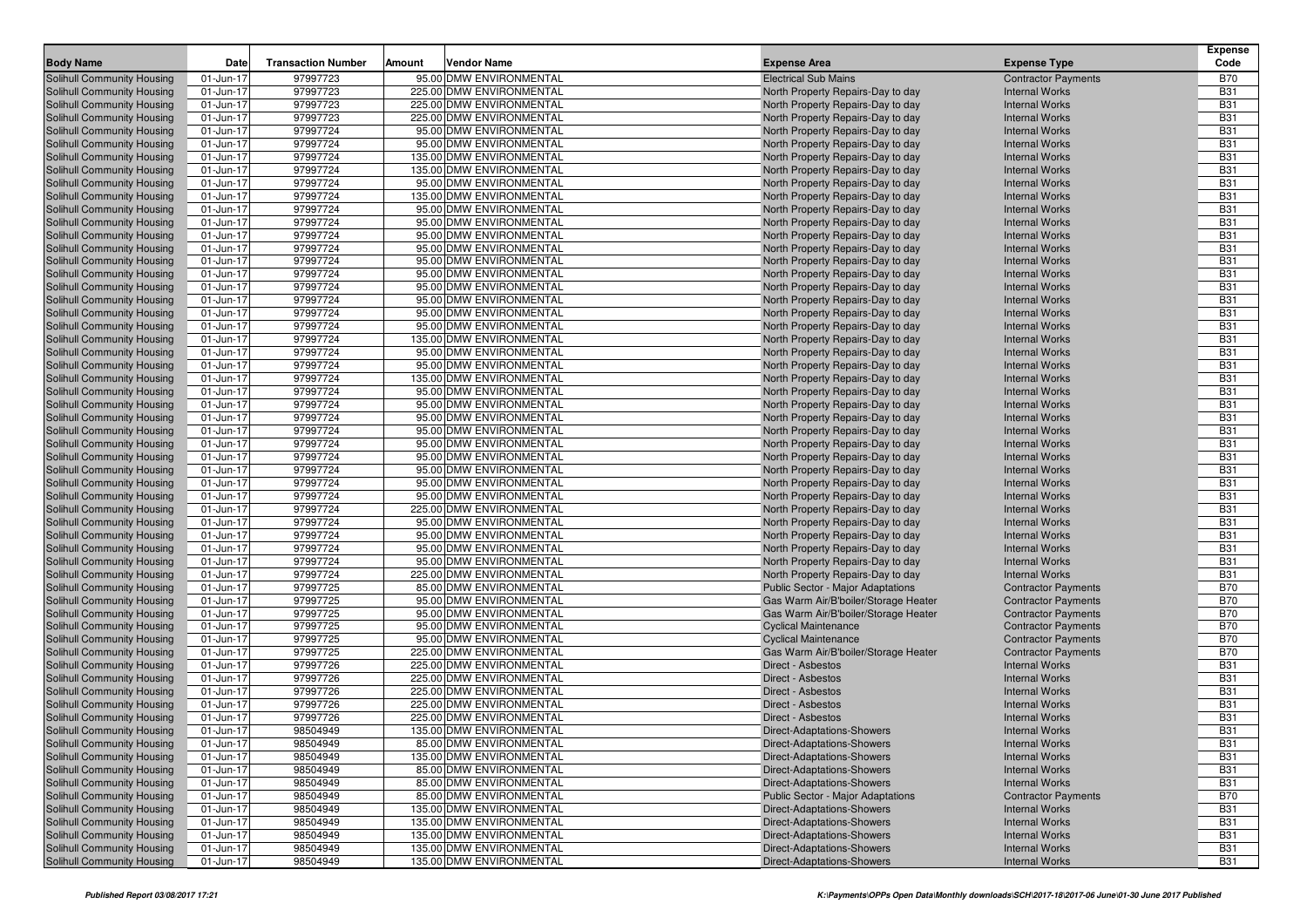| <b>Body Name</b>                                         | Date                   | <b>Transaction Number</b> | Amount | <b>Vendor Name</b>                                 | <b>Expense Area</b>                                              | <b>Expense Type</b>                                 | <b>Expense</b><br>Code   |
|----------------------------------------------------------|------------------------|---------------------------|--------|----------------------------------------------------|------------------------------------------------------------------|-----------------------------------------------------|--------------------------|
|                                                          |                        | 97997723                  |        | 95.00 DMW ENVIRONMENTAL                            |                                                                  |                                                     |                          |
| Solihull Community Housing<br>Solihull Community Housing | 01-Jun-17<br>01-Jun-17 | 97997723                  |        | 225.00 DMW ENVIRONMENTAL                           | <b>Electrical Sub Mains</b><br>North Property Repairs-Day to day | <b>Contractor Payments</b><br><b>Internal Works</b> | <b>B70</b><br><b>B31</b> |
| Solihull Community Housing                               | 01-Jun-17              | 97997723                  |        | 225.00 DMW ENVIRONMENTAL                           | North Property Repairs-Day to day                                | <b>Internal Works</b>                               | <b>B31</b>               |
| Solihull Community Housing                               | 01-Jun-17              | 97997723                  |        | 225.00 DMW ENVIRONMENTAL                           | North Property Repairs-Day to day                                | <b>Internal Works</b>                               | <b>B31</b>               |
| <b>Solihull Community Housing</b>                        | 01-Jun-17              | 97997724                  |        | 95.00 DMW ENVIRONMENTAL                            | North Property Repairs-Day to day                                | <b>Internal Works</b>                               | <b>B31</b>               |
| Solihull Community Housing                               | 01-Jun-17              | 97997724                  |        | 95.00 DMW ENVIRONMENTAL                            | North Property Repairs-Day to day                                | <b>Internal Works</b>                               | <b>B31</b>               |
| <b>Solihull Community Housing</b>                        | 01-Jun-17              | 97997724                  |        | 135.00 DMW ENVIRONMENTAL                           | North Property Repairs-Day to day                                | <b>Internal Works</b>                               | <b>B31</b>               |
| Solihull Community Housing                               | 01-Jun-17              | 97997724                  |        | 135.00 DMW ENVIRONMENTAL                           | North Property Repairs-Day to day                                | <b>Internal Works</b>                               | <b>B31</b>               |
| Solihull Community Housing                               | 01-Jun-17              | 97997724                  |        | 95.00 DMW ENVIRONMENTAL                            | North Property Repairs-Day to day                                | <b>Internal Works</b>                               | <b>B31</b>               |
| Solihull Community Housing                               | 01-Jun-17              | 97997724                  |        | 135.00 DMW ENVIRONMENTAL                           | North Property Repairs-Day to day                                | <b>Internal Works</b>                               | <b>B31</b>               |
| <b>Solihull Community Housing</b>                        | 01-Jun-17              | 97997724                  |        | 95.00 DMW ENVIRONMENTAL                            | North Property Repairs-Day to day                                | <b>Internal Works</b>                               | <b>B31</b>               |
| <b>Solihull Community Housing</b>                        | 01-Jun-17              | 97997724                  |        | 95.00 DMW ENVIRONMENTAL                            | North Property Repairs-Day to day                                | <b>Internal Works</b>                               | <b>B31</b>               |
| Solihull Community Housing                               | 01-Jun-17              | 97997724                  |        | 95.00 DMW ENVIRONMENTAL                            | North Property Repairs-Day to day                                | <b>Internal Works</b>                               | <b>B31</b>               |
| Solihull Community Housing                               | 01-Jun-17              | 97997724                  |        | 95.00 DMW ENVIRONMENTAL                            | North Property Repairs-Day to day                                | <b>Internal Works</b>                               | <b>B31</b>               |
| Solihull Community Housing                               | 01-Jun-17              | 97997724                  |        | 95.00 DMW ENVIRONMENTAL                            | North Property Repairs-Day to day                                | <b>Internal Works</b>                               | <b>B31</b>               |
| <b>Solihull Community Housing</b>                        | 01-Jun-17              | 97997724                  |        | 95.00 DMW ENVIRONMENTAL                            | North Property Repairs-Day to day                                | <b>Internal Works</b>                               | <b>B31</b>               |
| <b>Solihull Community Housing</b>                        | 01-Jun-17              | 97997724                  |        | 95.00 DMW ENVIRONMENTAL                            | North Property Repairs-Day to day                                | <b>Internal Works</b>                               | <b>B31</b>               |
| Solihull Community Housing                               | 01-Jun-17              | 97997724                  |        | 95.00 DMW ENVIRONMENTAL                            | North Property Repairs-Day to day                                | <b>Internal Works</b>                               | <b>B31</b>               |
| Solihull Community Housing                               | 01-Jun-17              | 97997724                  |        | 95.00 DMW ENVIRONMENTAL                            | North Property Repairs-Day to day                                | <b>Internal Works</b>                               | <b>B31</b>               |
| Solihull Community Housing                               | 01-Jun-17              | 97997724                  |        | 95.00 DMW ENVIRONMENTAL                            | North Property Repairs-Day to day                                | <b>Internal Works</b>                               | <b>B31</b>               |
| <b>Solihull Community Housing</b>                        | 01-Jun-17              | 97997724                  |        | 135.00 DMW ENVIRONMENTAL                           | North Property Repairs-Day to day                                | <b>Internal Works</b>                               | <b>B31</b>               |
| <b>Solihull Community Housing</b>                        | 01-Jun-17              | 97997724                  |        | 95.00 DMW ENVIRONMENTAL                            | North Property Repairs-Day to day                                | <b>Internal Works</b>                               | <b>B31</b>               |
| Solihull Community Housing                               | 01-Jun-17              | 97997724                  |        | 95.00 DMW ENVIRONMENTAL                            | North Property Repairs-Day to day                                | <b>Internal Works</b>                               | <b>B31</b>               |
| Solihull Community Housing                               | 01-Jun-17              | 97997724                  |        | 135.00 DMW ENVIRONMENTAL                           | North Property Repairs-Day to day                                | <b>Internal Works</b>                               | <b>B31</b>               |
| Solihull Community Housing                               | 01-Jun-17              | 97997724                  |        | 95.00 DMW ENVIRONMENTAL                            | North Property Repairs-Day to day                                | <b>Internal Works</b>                               | <b>B31</b>               |
| <b>Solihull Community Housing</b>                        | 01-Jun-17              | 97997724                  |        | 95.00 DMW ENVIRONMENTAL                            | North Property Repairs-Day to day                                | <b>Internal Works</b>                               | <b>B31</b>               |
| <b>Solihull Community Housing</b>                        | 01-Jun-17              | 97997724                  |        | 95.00 DMW ENVIRONMENTAL                            | North Property Repairs-Day to day                                | <b>Internal Works</b>                               | <b>B31</b>               |
| Solihull Community Housing                               | 01-Jun-17              | 97997724                  |        | 95.00 DMW ENVIRONMENTAL                            | North Property Repairs-Day to day                                | <b>Internal Works</b>                               | <b>B31</b>               |
| Solihull Community Housing                               | 01-Jun-17              | 97997724                  |        | 95.00 DMW ENVIRONMENTAL                            | North Property Repairs-Day to day                                | <b>Internal Works</b>                               | <b>B31</b>               |
| Solihull Community Housing                               | 01-Jun-17              | 97997724                  |        | 95.00 DMW ENVIRONMENTAL                            | North Property Repairs-Day to day                                | <b>Internal Works</b>                               | <b>B31</b>               |
| <b>Solihull Community Housing</b>                        | 01-Jun-17              | 97997724                  |        | 95.00 DMW ENVIRONMENTAL                            | North Property Repairs-Day to day                                | <b>Internal Works</b>                               | <b>B31</b>               |
| <b>Solihull Community Housing</b>                        | 01-Jun-17              | 97997724                  |        | 95.00 DMW ENVIRONMENTAL                            | North Property Repairs-Day to day                                | <b>Internal Works</b>                               | <b>B31</b>               |
| Solihull Community Housing                               | 01-Jun-17              | 97997724                  |        | 95.00 DMW ENVIRONMENTAL                            | North Property Repairs-Day to day                                | <b>Internal Works</b>                               | <b>B31</b>               |
| Solihull Community Housing                               | 01-Jun-17              | 97997724                  |        | 225.00 DMW ENVIRONMENTAL                           | North Property Repairs-Day to day                                | <b>Internal Works</b>                               | <b>B31</b>               |
| Solihull Community Housing                               | 01-Jun-17              | 97997724                  |        | 95.00 DMW ENVIRONMENTAL                            | North Property Repairs-Day to day                                | <b>Internal Works</b>                               | <b>B31</b>               |
| <b>Solihull Community Housing</b>                        | 01-Jun-17              | 97997724                  |        | 95.00 DMW ENVIRONMENTAL                            | North Property Repairs-Day to day                                | <b>Internal Works</b>                               | <b>B31</b>               |
| <b>Solihull Community Housing</b>                        | 01-Jun-17              | 97997724                  |        | 95.00 DMW ENVIRONMENTAL                            | North Property Repairs-Day to day                                | <b>Internal Works</b>                               | <b>B31</b>               |
| Solihull Community Housing                               | 01-Jun-17              | 97997724                  |        | 95.00 DMW ENVIRONMENTAL                            | North Property Repairs-Day to day                                | <b>Internal Works</b>                               | <b>B31</b>               |
| <b>Solihull Community Housing</b>                        | 01-Jun-17              | 97997724                  |        | 225.00 DMW ENVIRONMENTAL                           | North Property Repairs-Day to day                                | <b>Internal Works</b>                               | <b>B31</b>               |
| Solihull Community Housing                               | 01-Jun-17              | 97997725                  |        | 85.00 DMW ENVIRONMENTAL                            | Public Sector - Major Adaptations                                | <b>Contractor Payments</b>                          | <b>B70</b>               |
| <b>Solihull Community Housing</b>                        | 01-Jun-17              | 97997725                  |        | 95.00 DMW ENVIRONMENTAL                            | Gas Warm Air/B'boiler/Storage Heater                             | <b>Contractor Payments</b>                          | <b>B70</b>               |
| <b>Solihull Community Housing</b>                        | 01-Jun-17              | 97997725                  |        | 95.00 DMW ENVIRONMENTAL                            | Gas Warm Air/B'boiler/Storage Heater                             | <b>Contractor Payments</b>                          | <b>B70</b>               |
| Solihull Community Housing                               | 01-Jun-17              | 97997725                  |        | 95.00 DMW ENVIRONMENTAL                            | <b>Cyclical Maintenance</b>                                      | <b>Contractor Payments</b>                          | <b>B70</b>               |
| Solihull Community Housing                               | 01-Jun-17              | 97997725                  |        | 95.00 DMW ENVIRONMENTAL                            | <b>Cyclical Maintenance</b>                                      | <b>Contractor Payments</b>                          | <b>B70</b>               |
| Solihull Community Housing                               | 01-Jun-17              | 97997725                  |        | 225.00 DMW ENVIRONMENTAL                           | Gas Warm Air/B'boiler/Storage Heater                             | <b>Contractor Payments</b>                          | <b>B70</b>               |
| <b>Solihull Community Housing</b>                        | 01-Jun-17              | 97997726                  |        | 225.00 DMW ENVIRONMENTAL                           | Direct - Asbestos                                                | <b>Internal Works</b>                               | <b>B31</b>               |
| <b>Solihull Community Housing</b>                        | 01-Jun-17              | 97997726                  |        | 225.00 DMW ENVIRONMENTAL                           | Direct - Asbestos                                                | <b>Internal Works</b>                               | <b>B31</b>               |
| Solihull Community Housing                               | 01-Jun-17              | 97997726                  |        | 225.00 DMW ENVIRONMENTAL                           | Direct - Asbestos                                                | <b>Internal Works</b>                               | <b>B31</b>               |
| <b>Solihull Community Housing</b>                        | 01-Jun-17              | 97997726                  |        | 225.00 DMW ENVIRONMENTAL                           | Direct - Asbestos                                                | <b>Internal Works</b>                               | <b>B31</b>               |
| Solihull Community Housing                               | 01-Jun-17              | 97997726                  |        | 225.00 DMW ENVIRONMENTAL                           | Direct - Asbestos                                                | <b>Internal Works</b>                               | <b>B31</b>               |
| Solihull Community Housing                               | 01-Jun-17              | 98504949                  |        | 135.00 DMW ENVIRONMENTAL                           | Direct-Adaptations-Showers                                       | <b>Internal Works</b>                               | <b>B31</b>               |
| Solihull Community Housing                               | 01-Jun-17              | 98504949                  |        | 85.00 DMW ENVIRONMENTAL                            | Direct-Adaptations-Showers                                       | <b>Internal Works</b>                               | <b>B31</b>               |
| Solihull Community Housing                               | 01-Jun-17              | 98504949<br>98504949      |        | 135.00 DMW ENVIRONMENTAL                           | Direct-Adaptations-Showers                                       | <b>Internal Works</b>                               | <b>B31</b><br><b>B31</b> |
| Solihull Community Housing<br>Solihull Community Housing | 01-Jun-17              |                           |        | 85.00 DMW ENVIRONMENTAL<br>85.00 DMW ENVIRONMENTAL | Direct-Adaptations-Showers<br>Direct-Adaptations-Showers         | <b>Internal Works</b><br><b>Internal Works</b>      | <b>B31</b>               |
| Solihull Community Housing                               | 01-Jun-17<br>01-Jun-17 | 98504949<br>98504949      |        | 85.00 DMW ENVIRONMENTAL                            | Public Sector - Major Adaptations                                |                                                     | <b>B70</b>               |
| Solihull Community Housing                               | 01-Jun-17              | 98504949                  |        | 135.00 DMW ENVIRONMENTAL                           | Direct-Adaptations-Showers                                       | <b>Contractor Payments</b><br><b>Internal Works</b> | <b>B31</b>               |
| Solihull Community Housing                               | 01-Jun-17              | 98504949                  |        | 135.00 DMW ENVIRONMENTAL                           | Direct-Adaptations-Showers                                       | <b>Internal Works</b>                               | <b>B31</b>               |
| Solihull Community Housing                               | 01-Jun-17              | 98504949                  |        | 135.00 DMW ENVIRONMENTAL                           | Direct-Adaptations-Showers                                       | <b>Internal Works</b>                               | <b>B31</b>               |
| Solihull Community Housing                               | 01-Jun-17              | 98504949                  |        | 135.00 DMW ENVIRONMENTAL                           | Direct-Adaptations-Showers                                       | <b>Internal Works</b>                               | <b>B31</b>               |
| Solihull Community Housing                               | 01-Jun-17              | 98504949                  |        | 135.00 DMW ENVIRONMENTAL                           | Direct-Adaptations-Showers                                       | <b>Internal Works</b>                               | <b>B31</b>               |
|                                                          |                        |                           |        |                                                    |                                                                  |                                                     |                          |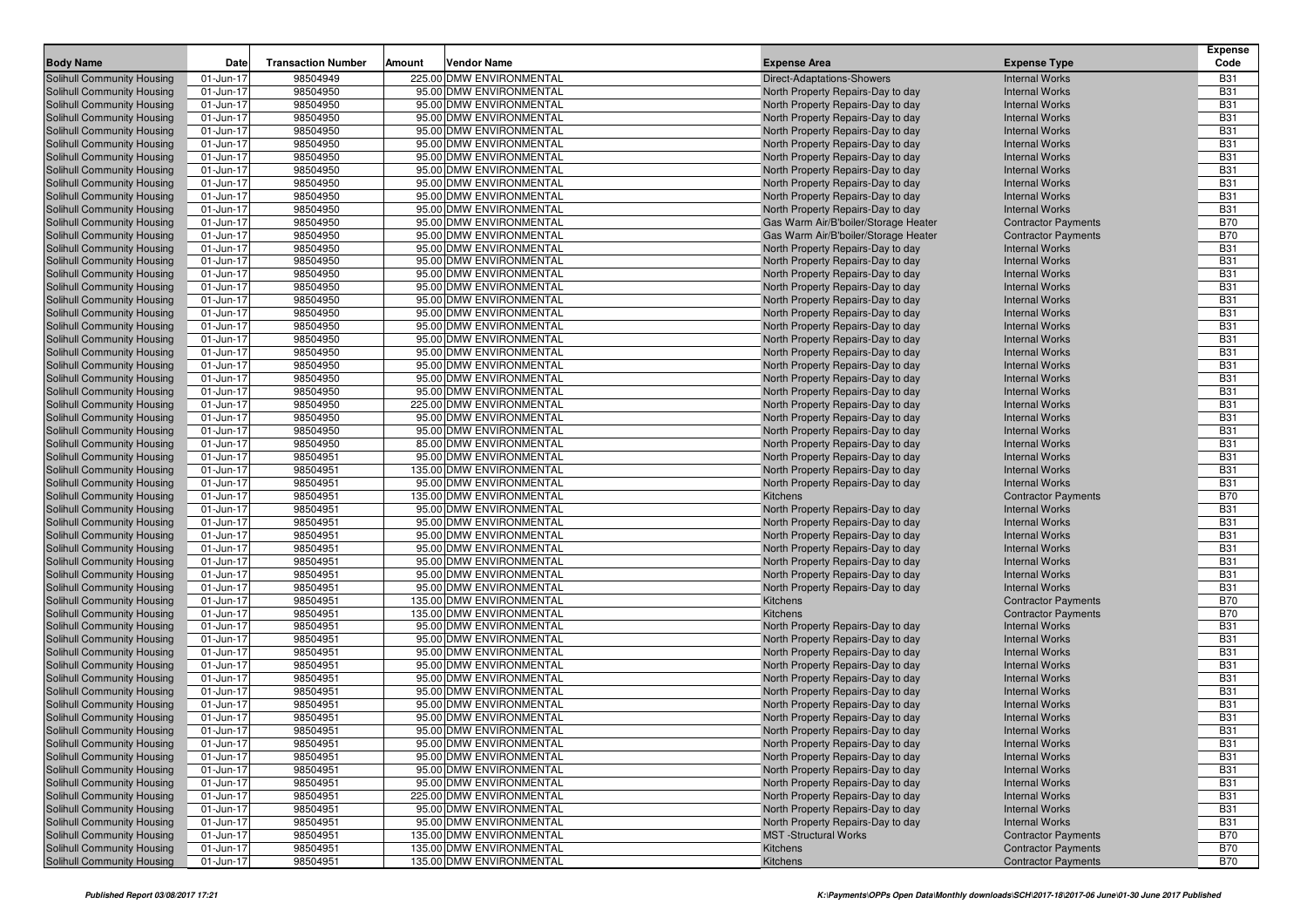| <b>Body Name</b>                                                       | <b>Date</b>            | <b>Transaction Number</b> | Amount | <b>Vendor Name</b>                                 | <b>Expense Area</b>                           | <b>Expense Type</b>                                      | <b>Expense</b><br>Code   |
|------------------------------------------------------------------------|------------------------|---------------------------|--------|----------------------------------------------------|-----------------------------------------------|----------------------------------------------------------|--------------------------|
| <b>Solihull Community Housing</b>                                      | 01-Jun-17              | 98504949                  |        | 225.00 DMW ENVIRONMENTAL                           | <b>Direct-Adaptations-Showers</b>             | <b>Internal Works</b>                                    | <b>B31</b>               |
| <b>Solihull Community Housing</b>                                      | 01-Jun-17              | 98504950                  |        | 95.00 DMW ENVIRONMENTAL                            | North Property Repairs-Day to day             | <b>Internal Works</b>                                    | <b>B31</b>               |
| <b>Solihull Community Housing</b>                                      | 01-Jun-17              | 98504950                  |        | 95.00 DMW ENVIRONMENTAL                            | North Property Repairs-Day to day             | <b>Internal Works</b>                                    | <b>B31</b>               |
| <b>Solihull Community Housing</b>                                      | 01-Jun-17              | 98504950                  |        | 95.00 DMW ENVIRONMENTAL                            | North Property Repairs-Day to day             | <b>Internal Works</b>                                    | <b>B31</b>               |
| Solihull Community Housing                                             | 01-Jun-17              | 98504950                  |        | 95.00 DMW ENVIRONMENTAL                            | North Property Repairs-Day to day             | <b>Internal Works</b>                                    | <b>B31</b>               |
| <b>Solihull Community Housing</b>                                      | 01-Jun-17              | 98504950                  |        | 95.00 DMW ENVIRONMENTAL                            | North Property Repairs-Day to day             | <b>Internal Works</b>                                    | <b>B31</b>               |
| Solihull Community Housing                                             | 01-Jun-17              | 98504950                  |        | 95.00 DMW ENVIRONMENTAL                            | North Property Repairs-Day to day             | <b>Internal Works</b>                                    | <b>B31</b>               |
| Solihull Community Housing                                             | 01-Jun-17              | 98504950                  |        | 95.00 DMW ENVIRONMENTAL                            | North Property Repairs-Day to day             | <b>Internal Works</b>                                    | <b>B31</b>               |
| <b>Solihull Community Housing</b>                                      | 01-Jun-17              | 98504950                  |        | 95.00 DMW ENVIRONMENTAL                            | North Property Repairs-Day to day             | <b>Internal Works</b>                                    | <b>B31</b>               |
| <b>Solihull Community Housing</b>                                      | 01-Jun-17              | 98504950                  |        | 95.00 DMW ENVIRONMENTAL                            | North Property Repairs-Day to day             | <b>Internal Works</b>                                    | <b>B31</b>               |
| Solihull Community Housing                                             | 01-Jun-17              | 98504950                  |        | 95.00 DMW ENVIRONMENTAL                            | North Property Repairs-Day to day             | <b>Internal Works</b>                                    | <b>B31</b>               |
| Solihull Community Housing                                             | 01-Jun-17              | 98504950                  |        | 95.00 DMW ENVIRONMENTAL                            | Gas Warm Air/B'boiler/Storage Heater          | <b>Contractor Payments</b>                               | <b>B70</b>               |
| Solihull Community Housing                                             | 01-Jun-17              | 98504950                  |        | 95.00 DMW ENVIRONMENTAL                            | Gas Warm Air/B'boiler/Storage Heater          | <b>Contractor Payments</b>                               | <b>B70</b>               |
| <b>Solihull Community Housing</b>                                      | 01-Jun-17              | 98504950                  |        | 95.00 DMW ENVIRONMENTAL                            | North Property Repairs-Day to day             | <b>Internal Works</b>                                    | <b>B31</b>               |
| <b>Solihull Community Housing</b>                                      | 01-Jun-17              | 98504950                  |        | 95.00 DMW ENVIRONMENTAL                            | North Property Repairs-Day to day             | <b>Internal Works</b>                                    | <b>B31</b>               |
| <b>Solihull Community Housing</b>                                      | 01-Jun-17              | 98504950                  |        | 95.00 DMW ENVIRONMENTAL                            | North Property Repairs-Day to day             | <b>Internal Works</b>                                    | <b>B31</b>               |
| Solihull Community Housing                                             | 01-Jun-17              | 98504950                  |        | 95.00 DMW ENVIRONMENTAL                            | North Property Repairs-Day to day             | <b>Internal Works</b>                                    | <b>B31</b>               |
| <b>Solihull Community Housing</b>                                      | 01-Jun-17              | 98504950                  |        | 95.00 DMW ENVIRONMENTAL                            | North Property Repairs-Day to day             | <b>Internal Works</b>                                    | <b>B31</b>               |
| <b>Solihull Community Housing</b>                                      | 01-Jun-17              | 98504950                  |        | 95.00 DMW ENVIRONMENTAL                            | North Property Repairs-Day to day             | <b>Internal Works</b>                                    | <b>B31</b>               |
| <b>Solihull Community Housing</b>                                      | 01-Jun-17              | 98504950                  |        | 95.00 DMW ENVIRONMENTAL                            | North Property Repairs-Day to day             | <b>Internal Works</b>                                    | <b>B31</b>               |
| <b>Solihull Community Housing</b>                                      | 01-Jun-17              | 98504950                  |        | 95.00 DMW ENVIRONMENTAL                            | North Property Repairs-Day to day             | <b>Internal Works</b>                                    | <b>B31</b>               |
| Solihull Community Housing                                             | 01-Jun-17              | 98504950                  |        | 95.00 DMW ENVIRONMENTAL                            | North Property Repairs-Day to day             | <b>Internal Works</b>                                    | <b>B31</b>               |
| <b>Solihull Community Housing</b>                                      | 01-Jun-17              | 98504950                  |        | 95.00 DMW ENVIRONMENTAL                            | North Property Repairs-Day to day             | <b>Internal Works</b>                                    | <b>B31</b>               |
| Solihull Community Housing                                             | 01-Jun-17              | 98504950                  |        | 95.00 DMW ENVIRONMENTAL                            | North Property Repairs-Day to day             | <b>Internal Works</b>                                    | <b>B31</b>               |
| <b>Solihull Community Housing</b>                                      | 01-Jun-17              | 98504950                  |        | 95.00 DMW ENVIRONMENTAL                            | North Property Repairs-Day to day             | <b>Internal Works</b>                                    | <b>B31</b>               |
| Solihull Community Housing                                             | 01-Jun-17              | 98504950                  |        | 225.00 DMW ENVIRONMENTAL                           | North Property Repairs-Day to day             | <b>Internal Works</b>                                    | <b>B31</b>               |
| Solihull Community Housing                                             | 01-Jun-17              | 98504950                  |        | 95.00 DMW ENVIRONMENTAL                            | North Property Repairs-Day to day             | <b>Internal Works</b>                                    | <b>B31</b>               |
| <b>Solihull Community Housing</b>                                      | 01-Jun-17              | 98504950                  |        | 95.00 DMW ENVIRONMENTAL                            | North Property Repairs-Day to day             | <b>Internal Works</b>                                    | <b>B31</b>               |
| <b>Solihull Community Housing</b>                                      | 01-Jun-17              | 98504950                  |        | 85.00 DMW ENVIRONMENTAL                            | North Property Repairs-Day to day             | <b>Internal Works</b>                                    | <b>B31</b>               |
| <b>Solihull Community Housing</b>                                      | 01-Jun-17              | 98504951                  |        | 95.00 DMW ENVIRONMENTAL                            | North Property Repairs-Day to day             | <b>Internal Works</b>                                    | <b>B31</b>               |
| <b>Solihull Community Housing</b>                                      | 01-Jun-17              | 98504951                  |        | 135.00 DMW ENVIRONMENTAL                           | North Property Repairs-Day to day             | <b>Internal Works</b>                                    | <b>B31</b>               |
| Solihull Community Housing                                             | 01-Jun-17              | 98504951                  |        | 95.00 DMW ENVIRONMENTAL                            | North Property Repairs-Day to day             | <b>Internal Works</b>                                    | <b>B31</b>               |
| <b>Solihull Community Housing</b>                                      | 01-Jun-17              | 98504951                  |        | 135.00 DMW ENVIRONMENTAL                           | Kitchens                                      | <b>Contractor Payments</b>                               | <b>B70</b>               |
| <b>Solihull Community Housing</b>                                      | 01-Jun-17              | 98504951                  |        | 95.00 DMW ENVIRONMENTAL                            | North Property Repairs-Day to day             | <b>Internal Works</b>                                    | <b>B31</b>               |
| <b>Solihull Community Housing</b>                                      | 01-Jun-17              | 98504951                  |        | 95.00 DMW ENVIRONMENTAL                            | North Property Repairs-Day to day             | <b>Internal Works</b>                                    | <b>B31</b>               |
| <b>Solihull Community Housing</b>                                      | 01-Jun-17              | 98504951                  |        | 95.00 DMW ENVIRONMENTAL                            | North Property Repairs-Day to day             | <b>Internal Works</b>                                    | <b>B31</b>               |
| Solihull Community Housing                                             | 01-Jun-17              | 98504951                  |        | 95.00 DMW ENVIRONMENTAL                            | North Property Repairs-Day to day             | <b>Internal Works</b>                                    | <b>B31</b><br><b>B31</b> |
| <b>Solihull Community Housing</b>                                      | 01-Jun-17              | 98504951                  |        | 95.00 DMW ENVIRONMENTAL                            | North Property Repairs-Day to day             | <b>Internal Works</b>                                    |                          |
| <b>Solihull Community Housing</b><br><b>Solihull Community Housing</b> | 01-Jun-17<br>01-Jun-17 | 98504951<br>98504951      |        | 95.00 DMW ENVIRONMENTAL<br>95.00 DMW ENVIRONMENTAL | North Property Repairs-Day to day             | <b>Internal Works</b><br><b>Internal Works</b>           | <b>B31</b><br><b>B31</b> |
| <b>Solihull Community Housing</b>                                      | 01-Jun-17              | 98504951                  |        | 135.00 DMW ENVIRONMENTAL                           | North Property Repairs-Day to day<br>Kitchens |                                                          | <b>B70</b>               |
| Solihull Community Housing                                             | 01-Jun-17              | 98504951                  |        | 135.00 DMW ENVIRONMENTAL                           | Kitchens                                      | <b>Contractor Payments</b><br><b>Contractor Payments</b> | <b>B70</b>               |
| <b>Solihull Community Housing</b>                                      | 01-Jun-17              | 98504951                  |        | 95.00 DMW ENVIRONMENTAL                            | North Property Repairs-Day to day             | <b>Internal Works</b>                                    | <b>B31</b>               |
| <b>Solihull Community Housing</b>                                      | 01-Jun-17              | 98504951                  |        | 95.00 DMW ENVIRONMENTAL                            | North Property Repairs-Day to day             | <b>Internal Works</b>                                    | <b>B31</b>               |
| <b>Solihull Community Housing</b>                                      | 01-Jun-17              | 98504951                  |        | 95.00 DMW ENVIRONMENTAL                            | North Property Repairs-Day to day             | <b>Internal Works</b>                                    | <b>B31</b>               |
| <b>Solihull Community Housing</b>                                      | 01-Jun-17              | 98504951                  |        | 95.00 DMW ENVIRONMENTAL                            | North Property Repairs-Day to day             | <b>Internal Works</b>                                    | <b>B31</b>               |
| Solihull Community Housing                                             | 01-Jun-17              | 98504951                  |        | 95.00 DMW ENVIRONMENTAL                            | North Property Repairs-Day to day             | <b>Internal Works</b>                                    | <b>B31</b>               |
| <b>Solihull Community Housing</b>                                      | 01-Jun-17              | 98504951                  |        | 95.00 DMW ENVIRONMENTAL                            | North Property Repairs-Day to day             | <b>Internal Works</b>                                    | <b>B31</b>               |
| <b>Solihull Community Housing</b>                                      | 01-Jun-17              | 98504951                  |        | 95.00 DMW ENVIRONMENTAL                            | North Property Repairs-Day to day             | <b>Internal Works</b>                                    | <b>B31</b>               |
| <b>Solihull Community Housing</b>                                      | 01-Jun-17              | 98504951                  |        | 95.00 DMW ENVIRONMENTAL                            | North Property Repairs-Day to day             | <b>Internal Works</b>                                    | <b>B31</b>               |
| <b>Solihull Community Housing</b>                                      | 01-Jun-17              | 98504951                  |        | 95.00 DMW ENVIRONMENTAL                            | North Property Repairs-Day to day             | <b>Internal Works</b>                                    | <b>B31</b>               |
| Solihull Community Housing                                             | 01-Jun-17              | 98504951                  |        | 95.00 DMW ENVIRONMENTAL                            | North Property Repairs-Day to day             | <b>Internal Works</b>                                    | <b>B31</b>               |
| <b>Solihull Community Housing</b>                                      | 01-Jun-17              | 98504951                  |        | 95.00 DMW ENVIRONMENTAL                            | North Property Repairs-Day to day             | <b>Internal Works</b>                                    | <b>B31</b>               |
| <b>Solihull Community Housing</b>                                      | 01-Jun-17              | 98504951                  |        | 95.00 DMW ENVIRONMENTAL                            | North Property Repairs-Day to day             | <b>Internal Works</b>                                    | <b>B31</b>               |
| <b>Solihull Community Housing</b>                                      | 01-Jun-17              | 98504951                  |        | 95.00 DMW ENVIRONMENTAL                            | North Property Repairs-Day to day             | <b>Internal Works</b>                                    | <b>B31</b>               |
| <b>Solihull Community Housing</b>                                      | 01-Jun-17              | 98504951                  |        | 225.00 DMW ENVIRONMENTAL                           | North Property Repairs-Day to day             | <b>Internal Works</b>                                    | <b>B31</b>               |
| <b>Solihull Community Housing</b>                                      | 01-Jun-17              | 98504951                  |        | 95.00 DMW ENVIRONMENTAL                            | North Property Repairs-Day to day             | <b>Internal Works</b>                                    | <b>B31</b>               |
| Solihull Community Housing                                             | 01-Jun-17              | 98504951                  |        | 95.00 DMW ENVIRONMENTAL                            | North Property Repairs-Day to day             | <b>Internal Works</b>                                    | <b>B31</b>               |
| <b>Solihull Community Housing</b>                                      | 01-Jun-17              | 98504951                  |        | 135.00 DMW ENVIRONMENTAL                           | <b>MST</b> -Structural Works                  | <b>Contractor Payments</b>                               | <b>B70</b>               |
| <b>Solihull Community Housing</b>                                      | 01-Jun-17              | 98504951                  |        | 135.00 DMW ENVIRONMENTAL                           | Kitchens                                      | <b>Contractor Payments</b>                               | <b>B70</b>               |
| <b>Solihull Community Housing</b>                                      | 01-Jun-17              | 98504951                  |        | 135.00 DMW ENVIRONMENTAL                           | Kitchens                                      | <b>Contractor Payments</b>                               | <b>B70</b>               |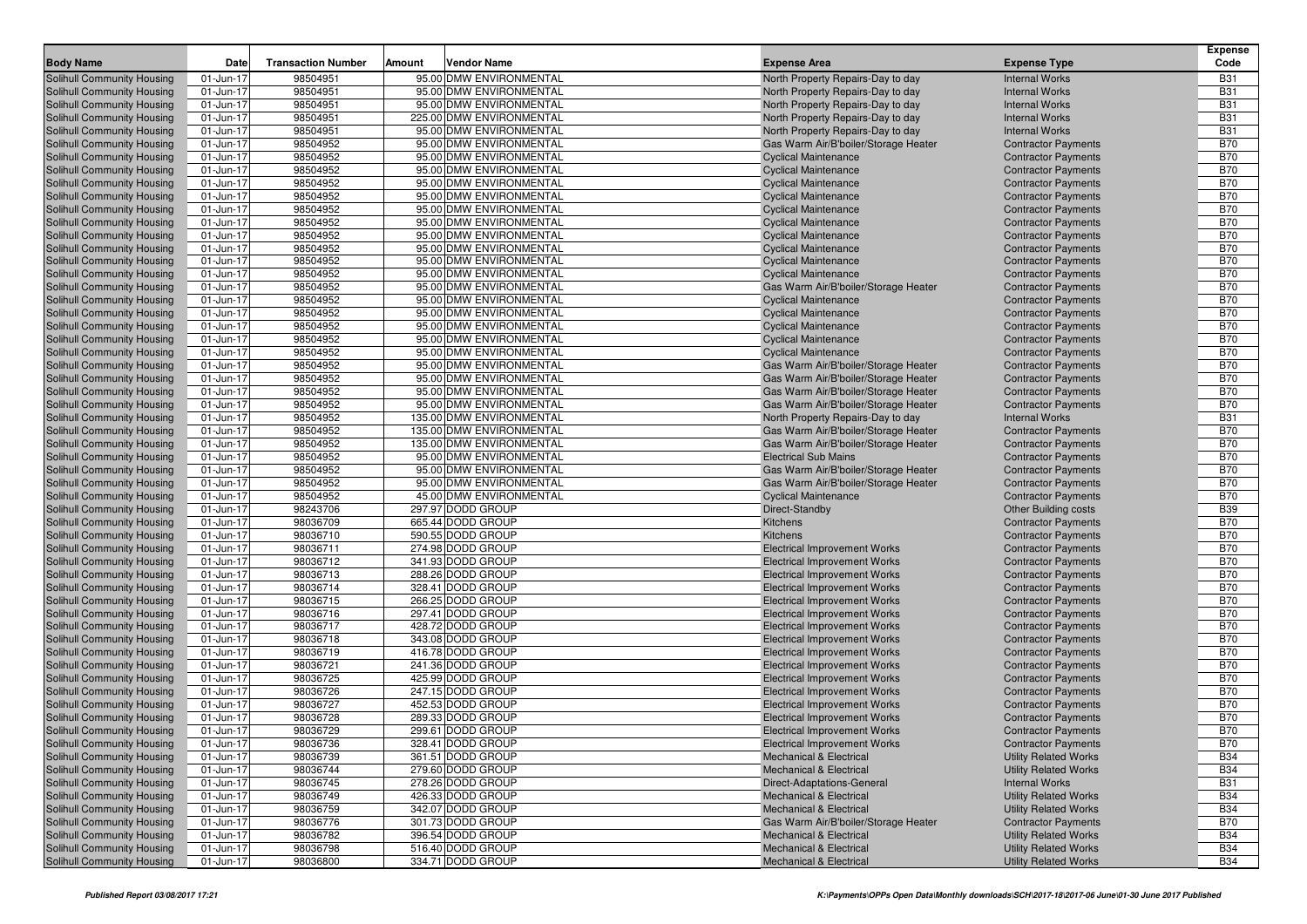| <b>Body Name</b>                                                       | Date                   | <b>Transaction Number</b> | Amount | <b>Vendor Name</b>                                  | <b>Expense Area</b>                                                        | <b>Expense Type</b>                                      | <b>Expense</b><br>Code   |
|------------------------------------------------------------------------|------------------------|---------------------------|--------|-----------------------------------------------------|----------------------------------------------------------------------------|----------------------------------------------------------|--------------------------|
| <b>Solihull Community Housing</b>                                      | 01-Jun-17              | 98504951                  |        | 95.00 DMW ENVIRONMENTAL                             | North Property Repairs-Day to day                                          | <b>Internal Works</b>                                    | <b>B31</b>               |
| Solihull Community Housing                                             | 01-Jun-17              | 98504951                  |        | 95.00 DMW ENVIRONMENTAL                             | North Property Repairs-Day to day                                          | <b>Internal Works</b>                                    | <b>B31</b>               |
| <b>Solihull Community Housing</b>                                      | 01-Jun-17              | 98504951                  |        | 95.00 DMW ENVIRONMENTAL                             | North Property Repairs-Day to day                                          | <b>Internal Works</b>                                    | <b>B31</b>               |
| <b>Solihull Community Housing</b>                                      | 01-Jun-17              | 98504951                  |        | 225.00 DMW ENVIRONMENTAL                            | North Property Repairs-Day to day                                          | <b>Internal Works</b>                                    | <b>B31</b>               |
| <b>Solihull Community Housing</b>                                      | 01-Jun-17              | 98504951                  |        | 95.00 DMW ENVIRONMENTAL                             | North Property Repairs-Day to day                                          | <b>Internal Works</b>                                    | <b>B31</b>               |
| <b>Solihull Community Housing</b>                                      | 01-Jun-17              | 98504952                  |        | 95.00 DMW ENVIRONMENTAL                             | Gas Warm Air/B'boiler/Storage Heater                                       | <b>Contractor Payments</b>                               | <b>B70</b>               |
| <b>Solihull Community Housing</b>                                      | 01-Jun-17              | 98504952                  |        | 95.00 DMW ENVIRONMENTAL                             | <b>Cyclical Maintenance</b>                                                | <b>Contractor Payments</b>                               | <b>B70</b>               |
| <b>Solihull Community Housing</b>                                      | 01-Jun-17              | 98504952                  |        | 95.00 DMW ENVIRONMENTAL                             | <b>Cyclical Maintenance</b>                                                | <b>Contractor Payments</b>                               | <b>B70</b>               |
| <b>Solihull Community Housing</b>                                      | 01-Jun-17              | 98504952                  |        | 95.00 DMW ENVIRONMENTAL                             | <b>Cyclical Maintenance</b>                                                | <b>Contractor Payments</b>                               | <b>B70</b>               |
| <b>Solihull Community Housing</b>                                      | 01-Jun-17              | 98504952                  |        | 95.00 DMW ENVIRONMENTAL                             | <b>Cyclical Maintenance</b>                                                | <b>Contractor Payments</b>                               | <b>B70</b>               |
| <b>Solihull Community Housing</b>                                      | 01-Jun-17              | 98504952                  |        | 95.00 DMW ENVIRONMENTAL                             | <b>Cyclical Maintenance</b>                                                | <b>Contractor Payments</b>                               | <b>B70</b>               |
| Solihull Community Housing                                             | 01-Jun-17              | 98504952                  |        | 95.00 DMW ENVIRONMENTAL                             | <b>Cyclical Maintenance</b>                                                | <b>Contractor Payments</b>                               | <b>B70</b>               |
| <b>Solihull Community Housing</b>                                      | 01-Jun-17              | 98504952                  |        | 95.00 DMW ENVIRONMENTAL                             | <b>Cyclical Maintenance</b>                                                | <b>Contractor Payments</b>                               | <b>B70</b>               |
| <b>Solihull Community Housing</b>                                      | 01-Jun-17              | 98504952                  |        | 95.00 DMW ENVIRONMENTAL                             | <b>Cyclical Maintenance</b>                                                | <b>Contractor Payments</b>                               | <b>B70</b>               |
| Solihull Community Housing                                             | 01-Jun-17              | 98504952                  |        | 95.00 DMW ENVIRONMENTAL                             | <b>Cyclical Maintenance</b>                                                | <b>Contractor Payments</b>                               | <b>B70</b>               |
| <b>Solihull Community Housing</b>                                      | 01-Jun-17              | 98504952                  |        | 95.00 DMW ENVIRONMENTAL                             | <b>Cyclical Maintenance</b>                                                | <b>Contractor Payments</b>                               | <b>B70</b>               |
| Solihull Community Housing                                             | 01-Jun-17              | 98504952                  |        | 95.00 DMW ENVIRONMENTAL                             | Gas Warm Air/B'boiler/Storage Heater                                       | <b>Contractor Payments</b>                               | <b>B70</b>               |
| <b>Solihull Community Housing</b>                                      | 01-Jun-17              | 98504952                  |        | 95.00 DMW ENVIRONMENTAL                             | <b>Cyclical Maintenance</b>                                                | <b>Contractor Payments</b>                               | <b>B70</b>               |
| <b>Solihull Community Housing</b>                                      | 01-Jun-17              | 98504952                  |        | 95.00 DMW ENVIRONMENTAL                             | <b>Cyclical Maintenance</b>                                                | <b>Contractor Payments</b>                               | <b>B70</b>               |
| <b>Solihull Community Housing</b>                                      | 01-Jun-17              | 98504952                  |        | 95.00 DMW ENVIRONMENTAL                             | <b>Cyclical Maintenance</b>                                                | <b>Contractor Payments</b>                               | <b>B70</b>               |
| <b>Solihull Community Housing</b>                                      | 01-Jun-17              | 98504952                  |        | 95.00 DMW ENVIRONMENTAL                             | <b>Cyclical Maintenance</b>                                                | <b>Contractor Payments</b>                               | <b>B70</b>               |
| <b>Solihull Community Housing</b>                                      | 01-Jun-17              | 98504952                  |        | 95.00 DMW ENVIRONMENTAL                             | <b>Cyclical Maintenance</b>                                                | <b>Contractor Payments</b>                               | <b>B70</b>               |
| <b>Solihull Community Housing</b>                                      | 01-Jun-17              | 98504952                  |        | 95.00 DMW ENVIRONMENTAL                             | Gas Warm Air/B'boiler/Storage Heater                                       | <b>Contractor Payments</b>                               | <b>B70</b>               |
| <b>Solihull Community Housing</b>                                      | 01-Jun-17              | 98504952                  |        | 95.00 DMW ENVIRONMENTAL                             | Gas Warm Air/B'boiler/Storage Heater                                       | <b>Contractor Payments</b>                               | <b>B70</b>               |
| Solihull Community Housing                                             | 01-Jun-17              | 98504952<br>98504952      |        | 95.00 DMW ENVIRONMENTAL                             | Gas Warm Air/B'boiler/Storage Heater                                       | <b>Contractor Payments</b>                               | <b>B70</b>               |
| <b>Solihull Community Housing</b>                                      | 01-Jun-17<br>01-Jun-17 | 98504952                  |        | 95.00 DMW ENVIRONMENTAL<br>135.00 DMW ENVIRONMENTAL | Gas Warm Air/B'boiler/Storage Heater                                       | <b>Contractor Payments</b><br><b>Internal Works</b>      | <b>B70</b><br><b>B31</b> |
| Solihull Community Housing<br><b>Solihull Community Housing</b>        | 01-Jun-17              | 98504952                  |        | 135.00 DMW ENVIRONMENTAL                            | North Property Repairs-Day to day<br>Gas Warm Air/B'boiler/Storage Heater  | <b>Contractor Payments</b>                               | <b>B70</b>               |
| <b>Solihull Community Housing</b>                                      | 01-Jun-17              | 98504952                  |        | 135.00 DMW ENVIRONMENTAL                            | Gas Warm Air/B'boiler/Storage Heater                                       | <b>Contractor Payments</b>                               | <b>B70</b>               |
| <b>Solihull Community Housing</b>                                      | 01-Jun-17              | 98504952                  |        | 95.00 DMW ENVIRONMENTAL                             | <b>Electrical Sub Mains</b>                                                | <b>Contractor Payments</b>                               | <b>B70</b>               |
| <b>Solihull Community Housing</b>                                      | 01-Jun-17              | 98504952                  |        | 95.00 DMW ENVIRONMENTAL                             | Gas Warm Air/B'boiler/Storage Heater                                       | <b>Contractor Payments</b>                               | <b>B70</b>               |
| Solihull Community Housing                                             | 01-Jun-17              | 98504952                  |        | 95.00 DMW ENVIRONMENTAL                             | Gas Warm Air/B'boiler/Storage Heater                                       | <b>Contractor Payments</b>                               | <b>B70</b>               |
| <b>Solihull Community Housing</b>                                      | 01-Jun-17              | 98504952                  |        | 45.00 DMW ENVIRONMENTAL                             | <b>Cyclical Maintenance</b>                                                | <b>Contractor Payments</b>                               | <b>B70</b>               |
| <b>Solihull Community Housing</b>                                      | 01-Jun-17              | 98243706                  |        | 297.97 DODD GROUP                                   | Direct-Standby                                                             | <b>Other Building costs</b>                              | <b>B39</b>               |
| <b>Solihull Community Housing</b>                                      | 01-Jun-17              | 98036709                  |        | 665.44 DODD GROUP                                   | Kitchens                                                                   | <b>Contractor Payments</b>                               | <b>B70</b>               |
| <b>Solihull Community Housing</b>                                      | 01-Jun-17              | 98036710                  |        | 590.55 DODD GROUP                                   | Kitchens                                                                   | <b>Contractor Payments</b>                               | <b>B70</b>               |
| Solihull Community Housing                                             | 01-Jun-17              | 98036711                  |        | 274.98 DODD GROUP                                   | <b>Electrical Improvement Works</b>                                        | <b>Contractor Payments</b>                               | <b>B70</b>               |
| <b>Solihull Community Housing</b>                                      | 01-Jun-17              | 98036712                  |        | 341.93 DODD GROUP                                   | <b>Electrical Improvement Works</b>                                        | <b>Contractor Payments</b>                               | <b>B70</b>               |
| <b>Solihull Community Housing</b>                                      | 01-Jun-17              | 98036713                  |        | 288.26 DODD GROUP                                   | <b>Electrical Improvement Works</b>                                        | <b>Contractor Payments</b>                               | <b>B70</b>               |
| <b>Solihull Community Housing</b>                                      | 01-Jun-17              | 98036714                  |        | 328.41 DODD GROUP                                   | <b>Electrical Improvement Works</b>                                        | <b>Contractor Payments</b>                               | <b>B70</b>               |
| <b>Solihull Community Housing</b>                                      | 01-Jun-17              | 98036715                  |        | 266.25 DODD GROUP                                   | <b>Electrical Improvement Works</b>                                        | <b>Contractor Payments</b>                               | <b>B70</b>               |
| Solihull Community Housing                                             | 01-Jun-17              | 98036716                  |        | 297.41 DODD GROUP                                   | <b>Electrical Improvement Works</b>                                        | <b>Contractor Payments</b>                               | <b>B70</b>               |
| <b>Solihull Community Housing</b>                                      | 01-Jun-17              | 98036717                  |        | 428.72 DODD GROUP                                   | <b>Electrical Improvement Works</b>                                        | <b>Contractor Payments</b>                               | <b>B70</b>               |
| <b>Solihull Community Housing</b>                                      | 01-Jun-17              | 98036718                  |        | 343.08 DODD GROUP                                   | <b>Electrical Improvement Works</b>                                        | <b>Contractor Payments</b>                               | <b>B70</b>               |
| <b>Solihull Community Housing</b>                                      | 01-Jun-17              | 98036719                  |        | 416.78 DODD GROUP                                   | <b>Electrical Improvement Works</b>                                        | <b>Contractor Payments</b>                               | <b>B70</b>               |
| <b>Solihull Community Housing</b>                                      | 01-Jun-17              | 98036721                  |        | 241.36 DODD GROUP                                   | <b>Electrical Improvement Works</b>                                        | <b>Contractor Payments</b>                               | <b>B70</b>               |
| Solihull Community Housing                                             | 01-Jun-17              | 98036725                  |        | 425.99 DODD GROUP                                   | <b>Electrical Improvement Works</b>                                        | <b>Contractor Payments</b>                               | <b>B70</b><br><b>B70</b> |
| <b>Solihull Community Housing</b><br><b>Solihull Community Housing</b> | 01-Jun-17<br>01-Jun-17 | 98036726<br>98036727      |        | 247.15 DODD GROUP<br>452.53 DODD GROUP              | <b>Electrical Improvement Works</b>                                        | <b>Contractor Payments</b>                               | <b>B70</b>               |
| <b>Solihull Community Housing</b>                                      | 01-Jun-17              | 98036728                  |        | 289.33 DODD GROUP                                   | <b>Electrical Improvement Works</b><br><b>Electrical Improvement Works</b> | <b>Contractor Payments</b><br><b>Contractor Payments</b> | <b>B70</b>               |
| <b>Solihull Community Housing</b>                                      | 01-Jun-17              | 98036729                  |        | 299.61 DODD GROUP                                   | <b>Electrical Improvement Works</b>                                        | <b>Contractor Payments</b>                               | <b>B70</b>               |
| <b>Solihull Community Housing</b>                                      | 01-Jun-17              | 98036736                  |        | 328.41 DODD GROUP                                   | Electrical Improvement Works                                               | <b>Contractor Payments</b>                               | <b>B70</b>               |
| <b>Solihull Community Housing</b>                                      | 01-Jun-17              | 98036739                  |        | 361.51 DODD GROUP                                   | <b>Mechanical &amp; Electrical</b>                                         | <b>Utility Related Works</b>                             | <b>B34</b>               |
| Solihull Community Housing                                             | 01-Jun-17              | 98036744                  |        | 279.60 DODD GROUP                                   | <b>Mechanical &amp; Electrical</b>                                         | <b>Utility Related Works</b>                             | <b>B34</b>               |
| <b>Solihull Community Housing</b>                                      | 01-Jun-17              | 98036745                  |        | 278.26 DODD GROUP                                   | Direct-Adaptations-General                                                 | <b>Internal Works</b>                                    | <b>B31</b>               |
| Solihull Community Housing                                             | 01-Jun-17              | 98036749                  |        | 426.33 DODD GROUP                                   | <b>Mechanical &amp; Electrical</b>                                         | <b>Utility Related Works</b>                             | <b>B34</b>               |
| <b>Solihull Community Housing</b>                                      | 01-Jun-17              | 98036759                  |        | 342.07 DODD GROUP                                   | <b>Mechanical &amp; Electrical</b>                                         | <b>Utility Related Works</b>                             | <b>B34</b>               |
| <b>Solihull Community Housing</b>                                      | 01-Jun-17              | 98036776                  |        | 301.73 DODD GROUP                                   | Gas Warm Air/B'boiler/Storage Heater                                       | <b>Contractor Payments</b>                               | <b>B70</b>               |
| <b>Solihull Community Housing</b>                                      | 01-Jun-17              | 98036782                  |        | 396.54 DODD GROUP                                   | <b>Mechanical &amp; Electrical</b>                                         | <b>Utility Related Works</b>                             | <b>B34</b>               |
| <b>Solihull Community Housing</b>                                      | 01-Jun-17              | 98036798                  |        | 516.40 DODD GROUP                                   | <b>Mechanical &amp; Electrical</b>                                         | <b>Utility Related Works</b>                             | <b>B34</b>               |
| <b>Solihull Community Housing</b>                                      | 01-Jun-17              | 98036800                  |        | 334.71 DODD GROUP                                   | <b>Mechanical &amp; Electrical</b>                                         | <b>Utility Related Works</b>                             | <b>B34</b>               |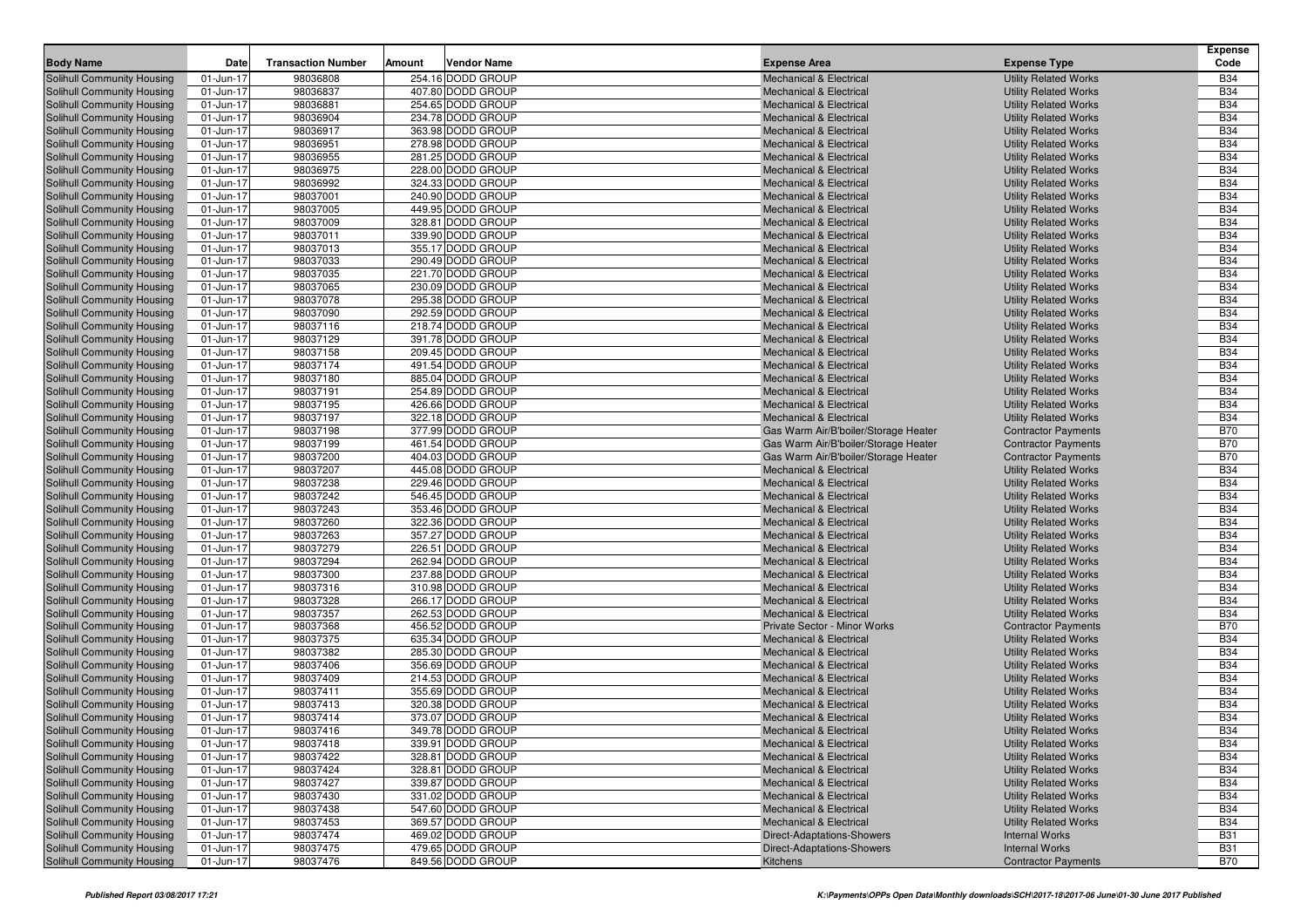| Solihull Community Housing<br>98036808<br>254.16 DODD GROUP<br><b>Utility Related Works</b><br><b>B34</b><br>01-Jun-17<br><b>Mechanical &amp; Electrical</b><br>98036837<br>407.80 DODD GROUP<br><b>B34</b><br>Solihull Community Housing<br>01-Jun-17<br><b>Mechanical &amp; Electrical</b><br><b>Utility Related Works</b><br><b>B34</b><br>01-Jun-17<br>98036881<br>254.65 DODD GROUP<br>Solihull Community Housing<br><b>Mechanical &amp; Electrical</b><br><b>Utility Related Works</b><br>98036904<br>234.78 DODD GROUP<br><b>B34</b><br>01-Jun-17<br><b>Utility Related Works</b><br>Solihull Community Housing<br>Mechanical & Electrical<br>363.98 DODD GROUP<br><b>B34</b><br>01-Jun-17<br>98036917<br><b>Utility Related Works</b><br><b>Solihull Community Housing</b><br><b>Mechanical &amp; Electrical</b><br>98036951<br>278.98 DODD GROUP<br><b>B34</b><br>01-Jun-17<br>Solihull Community Housing<br><b>Mechanical &amp; Electrical</b><br><b>Utility Related Works</b><br>98036955<br>281.25 DODD GROUP<br><b>B34</b><br><b>Solihull Community Housing</b><br>01-Jun-17<br><b>Utility Related Works</b><br><b>Mechanical &amp; Electrical</b><br><b>B34</b><br>98036975<br>01-Jun-17<br>228.00 DODD GROUP<br>Solihull Community Housing<br><b>Mechanical &amp; Electrical</b><br><b>Utility Related Works</b><br>98036992<br>324.33 DODD GROUP<br><b>B34</b><br>01-Jun-17<br>Solihull Community Housing<br>Mechanical & Electrical<br><b>Utility Related Works</b><br><b>B34</b><br>01-Jun-17<br>98037001<br>240.90 DODD GROUP<br>Solihull Community Housing<br><b>Mechanical &amp; Electrical</b><br><b>Utility Related Works</b><br>98037005<br>449.95 DODD GROUP<br><b>B34</b><br><b>Solihull Community Housing</b><br>01-Jun-17<br><b>Utility Related Works</b><br>Mechanical & Electrical<br>328.81 DODD GROUP<br><b>B34</b><br>Solihull Community Housing<br>01-Jun-17<br>98037009<br><b>Utility Related Works</b><br><b>Mechanical &amp; Electrical</b><br><b>B34</b><br>01-Jun-17<br>98037011<br>339.90 DODD GROUP<br>Solihull Community Housing<br><b>Mechanical &amp; Electrical</b><br><b>Utility Related Works</b><br>98037013<br>355.17 DODD GROUP<br><b>B34</b><br>01-Jun-17<br>Solihull Community Housing<br>Mechanical & Electrical<br><b>Utility Related Works</b><br><b>B34</b><br>01-Jun-17<br>98037033<br>290.49 DODD GROUP<br>Solihull Community Housing<br><b>Mechanical &amp; Electrical</b><br><b>Utility Related Works</b><br>98037035<br>221.70 DODD GROUP<br><b>B34</b><br><b>Solihull Community Housing</b><br>01-Jun-17<br><b>Utility Related Works</b><br><b>Mechanical &amp; Electrical</b><br>230.09 DODD GROUP<br><b>B34</b><br><b>Solihull Community Housing</b><br>01-Jun-17<br>98037065<br><b>Utility Related Works</b><br><b>Mechanical &amp; Electrical</b><br><b>B34</b><br>01-Jun-17<br>98037078<br>295.38 DODD GROUP<br>Solihull Community Housing<br>Mechanical & Electrical<br><b>Utility Related Works</b><br>98037090<br>292.59 DODD GROUP<br><b>B34</b><br>01-Jun-17<br>Solihull Community Housing<br>Mechanical & Electrical<br><b>Utility Related Works</b><br><b>B34</b><br>01-Jun-17<br>98037116<br>218.74 DODD GROUP<br>Solihull Community Housing<br><b>Mechanical &amp; Electrical</b><br><b>Utility Related Works</b><br>98037129<br>391.78 DODD GROUP<br><b>B34</b><br><b>Solihull Community Housing</b><br>01-Jun-17<br>Mechanical & Electrical<br><b>Utility Related Works</b><br>209.45 DODD GROUP<br><b>B34</b><br><b>Solihull Community Housing</b><br>01-Jun-17<br>98037158<br><b>Utility Related Works</b><br><b>Mechanical &amp; Electrical</b><br><b>B34</b><br>01-Jun-17<br>98037174<br>491.54 DODD GROUP<br>Solihull Community Housing<br><b>Mechanical &amp; Electrical</b><br><b>Utility Related Works</b><br>98037180<br>885.04 DODD GROUP<br><b>B34</b><br>01-Jun-17<br>Solihull Community Housing<br>Mechanical & Electrical<br><b>Utility Related Works</b><br><b>B34</b><br>01-Jun-17<br>98037191<br>254.89 DODD GROUP<br>Solihull Community Housing<br><b>Mechanical &amp; Electrical</b><br><b>Utility Related Works</b><br>98037195<br>426.66 DODD GROUP<br><b>B34</b><br><b>Solihull Community Housing</b><br>01-Jun-17<br><b>Utility Related Works</b><br><b>Mechanical &amp; Electrical</b><br>322.18 DODD GROUP<br><b>B34</b><br>01-Jun-17<br>98037197<br><b>Mechanical &amp; Electrical</b><br><b>Solihull Community Housing</b><br><b>Utility Related Works</b><br><b>B70</b><br>98037198<br>01-Jun-17<br>377.99 DODD GROUP<br>Solihull Community Housing<br>Gas Warm Air/B'boiler/Storage Heater<br><b>Contractor Payments</b><br>98037199<br>461.54 DODD GROUP<br><b>B70</b><br>01-Jun-17<br>Gas Warm Air/B'boiler/Storage Heater<br>Solihull Community Housing<br><b>Contractor Payments</b><br><b>B70</b><br>01-Jun-17<br>98037200<br>404.03 DODD GROUP<br>Gas Warm Air/B'boiler/Storage Heater<br>Solihull Community Housing<br><b>Contractor Payments</b><br>98037207<br><b>B34</b><br><b>Solihull Community Housing</b><br>01-Jun-17<br>445.08 DODD GROUP<br><b>Utility Related Works</b><br><b>Mechanical &amp; Electrical</b><br>98037238<br><b>B34</b><br><b>Solihull Community Housing</b><br>01-Jun-17<br>229.46 DODD GROUP<br><b>Utility Related Works</b><br><b>Mechanical &amp; Electrical</b><br>98037242<br><b>B34</b><br>01-Jun-17<br>546.45 DODD GROUP<br>Solihull Community Housing<br><b>Mechanical &amp; Electrical</b><br><b>Utility Related Works</b><br>98037243<br>353.46 DODD GROUP<br><b>B34</b><br>01-Jun-17<br><b>Utility Related Works</b><br>Solihull Community Housing<br>Mechanical & Electrical<br><b>B34</b><br>01-Jun-17<br>98037260<br>322.36 DODD GROUP<br>Solihull Community Housing<br><b>Mechanical &amp; Electrical</b><br><b>Utility Related Works</b><br>98037263<br>357.27 DODD GROUP<br><b>B34</b><br><b>Solihull Community Housing</b><br>01-Jun-17<br><b>Utility Related Works</b><br><b>Mechanical &amp; Electrical</b><br>98037279<br>226.51 DODD GROUP<br><b>B34</b><br>01-Jun-17<br><b>Utility Related Works</b><br>Solihull Community Housing<br><b>Mechanical &amp; Electrical</b><br>98037294<br><b>B34</b><br>01-Jun-17<br>262.94 DODD GROUP<br>Solihull Community Housing<br><b>Mechanical &amp; Electrical</b><br><b>Utility Related Works</b><br>98037300<br>237.88 DODD GROUP<br><b>B34</b><br>01-Jun-17<br>Solihull Community Housing<br>Mechanical & Electrical<br><b>Utility Related Works</b><br><b>B34</b><br>01-Jun-17<br>98037316<br>310.98 DODD GROUP<br>Solihull Community Housing<br><b>Mechanical &amp; Electrical</b><br><b>Utility Related Works</b><br>98037328<br><b>B34</b><br><b>Solihull Community Housing</b><br>01-Jun-17<br>266.17 DODD GROUP<br><b>Mechanical &amp; Electrical</b><br><b>Utility Related Works</b><br>98037357<br>262.53 DODD GROUP<br><b>B34</b><br>01-Jun-17<br><b>Mechanical &amp; Electrical</b><br><b>Utility Related Works</b><br>Solihull Community Housing<br>98037368<br><b>B70</b><br>01-Jun-17<br>456.52 DODD GROUP<br>Solihull Community Housing<br><b>Private Sector - Minor Works</b><br><b>Contractor Payments</b><br>98037375<br><b>B34</b><br>01-Jun-17<br>635.34 DODD GROUP<br><b>Utility Related Works</b><br>Solihull Community Housing<br><b>Mechanical &amp; Electrical</b><br>98037382<br><b>B34</b><br>01-Jun-17<br>285.30 DODD GROUP<br>Solihull Community Housing<br><b>Mechanical &amp; Electrical</b><br><b>Utility Related Works</b><br>98037406<br>356.69 DODD GROUP<br><b>B34</b><br><b>Solihull Community Housing</b><br>01-Jun-17<br><b>Mechanical &amp; Electrical</b><br><b>Utility Related Works</b><br>214.53 DODD GROUP<br><b>B34</b><br>01-Jun-17<br>98037409<br><b>Utility Related Works</b><br>Solihull Community Housing<br><b>Mechanical &amp; Electrical</b><br><b>B34</b><br>98037411<br>01-Jun-17<br>355.69 DODD GROUP<br>Solihull Community Housing<br><b>Mechanical &amp; Electrical</b><br><b>Utility Related Works</b><br>98037413<br><b>B34</b><br>01-Jun-17<br>320.38 DODD GROUP<br>Solihull Community Housing<br><b>Mechanical &amp; Electrical</b><br><b>Utility Related Works</b><br><b>B34</b><br>01-Jun-17<br>98037414<br>373.07 DODD GROUP<br><b>Mechanical &amp; Electrical</b><br>Solihull Community Housing<br><b>Utility Related Works</b><br><b>B34</b><br>01-Jun-17<br>98037416<br>349.78 DODD GROUP<br>Solihull Community Housing<br><b>Mechanical &amp; Electrical</b><br><b>Utility Related Works</b><br>Solihull Community Housing<br>01-Jun-17<br>98037418<br>339.91 DODD GROUP<br>Mechanical & Electrical<br><b>Utility Related Works</b><br><b>B34</b><br><b>B34</b><br>98037422<br>Solihull Community Housing<br>01-Jun-17<br>328.81 DODD GROUP<br><b>Mechanical &amp; Electrical</b><br><b>Utility Related Works</b><br>98037424<br>328.81 DODD GROUP<br><b>B34</b><br>Solihull Community Housing<br>01-Jun-17<br>Mechanical & Electrical<br><b>Utility Related Works</b><br>98037427<br>339.87 DODD GROUP<br><b>B34</b><br>Solihull Community Housing<br>01-Jun-17<br><b>Mechanical &amp; Electrical</b><br><b>Utility Related Works</b><br>98037430<br>331.02 DODD GROUP<br><b>B34</b><br>Solihull Community Housing<br>01-Jun-17<br>Mechanical & Electrical<br><b>Utility Related Works</b><br>98037438<br>547.60 DODD GROUP<br><b>B34</b><br>Solihull Community Housing<br>01-Jun-17<br><b>Mechanical &amp; Electrical</b><br><b>Utility Related Works</b><br><b>B34</b><br>98037453<br>369.57 DODD GROUP<br>Solihull Community Housing<br>01-Jun-17<br><b>Mechanical &amp; Electrical</b><br><b>Utility Related Works</b><br>98037474<br>Solihull Community Housing<br>01-Jun-17<br>469.02 DODD GROUP<br>Direct-Adaptations-Showers<br><b>Internal Works</b><br><b>B31</b><br>98037475<br>479.65 DODD GROUP<br><b>B31</b><br>Solihull Community Housing<br>01-Jun-17<br>Direct-Adaptations-Showers<br><b>Internal Works</b><br>98037476<br>849.56 DODD GROUP<br><b>B70</b><br>Solihull Community Housing<br>01-Jun-17<br><b>Contractor Payments</b><br>Kitchens | <b>Body Name</b> | Date | <b>Transaction Number</b> | Amount | <b>Vendor Name</b> | <b>Expense Area</b> | <b>Expense Type</b> | <b>Expense</b><br>Code |
|------------------------------------------------------------------------------------------------------------------------------------------------------------------------------------------------------------------------------------------------------------------------------------------------------------------------------------------------------------------------------------------------------------------------------------------------------------------------------------------------------------------------------------------------------------------------------------------------------------------------------------------------------------------------------------------------------------------------------------------------------------------------------------------------------------------------------------------------------------------------------------------------------------------------------------------------------------------------------------------------------------------------------------------------------------------------------------------------------------------------------------------------------------------------------------------------------------------------------------------------------------------------------------------------------------------------------------------------------------------------------------------------------------------------------------------------------------------------------------------------------------------------------------------------------------------------------------------------------------------------------------------------------------------------------------------------------------------------------------------------------------------------------------------------------------------------------------------------------------------------------------------------------------------------------------------------------------------------------------------------------------------------------------------------------------------------------------------------------------------------------------------------------------------------------------------------------------------------------------------------------------------------------------------------------------------------------------------------------------------------------------------------------------------------------------------------------------------------------------------------------------------------------------------------------------------------------------------------------------------------------------------------------------------------------------------------------------------------------------------------------------------------------------------------------------------------------------------------------------------------------------------------------------------------------------------------------------------------------------------------------------------------------------------------------------------------------------------------------------------------------------------------------------------------------------------------------------------------------------------------------------------------------------------------------------------------------------------------------------------------------------------------------------------------------------------------------------------------------------------------------------------------------------------------------------------------------------------------------------------------------------------------------------------------------------------------------------------------------------------------------------------------------------------------------------------------------------------------------------------------------------------------------------------------------------------------------------------------------------------------------------------------------------------------------------------------------------------------------------------------------------------------------------------------------------------------------------------------------------------------------------------------------------------------------------------------------------------------------------------------------------------------------------------------------------------------------------------------------------------------------------------------------------------------------------------------------------------------------------------------------------------------------------------------------------------------------------------------------------------------------------------------------------------------------------------------------------------------------------------------------------------------------------------------------------------------------------------------------------------------------------------------------------------------------------------------------------------------------------------------------------------------------------------------------------------------------------------------------------------------------------------------------------------------------------------------------------------------------------------------------------------------------------------------------------------------------------------------------------------------------------------------------------------------------------------------------------------------------------------------------------------------------------------------------------------------------------------------------------------------------------------------------------------------------------------------------------------------------------------------------------------------------------------------------------------------------------------------------------------------------------------------------------------------------------------------------------------------------------------------------------------------------------------------------------------------------------------------------------------------------------------------------------------------------------------------------------------------------------------------------------------------------------------------------------------------------------------------------------------------------------------------------------------------------------------------------------------------------------------------------------------------------------------------------------------------------------------------------------------------------------------------------------------------------------------------------------------------------------------------------------------------------------------------------------------------------------------------------------------------------------------------------------------------------------------------------------------------------------------------------------------------------------------------------------------------------------------------------------------------------------------------------------------------------------------------------------------------------------------------------------------------------------------------------------------------------------------------------------------------------------------------------------------------------------------------------------------------------------------------------------------------------------------------------------------------------------------------------------------------------------------------------------------------------------------------------------------------------------------------------------------------------------------------------------------------------------------------------------------------------------------------------------------------------------------------------------------------------------------------------------------------------------------------------------------------------------------------------------------------------------------------------------------------------------------------------------------------------------------------------------------------------------------------------------------------------------------------------------------------------------------------------------------------------------------------------------------------------------------------------------------------------------------------------------------------------------------------------------------------------------------------------------------------------------------------------------------------------------------------------------------------------------------------------------------------------------------------------------------------------------------------------------------------------------------------------------------------------------------------------------------------------------------------------------------------------------------------------------------------------------------------------------------------------------------------------------------------------------------------------------------------------------------------------------------------------------------------------------------------------------------------------------------------------------------------------------------------------------------------------------------------------------------------------------------------------------------------------------------------------------------------------------------------------------------------------------------------------------------------------------------------------------------------------------------------------------------------------------------------------------------------------------------------------|------------------|------|---------------------------|--------|--------------------|---------------------|---------------------|------------------------|
|                                                                                                                                                                                                                                                                                                                                                                                                                                                                                                                                                                                                                                                                                                                                                                                                                                                                                                                                                                                                                                                                                                                                                                                                                                                                                                                                                                                                                                                                                                                                                                                                                                                                                                                                                                                                                                                                                                                                                                                                                                                                                                                                                                                                                                                                                                                                                                                                                                                                                                                                                                                                                                                                                                                                                                                                                                                                                                                                                                                                                                                                                                                                                                                                                                                                                                                                                                                                                                                                                                                                                                                                                                                                                                                                                                                                                                                                                                                                                                                                                                                                                                                                                                                                                                                                                                                                                                                                                                                                                                                                                                                                                                                                                                                                                                                                                                                                                                                                                                                                                                                                                                                                                                                                                                                                                                                                                                                                                                                                                                                                                                                                                                                                                                                                                                                                                                                                                                                                                                                                                                                                                                                                                                                                                                                                                                                                                                                                                                                                                                                                                                                                                                                                                                                                                                                                                                                                                                                                                                                                                                                                                                                                                                                                                                                                                                                                                                                                                                                                                                                                                                                                                                                                                                                                                                                                                                                                                                                                                                                                                                                                                                                                                                                                                                                                                                                                                                                                                                                                                                                                                                                                                                                                                                                                                                                                                                                                                                                                                                                                                                                                                                                                                                                                                                                                                                                                                                                                                                                                                                                                                                                                                                                                                                                                                                                                                                                                                                                                                                                                                                                      |                  |      |                           |        |                    |                     |                     |                        |
|                                                                                                                                                                                                                                                                                                                                                                                                                                                                                                                                                                                                                                                                                                                                                                                                                                                                                                                                                                                                                                                                                                                                                                                                                                                                                                                                                                                                                                                                                                                                                                                                                                                                                                                                                                                                                                                                                                                                                                                                                                                                                                                                                                                                                                                                                                                                                                                                                                                                                                                                                                                                                                                                                                                                                                                                                                                                                                                                                                                                                                                                                                                                                                                                                                                                                                                                                                                                                                                                                                                                                                                                                                                                                                                                                                                                                                                                                                                                                                                                                                                                                                                                                                                                                                                                                                                                                                                                                                                                                                                                                                                                                                                                                                                                                                                                                                                                                                                                                                                                                                                                                                                                                                                                                                                                                                                                                                                                                                                                                                                                                                                                                                                                                                                                                                                                                                                                                                                                                                                                                                                                                                                                                                                                                                                                                                                                                                                                                                                                                                                                                                                                                                                                                                                                                                                                                                                                                                                                                                                                                                                                                                                                                                                                                                                                                                                                                                                                                                                                                                                                                                                                                                                                                                                                                                                                                                                                                                                                                                                                                                                                                                                                                                                                                                                                                                                                                                                                                                                                                                                                                                                                                                                                                                                                                                                                                                                                                                                                                                                                                                                                                                                                                                                                                                                                                                                                                                                                                                                                                                                                                                                                                                                                                                                                                                                                                                                                                                                                                                                                                                                      |                  |      |                           |        |                    |                     |                     |                        |
|                                                                                                                                                                                                                                                                                                                                                                                                                                                                                                                                                                                                                                                                                                                                                                                                                                                                                                                                                                                                                                                                                                                                                                                                                                                                                                                                                                                                                                                                                                                                                                                                                                                                                                                                                                                                                                                                                                                                                                                                                                                                                                                                                                                                                                                                                                                                                                                                                                                                                                                                                                                                                                                                                                                                                                                                                                                                                                                                                                                                                                                                                                                                                                                                                                                                                                                                                                                                                                                                                                                                                                                                                                                                                                                                                                                                                                                                                                                                                                                                                                                                                                                                                                                                                                                                                                                                                                                                                                                                                                                                                                                                                                                                                                                                                                                                                                                                                                                                                                                                                                                                                                                                                                                                                                                                                                                                                                                                                                                                                                                                                                                                                                                                                                                                                                                                                                                                                                                                                                                                                                                                                                                                                                                                                                                                                                                                                                                                                                                                                                                                                                                                                                                                                                                                                                                                                                                                                                                                                                                                                                                                                                                                                                                                                                                                                                                                                                                                                                                                                                                                                                                                                                                                                                                                                                                                                                                                                                                                                                                                                                                                                                                                                                                                                                                                                                                                                                                                                                                                                                                                                                                                                                                                                                                                                                                                                                                                                                                                                                                                                                                                                                                                                                                                                                                                                                                                                                                                                                                                                                                                                                                                                                                                                                                                                                                                                                                                                                                                                                                                                                                      |                  |      |                           |        |                    |                     |                     |                        |
|                                                                                                                                                                                                                                                                                                                                                                                                                                                                                                                                                                                                                                                                                                                                                                                                                                                                                                                                                                                                                                                                                                                                                                                                                                                                                                                                                                                                                                                                                                                                                                                                                                                                                                                                                                                                                                                                                                                                                                                                                                                                                                                                                                                                                                                                                                                                                                                                                                                                                                                                                                                                                                                                                                                                                                                                                                                                                                                                                                                                                                                                                                                                                                                                                                                                                                                                                                                                                                                                                                                                                                                                                                                                                                                                                                                                                                                                                                                                                                                                                                                                                                                                                                                                                                                                                                                                                                                                                                                                                                                                                                                                                                                                                                                                                                                                                                                                                                                                                                                                                                                                                                                                                                                                                                                                                                                                                                                                                                                                                                                                                                                                                                                                                                                                                                                                                                                                                                                                                                                                                                                                                                                                                                                                                                                                                                                                                                                                                                                                                                                                                                                                                                                                                                                                                                                                                                                                                                                                                                                                                                                                                                                                                                                                                                                                                                                                                                                                                                                                                                                                                                                                                                                                                                                                                                                                                                                                                                                                                                                                                                                                                                                                                                                                                                                                                                                                                                                                                                                                                                                                                                                                                                                                                                                                                                                                                                                                                                                                                                                                                                                                                                                                                                                                                                                                                                                                                                                                                                                                                                                                                                                                                                                                                                                                                                                                                                                                                                                                                                                                                                                      |                  |      |                           |        |                    |                     |                     |                        |
|                                                                                                                                                                                                                                                                                                                                                                                                                                                                                                                                                                                                                                                                                                                                                                                                                                                                                                                                                                                                                                                                                                                                                                                                                                                                                                                                                                                                                                                                                                                                                                                                                                                                                                                                                                                                                                                                                                                                                                                                                                                                                                                                                                                                                                                                                                                                                                                                                                                                                                                                                                                                                                                                                                                                                                                                                                                                                                                                                                                                                                                                                                                                                                                                                                                                                                                                                                                                                                                                                                                                                                                                                                                                                                                                                                                                                                                                                                                                                                                                                                                                                                                                                                                                                                                                                                                                                                                                                                                                                                                                                                                                                                                                                                                                                                                                                                                                                                                                                                                                                                                                                                                                                                                                                                                                                                                                                                                                                                                                                                                                                                                                                                                                                                                                                                                                                                                                                                                                                                                                                                                                                                                                                                                                                                                                                                                                                                                                                                                                                                                                                                                                                                                                                                                                                                                                                                                                                                                                                                                                                                                                                                                                                                                                                                                                                                                                                                                                                                                                                                                                                                                                                                                                                                                                                                                                                                                                                                                                                                                                                                                                                                                                                                                                                                                                                                                                                                                                                                                                                                                                                                                                                                                                                                                                                                                                                                                                                                                                                                                                                                                                                                                                                                                                                                                                                                                                                                                                                                                                                                                                                                                                                                                                                                                                                                                                                                                                                                                                                                                                                                                      |                  |      |                           |        |                    |                     |                     |                        |
|                                                                                                                                                                                                                                                                                                                                                                                                                                                                                                                                                                                                                                                                                                                                                                                                                                                                                                                                                                                                                                                                                                                                                                                                                                                                                                                                                                                                                                                                                                                                                                                                                                                                                                                                                                                                                                                                                                                                                                                                                                                                                                                                                                                                                                                                                                                                                                                                                                                                                                                                                                                                                                                                                                                                                                                                                                                                                                                                                                                                                                                                                                                                                                                                                                                                                                                                                                                                                                                                                                                                                                                                                                                                                                                                                                                                                                                                                                                                                                                                                                                                                                                                                                                                                                                                                                                                                                                                                                                                                                                                                                                                                                                                                                                                                                                                                                                                                                                                                                                                                                                                                                                                                                                                                                                                                                                                                                                                                                                                                                                                                                                                                                                                                                                                                                                                                                                                                                                                                                                                                                                                                                                                                                                                                                                                                                                                                                                                                                                                                                                                                                                                                                                                                                                                                                                                                                                                                                                                                                                                                                                                                                                                                                                                                                                                                                                                                                                                                                                                                                                                                                                                                                                                                                                                                                                                                                                                                                                                                                                                                                                                                                                                                                                                                                                                                                                                                                                                                                                                                                                                                                                                                                                                                                                                                                                                                                                                                                                                                                                                                                                                                                                                                                                                                                                                                                                                                                                                                                                                                                                                                                                                                                                                                                                                                                                                                                                                                                                                                                                                                                                      |                  |      |                           |        |                    |                     |                     |                        |
|                                                                                                                                                                                                                                                                                                                                                                                                                                                                                                                                                                                                                                                                                                                                                                                                                                                                                                                                                                                                                                                                                                                                                                                                                                                                                                                                                                                                                                                                                                                                                                                                                                                                                                                                                                                                                                                                                                                                                                                                                                                                                                                                                                                                                                                                                                                                                                                                                                                                                                                                                                                                                                                                                                                                                                                                                                                                                                                                                                                                                                                                                                                                                                                                                                                                                                                                                                                                                                                                                                                                                                                                                                                                                                                                                                                                                                                                                                                                                                                                                                                                                                                                                                                                                                                                                                                                                                                                                                                                                                                                                                                                                                                                                                                                                                                                                                                                                                                                                                                                                                                                                                                                                                                                                                                                                                                                                                                                                                                                                                                                                                                                                                                                                                                                                                                                                                                                                                                                                                                                                                                                                                                                                                                                                                                                                                                                                                                                                                                                                                                                                                                                                                                                                                                                                                                                                                                                                                                                                                                                                                                                                                                                                                                                                                                                                                                                                                                                                                                                                                                                                                                                                                                                                                                                                                                                                                                                                                                                                                                                                                                                                                                                                                                                                                                                                                                                                                                                                                                                                                                                                                                                                                                                                                                                                                                                                                                                                                                                                                                                                                                                                                                                                                                                                                                                                                                                                                                                                                                                                                                                                                                                                                                                                                                                                                                                                                                                                                                                                                                                                                                      |                  |      |                           |        |                    |                     |                     |                        |
|                                                                                                                                                                                                                                                                                                                                                                                                                                                                                                                                                                                                                                                                                                                                                                                                                                                                                                                                                                                                                                                                                                                                                                                                                                                                                                                                                                                                                                                                                                                                                                                                                                                                                                                                                                                                                                                                                                                                                                                                                                                                                                                                                                                                                                                                                                                                                                                                                                                                                                                                                                                                                                                                                                                                                                                                                                                                                                                                                                                                                                                                                                                                                                                                                                                                                                                                                                                                                                                                                                                                                                                                                                                                                                                                                                                                                                                                                                                                                                                                                                                                                                                                                                                                                                                                                                                                                                                                                                                                                                                                                                                                                                                                                                                                                                                                                                                                                                                                                                                                                                                                                                                                                                                                                                                                                                                                                                                                                                                                                                                                                                                                                                                                                                                                                                                                                                                                                                                                                                                                                                                                                                                                                                                                                                                                                                                                                                                                                                                                                                                                                                                                                                                                                                                                                                                                                                                                                                                                                                                                                                                                                                                                                                                                                                                                                                                                                                                                                                                                                                                                                                                                                                                                                                                                                                                                                                                                                                                                                                                                                                                                                                                                                                                                                                                                                                                                                                                                                                                                                                                                                                                                                                                                                                                                                                                                                                                                                                                                                                                                                                                                                                                                                                                                                                                                                                                                                                                                                                                                                                                                                                                                                                                                                                                                                                                                                                                                                                                                                                                                                                                      |                  |      |                           |        |                    |                     |                     |                        |
|                                                                                                                                                                                                                                                                                                                                                                                                                                                                                                                                                                                                                                                                                                                                                                                                                                                                                                                                                                                                                                                                                                                                                                                                                                                                                                                                                                                                                                                                                                                                                                                                                                                                                                                                                                                                                                                                                                                                                                                                                                                                                                                                                                                                                                                                                                                                                                                                                                                                                                                                                                                                                                                                                                                                                                                                                                                                                                                                                                                                                                                                                                                                                                                                                                                                                                                                                                                                                                                                                                                                                                                                                                                                                                                                                                                                                                                                                                                                                                                                                                                                                                                                                                                                                                                                                                                                                                                                                                                                                                                                                                                                                                                                                                                                                                                                                                                                                                                                                                                                                                                                                                                                                                                                                                                                                                                                                                                                                                                                                                                                                                                                                                                                                                                                                                                                                                                                                                                                                                                                                                                                                                                                                                                                                                                                                                                                                                                                                                                                                                                                                                                                                                                                                                                                                                                                                                                                                                                                                                                                                                                                                                                                                                                                                                                                                                                                                                                                                                                                                                                                                                                                                                                                                                                                                                                                                                                                                                                                                                                                                                                                                                                                                                                                                                                                                                                                                                                                                                                                                                                                                                                                                                                                                                                                                                                                                                                                                                                                                                                                                                                                                                                                                                                                                                                                                                                                                                                                                                                                                                                                                                                                                                                                                                                                                                                                                                                                                                                                                                                                                                                      |                  |      |                           |        |                    |                     |                     |                        |
|                                                                                                                                                                                                                                                                                                                                                                                                                                                                                                                                                                                                                                                                                                                                                                                                                                                                                                                                                                                                                                                                                                                                                                                                                                                                                                                                                                                                                                                                                                                                                                                                                                                                                                                                                                                                                                                                                                                                                                                                                                                                                                                                                                                                                                                                                                                                                                                                                                                                                                                                                                                                                                                                                                                                                                                                                                                                                                                                                                                                                                                                                                                                                                                                                                                                                                                                                                                                                                                                                                                                                                                                                                                                                                                                                                                                                                                                                                                                                                                                                                                                                                                                                                                                                                                                                                                                                                                                                                                                                                                                                                                                                                                                                                                                                                                                                                                                                                                                                                                                                                                                                                                                                                                                                                                                                                                                                                                                                                                                                                                                                                                                                                                                                                                                                                                                                                                                                                                                                                                                                                                                                                                                                                                                                                                                                                                                                                                                                                                                                                                                                                                                                                                                                                                                                                                                                                                                                                                                                                                                                                                                                                                                                                                                                                                                                                                                                                                                                                                                                                                                                                                                                                                                                                                                                                                                                                                                                                                                                                                                                                                                                                                                                                                                                                                                                                                                                                                                                                                                                                                                                                                                                                                                                                                                                                                                                                                                                                                                                                                                                                                                                                                                                                                                                                                                                                                                                                                                                                                                                                                                                                                                                                                                                                                                                                                                                                                                                                                                                                                                                                                      |                  |      |                           |        |                    |                     |                     |                        |
|                                                                                                                                                                                                                                                                                                                                                                                                                                                                                                                                                                                                                                                                                                                                                                                                                                                                                                                                                                                                                                                                                                                                                                                                                                                                                                                                                                                                                                                                                                                                                                                                                                                                                                                                                                                                                                                                                                                                                                                                                                                                                                                                                                                                                                                                                                                                                                                                                                                                                                                                                                                                                                                                                                                                                                                                                                                                                                                                                                                                                                                                                                                                                                                                                                                                                                                                                                                                                                                                                                                                                                                                                                                                                                                                                                                                                                                                                                                                                                                                                                                                                                                                                                                                                                                                                                                                                                                                                                                                                                                                                                                                                                                                                                                                                                                                                                                                                                                                                                                                                                                                                                                                                                                                                                                                                                                                                                                                                                                                                                                                                                                                                                                                                                                                                                                                                                                                                                                                                                                                                                                                                                                                                                                                                                                                                                                                                                                                                                                                                                                                                                                                                                                                                                                                                                                                                                                                                                                                                                                                                                                                                                                                                                                                                                                                                                                                                                                                                                                                                                                                                                                                                                                                                                                                                                                                                                                                                                                                                                                                                                                                                                                                                                                                                                                                                                                                                                                                                                                                                                                                                                                                                                                                                                                                                                                                                                                                                                                                                                                                                                                                                                                                                                                                                                                                                                                                                                                                                                                                                                                                                                                                                                                                                                                                                                                                                                                                                                                                                                                                                                                      |                  |      |                           |        |                    |                     |                     |                        |
|                                                                                                                                                                                                                                                                                                                                                                                                                                                                                                                                                                                                                                                                                                                                                                                                                                                                                                                                                                                                                                                                                                                                                                                                                                                                                                                                                                                                                                                                                                                                                                                                                                                                                                                                                                                                                                                                                                                                                                                                                                                                                                                                                                                                                                                                                                                                                                                                                                                                                                                                                                                                                                                                                                                                                                                                                                                                                                                                                                                                                                                                                                                                                                                                                                                                                                                                                                                                                                                                                                                                                                                                                                                                                                                                                                                                                                                                                                                                                                                                                                                                                                                                                                                                                                                                                                                                                                                                                                                                                                                                                                                                                                                                                                                                                                                                                                                                                                                                                                                                                                                                                                                                                                                                                                                                                                                                                                                                                                                                                                                                                                                                                                                                                                                                                                                                                                                                                                                                                                                                                                                                                                                                                                                                                                                                                                                                                                                                                                                                                                                                                                                                                                                                                                                                                                                                                                                                                                                                                                                                                                                                                                                                                                                                                                                                                                                                                                                                                                                                                                                                                                                                                                                                                                                                                                                                                                                                                                                                                                                                                                                                                                                                                                                                                                                                                                                                                                                                                                                                                                                                                                                                                                                                                                                                                                                                                                                                                                                                                                                                                                                                                                                                                                                                                                                                                                                                                                                                                                                                                                                                                                                                                                                                                                                                                                                                                                                                                                                                                                                                                                                      |                  |      |                           |        |                    |                     |                     |                        |
|                                                                                                                                                                                                                                                                                                                                                                                                                                                                                                                                                                                                                                                                                                                                                                                                                                                                                                                                                                                                                                                                                                                                                                                                                                                                                                                                                                                                                                                                                                                                                                                                                                                                                                                                                                                                                                                                                                                                                                                                                                                                                                                                                                                                                                                                                                                                                                                                                                                                                                                                                                                                                                                                                                                                                                                                                                                                                                                                                                                                                                                                                                                                                                                                                                                                                                                                                                                                                                                                                                                                                                                                                                                                                                                                                                                                                                                                                                                                                                                                                                                                                                                                                                                                                                                                                                                                                                                                                                                                                                                                                                                                                                                                                                                                                                                                                                                                                                                                                                                                                                                                                                                                                                                                                                                                                                                                                                                                                                                                                                                                                                                                                                                                                                                                                                                                                                                                                                                                                                                                                                                                                                                                                                                                                                                                                                                                                                                                                                                                                                                                                                                                                                                                                                                                                                                                                                                                                                                                                                                                                                                                                                                                                                                                                                                                                                                                                                                                                                                                                                                                                                                                                                                                                                                                                                                                                                                                                                                                                                                                                                                                                                                                                                                                                                                                                                                                                                                                                                                                                                                                                                                                                                                                                                                                                                                                                                                                                                                                                                                                                                                                                                                                                                                                                                                                                                                                                                                                                                                                                                                                                                                                                                                                                                                                                                                                                                                                                                                                                                                                                                                      |                  |      |                           |        |                    |                     |                     |                        |
|                                                                                                                                                                                                                                                                                                                                                                                                                                                                                                                                                                                                                                                                                                                                                                                                                                                                                                                                                                                                                                                                                                                                                                                                                                                                                                                                                                                                                                                                                                                                                                                                                                                                                                                                                                                                                                                                                                                                                                                                                                                                                                                                                                                                                                                                                                                                                                                                                                                                                                                                                                                                                                                                                                                                                                                                                                                                                                                                                                                                                                                                                                                                                                                                                                                                                                                                                                                                                                                                                                                                                                                                                                                                                                                                                                                                                                                                                                                                                                                                                                                                                                                                                                                                                                                                                                                                                                                                                                                                                                                                                                                                                                                                                                                                                                                                                                                                                                                                                                                                                                                                                                                                                                                                                                                                                                                                                                                                                                                                                                                                                                                                                                                                                                                                                                                                                                                                                                                                                                                                                                                                                                                                                                                                                                                                                                                                                                                                                                                                                                                                                                                                                                                                                                                                                                                                                                                                                                                                                                                                                                                                                                                                                                                                                                                                                                                                                                                                                                                                                                                                                                                                                                                                                                                                                                                                                                                                                                                                                                                                                                                                                                                                                                                                                                                                                                                                                                                                                                                                                                                                                                                                                                                                                                                                                                                                                                                                                                                                                                                                                                                                                                                                                                                                                                                                                                                                                                                                                                                                                                                                                                                                                                                                                                                                                                                                                                                                                                                                                                                                                                                      |                  |      |                           |        |                    |                     |                     |                        |
|                                                                                                                                                                                                                                                                                                                                                                                                                                                                                                                                                                                                                                                                                                                                                                                                                                                                                                                                                                                                                                                                                                                                                                                                                                                                                                                                                                                                                                                                                                                                                                                                                                                                                                                                                                                                                                                                                                                                                                                                                                                                                                                                                                                                                                                                                                                                                                                                                                                                                                                                                                                                                                                                                                                                                                                                                                                                                                                                                                                                                                                                                                                                                                                                                                                                                                                                                                                                                                                                                                                                                                                                                                                                                                                                                                                                                                                                                                                                                                                                                                                                                                                                                                                                                                                                                                                                                                                                                                                                                                                                                                                                                                                                                                                                                                                                                                                                                                                                                                                                                                                                                                                                                                                                                                                                                                                                                                                                                                                                                                                                                                                                                                                                                                                                                                                                                                                                                                                                                                                                                                                                                                                                                                                                                                                                                                                                                                                                                                                                                                                                                                                                                                                                                                                                                                                                                                                                                                                                                                                                                                                                                                                                                                                                                                                                                                                                                                                                                                                                                                                                                                                                                                                                                                                                                                                                                                                                                                                                                                                                                                                                                                                                                                                                                                                                                                                                                                                                                                                                                                                                                                                                                                                                                                                                                                                                                                                                                                                                                                                                                                                                                                                                                                                                                                                                                                                                                                                                                                                                                                                                                                                                                                                                                                                                                                                                                                                                                                                                                                                                                                                      |                  |      |                           |        |                    |                     |                     |                        |
|                                                                                                                                                                                                                                                                                                                                                                                                                                                                                                                                                                                                                                                                                                                                                                                                                                                                                                                                                                                                                                                                                                                                                                                                                                                                                                                                                                                                                                                                                                                                                                                                                                                                                                                                                                                                                                                                                                                                                                                                                                                                                                                                                                                                                                                                                                                                                                                                                                                                                                                                                                                                                                                                                                                                                                                                                                                                                                                                                                                                                                                                                                                                                                                                                                                                                                                                                                                                                                                                                                                                                                                                                                                                                                                                                                                                                                                                                                                                                                                                                                                                                                                                                                                                                                                                                                                                                                                                                                                                                                                                                                                                                                                                                                                                                                                                                                                                                                                                                                                                                                                                                                                                                                                                                                                                                                                                                                                                                                                                                                                                                                                                                                                                                                                                                                                                                                                                                                                                                                                                                                                                                                                                                                                                                                                                                                                                                                                                                                                                                                                                                                                                                                                                                                                                                                                                                                                                                                                                                                                                                                                                                                                                                                                                                                                                                                                                                                                                                                                                                                                                                                                                                                                                                                                                                                                                                                                                                                                                                                                                                                                                                                                                                                                                                                                                                                                                                                                                                                                                                                                                                                                                                                                                                                                                                                                                                                                                                                                                                                                                                                                                                                                                                                                                                                                                                                                                                                                                                                                                                                                                                                                                                                                                                                                                                                                                                                                                                                                                                                                                                                                      |                  |      |                           |        |                    |                     |                     |                        |
|                                                                                                                                                                                                                                                                                                                                                                                                                                                                                                                                                                                                                                                                                                                                                                                                                                                                                                                                                                                                                                                                                                                                                                                                                                                                                                                                                                                                                                                                                                                                                                                                                                                                                                                                                                                                                                                                                                                                                                                                                                                                                                                                                                                                                                                                                                                                                                                                                                                                                                                                                                                                                                                                                                                                                                                                                                                                                                                                                                                                                                                                                                                                                                                                                                                                                                                                                                                                                                                                                                                                                                                                                                                                                                                                                                                                                                                                                                                                                                                                                                                                                                                                                                                                                                                                                                                                                                                                                                                                                                                                                                                                                                                                                                                                                                                                                                                                                                                                                                                                                                                                                                                                                                                                                                                                                                                                                                                                                                                                                                                                                                                                                                                                                                                                                                                                                                                                                                                                                                                                                                                                                                                                                                                                                                                                                                                                                                                                                                                                                                                                                                                                                                                                                                                                                                                                                                                                                                                                                                                                                                                                                                                                                                                                                                                                                                                                                                                                                                                                                                                                                                                                                                                                                                                                                                                                                                                                                                                                                                                                                                                                                                                                                                                                                                                                                                                                                                                                                                                                                                                                                                                                                                                                                                                                                                                                                                                                                                                                                                                                                                                                                                                                                                                                                                                                                                                                                                                                                                                                                                                                                                                                                                                                                                                                                                                                                                                                                                                                                                                                                                                      |                  |      |                           |        |                    |                     |                     |                        |
|                                                                                                                                                                                                                                                                                                                                                                                                                                                                                                                                                                                                                                                                                                                                                                                                                                                                                                                                                                                                                                                                                                                                                                                                                                                                                                                                                                                                                                                                                                                                                                                                                                                                                                                                                                                                                                                                                                                                                                                                                                                                                                                                                                                                                                                                                                                                                                                                                                                                                                                                                                                                                                                                                                                                                                                                                                                                                                                                                                                                                                                                                                                                                                                                                                                                                                                                                                                                                                                                                                                                                                                                                                                                                                                                                                                                                                                                                                                                                                                                                                                                                                                                                                                                                                                                                                                                                                                                                                                                                                                                                                                                                                                                                                                                                                                                                                                                                                                                                                                                                                                                                                                                                                                                                                                                                                                                                                                                                                                                                                                                                                                                                                                                                                                                                                                                                                                                                                                                                                                                                                                                                                                                                                                                                                                                                                                                                                                                                                                                                                                                                                                                                                                                                                                                                                                                                                                                                                                                                                                                                                                                                                                                                                                                                                                                                                                                                                                                                                                                                                                                                                                                                                                                                                                                                                                                                                                                                                                                                                                                                                                                                                                                                                                                                                                                                                                                                                                                                                                                                                                                                                                                                                                                                                                                                                                                                                                                                                                                                                                                                                                                                                                                                                                                                                                                                                                                                                                                                                                                                                                                                                                                                                                                                                                                                                                                                                                                                                                                                                                                                                                      |                  |      |                           |        |                    |                     |                     |                        |
|                                                                                                                                                                                                                                                                                                                                                                                                                                                                                                                                                                                                                                                                                                                                                                                                                                                                                                                                                                                                                                                                                                                                                                                                                                                                                                                                                                                                                                                                                                                                                                                                                                                                                                                                                                                                                                                                                                                                                                                                                                                                                                                                                                                                                                                                                                                                                                                                                                                                                                                                                                                                                                                                                                                                                                                                                                                                                                                                                                                                                                                                                                                                                                                                                                                                                                                                                                                                                                                                                                                                                                                                                                                                                                                                                                                                                                                                                                                                                                                                                                                                                                                                                                                                                                                                                                                                                                                                                                                                                                                                                                                                                                                                                                                                                                                                                                                                                                                                                                                                                                                                                                                                                                                                                                                                                                                                                                                                                                                                                                                                                                                                                                                                                                                                                                                                                                                                                                                                                                                                                                                                                                                                                                                                                                                                                                                                                                                                                                                                                                                                                                                                                                                                                                                                                                                                                                                                                                                                                                                                                                                                                                                                                                                                                                                                                                                                                                                                                                                                                                                                                                                                                                                                                                                                                                                                                                                                                                                                                                                                                                                                                                                                                                                                                                                                                                                                                                                                                                                                                                                                                                                                                                                                                                                                                                                                                                                                                                                                                                                                                                                                                                                                                                                                                                                                                                                                                                                                                                                                                                                                                                                                                                                                                                                                                                                                                                                                                                                                                                                                                                                      |                  |      |                           |        |                    |                     |                     |                        |
|                                                                                                                                                                                                                                                                                                                                                                                                                                                                                                                                                                                                                                                                                                                                                                                                                                                                                                                                                                                                                                                                                                                                                                                                                                                                                                                                                                                                                                                                                                                                                                                                                                                                                                                                                                                                                                                                                                                                                                                                                                                                                                                                                                                                                                                                                                                                                                                                                                                                                                                                                                                                                                                                                                                                                                                                                                                                                                                                                                                                                                                                                                                                                                                                                                                                                                                                                                                                                                                                                                                                                                                                                                                                                                                                                                                                                                                                                                                                                                                                                                                                                                                                                                                                                                                                                                                                                                                                                                                                                                                                                                                                                                                                                                                                                                                                                                                                                                                                                                                                                                                                                                                                                                                                                                                                                                                                                                                                                                                                                                                                                                                                                                                                                                                                                                                                                                                                                                                                                                                                                                                                                                                                                                                                                                                                                                                                                                                                                                                                                                                                                                                                                                                                                                                                                                                                                                                                                                                                                                                                                                                                                                                                                                                                                                                                                                                                                                                                                                                                                                                                                                                                                                                                                                                                                                                                                                                                                                                                                                                                                                                                                                                                                                                                                                                                                                                                                                                                                                                                                                                                                                                                                                                                                                                                                                                                                                                                                                                                                                                                                                                                                                                                                                                                                                                                                                                                                                                                                                                                                                                                                                                                                                                                                                                                                                                                                                                                                                                                                                                                                                                      |                  |      |                           |        |                    |                     |                     |                        |
|                                                                                                                                                                                                                                                                                                                                                                                                                                                                                                                                                                                                                                                                                                                                                                                                                                                                                                                                                                                                                                                                                                                                                                                                                                                                                                                                                                                                                                                                                                                                                                                                                                                                                                                                                                                                                                                                                                                                                                                                                                                                                                                                                                                                                                                                                                                                                                                                                                                                                                                                                                                                                                                                                                                                                                                                                                                                                                                                                                                                                                                                                                                                                                                                                                                                                                                                                                                                                                                                                                                                                                                                                                                                                                                                                                                                                                                                                                                                                                                                                                                                                                                                                                                                                                                                                                                                                                                                                                                                                                                                                                                                                                                                                                                                                                                                                                                                                                                                                                                                                                                                                                                                                                                                                                                                                                                                                                                                                                                                                                                                                                                                                                                                                                                                                                                                                                                                                                                                                                                                                                                                                                                                                                                                                                                                                                                                                                                                                                                                                                                                                                                                                                                                                                                                                                                                                                                                                                                                                                                                                                                                                                                                                                                                                                                                                                                                                                                                                                                                                                                                                                                                                                                                                                                                                                                                                                                                                                                                                                                                                                                                                                                                                                                                                                                                                                                                                                                                                                                                                                                                                                                                                                                                                                                                                                                                                                                                                                                                                                                                                                                                                                                                                                                                                                                                                                                                                                                                                                                                                                                                                                                                                                                                                                                                                                                                                                                                                                                                                                                                                                                      |                  |      |                           |        |                    |                     |                     |                        |
|                                                                                                                                                                                                                                                                                                                                                                                                                                                                                                                                                                                                                                                                                                                                                                                                                                                                                                                                                                                                                                                                                                                                                                                                                                                                                                                                                                                                                                                                                                                                                                                                                                                                                                                                                                                                                                                                                                                                                                                                                                                                                                                                                                                                                                                                                                                                                                                                                                                                                                                                                                                                                                                                                                                                                                                                                                                                                                                                                                                                                                                                                                                                                                                                                                                                                                                                                                                                                                                                                                                                                                                                                                                                                                                                                                                                                                                                                                                                                                                                                                                                                                                                                                                                                                                                                                                                                                                                                                                                                                                                                                                                                                                                                                                                                                                                                                                                                                                                                                                                                                                                                                                                                                                                                                                                                                                                                                                                                                                                                                                                                                                                                                                                                                                                                                                                                                                                                                                                                                                                                                                                                                                                                                                                                                                                                                                                                                                                                                                                                                                                                                                                                                                                                                                                                                                                                                                                                                                                                                                                                                                                                                                                                                                                                                                                                                                                                                                                                                                                                                                                                                                                                                                                                                                                                                                                                                                                                                                                                                                                                                                                                                                                                                                                                                                                                                                                                                                                                                                                                                                                                                                                                                                                                                                                                                                                                                                                                                                                                                                                                                                                                                                                                                                                                                                                                                                                                                                                                                                                                                                                                                                                                                                                                                                                                                                                                                                                                                                                                                                                                                                      |                  |      |                           |        |                    |                     |                     |                        |
|                                                                                                                                                                                                                                                                                                                                                                                                                                                                                                                                                                                                                                                                                                                                                                                                                                                                                                                                                                                                                                                                                                                                                                                                                                                                                                                                                                                                                                                                                                                                                                                                                                                                                                                                                                                                                                                                                                                                                                                                                                                                                                                                                                                                                                                                                                                                                                                                                                                                                                                                                                                                                                                                                                                                                                                                                                                                                                                                                                                                                                                                                                                                                                                                                                                                                                                                                                                                                                                                                                                                                                                                                                                                                                                                                                                                                                                                                                                                                                                                                                                                                                                                                                                                                                                                                                                                                                                                                                                                                                                                                                                                                                                                                                                                                                                                                                                                                                                                                                                                                                                                                                                                                                                                                                                                                                                                                                                                                                                                                                                                                                                                                                                                                                                                                                                                                                                                                                                                                                                                                                                                                                                                                                                                                                                                                                                                                                                                                                                                                                                                                                                                                                                                                                                                                                                                                                                                                                                                                                                                                                                                                                                                                                                                                                                                                                                                                                                                                                                                                                                                                                                                                                                                                                                                                                                                                                                                                                                                                                                                                                                                                                                                                                                                                                                                                                                                                                                                                                                                                                                                                                                                                                                                                                                                                                                                                                                                                                                                                                                                                                                                                                                                                                                                                                                                                                                                                                                                                                                                                                                                                                                                                                                                                                                                                                                                                                                                                                                                                                                                                                                      |                  |      |                           |        |                    |                     |                     |                        |
|                                                                                                                                                                                                                                                                                                                                                                                                                                                                                                                                                                                                                                                                                                                                                                                                                                                                                                                                                                                                                                                                                                                                                                                                                                                                                                                                                                                                                                                                                                                                                                                                                                                                                                                                                                                                                                                                                                                                                                                                                                                                                                                                                                                                                                                                                                                                                                                                                                                                                                                                                                                                                                                                                                                                                                                                                                                                                                                                                                                                                                                                                                                                                                                                                                                                                                                                                                                                                                                                                                                                                                                                                                                                                                                                                                                                                                                                                                                                                                                                                                                                                                                                                                                                                                                                                                                                                                                                                                                                                                                                                                                                                                                                                                                                                                                                                                                                                                                                                                                                                                                                                                                                                                                                                                                                                                                                                                                                                                                                                                                                                                                                                                                                                                                                                                                                                                                                                                                                                                                                                                                                                                                                                                                                                                                                                                                                                                                                                                                                                                                                                                                                                                                                                                                                                                                                                                                                                                                                                                                                                                                                                                                                                                                                                                                                                                                                                                                                                                                                                                                                                                                                                                                                                                                                                                                                                                                                                                                                                                                                                                                                                                                                                                                                                                                                                                                                                                                                                                                                                                                                                                                                                                                                                                                                                                                                                                                                                                                                                                                                                                                                                                                                                                                                                                                                                                                                                                                                                                                                                                                                                                                                                                                                                                                                                                                                                                                                                                                                                                                                                                                      |                  |      |                           |        |                    |                     |                     |                        |
|                                                                                                                                                                                                                                                                                                                                                                                                                                                                                                                                                                                                                                                                                                                                                                                                                                                                                                                                                                                                                                                                                                                                                                                                                                                                                                                                                                                                                                                                                                                                                                                                                                                                                                                                                                                                                                                                                                                                                                                                                                                                                                                                                                                                                                                                                                                                                                                                                                                                                                                                                                                                                                                                                                                                                                                                                                                                                                                                                                                                                                                                                                                                                                                                                                                                                                                                                                                                                                                                                                                                                                                                                                                                                                                                                                                                                                                                                                                                                                                                                                                                                                                                                                                                                                                                                                                                                                                                                                                                                                                                                                                                                                                                                                                                                                                                                                                                                                                                                                                                                                                                                                                                                                                                                                                                                                                                                                                                                                                                                                                                                                                                                                                                                                                                                                                                                                                                                                                                                                                                                                                                                                                                                                                                                                                                                                                                                                                                                                                                                                                                                                                                                                                                                                                                                                                                                                                                                                                                                                                                                                                                                                                                                                                                                                                                                                                                                                                                                                                                                                                                                                                                                                                                                                                                                                                                                                                                                                                                                                                                                                                                                                                                                                                                                                                                                                                                                                                                                                                                                                                                                                                                                                                                                                                                                                                                                                                                                                                                                                                                                                                                                                                                                                                                                                                                                                                                                                                                                                                                                                                                                                                                                                                                                                                                                                                                                                                                                                                                                                                                                                                      |                  |      |                           |        |                    |                     |                     |                        |
|                                                                                                                                                                                                                                                                                                                                                                                                                                                                                                                                                                                                                                                                                                                                                                                                                                                                                                                                                                                                                                                                                                                                                                                                                                                                                                                                                                                                                                                                                                                                                                                                                                                                                                                                                                                                                                                                                                                                                                                                                                                                                                                                                                                                                                                                                                                                                                                                                                                                                                                                                                                                                                                                                                                                                                                                                                                                                                                                                                                                                                                                                                                                                                                                                                                                                                                                                                                                                                                                                                                                                                                                                                                                                                                                                                                                                                                                                                                                                                                                                                                                                                                                                                                                                                                                                                                                                                                                                                                                                                                                                                                                                                                                                                                                                                                                                                                                                                                                                                                                                                                                                                                                                                                                                                                                                                                                                                                                                                                                                                                                                                                                                                                                                                                                                                                                                                                                                                                                                                                                                                                                                                                                                                                                                                                                                                                                                                                                                                                                                                                                                                                                                                                                                                                                                                                                                                                                                                                                                                                                                                                                                                                                                                                                                                                                                                                                                                                                                                                                                                                                                                                                                                                                                                                                                                                                                                                                                                                                                                                                                                                                                                                                                                                                                                                                                                                                                                                                                                                                                                                                                                                                                                                                                                                                                                                                                                                                                                                                                                                                                                                                                                                                                                                                                                                                                                                                                                                                                                                                                                                                                                                                                                                                                                                                                                                                                                                                                                                                                                                                                                                      |                  |      |                           |        |                    |                     |                     |                        |
|                                                                                                                                                                                                                                                                                                                                                                                                                                                                                                                                                                                                                                                                                                                                                                                                                                                                                                                                                                                                                                                                                                                                                                                                                                                                                                                                                                                                                                                                                                                                                                                                                                                                                                                                                                                                                                                                                                                                                                                                                                                                                                                                                                                                                                                                                                                                                                                                                                                                                                                                                                                                                                                                                                                                                                                                                                                                                                                                                                                                                                                                                                                                                                                                                                                                                                                                                                                                                                                                                                                                                                                                                                                                                                                                                                                                                                                                                                                                                                                                                                                                                                                                                                                                                                                                                                                                                                                                                                                                                                                                                                                                                                                                                                                                                                                                                                                                                                                                                                                                                                                                                                                                                                                                                                                                                                                                                                                                                                                                                                                                                                                                                                                                                                                                                                                                                                                                                                                                                                                                                                                                                                                                                                                                                                                                                                                                                                                                                                                                                                                                                                                                                                                                                                                                                                                                                                                                                                                                                                                                                                                                                                                                                                                                                                                                                                                                                                                                                                                                                                                                                                                                                                                                                                                                                                                                                                                                                                                                                                                                                                                                                                                                                                                                                                                                                                                                                                                                                                                                                                                                                                                                                                                                                                                                                                                                                                                                                                                                                                                                                                                                                                                                                                                                                                                                                                                                                                                                                                                                                                                                                                                                                                                                                                                                                                                                                                                                                                                                                                                                                                                      |                  |      |                           |        |                    |                     |                     |                        |
|                                                                                                                                                                                                                                                                                                                                                                                                                                                                                                                                                                                                                                                                                                                                                                                                                                                                                                                                                                                                                                                                                                                                                                                                                                                                                                                                                                                                                                                                                                                                                                                                                                                                                                                                                                                                                                                                                                                                                                                                                                                                                                                                                                                                                                                                                                                                                                                                                                                                                                                                                                                                                                                                                                                                                                                                                                                                                                                                                                                                                                                                                                                                                                                                                                                                                                                                                                                                                                                                                                                                                                                                                                                                                                                                                                                                                                                                                                                                                                                                                                                                                                                                                                                                                                                                                                                                                                                                                                                                                                                                                                                                                                                                                                                                                                                                                                                                                                                                                                                                                                                                                                                                                                                                                                                                                                                                                                                                                                                                                                                                                                                                                                                                                                                                                                                                                                                                                                                                                                                                                                                                                                                                                                                                                                                                                                                                                                                                                                                                                                                                                                                                                                                                                                                                                                                                                                                                                                                                                                                                                                                                                                                                                                                                                                                                                                                                                                                                                                                                                                                                                                                                                                                                                                                                                                                                                                                                                                                                                                                                                                                                                                                                                                                                                                                                                                                                                                                                                                                                                                                                                                                                                                                                                                                                                                                                                                                                                                                                                                                                                                                                                                                                                                                                                                                                                                                                                                                                                                                                                                                                                                                                                                                                                                                                                                                                                                                                                                                                                                                                                                                      |                  |      |                           |        |                    |                     |                     |                        |
|                                                                                                                                                                                                                                                                                                                                                                                                                                                                                                                                                                                                                                                                                                                                                                                                                                                                                                                                                                                                                                                                                                                                                                                                                                                                                                                                                                                                                                                                                                                                                                                                                                                                                                                                                                                                                                                                                                                                                                                                                                                                                                                                                                                                                                                                                                                                                                                                                                                                                                                                                                                                                                                                                                                                                                                                                                                                                                                                                                                                                                                                                                                                                                                                                                                                                                                                                                                                                                                                                                                                                                                                                                                                                                                                                                                                                                                                                                                                                                                                                                                                                                                                                                                                                                                                                                                                                                                                                                                                                                                                                                                                                                                                                                                                                                                                                                                                                                                                                                                                                                                                                                                                                                                                                                                                                                                                                                                                                                                                                                                                                                                                                                                                                                                                                                                                                                                                                                                                                                                                                                                                                                                                                                                                                                                                                                                                                                                                                                                                                                                                                                                                                                                                                                                                                                                                                                                                                                                                                                                                                                                                                                                                                                                                                                                                                                                                                                                                                                                                                                                                                                                                                                                                                                                                                                                                                                                                                                                                                                                                                                                                                                                                                                                                                                                                                                                                                                                                                                                                                                                                                                                                                                                                                                                                                                                                                                                                                                                                                                                                                                                                                                                                                                                                                                                                                                                                                                                                                                                                                                                                                                                                                                                                                                                                                                                                                                                                                                                                                                                                                                                      |                  |      |                           |        |                    |                     |                     |                        |
|                                                                                                                                                                                                                                                                                                                                                                                                                                                                                                                                                                                                                                                                                                                                                                                                                                                                                                                                                                                                                                                                                                                                                                                                                                                                                                                                                                                                                                                                                                                                                                                                                                                                                                                                                                                                                                                                                                                                                                                                                                                                                                                                                                                                                                                                                                                                                                                                                                                                                                                                                                                                                                                                                                                                                                                                                                                                                                                                                                                                                                                                                                                                                                                                                                                                                                                                                                                                                                                                                                                                                                                                                                                                                                                                                                                                                                                                                                                                                                                                                                                                                                                                                                                                                                                                                                                                                                                                                                                                                                                                                                                                                                                                                                                                                                                                                                                                                                                                                                                                                                                                                                                                                                                                                                                                                                                                                                                                                                                                                                                                                                                                                                                                                                                                                                                                                                                                                                                                                                                                                                                                                                                                                                                                                                                                                                                                                                                                                                                                                                                                                                                                                                                                                                                                                                                                                                                                                                                                                                                                                                                                                                                                                                                                                                                                                                                                                                                                                                                                                                                                                                                                                                                                                                                                                                                                                                                                                                                                                                                                                                                                                                                                                                                                                                                                                                                                                                                                                                                                                                                                                                                                                                                                                                                                                                                                                                                                                                                                                                                                                                                                                                                                                                                                                                                                                                                                                                                                                                                                                                                                                                                                                                                                                                                                                                                                                                                                                                                                                                                                                                                      |                  |      |                           |        |                    |                     |                     |                        |
|                                                                                                                                                                                                                                                                                                                                                                                                                                                                                                                                                                                                                                                                                                                                                                                                                                                                                                                                                                                                                                                                                                                                                                                                                                                                                                                                                                                                                                                                                                                                                                                                                                                                                                                                                                                                                                                                                                                                                                                                                                                                                                                                                                                                                                                                                                                                                                                                                                                                                                                                                                                                                                                                                                                                                                                                                                                                                                                                                                                                                                                                                                                                                                                                                                                                                                                                                                                                                                                                                                                                                                                                                                                                                                                                                                                                                                                                                                                                                                                                                                                                                                                                                                                                                                                                                                                                                                                                                                                                                                                                                                                                                                                                                                                                                                                                                                                                                                                                                                                                                                                                                                                                                                                                                                                                                                                                                                                                                                                                                                                                                                                                                                                                                                                                                                                                                                                                                                                                                                                                                                                                                                                                                                                                                                                                                                                                                                                                                                                                                                                                                                                                                                                                                                                                                                                                                                                                                                                                                                                                                                                                                                                                                                                                                                                                                                                                                                                                                                                                                                                                                                                                                                                                                                                                                                                                                                                                                                                                                                                                                                                                                                                                                                                                                                                                                                                                                                                                                                                                                                                                                                                                                                                                                                                                                                                                                                                                                                                                                                                                                                                                                                                                                                                                                                                                                                                                                                                                                                                                                                                                                                                                                                                                                                                                                                                                                                                                                                                                                                                                                                                      |                  |      |                           |        |                    |                     |                     |                        |
|                                                                                                                                                                                                                                                                                                                                                                                                                                                                                                                                                                                                                                                                                                                                                                                                                                                                                                                                                                                                                                                                                                                                                                                                                                                                                                                                                                                                                                                                                                                                                                                                                                                                                                                                                                                                                                                                                                                                                                                                                                                                                                                                                                                                                                                                                                                                                                                                                                                                                                                                                                                                                                                                                                                                                                                                                                                                                                                                                                                                                                                                                                                                                                                                                                                                                                                                                                                                                                                                                                                                                                                                                                                                                                                                                                                                                                                                                                                                                                                                                                                                                                                                                                                                                                                                                                                                                                                                                                                                                                                                                                                                                                                                                                                                                                                                                                                                                                                                                                                                                                                                                                                                                                                                                                                                                                                                                                                                                                                                                                                                                                                                                                                                                                                                                                                                                                                                                                                                                                                                                                                                                                                                                                                                                                                                                                                                                                                                                                                                                                                                                                                                                                                                                                                                                                                                                                                                                                                                                                                                                                                                                                                                                                                                                                                                                                                                                                                                                                                                                                                                                                                                                                                                                                                                                                                                                                                                                                                                                                                                                                                                                                                                                                                                                                                                                                                                                                                                                                                                                                                                                                                                                                                                                                                                                                                                                                                                                                                                                                                                                                                                                                                                                                                                                                                                                                                                                                                                                                                                                                                                                                                                                                                                                                                                                                                                                                                                                                                                                                                                                                                      |                  |      |                           |        |                    |                     |                     |                        |
|                                                                                                                                                                                                                                                                                                                                                                                                                                                                                                                                                                                                                                                                                                                                                                                                                                                                                                                                                                                                                                                                                                                                                                                                                                                                                                                                                                                                                                                                                                                                                                                                                                                                                                                                                                                                                                                                                                                                                                                                                                                                                                                                                                                                                                                                                                                                                                                                                                                                                                                                                                                                                                                                                                                                                                                                                                                                                                                                                                                                                                                                                                                                                                                                                                                                                                                                                                                                                                                                                                                                                                                                                                                                                                                                                                                                                                                                                                                                                                                                                                                                                                                                                                                                                                                                                                                                                                                                                                                                                                                                                                                                                                                                                                                                                                                                                                                                                                                                                                                                                                                                                                                                                                                                                                                                                                                                                                                                                                                                                                                                                                                                                                                                                                                                                                                                                                                                                                                                                                                                                                                                                                                                                                                                                                                                                                                                                                                                                                                                                                                                                                                                                                                                                                                                                                                                                                                                                                                                                                                                                                                                                                                                                                                                                                                                                                                                                                                                                                                                                                                                                                                                                                                                                                                                                                                                                                                                                                                                                                                                                                                                                                                                                                                                                                                                                                                                                                                                                                                                                                                                                                                                                                                                                                                                                                                                                                                                                                                                                                                                                                                                                                                                                                                                                                                                                                                                                                                                                                                                                                                                                                                                                                                                                                                                                                                                                                                                                                                                                                                                                                                      |                  |      |                           |        |                    |                     |                     |                        |
|                                                                                                                                                                                                                                                                                                                                                                                                                                                                                                                                                                                                                                                                                                                                                                                                                                                                                                                                                                                                                                                                                                                                                                                                                                                                                                                                                                                                                                                                                                                                                                                                                                                                                                                                                                                                                                                                                                                                                                                                                                                                                                                                                                                                                                                                                                                                                                                                                                                                                                                                                                                                                                                                                                                                                                                                                                                                                                                                                                                                                                                                                                                                                                                                                                                                                                                                                                                                                                                                                                                                                                                                                                                                                                                                                                                                                                                                                                                                                                                                                                                                                                                                                                                                                                                                                                                                                                                                                                                                                                                                                                                                                                                                                                                                                                                                                                                                                                                                                                                                                                                                                                                                                                                                                                                                                                                                                                                                                                                                                                                                                                                                                                                                                                                                                                                                                                                                                                                                                                                                                                                                                                                                                                                                                                                                                                                                                                                                                                                                                                                                                                                                                                                                                                                                                                                                                                                                                                                                                                                                                                                                                                                                                                                                                                                                                                                                                                                                                                                                                                                                                                                                                                                                                                                                                                                                                                                                                                                                                                                                                                                                                                                                                                                                                                                                                                                                                                                                                                                                                                                                                                                                                                                                                                                                                                                                                                                                                                                                                                                                                                                                                                                                                                                                                                                                                                                                                                                                                                                                                                                                                                                                                                                                                                                                                                                                                                                                                                                                                                                                                                                      |                  |      |                           |        |                    |                     |                     |                        |
|                                                                                                                                                                                                                                                                                                                                                                                                                                                                                                                                                                                                                                                                                                                                                                                                                                                                                                                                                                                                                                                                                                                                                                                                                                                                                                                                                                                                                                                                                                                                                                                                                                                                                                                                                                                                                                                                                                                                                                                                                                                                                                                                                                                                                                                                                                                                                                                                                                                                                                                                                                                                                                                                                                                                                                                                                                                                                                                                                                                                                                                                                                                                                                                                                                                                                                                                                                                                                                                                                                                                                                                                                                                                                                                                                                                                                                                                                                                                                                                                                                                                                                                                                                                                                                                                                                                                                                                                                                                                                                                                                                                                                                                                                                                                                                                                                                                                                                                                                                                                                                                                                                                                                                                                                                                                                                                                                                                                                                                                                                                                                                                                                                                                                                                                                                                                                                                                                                                                                                                                                                                                                                                                                                                                                                                                                                                                                                                                                                                                                                                                                                                                                                                                                                                                                                                                                                                                                                                                                                                                                                                                                                                                                                                                                                                                                                                                                                                                                                                                                                                                                                                                                                                                                                                                                                                                                                                                                                                                                                                                                                                                                                                                                                                                                                                                                                                                                                                                                                                                                                                                                                                                                                                                                                                                                                                                                                                                                                                                                                                                                                                                                                                                                                                                                                                                                                                                                                                                                                                                                                                                                                                                                                                                                                                                                                                                                                                                                                                                                                                                                                                      |                  |      |                           |        |                    |                     |                     |                        |
|                                                                                                                                                                                                                                                                                                                                                                                                                                                                                                                                                                                                                                                                                                                                                                                                                                                                                                                                                                                                                                                                                                                                                                                                                                                                                                                                                                                                                                                                                                                                                                                                                                                                                                                                                                                                                                                                                                                                                                                                                                                                                                                                                                                                                                                                                                                                                                                                                                                                                                                                                                                                                                                                                                                                                                                                                                                                                                                                                                                                                                                                                                                                                                                                                                                                                                                                                                                                                                                                                                                                                                                                                                                                                                                                                                                                                                                                                                                                                                                                                                                                                                                                                                                                                                                                                                                                                                                                                                                                                                                                                                                                                                                                                                                                                                                                                                                                                                                                                                                                                                                                                                                                                                                                                                                                                                                                                                                                                                                                                                                                                                                                                                                                                                                                                                                                                                                                                                                                                                                                                                                                                                                                                                                                                                                                                                                                                                                                                                                                                                                                                                                                                                                                                                                                                                                                                                                                                                                                                                                                                                                                                                                                                                                                                                                                                                                                                                                                                                                                                                                                                                                                                                                                                                                                                                                                                                                                                                                                                                                                                                                                                                                                                                                                                                                                                                                                                                                                                                                                                                                                                                                                                                                                                                                                                                                                                                                                                                                                                                                                                                                                                                                                                                                                                                                                                                                                                                                                                                                                                                                                                                                                                                                                                                                                                                                                                                                                                                                                                                                                                                                      |                  |      |                           |        |                    |                     |                     |                        |
|                                                                                                                                                                                                                                                                                                                                                                                                                                                                                                                                                                                                                                                                                                                                                                                                                                                                                                                                                                                                                                                                                                                                                                                                                                                                                                                                                                                                                                                                                                                                                                                                                                                                                                                                                                                                                                                                                                                                                                                                                                                                                                                                                                                                                                                                                                                                                                                                                                                                                                                                                                                                                                                                                                                                                                                                                                                                                                                                                                                                                                                                                                                                                                                                                                                                                                                                                                                                                                                                                                                                                                                                                                                                                                                                                                                                                                                                                                                                                                                                                                                                                                                                                                                                                                                                                                                                                                                                                                                                                                                                                                                                                                                                                                                                                                                                                                                                                                                                                                                                                                                                                                                                                                                                                                                                                                                                                                                                                                                                                                                                                                                                                                                                                                                                                                                                                                                                                                                                                                                                                                                                                                                                                                                                                                                                                                                                                                                                                                                                                                                                                                                                                                                                                                                                                                                                                                                                                                                                                                                                                                                                                                                                                                                                                                                                                                                                                                                                                                                                                                                                                                                                                                                                                                                                                                                                                                                                                                                                                                                                                                                                                                                                                                                                                                                                                                                                                                                                                                                                                                                                                                                                                                                                                                                                                                                                                                                                                                                                                                                                                                                                                                                                                                                                                                                                                                                                                                                                                                                                                                                                                                                                                                                                                                                                                                                                                                                                                                                                                                                                                                                      |                  |      |                           |        |                    |                     |                     |                        |
|                                                                                                                                                                                                                                                                                                                                                                                                                                                                                                                                                                                                                                                                                                                                                                                                                                                                                                                                                                                                                                                                                                                                                                                                                                                                                                                                                                                                                                                                                                                                                                                                                                                                                                                                                                                                                                                                                                                                                                                                                                                                                                                                                                                                                                                                                                                                                                                                                                                                                                                                                                                                                                                                                                                                                                                                                                                                                                                                                                                                                                                                                                                                                                                                                                                                                                                                                                                                                                                                                                                                                                                                                                                                                                                                                                                                                                                                                                                                                                                                                                                                                                                                                                                                                                                                                                                                                                                                                                                                                                                                                                                                                                                                                                                                                                                                                                                                                                                                                                                                                                                                                                                                                                                                                                                                                                                                                                                                                                                                                                                                                                                                                                                                                                                                                                                                                                                                                                                                                                                                                                                                                                                                                                                                                                                                                                                                                                                                                                                                                                                                                                                                                                                                                                                                                                                                                                                                                                                                                                                                                                                                                                                                                                                                                                                                                                                                                                                                                                                                                                                                                                                                                                                                                                                                                                                                                                                                                                                                                                                                                                                                                                                                                                                                                                                                                                                                                                                                                                                                                                                                                                                                                                                                                                                                                                                                                                                                                                                                                                                                                                                                                                                                                                                                                                                                                                                                                                                                                                                                                                                                                                                                                                                                                                                                                                                                                                                                                                                                                                                                                                                      |                  |      |                           |        |                    |                     |                     |                        |
|                                                                                                                                                                                                                                                                                                                                                                                                                                                                                                                                                                                                                                                                                                                                                                                                                                                                                                                                                                                                                                                                                                                                                                                                                                                                                                                                                                                                                                                                                                                                                                                                                                                                                                                                                                                                                                                                                                                                                                                                                                                                                                                                                                                                                                                                                                                                                                                                                                                                                                                                                                                                                                                                                                                                                                                                                                                                                                                                                                                                                                                                                                                                                                                                                                                                                                                                                                                                                                                                                                                                                                                                                                                                                                                                                                                                                                                                                                                                                                                                                                                                                                                                                                                                                                                                                                                                                                                                                                                                                                                                                                                                                                                                                                                                                                                                                                                                                                                                                                                                                                                                                                                                                                                                                                                                                                                                                                                                                                                                                                                                                                                                                                                                                                                                                                                                                                                                                                                                                                                                                                                                                                                                                                                                                                                                                                                                                                                                                                                                                                                                                                                                                                                                                                                                                                                                                                                                                                                                                                                                                                                                                                                                                                                                                                                                                                                                                                                                                                                                                                                                                                                                                                                                                                                                                                                                                                                                                                                                                                                                                                                                                                                                                                                                                                                                                                                                                                                                                                                                                                                                                                                                                                                                                                                                                                                                                                                                                                                                                                                                                                                                                                                                                                                                                                                                                                                                                                                                                                                                                                                                                                                                                                                                                                                                                                                                                                                                                                                                                                                                                                                      |                  |      |                           |        |                    |                     |                     |                        |
|                                                                                                                                                                                                                                                                                                                                                                                                                                                                                                                                                                                                                                                                                                                                                                                                                                                                                                                                                                                                                                                                                                                                                                                                                                                                                                                                                                                                                                                                                                                                                                                                                                                                                                                                                                                                                                                                                                                                                                                                                                                                                                                                                                                                                                                                                                                                                                                                                                                                                                                                                                                                                                                                                                                                                                                                                                                                                                                                                                                                                                                                                                                                                                                                                                                                                                                                                                                                                                                                                                                                                                                                                                                                                                                                                                                                                                                                                                                                                                                                                                                                                                                                                                                                                                                                                                                                                                                                                                                                                                                                                                                                                                                                                                                                                                                                                                                                                                                                                                                                                                                                                                                                                                                                                                                                                                                                                                                                                                                                                                                                                                                                                                                                                                                                                                                                                                                                                                                                                                                                                                                                                                                                                                                                                                                                                                                                                                                                                                                                                                                                                                                                                                                                                                                                                                                                                                                                                                                                                                                                                                                                                                                                                                                                                                                                                                                                                                                                                                                                                                                                                                                                                                                                                                                                                                                                                                                                                                                                                                                                                                                                                                                                                                                                                                                                                                                                                                                                                                                                                                                                                                                                                                                                                                                                                                                                                                                                                                                                                                                                                                                                                                                                                                                                                                                                                                                                                                                                                                                                                                                                                                                                                                                                                                                                                                                                                                                                                                                                                                                                                                                      |                  |      |                           |        |                    |                     |                     |                        |
|                                                                                                                                                                                                                                                                                                                                                                                                                                                                                                                                                                                                                                                                                                                                                                                                                                                                                                                                                                                                                                                                                                                                                                                                                                                                                                                                                                                                                                                                                                                                                                                                                                                                                                                                                                                                                                                                                                                                                                                                                                                                                                                                                                                                                                                                                                                                                                                                                                                                                                                                                                                                                                                                                                                                                                                                                                                                                                                                                                                                                                                                                                                                                                                                                                                                                                                                                                                                                                                                                                                                                                                                                                                                                                                                                                                                                                                                                                                                                                                                                                                                                                                                                                                                                                                                                                                                                                                                                                                                                                                                                                                                                                                                                                                                                                                                                                                                                                                                                                                                                                                                                                                                                                                                                                                                                                                                                                                                                                                                                                                                                                                                                                                                                                                                                                                                                                                                                                                                                                                                                                                                                                                                                                                                                                                                                                                                                                                                                                                                                                                                                                                                                                                                                                                                                                                                                                                                                                                                                                                                                                                                                                                                                                                                                                                                                                                                                                                                                                                                                                                                                                                                                                                                                                                                                                                                                                                                                                                                                                                                                                                                                                                                                                                                                                                                                                                                                                                                                                                                                                                                                                                                                                                                                                                                                                                                                                                                                                                                                                                                                                                                                                                                                                                                                                                                                                                                                                                                                                                                                                                                                                                                                                                                                                                                                                                                                                                                                                                                                                                                                                                      |                  |      |                           |        |                    |                     |                     |                        |
|                                                                                                                                                                                                                                                                                                                                                                                                                                                                                                                                                                                                                                                                                                                                                                                                                                                                                                                                                                                                                                                                                                                                                                                                                                                                                                                                                                                                                                                                                                                                                                                                                                                                                                                                                                                                                                                                                                                                                                                                                                                                                                                                                                                                                                                                                                                                                                                                                                                                                                                                                                                                                                                                                                                                                                                                                                                                                                                                                                                                                                                                                                                                                                                                                                                                                                                                                                                                                                                                                                                                                                                                                                                                                                                                                                                                                                                                                                                                                                                                                                                                                                                                                                                                                                                                                                                                                                                                                                                                                                                                                                                                                                                                                                                                                                                                                                                                                                                                                                                                                                                                                                                                                                                                                                                                                                                                                                                                                                                                                                                                                                                                                                                                                                                                                                                                                                                                                                                                                                                                                                                                                                                                                                                                                                                                                                                                                                                                                                                                                                                                                                                                                                                                                                                                                                                                                                                                                                                                                                                                                                                                                                                                                                                                                                                                                                                                                                                                                                                                                                                                                                                                                                                                                                                                                                                                                                                                                                                                                                                                                                                                                                                                                                                                                                                                                                                                                                                                                                                                                                                                                                                                                                                                                                                                                                                                                                                                                                                                                                                                                                                                                                                                                                                                                                                                                                                                                                                                                                                                                                                                                                                                                                                                                                                                                                                                                                                                                                                                                                                                                                                      |                  |      |                           |        |                    |                     |                     |                        |
|                                                                                                                                                                                                                                                                                                                                                                                                                                                                                                                                                                                                                                                                                                                                                                                                                                                                                                                                                                                                                                                                                                                                                                                                                                                                                                                                                                                                                                                                                                                                                                                                                                                                                                                                                                                                                                                                                                                                                                                                                                                                                                                                                                                                                                                                                                                                                                                                                                                                                                                                                                                                                                                                                                                                                                                                                                                                                                                                                                                                                                                                                                                                                                                                                                                                                                                                                                                                                                                                                                                                                                                                                                                                                                                                                                                                                                                                                                                                                                                                                                                                                                                                                                                                                                                                                                                                                                                                                                                                                                                                                                                                                                                                                                                                                                                                                                                                                                                                                                                                                                                                                                                                                                                                                                                                                                                                                                                                                                                                                                                                                                                                                                                                                                                                                                                                                                                                                                                                                                                                                                                                                                                                                                                                                                                                                                                                                                                                                                                                                                                                                                                                                                                                                                                                                                                                                                                                                                                                                                                                                                                                                                                                                                                                                                                                                                                                                                                                                                                                                                                                                                                                                                                                                                                                                                                                                                                                                                                                                                                                                                                                                                                                                                                                                                                                                                                                                                                                                                                                                                                                                                                                                                                                                                                                                                                                                                                                                                                                                                                                                                                                                                                                                                                                                                                                                                                                                                                                                                                                                                                                                                                                                                                                                                                                                                                                                                                                                                                                                                                                                                                      |                  |      |                           |        |                    |                     |                     |                        |
|                                                                                                                                                                                                                                                                                                                                                                                                                                                                                                                                                                                                                                                                                                                                                                                                                                                                                                                                                                                                                                                                                                                                                                                                                                                                                                                                                                                                                                                                                                                                                                                                                                                                                                                                                                                                                                                                                                                                                                                                                                                                                                                                                                                                                                                                                                                                                                                                                                                                                                                                                                                                                                                                                                                                                                                                                                                                                                                                                                                                                                                                                                                                                                                                                                                                                                                                                                                                                                                                                                                                                                                                                                                                                                                                                                                                                                                                                                                                                                                                                                                                                                                                                                                                                                                                                                                                                                                                                                                                                                                                                                                                                                                                                                                                                                                                                                                                                                                                                                                                                                                                                                                                                                                                                                                                                                                                                                                                                                                                                                                                                                                                                                                                                                                                                                                                                                                                                                                                                                                                                                                                                                                                                                                                                                                                                                                                                                                                                                                                                                                                                                                                                                                                                                                                                                                                                                                                                                                                                                                                                                                                                                                                                                                                                                                                                                                                                                                                                                                                                                                                                                                                                                                                                                                                                                                                                                                                                                                                                                                                                                                                                                                                                                                                                                                                                                                                                                                                                                                                                                                                                                                                                                                                                                                                                                                                                                                                                                                                                                                                                                                                                                                                                                                                                                                                                                                                                                                                                                                                                                                                                                                                                                                                                                                                                                                                                                                                                                                                                                                                                                                      |                  |      |                           |        |                    |                     |                     |                        |
|                                                                                                                                                                                                                                                                                                                                                                                                                                                                                                                                                                                                                                                                                                                                                                                                                                                                                                                                                                                                                                                                                                                                                                                                                                                                                                                                                                                                                                                                                                                                                                                                                                                                                                                                                                                                                                                                                                                                                                                                                                                                                                                                                                                                                                                                                                                                                                                                                                                                                                                                                                                                                                                                                                                                                                                                                                                                                                                                                                                                                                                                                                                                                                                                                                                                                                                                                                                                                                                                                                                                                                                                                                                                                                                                                                                                                                                                                                                                                                                                                                                                                                                                                                                                                                                                                                                                                                                                                                                                                                                                                                                                                                                                                                                                                                                                                                                                                                                                                                                                                                                                                                                                                                                                                                                                                                                                                                                                                                                                                                                                                                                                                                                                                                                                                                                                                                                                                                                                                                                                                                                                                                                                                                                                                                                                                                                                                                                                                                                                                                                                                                                                                                                                                                                                                                                                                                                                                                                                                                                                                                                                                                                                                                                                                                                                                                                                                                                                                                                                                                                                                                                                                                                                                                                                                                                                                                                                                                                                                                                                                                                                                                                                                                                                                                                                                                                                                                                                                                                                                                                                                                                                                                                                                                                                                                                                                                                                                                                                                                                                                                                                                                                                                                                                                                                                                                                                                                                                                                                                                                                                                                                                                                                                                                                                                                                                                                                                                                                                                                                                                                                      |                  |      |                           |        |                    |                     |                     |                        |
|                                                                                                                                                                                                                                                                                                                                                                                                                                                                                                                                                                                                                                                                                                                                                                                                                                                                                                                                                                                                                                                                                                                                                                                                                                                                                                                                                                                                                                                                                                                                                                                                                                                                                                                                                                                                                                                                                                                                                                                                                                                                                                                                                                                                                                                                                                                                                                                                                                                                                                                                                                                                                                                                                                                                                                                                                                                                                                                                                                                                                                                                                                                                                                                                                                                                                                                                                                                                                                                                                                                                                                                                                                                                                                                                                                                                                                                                                                                                                                                                                                                                                                                                                                                                                                                                                                                                                                                                                                                                                                                                                                                                                                                                                                                                                                                                                                                                                                                                                                                                                                                                                                                                                                                                                                                                                                                                                                                                                                                                                                                                                                                                                                                                                                                                                                                                                                                                                                                                                                                                                                                                                                                                                                                                                                                                                                                                                                                                                                                                                                                                                                                                                                                                                                                                                                                                                                                                                                                                                                                                                                                                                                                                                                                                                                                                                                                                                                                                                                                                                                                                                                                                                                                                                                                                                                                                                                                                                                                                                                                                                                                                                                                                                                                                                                                                                                                                                                                                                                                                                                                                                                                                                                                                                                                                                                                                                                                                                                                                                                                                                                                                                                                                                                                                                                                                                                                                                                                                                                                                                                                                                                                                                                                                                                                                                                                                                                                                                                                                                                                                                                                      |                  |      |                           |        |                    |                     |                     |                        |
|                                                                                                                                                                                                                                                                                                                                                                                                                                                                                                                                                                                                                                                                                                                                                                                                                                                                                                                                                                                                                                                                                                                                                                                                                                                                                                                                                                                                                                                                                                                                                                                                                                                                                                                                                                                                                                                                                                                                                                                                                                                                                                                                                                                                                                                                                                                                                                                                                                                                                                                                                                                                                                                                                                                                                                                                                                                                                                                                                                                                                                                                                                                                                                                                                                                                                                                                                                                                                                                                                                                                                                                                                                                                                                                                                                                                                                                                                                                                                                                                                                                                                                                                                                                                                                                                                                                                                                                                                                                                                                                                                                                                                                                                                                                                                                                                                                                                                                                                                                                                                                                                                                                                                                                                                                                                                                                                                                                                                                                                                                                                                                                                                                                                                                                                                                                                                                                                                                                                                                                                                                                                                                                                                                                                                                                                                                                                                                                                                                                                                                                                                                                                                                                                                                                                                                                                                                                                                                                                                                                                                                                                                                                                                                                                                                                                                                                                                                                                                                                                                                                                                                                                                                                                                                                                                                                                                                                                                                                                                                                                                                                                                                                                                                                                                                                                                                                                                                                                                                                                                                                                                                                                                                                                                                                                                                                                                                                                                                                                                                                                                                                                                                                                                                                                                                                                                                                                                                                                                                                                                                                                                                                                                                                                                                                                                                                                                                                                                                                                                                                                                                                      |                  |      |                           |        |                    |                     |                     |                        |
|                                                                                                                                                                                                                                                                                                                                                                                                                                                                                                                                                                                                                                                                                                                                                                                                                                                                                                                                                                                                                                                                                                                                                                                                                                                                                                                                                                                                                                                                                                                                                                                                                                                                                                                                                                                                                                                                                                                                                                                                                                                                                                                                                                                                                                                                                                                                                                                                                                                                                                                                                                                                                                                                                                                                                                                                                                                                                                                                                                                                                                                                                                                                                                                                                                                                                                                                                                                                                                                                                                                                                                                                                                                                                                                                                                                                                                                                                                                                                                                                                                                                                                                                                                                                                                                                                                                                                                                                                                                                                                                                                                                                                                                                                                                                                                                                                                                                                                                                                                                                                                                                                                                                                                                                                                                                                                                                                                                                                                                                                                                                                                                                                                                                                                                                                                                                                                                                                                                                                                                                                                                                                                                                                                                                                                                                                                                                                                                                                                                                                                                                                                                                                                                                                                                                                                                                                                                                                                                                                                                                                                                                                                                                                                                                                                                                                                                                                                                                                                                                                                                                                                                                                                                                                                                                                                                                                                                                                                                                                                                                                                                                                                                                                                                                                                                                                                                                                                                                                                                                                                                                                                                                                                                                                                                                                                                                                                                                                                                                                                                                                                                                                                                                                                                                                                                                                                                                                                                                                                                                                                                                                                                                                                                                                                                                                                                                                                                                                                                                                                                                                                                      |                  |      |                           |        |                    |                     |                     |                        |
|                                                                                                                                                                                                                                                                                                                                                                                                                                                                                                                                                                                                                                                                                                                                                                                                                                                                                                                                                                                                                                                                                                                                                                                                                                                                                                                                                                                                                                                                                                                                                                                                                                                                                                                                                                                                                                                                                                                                                                                                                                                                                                                                                                                                                                                                                                                                                                                                                                                                                                                                                                                                                                                                                                                                                                                                                                                                                                                                                                                                                                                                                                                                                                                                                                                                                                                                                                                                                                                                                                                                                                                                                                                                                                                                                                                                                                                                                                                                                                                                                                                                                                                                                                                                                                                                                                                                                                                                                                                                                                                                                                                                                                                                                                                                                                                                                                                                                                                                                                                                                                                                                                                                                                                                                                                                                                                                                                                                                                                                                                                                                                                                                                                                                                                                                                                                                                                                                                                                                                                                                                                                                                                                                                                                                                                                                                                                                                                                                                                                                                                                                                                                                                                                                                                                                                                                                                                                                                                                                                                                                                                                                                                                                                                                                                                                                                                                                                                                                                                                                                                                                                                                                                                                                                                                                                                                                                                                                                                                                                                                                                                                                                                                                                                                                                                                                                                                                                                                                                                                                                                                                                                                                                                                                                                                                                                                                                                                                                                                                                                                                                                                                                                                                                                                                                                                                                                                                                                                                                                                                                                                                                                                                                                                                                                                                                                                                                                                                                                                                                                                                                                      |                  |      |                           |        |                    |                     |                     |                        |
|                                                                                                                                                                                                                                                                                                                                                                                                                                                                                                                                                                                                                                                                                                                                                                                                                                                                                                                                                                                                                                                                                                                                                                                                                                                                                                                                                                                                                                                                                                                                                                                                                                                                                                                                                                                                                                                                                                                                                                                                                                                                                                                                                                                                                                                                                                                                                                                                                                                                                                                                                                                                                                                                                                                                                                                                                                                                                                                                                                                                                                                                                                                                                                                                                                                                                                                                                                                                                                                                                                                                                                                                                                                                                                                                                                                                                                                                                                                                                                                                                                                                                                                                                                                                                                                                                                                                                                                                                                                                                                                                                                                                                                                                                                                                                                                                                                                                                                                                                                                                                                                                                                                                                                                                                                                                                                                                                                                                                                                                                                                                                                                                                                                                                                                                                                                                                                                                                                                                                                                                                                                                                                                                                                                                                                                                                                                                                                                                                                                                                                                                                                                                                                                                                                                                                                                                                                                                                                                                                                                                                                                                                                                                                                                                                                                                                                                                                                                                                                                                                                                                                                                                                                                                                                                                                                                                                                                                                                                                                                                                                                                                                                                                                                                                                                                                                                                                                                                                                                                                                                                                                                                                                                                                                                                                                                                                                                                                                                                                                                                                                                                                                                                                                                                                                                                                                                                                                                                                                                                                                                                                                                                                                                                                                                                                                                                                                                                                                                                                                                                                                                                      |                  |      |                           |        |                    |                     |                     |                        |
|                                                                                                                                                                                                                                                                                                                                                                                                                                                                                                                                                                                                                                                                                                                                                                                                                                                                                                                                                                                                                                                                                                                                                                                                                                                                                                                                                                                                                                                                                                                                                                                                                                                                                                                                                                                                                                                                                                                                                                                                                                                                                                                                                                                                                                                                                                                                                                                                                                                                                                                                                                                                                                                                                                                                                                                                                                                                                                                                                                                                                                                                                                                                                                                                                                                                                                                                                                                                                                                                                                                                                                                                                                                                                                                                                                                                                                                                                                                                                                                                                                                                                                                                                                                                                                                                                                                                                                                                                                                                                                                                                                                                                                                                                                                                                                                                                                                                                                                                                                                                                                                                                                                                                                                                                                                                                                                                                                                                                                                                                                                                                                                                                                                                                                                                                                                                                                                                                                                                                                                                                                                                                                                                                                                                                                                                                                                                                                                                                                                                                                                                                                                                                                                                                                                                                                                                                                                                                                                                                                                                                                                                                                                                                                                                                                                                                                                                                                                                                                                                                                                                                                                                                                                                                                                                                                                                                                                                                                                                                                                                                                                                                                                                                                                                                                                                                                                                                                                                                                                                                                                                                                                                                                                                                                                                                                                                                                                                                                                                                                                                                                                                                                                                                                                                                                                                                                                                                                                                                                                                                                                                                                                                                                                                                                                                                                                                                                                                                                                                                                                                                                                      |                  |      |                           |        |                    |                     |                     |                        |
|                                                                                                                                                                                                                                                                                                                                                                                                                                                                                                                                                                                                                                                                                                                                                                                                                                                                                                                                                                                                                                                                                                                                                                                                                                                                                                                                                                                                                                                                                                                                                                                                                                                                                                                                                                                                                                                                                                                                                                                                                                                                                                                                                                                                                                                                                                                                                                                                                                                                                                                                                                                                                                                                                                                                                                                                                                                                                                                                                                                                                                                                                                                                                                                                                                                                                                                                                                                                                                                                                                                                                                                                                                                                                                                                                                                                                                                                                                                                                                                                                                                                                                                                                                                                                                                                                                                                                                                                                                                                                                                                                                                                                                                                                                                                                                                                                                                                                                                                                                                                                                                                                                                                                                                                                                                                                                                                                                                                                                                                                                                                                                                                                                                                                                                                                                                                                                                                                                                                                                                                                                                                                                                                                                                                                                                                                                                                                                                                                                                                                                                                                                                                                                                                                                                                                                                                                                                                                                                                                                                                                                                                                                                                                                                                                                                                                                                                                                                                                                                                                                                                                                                                                                                                                                                                                                                                                                                                                                                                                                                                                                                                                                                                                                                                                                                                                                                                                                                                                                                                                                                                                                                                                                                                                                                                                                                                                                                                                                                                                                                                                                                                                                                                                                                                                                                                                                                                                                                                                                                                                                                                                                                                                                                                                                                                                                                                                                                                                                                                                                                                                                                      |                  |      |                           |        |                    |                     |                     |                        |
|                                                                                                                                                                                                                                                                                                                                                                                                                                                                                                                                                                                                                                                                                                                                                                                                                                                                                                                                                                                                                                                                                                                                                                                                                                                                                                                                                                                                                                                                                                                                                                                                                                                                                                                                                                                                                                                                                                                                                                                                                                                                                                                                                                                                                                                                                                                                                                                                                                                                                                                                                                                                                                                                                                                                                                                                                                                                                                                                                                                                                                                                                                                                                                                                                                                                                                                                                                                                                                                                                                                                                                                                                                                                                                                                                                                                                                                                                                                                                                                                                                                                                                                                                                                                                                                                                                                                                                                                                                                                                                                                                                                                                                                                                                                                                                                                                                                                                                                                                                                                                                                                                                                                                                                                                                                                                                                                                                                                                                                                                                                                                                                                                                                                                                                                                                                                                                                                                                                                                                                                                                                                                                                                                                                                                                                                                                                                                                                                                                                                                                                                                                                                                                                                                                                                                                                                                                                                                                                                                                                                                                                                                                                                                                                                                                                                                                                                                                                                                                                                                                                                                                                                                                                                                                                                                                                                                                                                                                                                                                                                                                                                                                                                                                                                                                                                                                                                                                                                                                                                                                                                                                                                                                                                                                                                                                                                                                                                                                                                                                                                                                                                                                                                                                                                                                                                                                                                                                                                                                                                                                                                                                                                                                                                                                                                                                                                                                                                                                                                                                                                                                                      |                  |      |                           |        |                    |                     |                     |                        |
|                                                                                                                                                                                                                                                                                                                                                                                                                                                                                                                                                                                                                                                                                                                                                                                                                                                                                                                                                                                                                                                                                                                                                                                                                                                                                                                                                                                                                                                                                                                                                                                                                                                                                                                                                                                                                                                                                                                                                                                                                                                                                                                                                                                                                                                                                                                                                                                                                                                                                                                                                                                                                                                                                                                                                                                                                                                                                                                                                                                                                                                                                                                                                                                                                                                                                                                                                                                                                                                                                                                                                                                                                                                                                                                                                                                                                                                                                                                                                                                                                                                                                                                                                                                                                                                                                                                                                                                                                                                                                                                                                                                                                                                                                                                                                                                                                                                                                                                                                                                                                                                                                                                                                                                                                                                                                                                                                                                                                                                                                                                                                                                                                                                                                                                                                                                                                                                                                                                                                                                                                                                                                                                                                                                                                                                                                                                                                                                                                                                                                                                                                                                                                                                                                                                                                                                                                                                                                                                                                                                                                                                                                                                                                                                                                                                                                                                                                                                                                                                                                                                                                                                                                                                                                                                                                                                                                                                                                                                                                                                                                                                                                                                                                                                                                                                                                                                                                                                                                                                                                                                                                                                                                                                                                                                                                                                                                                                                                                                                                                                                                                                                                                                                                                                                                                                                                                                                                                                                                                                                                                                                                                                                                                                                                                                                                                                                                                                                                                                                                                                                                                                      |                  |      |                           |        |                    |                     |                     |                        |
|                                                                                                                                                                                                                                                                                                                                                                                                                                                                                                                                                                                                                                                                                                                                                                                                                                                                                                                                                                                                                                                                                                                                                                                                                                                                                                                                                                                                                                                                                                                                                                                                                                                                                                                                                                                                                                                                                                                                                                                                                                                                                                                                                                                                                                                                                                                                                                                                                                                                                                                                                                                                                                                                                                                                                                                                                                                                                                                                                                                                                                                                                                                                                                                                                                                                                                                                                                                                                                                                                                                                                                                                                                                                                                                                                                                                                                                                                                                                                                                                                                                                                                                                                                                                                                                                                                                                                                                                                                                                                                                                                                                                                                                                                                                                                                                                                                                                                                                                                                                                                                                                                                                                                                                                                                                                                                                                                                                                                                                                                                                                                                                                                                                                                                                                                                                                                                                                                                                                                                                                                                                                                                                                                                                                                                                                                                                                                                                                                                                                                                                                                                                                                                                                                                                                                                                                                                                                                                                                                                                                                                                                                                                                                                                                                                                                                                                                                                                                                                                                                                                                                                                                                                                                                                                                                                                                                                                                                                                                                                                                                                                                                                                                                                                                                                                                                                                                                                                                                                                                                                                                                                                                                                                                                                                                                                                                                                                                                                                                                                                                                                                                                                                                                                                                                                                                                                                                                                                                                                                                                                                                                                                                                                                                                                                                                                                                                                                                                                                                                                                                                                                      |                  |      |                           |        |                    |                     |                     |                        |
|                                                                                                                                                                                                                                                                                                                                                                                                                                                                                                                                                                                                                                                                                                                                                                                                                                                                                                                                                                                                                                                                                                                                                                                                                                                                                                                                                                                                                                                                                                                                                                                                                                                                                                                                                                                                                                                                                                                                                                                                                                                                                                                                                                                                                                                                                                                                                                                                                                                                                                                                                                                                                                                                                                                                                                                                                                                                                                                                                                                                                                                                                                                                                                                                                                                                                                                                                                                                                                                                                                                                                                                                                                                                                                                                                                                                                                                                                                                                                                                                                                                                                                                                                                                                                                                                                                                                                                                                                                                                                                                                                                                                                                                                                                                                                                                                                                                                                                                                                                                                                                                                                                                                                                                                                                                                                                                                                                                                                                                                                                                                                                                                                                                                                                                                                                                                                                                                                                                                                                                                                                                                                                                                                                                                                                                                                                                                                                                                                                                                                                                                                                                                                                                                                                                                                                                                                                                                                                                                                                                                                                                                                                                                                                                                                                                                                                                                                                                                                                                                                                                                                                                                                                                                                                                                                                                                                                                                                                                                                                                                                                                                                                                                                                                                                                                                                                                                                                                                                                                                                                                                                                                                                                                                                                                                                                                                                                                                                                                                                                                                                                                                                                                                                                                                                                                                                                                                                                                                                                                                                                                                                                                                                                                                                                                                                                                                                                                                                                                                                                                                                                                      |                  |      |                           |        |                    |                     |                     |                        |
|                                                                                                                                                                                                                                                                                                                                                                                                                                                                                                                                                                                                                                                                                                                                                                                                                                                                                                                                                                                                                                                                                                                                                                                                                                                                                                                                                                                                                                                                                                                                                                                                                                                                                                                                                                                                                                                                                                                                                                                                                                                                                                                                                                                                                                                                                                                                                                                                                                                                                                                                                                                                                                                                                                                                                                                                                                                                                                                                                                                                                                                                                                                                                                                                                                                                                                                                                                                                                                                                                                                                                                                                                                                                                                                                                                                                                                                                                                                                                                                                                                                                                                                                                                                                                                                                                                                                                                                                                                                                                                                                                                                                                                                                                                                                                                                                                                                                                                                                                                                                                                                                                                                                                                                                                                                                                                                                                                                                                                                                                                                                                                                                                                                                                                                                                                                                                                                                                                                                                                                                                                                                                                                                                                                                                                                                                                                                                                                                                                                                                                                                                                                                                                                                                                                                                                                                                                                                                                                                                                                                                                                                                                                                                                                                                                                                                                                                                                                                                                                                                                                                                                                                                                                                                                                                                                                                                                                                                                                                                                                                                                                                                                                                                                                                                                                                                                                                                                                                                                                                                                                                                                                                                                                                                                                                                                                                                                                                                                                                                                                                                                                                                                                                                                                                                                                                                                                                                                                                                                                                                                                                                                                                                                                                                                                                                                                                                                                                                                                                                                                                                                                      |                  |      |                           |        |                    |                     |                     |                        |
|                                                                                                                                                                                                                                                                                                                                                                                                                                                                                                                                                                                                                                                                                                                                                                                                                                                                                                                                                                                                                                                                                                                                                                                                                                                                                                                                                                                                                                                                                                                                                                                                                                                                                                                                                                                                                                                                                                                                                                                                                                                                                                                                                                                                                                                                                                                                                                                                                                                                                                                                                                                                                                                                                                                                                                                                                                                                                                                                                                                                                                                                                                                                                                                                                                                                                                                                                                                                                                                                                                                                                                                                                                                                                                                                                                                                                                                                                                                                                                                                                                                                                                                                                                                                                                                                                                                                                                                                                                                                                                                                                                                                                                                                                                                                                                                                                                                                                                                                                                                                                                                                                                                                                                                                                                                                                                                                                                                                                                                                                                                                                                                                                                                                                                                                                                                                                                                                                                                                                                                                                                                                                                                                                                                                                                                                                                                                                                                                                                                                                                                                                                                                                                                                                                                                                                                                                                                                                                                                                                                                                                                                                                                                                                                                                                                                                                                                                                                                                                                                                                                                                                                                                                                                                                                                                                                                                                                                                                                                                                                                                                                                                                                                                                                                                                                                                                                                                                                                                                                                                                                                                                                                                                                                                                                                                                                                                                                                                                                                                                                                                                                                                                                                                                                                                                                                                                                                                                                                                                                                                                                                                                                                                                                                                                                                                                                                                                                                                                                                                                                                                                                      |                  |      |                           |        |                    |                     |                     |                        |
|                                                                                                                                                                                                                                                                                                                                                                                                                                                                                                                                                                                                                                                                                                                                                                                                                                                                                                                                                                                                                                                                                                                                                                                                                                                                                                                                                                                                                                                                                                                                                                                                                                                                                                                                                                                                                                                                                                                                                                                                                                                                                                                                                                                                                                                                                                                                                                                                                                                                                                                                                                                                                                                                                                                                                                                                                                                                                                                                                                                                                                                                                                                                                                                                                                                                                                                                                                                                                                                                                                                                                                                                                                                                                                                                                                                                                                                                                                                                                                                                                                                                                                                                                                                                                                                                                                                                                                                                                                                                                                                                                                                                                                                                                                                                                                                                                                                                                                                                                                                                                                                                                                                                                                                                                                                                                                                                                                                                                                                                                                                                                                                                                                                                                                                                                                                                                                                                                                                                                                                                                                                                                                                                                                                                                                                                                                                                                                                                                                                                                                                                                                                                                                                                                                                                                                                                                                                                                                                                                                                                                                                                                                                                                                                                                                                                                                                                                                                                                                                                                                                                                                                                                                                                                                                                                                                                                                                                                                                                                                                                                                                                                                                                                                                                                                                                                                                                                                                                                                                                                                                                                                                                                                                                                                                                                                                                                                                                                                                                                                                                                                                                                                                                                                                                                                                                                                                                                                                                                                                                                                                                                                                                                                                                                                                                                                                                                                                                                                                                                                                                                                                      |                  |      |                           |        |                    |                     |                     |                        |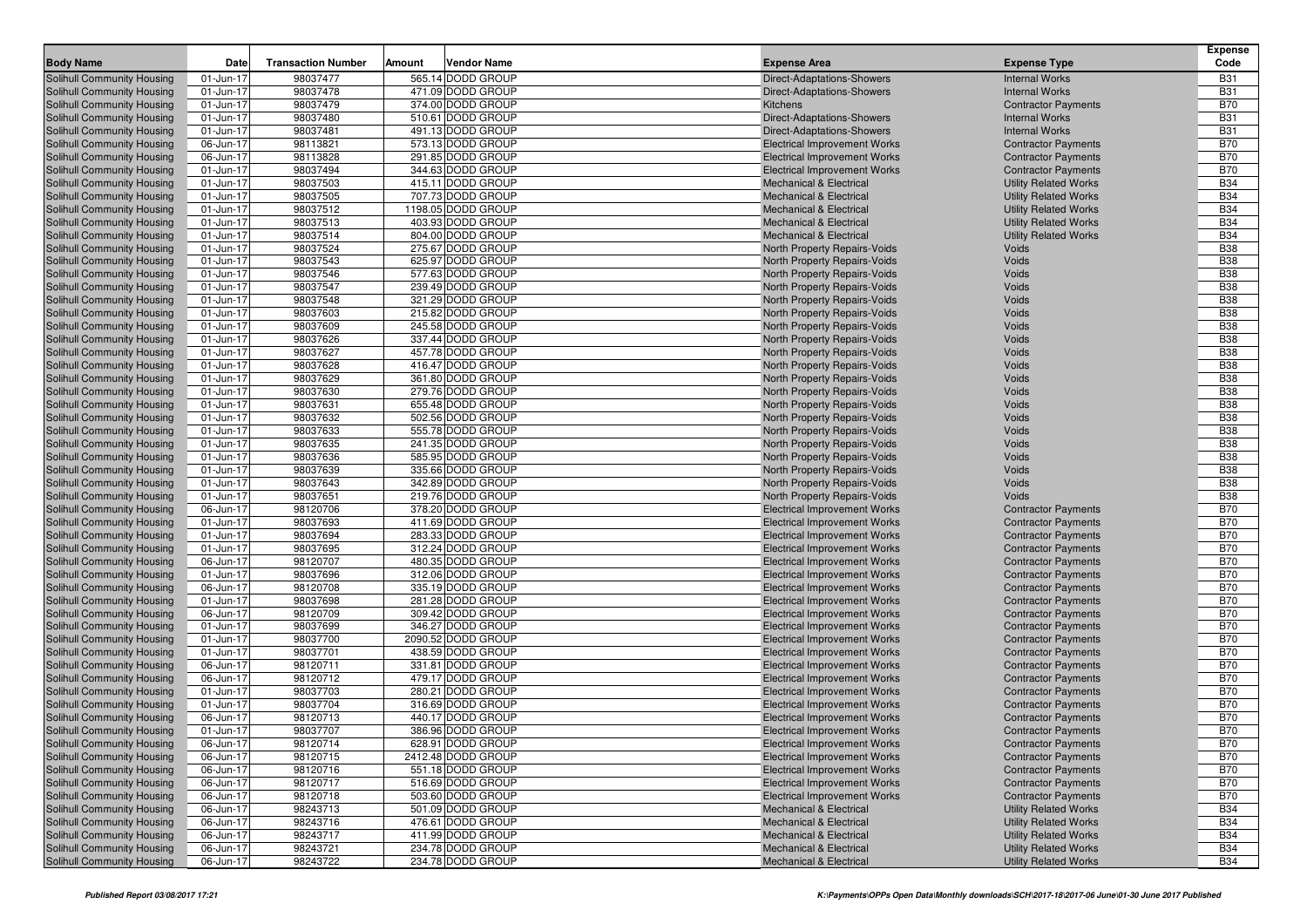| <b>Body Name</b>                                                | Date                   | <b>Transaction Number</b> | Amount | <b>Vendor Name</b>                     | <b>Expense Area</b>                                                        |                | <b>Expense Type</b>                                      | <b>Expense</b><br>Code   |
|-----------------------------------------------------------------|------------------------|---------------------------|--------|----------------------------------------|----------------------------------------------------------------------------|----------------|----------------------------------------------------------|--------------------------|
| Solihull Community Housing                                      | 01-Jun-17              | 98037477                  |        | 565.14 DODD GROUP                      | Direct-Adaptations-Showers                                                 |                | <b>Internal Works</b>                                    | <b>B31</b>               |
| Solihull Community Housing                                      | 01-Jun-17              | 98037478                  |        | 471.09 DODD GROUP                      | Direct-Adaptations-Showers                                                 |                | <b>Internal Works</b>                                    | <b>B31</b>               |
| Solihull Community Housing                                      | 01-Jun-17              | 98037479                  |        | 374.00 DODD GROUP                      | <b>Kitchens</b>                                                            |                | <b>Contractor Payments</b>                               | <b>B70</b>               |
| <b>Solihull Community Housing</b>                               | 01-Jun-17              | 98037480                  |        | 510.61 DODD GROUP                      | Direct-Adaptations-Showers                                                 |                | <b>Internal Works</b>                                    | <b>B31</b>               |
| <b>Solihull Community Housing</b>                               | 01-Jun-17              | 98037481                  |        | 491.13 DODD GROUP                      | Direct-Adaptations-Showers                                                 |                | <b>Internal Works</b>                                    | <b>B31</b>               |
| <b>Solihull Community Housing</b>                               | 06-Jun-17              | 98113821                  |        | 573.13 DODD GROUP                      | <b>Electrical Improvement Works</b>                                        |                | <b>Contractor Payments</b>                               | <b>B70</b>               |
| <b>Solihull Community Housing</b>                               | 06-Jun-17              | 98113828                  |        | 291.85 DODD GROUP                      | <b>Electrical Improvement Works</b>                                        |                | <b>Contractor Payments</b>                               | <b>B70</b>               |
| <b>Solihull Community Housing</b>                               | 01-Jun-17              | 98037494                  |        | 344.63 DODD GROUP                      | <b>Electrical Improvement Works</b>                                        |                | <b>Contractor Payments</b>                               | <b>B70</b>               |
| <b>Solihull Community Housing</b>                               | 01-Jun-17              | 98037503                  |        | 415.11 DODD GROUP                      | Mechanical & Electrical                                                    |                | <b>Utility Related Works</b>                             | <b>B34</b>               |
| <b>Solihull Community Housing</b>                               | 01-Jun-17              | 98037505                  |        | 707.73 DODD GROUP                      | <b>Mechanical &amp; Electrical</b>                                         |                | <b>Utility Related Works</b>                             | <b>B34</b>               |
| <b>Solihull Community Housing</b>                               | 01-Jun-17              | 98037512                  |        | 1198.05 DODD GROUP                     | <b>Mechanical &amp; Electrical</b>                                         |                | <b>Utility Related Works</b>                             | <b>B34</b>               |
| <b>Solihull Community Housing</b>                               | 01-Jun-17              | 98037513                  |        | 403.93 DODD GROUP                      | <b>Mechanical &amp; Electrical</b>                                         |                | <b>Utility Related Works</b>                             | <b>B34</b>               |
| <b>Solihull Community Housing</b>                               | 01-Jun-17              | 98037514                  |        | 804.00 DODD GROUP                      | <b>Mechanical &amp; Electrical</b>                                         |                | <b>Utility Related Works</b>                             | <b>B34</b>               |
| <b>Solihull Community Housing</b>                               | 01-Jun-17              | 98037524                  |        | 275.67 DODD GROUP                      | North Property Repairs-Voids                                               | Voids          |                                                          | <b>B38</b>               |
| Solihull Community Housing                                      | 01-Jun-17              | 98037543                  |        | 625.97 DODD GROUP                      | <b>North Property Repairs-Voids</b>                                        | Voids          |                                                          | <b>B38</b>               |
| Solihull Community Housing                                      | 01-Jun-17              | 98037546                  |        | 577.63 DODD GROUP                      | North Property Repairs-Voids                                               | Voids          |                                                          | <b>B38</b>               |
| Solihull Community Housing                                      | 01-Jun-17              | 98037547                  |        | 239.49 DODD GROUP                      | North Property Repairs-Voids                                               | Voids          |                                                          | <b>B38</b>               |
| Solihull Community Housing                                      | 01-Jun-17              | 98037548                  |        | 321.29 DODD GROUP                      | North Property Repairs-Voids                                               | Voids          |                                                          | <b>B38</b>               |
| Solihull Community Housing                                      | 01-Jun-17              | 98037603                  |        | 215.82 DODD GROUP                      | North Property Repairs-Voids                                               | Voids          |                                                          | <b>B38</b>               |
| <b>Solihull Community Housing</b>                               | 01-Jun-17              | 98037609                  |        | 245.58 DODD GROUP                      | <b>North Property Repairs-Voids</b>                                        | Voids          |                                                          | <b>B38</b>               |
| Solihull Community Housing                                      | 01-Jun-17              | 98037626                  |        | 337.44 DODD GROUP                      | <b>North Property Repairs-Voids</b>                                        | Voids          |                                                          | <b>B38</b>               |
| Solihull Community Housing                                      | 01-Jun-17              | 98037627                  |        | 457.78 DODD GROUP                      | North Property Repairs-Voids                                               | Voids          |                                                          | <b>B38</b>               |
| Solihull Community Housing                                      | 01-Jun-17              | 98037628                  |        | 416.47 DODD GROUP                      | North Property Repairs-Voids                                               | Voids          |                                                          | <b>B38</b>               |
| Solihull Community Housing<br>Solihull Community Housing        | 01-Jun-17              | 98037629<br>98037630      |        | 361.80 DODD GROUP<br>279.76 DODD GROUP | North Property Repairs-Voids<br><b>North Property Repairs-Voids</b>        | Voids<br>Voids |                                                          | <b>B38</b><br><b>B38</b> |
|                                                                 | 01-Jun-17<br>01-Jun-17 | 98037631                  |        | 655.48 DODD GROUP                      | North Property Repairs-Voids                                               | Voids          |                                                          | <b>B38</b>               |
| Solihull Community Housing<br><b>Solihull Community Housing</b> | 01-Jun-17              | 98037632                  |        | 502.56 DODD GROUP                      | North Property Repairs-Voids                                               | Voids          |                                                          | <b>B38</b>               |
| Solihull Community Housing                                      | 01-Jun-17              | 98037633                  |        | 555.78 DODD GROUP                      | North Property Repairs-Voids                                               | Voids          |                                                          | <b>B38</b>               |
| Solihull Community Housing                                      | 01-Jun-17              | 98037635                  |        | 241.35 DODD GROUP                      | North Property Repairs-Voids                                               | Voids          |                                                          | <b>B38</b>               |
| <b>Solihull Community Housing</b>                               | 01-Jun-17              | 98037636                  |        | 585.95 DODD GROUP                      | North Property Repairs-Voids                                               | Voids          |                                                          | <b>B38</b>               |
| Solihull Community Housing                                      | 01-Jun-17              | 98037639                  |        | 335.66 DODD GROUP                      | <b>North Property Repairs-Voids</b>                                        | Voids          |                                                          | <b>B38</b>               |
| <b>Solihull Community Housing</b>                               | 01-Jun-17              | 98037643                  |        | 342.89 DODD GROUP                      | North Property Repairs-Voids                                               | Voids          |                                                          | <b>B38</b>               |
| Solihull Community Housing                                      | 01-Jun-17              | 98037651                  |        | 219.76 DODD GROUP                      | North Property Repairs-Voids                                               | Voids          |                                                          | <b>B38</b>               |
| Solihull Community Housing                                      | 06-Jun-17              | 98120706                  |        | 378.20 DODD GROUP                      | <b>Electrical Improvement Works</b>                                        |                | <b>Contractor Payments</b>                               | <b>B70</b>               |
| <b>Solihull Community Housing</b>                               | 01-Jun-17              | 98037693                  |        | 411.69 DODD GROUP                      | <b>Electrical Improvement Works</b>                                        |                | <b>Contractor Payments</b>                               | <b>B70</b>               |
| Solihull Community Housing                                      | 01-Jun-17              | 98037694                  |        | 283.33 DODD GROUP                      | <b>Electrical Improvement Works</b>                                        |                | <b>Contractor Payments</b>                               | <b>B70</b>               |
| Solihull Community Housing                                      | 01-Jun-17              | 98037695                  |        | 312.24 DODD GROUP                      | <b>Electrical Improvement Works</b>                                        |                | <b>Contractor Payments</b>                               | <b>B70</b>               |
| <b>Solihull Community Housing</b>                               | 06-Jun-17              | 98120707                  |        | 480.35 DODD GROUP                      | <b>Electrical Improvement Works</b>                                        |                | <b>Contractor Payments</b>                               | <b>B70</b>               |
| Solihull Community Housing                                      | 01-Jun-17              | 98037696                  |        | 312.06 DODD GROUP                      | <b>Electrical Improvement Works</b>                                        |                | <b>Contractor Payments</b>                               | <b>B70</b>               |
| <b>Solihull Community Housing</b>                               | 06-Jun-17              | 98120708                  |        | 335.19 DODD GROUP                      | <b>Electrical Improvement Works</b>                                        |                | <b>Contractor Payments</b>                               | <b>B70</b>               |
| Solihull Community Housing                                      | 01-Jun-17              | 98037698                  |        | 281.28 DODD GROUP                      | <b>Electrical Improvement Works</b>                                        |                | <b>Contractor Payments</b>                               | <b>B70</b>               |
| <b>Solihull Community Housing</b>                               | 06-Jun-17              | 98120709                  |        | 309.42 DODD GROUP                      | <b>Electrical Improvement Works</b>                                        |                | <b>Contractor Payments</b>                               | <b>B70</b>               |
| Solihull Community Housing                                      | 01-Jun-17              | 98037699                  |        | 346.27 DODD GROUP                      | <b>Electrical Improvement Works</b>                                        |                | <b>Contractor Payments</b>                               | <b>B70</b>               |
| Solihull Community Housing                                      | 01-Jun-17              | 98037700                  |        | 2090.52 DODD GROUP                     | <b>Electrical Improvement Works</b>                                        |                | <b>Contractor Payments</b>                               | <b>B70</b>               |
| Solihull Community Housing                                      | 01-Jun-17              | 98037701                  |        | 438.59 DODD GROUP<br>331.81 DODD GROUP | <b>Electrical Improvement Works</b><br><b>Electrical Improvement Works</b> |                | <b>Contractor Payments</b>                               | <b>B70</b><br><b>B70</b> |
| Solihull Community Housing                                      | 06-Jun-17<br>06-Jun-17 | 98120711<br>98120712      |        | 479.17 DODD GROUP                      |                                                                            |                | <b>Contractor Payments</b><br><b>Contractor Payments</b> | <b>B70</b>               |
| Solihull Community Housing<br>Solihull Community Housing        | 01-Jun-17              | 98037703                  |        | 280.21 DODD GROUP                      | <b>Electrical Improvement Works</b><br><b>Electrical Improvement Works</b> |                | <b>Contractor Payments</b>                               | <b>B70</b>               |
| Solihull Community Housing                                      | 01-Jun-17              | 98037704                  |        | 316.69 DODD GROUP                      | <b>Electrical Improvement Works</b>                                        |                | <b>Contractor Payments</b>                               | <b>B70</b>               |
| <b>Solihull Community Housing</b>                               | 06-Jun-17              | 98120713                  |        | 440.17 DODD GROUP                      | <b>Electrical Improvement Works</b>                                        |                | <b>Contractor Payments</b>                               | <b>B70</b>               |
| <b>Solihull Community Housing</b>                               | 01-Jun-17              | 98037707                  |        | 386.96 DODD GROUP                      | <b>Electrical Improvement Works</b>                                        |                | <b>Contractor Payments</b>                               | <b>B70</b>               |
| Solihull Community Housing                                      | 06-Jun-17              | 98120714                  |        | 628.91 DODD GROUP                      | <b>Electrical Improvement Works</b>                                        |                | <b>Contractor Payments</b>                               | <b>B70</b>               |
| <b>Solihull Community Housing</b>                               | 06-Jun-17              | 98120715                  |        | 2412.48 DODD GROUP                     | <b>Electrical Improvement Works</b>                                        |                | <b>Contractor Payments</b>                               | <b>B70</b>               |
| <b>Solihull Community Housing</b>                               | 06-Jun-17              | 98120716                  |        | 551.18 DODD GROUP                      | <b>Electrical Improvement Works</b>                                        |                | <b>Contractor Payments</b>                               | <b>B70</b>               |
| Solihull Community Housing                                      | 06-Jun-17              | 98120717                  |        | 516.69 DODD GROUP                      | <b>Electrical Improvement Works</b>                                        |                | <b>Contractor Payments</b>                               | <b>B70</b>               |
| Solihull Community Housing                                      | 06-Jun-17              | 98120718                  |        | 503.60 DODD GROUP                      | <b>Electrical Improvement Works</b>                                        |                | <b>Contractor Payments</b>                               | <b>B70</b>               |
| <b>Solihull Community Housing</b>                               | 06-Jun-17              | 98243713                  |        | 501.09 DODD GROUP                      | <b>Mechanical &amp; Electrical</b>                                         |                | <b>Utility Related Works</b>                             | <b>B34</b>               |
| <b>Solihull Community Housing</b>                               | 06-Jun-17              | 98243716                  |        | 476.61 DODD GROUP                      | <b>Mechanical &amp; Electrical</b>                                         |                | <b>Utility Related Works</b>                             | <b>B34</b>               |
| Solihull Community Housing                                      | 06-Jun-17              | 98243717                  |        | 411.99 DODD GROUP                      | Mechanical & Electrical                                                    |                | <b>Utility Related Works</b>                             | <b>B34</b>               |
| <b>Solihull Community Housing</b>                               | 06-Jun-17              | 98243721                  |        | 234.78 DODD GROUP                      | <b>Mechanical &amp; Electrical</b>                                         |                | <b>Utility Related Works</b>                             | <b>B34</b>               |
| Solihull Community Housing                                      | 06-Jun-17              | 98243722                  |        | 234.78 DODD GROUP                      | Mechanical & Electrical                                                    |                | <b>Utility Related Works</b>                             | <b>B34</b>               |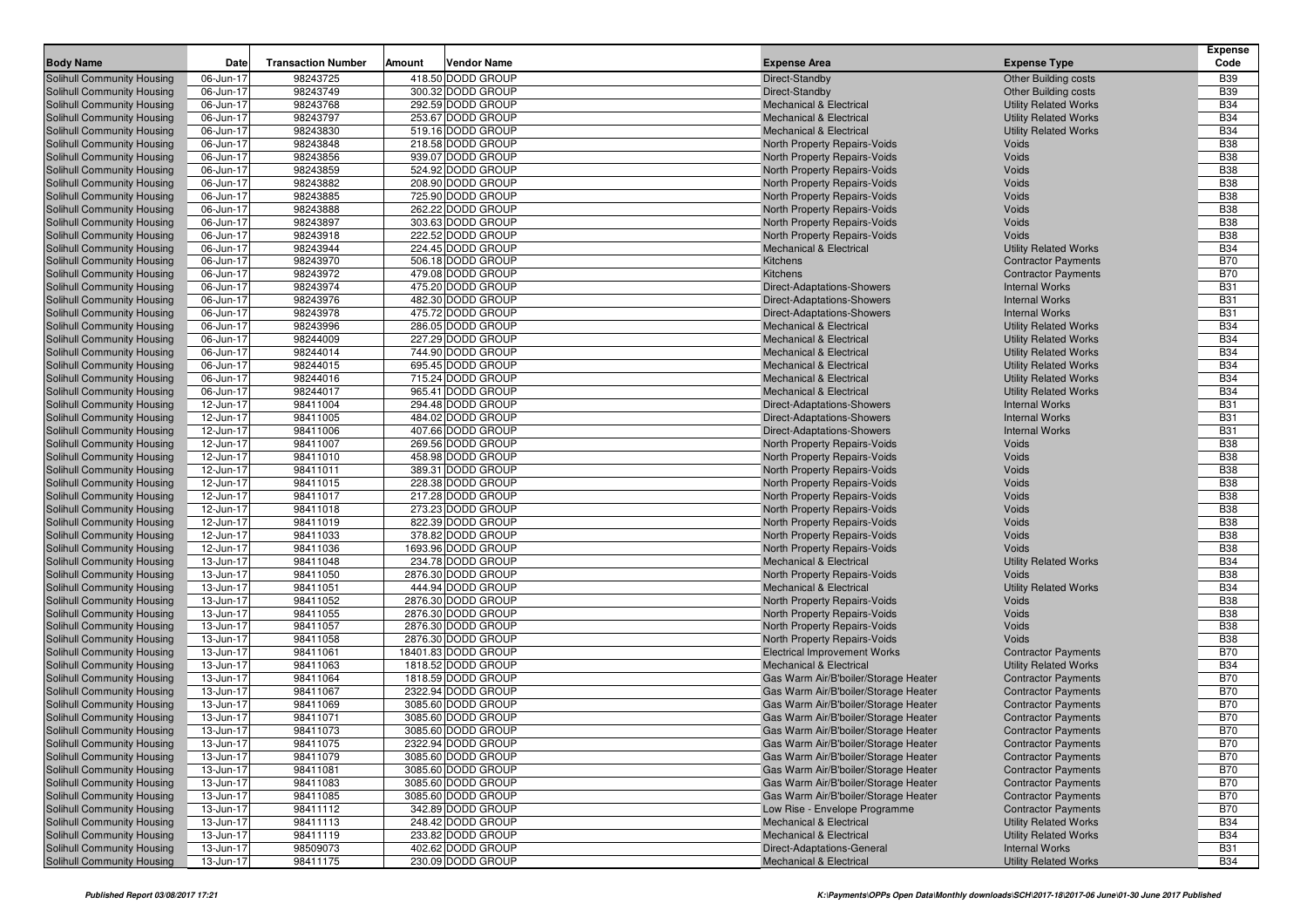| <b>Body Name</b>                                                       | <b>Date</b>            | <b>Transaction Number</b> | Amount | <b>Vendor Name</b>                      | <b>Expense Area</b>                                                      | <b>Expense Type</b>                                          | <b>Expense</b><br>Code   |
|------------------------------------------------------------------------|------------------------|---------------------------|--------|-----------------------------------------|--------------------------------------------------------------------------|--------------------------------------------------------------|--------------------------|
|                                                                        |                        |                           |        |                                         |                                                                          |                                                              |                          |
| Solihull Community Housing                                             | 06-Jun-17              | 98243725                  |        | 418.50 DODD GROUP                       | Direct-Standby                                                           | <b>Other Building costs</b>                                  | <b>B39</b>               |
| <b>Solihull Community Housing</b>                                      | 06-Jun-17              | 98243749                  |        | 300.32 DODD GROUP                       | Direct-Standby                                                           | <b>Other Building costs</b>                                  | <b>B39</b><br><b>B34</b> |
| <b>Solihull Community Housing</b><br><b>Solihull Community Housing</b> | 06-Jun-17<br>06-Jun-17 | 98243768<br>98243797      |        | 292.59 DODD GROUP<br>253.67 DODD GROUP  | <b>Mechanical &amp; Electrical</b><br><b>Mechanical &amp; Electrical</b> | <b>Utility Related Works</b><br><b>Utility Related Works</b> | <b>B34</b>               |
| <b>Solihull Community Housing</b>                                      | 06-Jun-17              | 98243830                  |        | 519.16 DODD GROUP                       | <b>Mechanical &amp; Electrical</b>                                       | <b>Utility Related Works</b>                                 | <b>B34</b>               |
| Solihull Community Housing                                             | 06-Jun-17              | 98243848                  |        | 218.58 DODD GROUP                       | North Property Repairs-Voids                                             | <b>Voids</b>                                                 | <b>B38</b>               |
| <b>Solihull Community Housing</b>                                      | 06-Jun-17              | 98243856                  |        | 939.07 DODD GROUP                       | North Property Repairs-Voids                                             | <b>Voids</b>                                                 | <b>B38</b>               |
| <b>Solihull Community Housing</b>                                      | 06-Jun-17              | 98243859                  |        | 524.92 DODD GROUP                       | North Property Repairs-Voids                                             | Voids                                                        | <b>B38</b>               |
| <b>Solihull Community Housing</b>                                      | 06-Jun-17              | 98243882                  |        | 208.90 DODD GROUP                       | North Property Repairs-Voids                                             | Voids                                                        | <b>B38</b>               |
| <b>Solihull Community Housing</b>                                      | 06-Jun-17              | 98243885                  |        | 725.90 DODD GROUP                       | North Property Repairs-Voids                                             | Voids                                                        | <b>B38</b>               |
| <b>Solihull Community Housing</b>                                      | 06-Jun-17              | 98243888                  |        | 262.22 DODD GROUP                       | North Property Repairs-Voids                                             | Voids                                                        | <b>B38</b>               |
| <b>Solihull Community Housing</b>                                      | 06-Jun-17              | 98243897                  |        | 303.63 DODD GROUP                       | North Property Repairs-Voids                                             | <b>Voids</b>                                                 | <b>B38</b>               |
| <b>Solihull Community Housing</b>                                      | 06-Jun-17              | 98243918                  |        | 222.52 DODD GROUP                       | North Property Repairs-Voids                                             | <b>Voids</b>                                                 | <b>B38</b>               |
| <b>Solihull Community Housing</b>                                      | 06-Jun-17              | 98243944                  |        | 224.45 DODD GROUP                       | <b>Mechanical &amp; Electrical</b>                                       | <b>Utility Related Works</b>                                 | <b>B34</b>               |
| <b>Solihull Community Housing</b>                                      | 06-Jun-17              | 98243970                  |        | 506.18 DODD GROUP                       | Kitchens                                                                 | <b>Contractor Payments</b>                                   | <b>B70</b>               |
| <b>Solihull Community Housing</b>                                      | 06-Jun-17              | 98243972                  |        | 479.08 DODD GROUP                       | Kitchens                                                                 | <b>Contractor Payments</b>                                   | <b>B70</b>               |
| <b>Solihull Community Housing</b>                                      | 06-Jun-17              | 98243974                  |        | 475.20 DODD GROUP                       | Direct-Adaptations-Showers                                               | <b>Internal Works</b>                                        | <b>B31</b>               |
| <b>Solihull Community Housing</b>                                      | 06-Jun-17              | 98243976                  |        | 482.30 DODD GROUP                       | Direct-Adaptations-Showers                                               | <b>Internal Works</b>                                        | <b>B31</b>               |
| <b>Solihull Community Housing</b>                                      | 06-Jun-17              | 98243978                  |        | 475.72 DODD GROUP                       | Direct-Adaptations-Showers                                               | <b>Internal Works</b>                                        | <b>B31</b>               |
| <b>Solihull Community Housing</b>                                      | 06-Jun-17              | 98243996                  |        | 286.05 DODD GROUP                       | <b>Mechanical &amp; Electrical</b>                                       | <b>Utility Related Works</b>                                 | <b>B34</b>               |
| <b>Solihull Community Housing</b>                                      | 06-Jun-17              | 98244009                  |        | 227.29 DODD GROUP                       | <b>Mechanical &amp; Electrical</b>                                       | <b>Utility Related Works</b>                                 | <b>B34</b>               |
| <b>Solihull Community Housing</b>                                      | 06-Jun-17              | 98244014                  |        | 744.90 DODD GROUP                       | <b>Mechanical &amp; Electrical</b>                                       | <b>Utility Related Works</b>                                 | <b>B34</b>               |
| <b>Solihull Community Housing</b>                                      | 06-Jun-17              | 98244015                  |        | 695.45 DODD GROUP                       | <b>Mechanical &amp; Electrical</b>                                       | <b>Utility Related Works</b>                                 | <b>B34</b>               |
| <b>Solihull Community Housing</b>                                      | 06-Jun-17              | 98244016                  |        | 715.24 DODD GROUP                       | <b>Mechanical &amp; Electrical</b>                                       | <b>Utility Related Works</b>                                 | <b>B34</b>               |
| <b>Solihull Community Housing</b>                                      | 06-Jun-17              | 98244017                  |        | 965.41 DODD GROUP                       | <b>Mechanical &amp; Electrical</b>                                       | <b>Utility Related Works</b>                                 | <b>B34</b>               |
| Solihull Community Housing                                             | 12-Jun-17              | 98411004                  |        | 294.48 DODD GROUP                       | Direct-Adaptations-Showers                                               | <b>Internal Works</b>                                        | <b>B31</b>               |
| <b>Solihull Community Housing</b>                                      | 12-Jun-17              | 98411005                  |        | 484.02 DODD GROUP                       | <b>Direct-Adaptations-Showers</b>                                        | <b>Internal Works</b>                                        | <b>B31</b>               |
| <b>Solihull Community Housing</b>                                      | 12-Jun-17              | 98411006                  |        | 407.66 DODD GROUP                       | Direct-Adaptations-Showers                                               | <b>Internal Works</b>                                        | <b>B31</b>               |
| <b>Solihull Community Housing</b>                                      | 12-Jun-17              | 98411007                  |        | 269.56 DODD GROUP                       | North Property Repairs-Voids                                             | <b>Voids</b>                                                 | <b>B38</b>               |
| <b>Solihull Community Housing</b>                                      | 12-Jun-17              | 98411010                  |        | 458.98 DODD GROUP                       | North Property Repairs-Voids                                             | Voids                                                        | <b>B38</b>               |
| Solihull Community Housing                                             | 12-Jun-17              | 98411011                  |        | 389.31 DODD GROUP                       | North Property Repairs-Voids                                             | Voids                                                        | <b>B38</b>               |
| <b>Solihull Community Housing</b>                                      | 12-Jun-17              | 98411015                  |        | 228.38 DODD GROUP                       | North Property Repairs-Voids                                             | Voids                                                        | <b>B38</b>               |
| <b>Solihull Community Housing</b>                                      | 12-Jun-17              | 98411017                  |        | 217.28 DODD GROUP                       | North Property Repairs-Voids                                             | Voids                                                        | <b>B38</b>               |
| <b>Solihull Community Housing</b>                                      | 12-Jun-17              | 98411018                  |        | 273.23 DODD GROUP                       | North Property Repairs-Voids                                             | Voids                                                        | <b>B38</b>               |
| <b>Solihull Community Housing</b>                                      | 12-Jun-17              | 98411019                  |        | 822.39 DODD GROUP                       | North Property Repairs-Voids                                             | Voids                                                        | <b>B38</b>               |
| <b>Solihull Community Housing</b>                                      | 12-Jun-17              | 98411033                  |        | 378.82 DODD GROUP                       | North Property Repairs-Voids                                             | <b>Voids</b>                                                 | <b>B38</b><br><b>B38</b> |
| <b>Solihull Community Housing</b>                                      | 12-Jun-17<br>13-Jun-17 | 98411036<br>98411048      |        | 1693.96 DODD GROUP<br>234.78 DODD GROUP | North Property Repairs-Voids<br><b>Mechanical &amp; Electrical</b>       | <b>Voids</b><br><b>Utility Related Works</b>                 | <b>B34</b>               |
| <b>Solihull Community Housing</b><br><b>Solihull Community Housing</b> | 13-Jun-17              | 98411050                  |        | 2876.30 DODD GROUP                      | North Property Repairs-Voids                                             | <b>Voids</b>                                                 | <b>B38</b>               |
| <b>Solihull Community Housing</b>                                      | 13-Jun-17              | 98411051                  |        | 444.94 DODD GROUP                       | <b>Mechanical &amp; Electrical</b>                                       | <b>Utility Related Works</b>                                 | <b>B34</b>               |
| <b>Solihull Community Housing</b>                                      | 13-Jun-17              | 98411052                  |        | 2876.30 DODD GROUP                      | North Property Repairs-Voids                                             | <b>Voids</b>                                                 | <b>B38</b>               |
| <b>Solihull Community Housing</b>                                      | 13-Jun-17              | 98411055                  |        | 2876.30 DODD GROUP                      | North Property Repairs-Voids                                             | <b>Voids</b>                                                 | <b>B38</b>               |
| <b>Solihull Community Housing</b>                                      | 13-Jun-17              | 98411057                  |        | 2876.30 DODD GROUP                      | North Property Repairs-Voids                                             | <b>Voids</b>                                                 | <b>B</b> 38              |
| <b>Solihull Community Housing</b>                                      | 13-Jun-17              | 98411058                  |        | 2876.30 DODD GROUP                      | North Property Repairs-Voids                                             | <b>Voids</b>                                                 | <b>B38</b>               |
| <b>Solihull Community Housing</b>                                      | 13-Jun-17              | 98411061                  |        | 18401.83 DODD GROUP                     | <b>Electrical Improvement Works</b>                                      | <b>Contractor Payments</b>                                   | <b>B70</b>               |
| <b>Solihull Community Housing</b>                                      | 13-Jun-17              | 98411063                  |        | 1818.52 DODD GROUP                      | <b>Mechanical &amp; Electrical</b>                                       | <b>Utility Related Works</b>                                 | <b>B34</b>               |
| Solihull Community Housing                                             | 13-Jun-17              | 98411064                  |        | 1818.59 DODD GROUP                      | Gas Warm Air/B'boiler/Storage Heater                                     | <b>Contractor Payments</b>                                   | <b>B70</b>               |
| <b>Solihull Community Housing</b>                                      | 13-Jun-17              | 98411067                  |        | 2322.94 DODD GROUP                      | Gas Warm Air/B'boiler/Storage Heater                                     | <b>Contractor Payments</b>                                   | <b>B70</b>               |
| <b>Solihull Community Housing</b>                                      | 13-Jun-17              | 98411069                  |        | 3085.60 DODD GROUP                      | Gas Warm Air/B'boiler/Storage Heater                                     | <b>Contractor Payments</b>                                   | <b>B70</b>               |
| <b>Solihull Community Housing</b>                                      | 13-Jun-17              | 98411071                  |        | 3085.60 DODD GROUP                      | Gas Warm Air/B'boiler/Storage Heater                                     | <b>Contractor Payments</b>                                   | <b>B70</b>               |
| <b>Solihull Community Housing</b>                                      | 13-Jun-17              | 98411073                  |        | 3085.60 DODD GROUP                      | Gas Warm Air/B'boiler/Storage Heater                                     | <b>Contractor Payments</b>                                   | <b>B70</b>               |
| Solihull Community Housing                                             | 13-Jun-17              | 98411075                  |        | 2322.94 DODD GROUP                      | Gas Warm Air/B'boiler/Storage Heater                                     | <b>Contractor Payments</b>                                   | <b>B70</b>               |
| Solihull Community Housing                                             | 13-Jun-17              | 98411079                  |        | 3085.60 DODD GROUP                      | Gas Warm Air/B'boiler/Storage Heater                                     | <b>Contractor Payments</b>                                   | <b>B70</b>               |
| Solihull Community Housing                                             | 13-Jun-17              | 98411081                  |        | 3085.60 DODD GROUP                      | Gas Warm Air/B'boiler/Storage Heater                                     | <b>Contractor Payments</b>                                   | <b>B70</b>               |
| <b>Solihull Community Housing</b>                                      | 13-Jun-17              | 98411083                  |        | 3085.60 DODD GROUP                      | Gas Warm Air/B'boiler/Storage Heater                                     | <b>Contractor Payments</b>                                   | <b>B70</b>               |
| <b>Solihull Community Housing</b>                                      | 13-Jun-17              | 98411085                  |        | 3085.60 DODD GROUP                      | Gas Warm Air/B'boiler/Storage Heater                                     | <b>Contractor Payments</b>                                   | <b>B70</b>               |
| <b>Solihull Community Housing</b>                                      | 13-Jun-17              | 98411112                  |        | 342.89 DODD GROUP                       | Low Rise - Envelope Programme                                            | <b>Contractor Payments</b>                                   | <b>B70</b>               |
| <b>Solihull Community Housing</b>                                      | 13-Jun-17              | 98411113                  |        | 248.42 DODD GROUP                       | <b>Mechanical &amp; Electrical</b>                                       | <b>Utility Related Works</b>                                 | <b>B34</b>               |
| Solihull Community Housing                                             | 13-Jun-17              | 98411119                  |        | 233.82 DODD GROUP                       | Mechanical & Electrical                                                  | <b>Utility Related Works</b>                                 | <b>B34</b>               |
| Solihull Community Housing                                             | 13-Jun-17              | 98509073                  |        | 402.62 DODD GROUP                       | Direct-Adaptations-General                                               | <b>Internal Works</b>                                        | <b>B31</b>               |
| <b>Solihull Community Housing</b>                                      | 13-Jun-17              | 98411175                  |        | 230.09 DODD GROUP                       | Mechanical & Electrical                                                  | <b>Utility Related Works</b>                                 | <b>B34</b>               |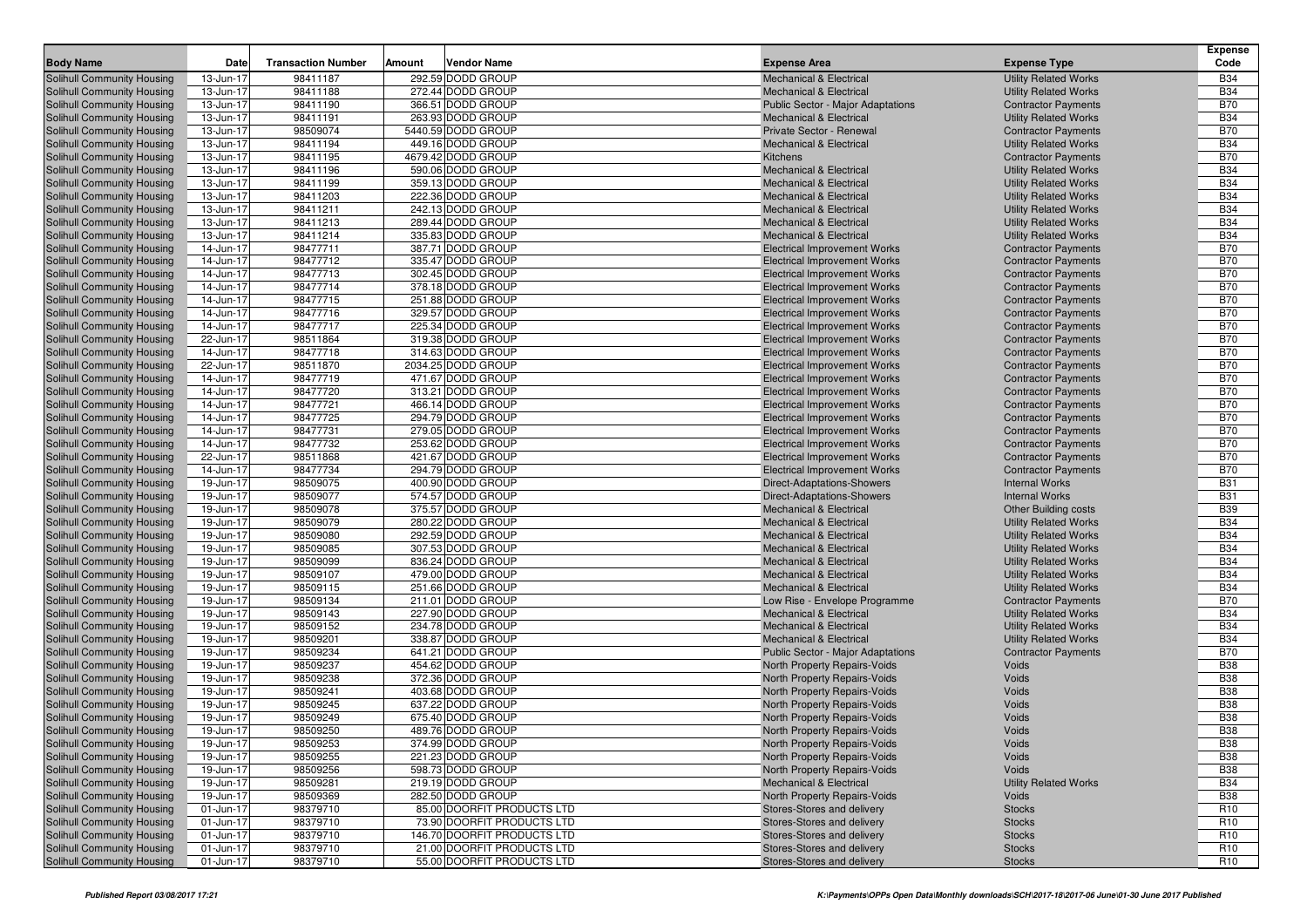| <b>Body Name</b>                                                | <b>Date</b>            | <b>Transaction Number</b> | Amount | <b>Vendor Name</b>                     | <b>Expense Area</b>                                                      | <b>Expense Type</b>                                          | <b>Expense</b><br>Code   |
|-----------------------------------------------------------------|------------------------|---------------------------|--------|----------------------------------------|--------------------------------------------------------------------------|--------------------------------------------------------------|--------------------------|
| Solihull Community Housing                                      | 13-Jun-17              | 98411187                  |        | 292.59 DODD GROUP                      | <b>Mechanical &amp; Electrical</b>                                       | <b>Utility Related Works</b>                                 | <b>B34</b>               |
| Solihull Community Housing                                      | 13-Jun-17              | 98411188                  |        | 272.44 DODD GROUP                      | <b>Mechanical &amp; Electrical</b>                                       | <b>Utility Related Works</b>                                 | <b>B34</b>               |
| Solihull Community Housing                                      | 13-Jun-17              | 98411190                  |        | 366.51 DODD GROUP                      | Public Sector - Major Adaptations                                        | <b>Contractor Payments</b>                                   | <b>B70</b>               |
| Solihull Community Housing                                      | 13-Jun-17              | 98411191                  |        | 263.93 DODD GROUP                      | <b>Mechanical &amp; Electrical</b>                                       | <b>Utility Related Works</b>                                 | <b>B34</b>               |
| Solihull Community Housing                                      | 13-Jun-17              | 98509074                  |        | 5440.59 DODD GROUP                     | Private Sector - Renewal                                                 | <b>Contractor Payments</b>                                   | <b>B70</b>               |
| <b>Solihull Community Housing</b>                               | 13-Jun-17              | 98411194                  |        | 449.16 DODD GROUP                      | <b>Mechanical &amp; Electrical</b>                                       | <b>Utility Related Works</b>                                 | <b>B34</b>               |
| <b>Solihull Community Housing</b>                               | 13-Jun-17              | 98411195                  |        | 4679.42 DODD GROUP                     | Kitchens                                                                 | <b>Contractor Payments</b>                                   | <b>B70</b>               |
| <b>Solihull Community Housing</b>                               | 13-Jun-17              | 98411196                  |        | 590.06 DODD GROUP                      | <b>Mechanical &amp; Electrical</b>                                       | <b>Utility Related Works</b>                                 | <b>B34</b>               |
| Solihull Community Housing                                      | 13-Jun-17              | 98411199                  |        | 359.13 DODD GROUP                      | <b>Mechanical &amp; Electrical</b>                                       | <b>Utility Related Works</b>                                 | <b>B34</b>               |
| Solihull Community Housing                                      | 13-Jun-17              | 98411203                  |        | 222.36 DODD GROUP                      | <b>Mechanical &amp; Electrical</b>                                       | <b>Utility Related Works</b>                                 | <b>B34</b>               |
| <b>Solihull Community Housing</b>                               | 13-Jun-17              | 98411211                  |        | 242.13 DODD GROUP                      | <b>Mechanical &amp; Electrical</b>                                       | <b>Utility Related Works</b>                                 | <b>B34</b>               |
| Solihull Community Housing                                      | 13-Jun-17              | 98411213                  |        | 289.44 DODD GROUP                      | <b>Mechanical &amp; Electrical</b>                                       | <b>Utility Related Works</b>                                 | <b>B34</b>               |
| Solihull Community Housing                                      | 13-Jun-17              | 98411214                  |        | 335.83 DODD GROUP                      | <b>Mechanical &amp; Electrical</b>                                       | <b>Utility Related Works</b>                                 | <b>B34</b>               |
| <b>Solihull Community Housing</b>                               | 14-Jun-17              | 98477711                  |        | 387.71 DODD GROUP                      | <b>Electrical Improvement Works</b>                                      | <b>Contractor Payments</b>                                   | <b>B70</b>               |
| Solihull Community Housing                                      | 14-Jun-17              | 98477712                  |        | 335.47 DODD GROUP                      | <b>Electrical Improvement Works</b>                                      | <b>Contractor Payments</b>                                   | <b>B70</b>               |
| <b>Solihull Community Housing</b>                               | 14-Jun-17              | 98477713                  |        | 302.45 DODD GROUP                      | <b>Electrical Improvement Works</b>                                      | <b>Contractor Payments</b>                                   | <b>B70</b>               |
| <b>Solihull Community Housing</b>                               | 14-Jun-17              | 98477714                  |        | 378.18 DODD GROUP                      | <b>Electrical Improvement Works</b>                                      | <b>Contractor Payments</b>                                   | <b>B70</b>               |
| Solihull Community Housing                                      | 14-Jun-17              | 98477715                  |        | 251.88 DODD GROUP                      | <b>Electrical Improvement Works</b>                                      | <b>Contractor Payments</b>                                   | <b>B70</b>               |
| Solihull Community Housing                                      | 14-Jun-17              | 98477716                  |        | 329.57 DODD GROUP                      | <b>Electrical Improvement Works</b>                                      | <b>Contractor Payments</b>                                   | <b>B70</b>               |
| Solihull Community Housing                                      | 14-Jun-17              | 98477717                  |        | 225.34 DODD GROUP                      | <b>Electrical Improvement Works</b>                                      | <b>Contractor Payments</b>                                   | <b>B70</b>               |
| <b>Solihull Community Housing</b>                               | 22-Jun-17              | 98511864                  |        | 319.38 DODD GROUP                      | <b>Electrical Improvement Works</b>                                      | <b>Contractor Payments</b>                                   | <b>B70</b>               |
| Solihull Community Housing                                      | 14-Jun-17              | 98477718                  |        | 314.63 DODD GROUP                      | <b>Electrical Improvement Works</b>                                      | <b>Contractor Payments</b>                                   | <b>B70</b>               |
| Solihull Community Housing                                      | 22-Jun-17              | 98511870                  |        | 2034.25 DODD GROUP                     | <b>Electrical Improvement Works</b>                                      | <b>Contractor Payments</b>                                   | <b>B70</b>               |
| Solihull Community Housing                                      | 14-Jun-17              | 98477719                  |        | 471.67 DODD GROUP                      | <b>Electrical Improvement Works</b>                                      | <b>Contractor Payments</b>                                   | <b>B70</b>               |
| Solihull Community Housing                                      | 14-Jun-17              | 98477720                  |        | 313.21 DODD GROUP                      | <b>Electrical Improvement Works</b>                                      | <b>Contractor Payments</b>                                   | <b>B70</b>               |
| <b>Solihull Community Housing</b>                               | 14-Jun-17              | 98477721                  |        | 466.14 DODD GROUP                      | <b>Electrical Improvement Works</b>                                      | <b>Contractor Payments</b>                                   | <b>B70</b>               |
| Solihull Community Housing                                      | 14-Jun-17              | 98477725                  |        | 294.79 DODD GROUP                      | <b>Electrical Improvement Works</b>                                      | <b>Contractor Payments</b>                                   | <b>B70</b>               |
| Solihull Community Housing                                      | 14-Jun-17              | 98477731                  |        | 279.05 DODD GROUP                      | <b>Electrical Improvement Works</b>                                      | <b>Contractor Payments</b>                                   | <b>B70</b>               |
| Solihull Community Housing                                      | 14-Jun-17              | 98477732                  |        | 253.62 DODD GROUP                      | <b>Electrical Improvement Works</b>                                      | <b>Contractor Payments</b>                                   | <b>B70</b>               |
| Solihull Community Housing                                      | 22-Jun-17              | 98511868                  |        | 421.67 DODD GROUP                      | <b>Electrical Improvement Works</b>                                      | <b>Contractor Payments</b>                                   | <b>B70</b>               |
| <b>Solihull Community Housing</b>                               | 14-Jun-17              | 98477734                  |        | 294.79 DODD GROUP                      | <b>Electrical Improvement Works</b>                                      | <b>Contractor Payments</b>                                   | <b>B70</b>               |
| Solihull Community Housing                                      | 19-Jun-17              | 98509075                  |        | 400.90 DODD GROUP                      | <b>Direct-Adaptations-Showers</b>                                        | <b>Internal Works</b>                                        | <b>B31</b>               |
| Solihull Community Housing                                      | 19-Jun-17              | 98509077                  |        | 574.57 DODD GROUP                      | Direct-Adaptations-Showers                                               | <b>Internal Works</b>                                        | <b>B31</b>               |
| Solihull Community Housing                                      | 19-Jun-17              | 98509078                  |        | 375.57 DODD GROUP<br>280.22 DODD GROUP | <b>Mechanical &amp; Electrical</b>                                       | <b>Other Building costs</b>                                  | <b>B39</b><br><b>B34</b> |
| Solihull Community Housing                                      | 19-Jun-17              | 98509079                  |        |                                        | <b>Mechanical &amp; Electrical</b>                                       | <b>Utility Related Works</b>                                 | <b>B34</b>               |
| <b>Solihull Community Housing</b><br>Solihull Community Housing | 19-Jun-17<br>19-Jun-17 | 98509080<br>98509085      |        | 292.59 DODD GROUP<br>307.53 DODD GROUP | <b>Mechanical &amp; Electrical</b><br><b>Mechanical &amp; Electrical</b> | <b>Utility Related Works</b><br><b>Utility Related Works</b> | <b>B34</b>               |
| Solihull Community Housing                                      | 19-Jun-17              | 98509099                  |        | 836.24 DODD GROUP                      | <b>Mechanical &amp; Electrical</b>                                       | <b>Utility Related Works</b>                                 | <b>B34</b>               |
| Solihull Community Housing                                      | 19-Jun-17              | 98509107                  |        | 479.00 DODD GROUP                      | <b>Mechanical &amp; Electrical</b>                                       | <b>Utility Related Works</b>                                 | <b>B34</b>               |
| Solihull Community Housing                                      | 19-Jun-17              | 98509115                  |        | 251.66 DODD GROUP                      | <b>Mechanical &amp; Electrical</b>                                       | <b>Utility Related Works</b>                                 | <b>B34</b>               |
| <b>Solihull Community Housing</b>                               | 19-Jun-17              | 98509134                  |        | 211.01 DODD GROUP                      | Low Rise - Envelope Programme                                            | <b>Contractor Payments</b>                                   | <b>B70</b>               |
| Solihull Community Housing                                      | 19-Jun-17              | 98509143                  |        | 227.90 DODD GROUP                      | <b>Mechanical &amp; Electrical</b>                                       | <b>Utility Related Works</b>                                 | <b>B34</b>               |
| Solihull Community Housing                                      | 19-Jun-17              | 98509152                  |        | 234.78 DODD GROUP                      | <b>Mechanical &amp; Electrical</b>                                       | <b>Utility Related Works</b>                                 | <b>B34</b>               |
| Solihull Community Housing                                      | 19-Jun-17              | 98509201                  |        | 338.87 DODD GROUP                      | <b>Mechanical &amp; Electrical</b>                                       | <b>Utility Related Works</b>                                 | <b>B34</b>               |
| Solihull Community Housing                                      | 19-Jun-17              | 98509234                  |        | 641.21 DODD GROUP                      | <b>Public Sector - Major Adaptations</b>                                 | <b>Contractor Payments</b>                                   | <b>B70</b>               |
| Solihull Community Housing                                      | 19-Jun-17              | 98509237                  |        | 454.62 DODD GROUP                      | North Property Repairs-Voids                                             | Voids                                                        | <b>B38</b>               |
| Solihull Community Housing                                      | 19-Jun-17              | 98509238                  |        | 372.36 DODD GROUP                      | North Property Repairs-Voids                                             | Voids                                                        | <b>B38</b>               |
| Solihull Community Housing                                      | 19-Jun-17              | 98509241                  |        | 403.68 DODD GROUP                      | North Property Repairs-Voids                                             | Voids                                                        | <b>B38</b>               |
| <b>Solihull Community Housing</b>                               | 19-Jun-17              | 98509245                  |        | 637.22 DODD GROUP                      | North Property Repairs-Voids                                             | Voids                                                        | <b>B38</b>               |
| Solihull Community Housing                                      | 19-Jun-17              | 98509249                  |        | 675.40 DODD GROUP                      | <b>North Property Repairs-Voids</b>                                      | Voids                                                        | <b>B38</b>               |
| Solihull Community Housing                                      | 19-Jun-17              | 98509250                  |        | 489.76 DODD GROUP                      | North Property Repairs-Voids                                             | Voids                                                        | <b>B38</b>               |
| Solihull Community Housing                                      | 19-Jun-17              | 98509253                  |        | 374.99 DODD GROUP                      | North Property Repairs-Voids                                             | Voids                                                        | <b>B38</b>               |
| Solihull Community Housing                                      | 19-Jun-17              | 98509255                  |        | 221.23 DODD GROUP                      | North Property Repairs-Voids                                             | Voids                                                        | <b>B38</b>               |
| Solihull Community Housing                                      | 19-Jun-17              | 98509256                  |        | 598.73 DODD GROUP                      | <b>North Property Repairs-Voids</b>                                      | Voids                                                        | <b>B</b> 38              |
| Solihull Community Housing                                      | 19-Jun-17              | 98509281                  |        | 219.19 DODD GROUP                      | <b>Mechanical &amp; Electrical</b>                                       | <b>Utility Related Works</b>                                 | <b>B34</b>               |
| Solihull Community Housing                                      | 19-Jun-17              | 98509369                  |        | 282.50 DODD GROUP                      | North Property Repairs-Voids                                             | Voids                                                        | <b>B38</b>               |
| Solihull Community Housing                                      | 01-Jun-17              | 98379710                  |        | 85.00 DOORFIT PRODUCTS LTD             | Stores-Stores and delivery                                               | <b>Stocks</b>                                                | R <sub>10</sub>          |
| Solihull Community Housing                                      | 01-Jun-17              | 98379710                  |        | 73.90 DOORFIT PRODUCTS LTD             | Stores-Stores and delivery                                               | <b>Stocks</b>                                                | R <sub>10</sub>          |
| Solihull Community Housing                                      | 01-Jun-17              | 98379710                  |        | 146.70 DOORFIT PRODUCTS LTD            | Stores-Stores and delivery                                               | <b>Stocks</b>                                                | R <sub>10</sub>          |
| Solihull Community Housing                                      | 01-Jun-17              | 98379710                  |        | 21.00 DOORFIT PRODUCTS LTD             | Stores-Stores and delivery                                               | <b>Stocks</b>                                                | R <sub>10</sub>          |
| Solihull Community Housing                                      | 01-Jun-17              | 98379710                  |        | 55.00 DOORFIT PRODUCTS LTD             | Stores-Stores and delivery                                               | <b>Stocks</b>                                                | R <sub>10</sub>          |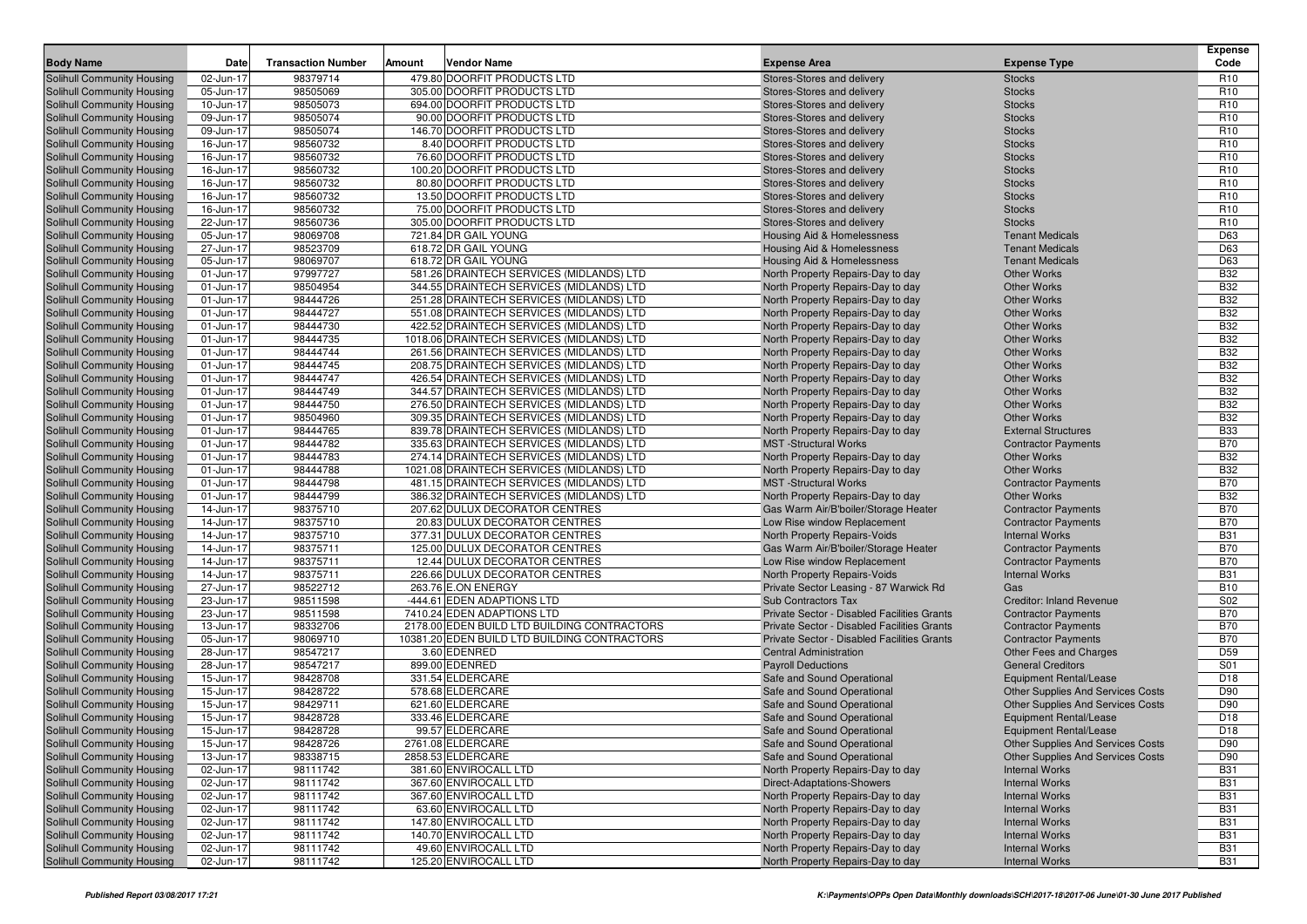| <b>Body Name</b>                                                       | Date                   | <b>Transaction Number</b> | Amount | <b>Vendor Name</b>                                                                          | <b>Expense Area</b>                                                                        | <b>Expense Type</b>                                  | <b>Expense</b><br>Code   |
|------------------------------------------------------------------------|------------------------|---------------------------|--------|---------------------------------------------------------------------------------------------|--------------------------------------------------------------------------------------------|------------------------------------------------------|--------------------------|
| Solihull Community Housing                                             | 02-Jun-17              | 98379714                  |        | 479.80 DOORFIT PRODUCTS LTD                                                                 | Stores-Stores and delivery                                                                 | <b>Stocks</b>                                        | R <sub>10</sub>          |
| Solihull Community Housing                                             | 05-Jun-17              | 98505069                  |        | 305.00 DOORFIT PRODUCTS LTD                                                                 | Stores-Stores and delivery                                                                 | <b>Stocks</b>                                        | R <sub>10</sub>          |
| <b>Solihull Community Housing</b>                                      | 10-Jun-17              | 98505073                  |        | 694.00 DOORFIT PRODUCTS LTD                                                                 | Stores-Stores and delivery                                                                 | <b>Stocks</b>                                        | R <sub>10</sub>          |
| <b>Solihull Community Housing</b>                                      | 09-Jun-17              | 98505074                  |        | 90.00 DOORFIT PRODUCTS LTD                                                                  | Stores-Stores and delivery                                                                 | <b>Stocks</b>                                        | R <sub>10</sub>          |
| Solihull Community Housing                                             | 09-Jun-17              | 98505074                  |        | 146.70 DOORFIT PRODUCTS LTD                                                                 | Stores-Stores and delivery                                                                 | <b>Stocks</b>                                        | R <sub>10</sub>          |
| <b>Solihull Community Housing</b>                                      | 16-Jun-17              | 98560732                  |        | 8.40 DOORFIT PRODUCTS LTD                                                                   | Stores-Stores and delivery                                                                 | <b>Stocks</b>                                        | R <sub>10</sub>          |
| <b>Solihull Community Housing</b>                                      | 16-Jun-17              | 98560732                  |        | 76.60 DOORFIT PRODUCTS LTD                                                                  | Stores-Stores and delivery                                                                 | <b>Stocks</b>                                        | R <sub>10</sub>          |
| <b>Solihull Community Housing</b>                                      | 16-Jun-17              | 98560732                  |        | 100.20 DOORFIT PRODUCTS LTD                                                                 | Stores-Stores and delivery                                                                 | <b>Stocks</b>                                        | R <sub>10</sub>          |
| <b>Solihull Community Housing</b>                                      | 16-Jun-17              | 98560732                  |        | 80.80 DOORFIT PRODUCTS LTD                                                                  | Stores-Stores and delivery                                                                 | <b>Stocks</b>                                        | R <sub>10</sub>          |
| <b>Solihull Community Housing</b>                                      | 16-Jun-17              | 98560732                  |        | 13.50 DOORFIT PRODUCTS LTD                                                                  | Stores-Stores and delivery                                                                 | <b>Stocks</b>                                        | R <sub>10</sub>          |
| <b>Solihull Community Housing</b>                                      | 16-Jun-17              | 98560732                  |        | 75.00 DOORFIT PRODUCTS LTD                                                                  | Stores-Stores and delivery                                                                 | <b>Stocks</b>                                        | R <sub>10</sub>          |
| Solihull Community Housing                                             | 22-Jun-17              | 98560736                  |        | 305.00 DOORFIT PRODUCTS LTD                                                                 | Stores-Stores and delivery                                                                 | <b>Stocks</b>                                        | R <sub>10</sub>          |
| <b>Solihull Community Housing</b>                                      | 05-Jun-17              | 98069708                  |        | 721.84 DR GAIL YOUNG                                                                        | Housing Aid & Homelessness                                                                 | <b>Tenant Medicals</b>                               | D63                      |
| <b>Solihull Community Housing</b>                                      | 27-Jun-17              | 98523709                  |        | 618.72 DR GAIL YOUNG                                                                        | Housing Aid & Homelessness                                                                 | <b>Tenant Medicals</b>                               | D63                      |
| <b>Solihull Community Housing</b>                                      | 05-Jun-17              | 98069707                  |        | 618.72 DR GAIL YOUNG                                                                        | Housing Aid & Homelessness                                                                 | <b>Tenant Medicals</b>                               | D63                      |
| <b>Solihull Community Housing</b>                                      | 01-Jun-17              | 97997727                  |        | 581.26 DRAINTECH SERVICES (MIDLANDS) LTD                                                    | North Property Repairs-Day to day                                                          | <b>Other Works</b>                                   | <b>B32</b>               |
| <b>Solihull Community Housing</b>                                      | 01-Jun-17              | 98504954                  |        | 344.55 DRAINTECH SERVICES (MIDLANDS) LTD                                                    | North Property Repairs-Day to day                                                          | <b>Other Works</b>                                   | <b>B32</b>               |
| <b>Solihull Community Housing</b>                                      | 01-Jun-17              | 98444726                  |        | 251.28 DRAINTECH SERVICES (MIDLANDS) LTD                                                    | North Property Repairs-Day to day                                                          | <b>Other Works</b>                                   | <b>B32</b>               |
| <b>Solihull Community Housing</b>                                      | 01-Jun-17              | 98444727                  |        | 551.08 DRAINTECH SERVICES (MIDLANDS) LTD                                                    | North Property Repairs-Day to day                                                          | <b>Other Works</b>                                   | <b>B32</b>               |
| <b>Solihull Community Housing</b>                                      | 01-Jun-17              | 98444730<br>98444735      |        | 422.52 DRAINTECH SERVICES (MIDLANDS) LTD                                                    | North Property Repairs-Day to day                                                          | <b>Other Works</b>                                   | <b>B32</b><br><b>B32</b> |
| <b>Solihull Community Housing</b>                                      | 01-Jun-17              | 98444744                  |        | 1018.06 DRAINTECH SERVICES (MIDLANDS) LTD<br>261.56 DRAINTECH SERVICES (MIDLANDS) LTD       | North Property Repairs-Day to day                                                          | <b>Other Works</b><br><b>Other Works</b>             | <b>B32</b>               |
| <b>Solihull Community Housing</b><br><b>Solihull Community Housing</b> | 01-Jun-17<br>01-Jun-17 | 98444745                  |        | 208.75 DRAINTECH SERVICES (MIDLANDS) LTD                                                    | North Property Repairs-Day to day<br>North Property Repairs-Day to day                     | <b>Other Works</b>                                   | <b>B32</b>               |
| <b>Solihull Community Housing</b>                                      | 01-Jun-17              | 98444747                  |        | 426.54 DRAINTECH SERVICES (MIDLANDS) LTD                                                    | North Property Repairs-Day to day                                                          | <b>Other Works</b>                                   | <b>B32</b>               |
| Solihull Community Housing                                             | 01-Jun-17              | 98444749                  |        | 344.57 DRAINTECH SERVICES (MIDLANDS) LTD                                                    | North Property Repairs-Day to day                                                          | <b>Other Works</b>                                   | <b>B32</b>               |
| Solihull Community Housing                                             | 01-Jun-17              | 98444750                  |        | 276.50 DRAINTECH SERVICES (MIDLANDS) LTD                                                    | North Property Repairs-Day to day                                                          | <b>Other Works</b>                                   | <b>B32</b>               |
| <b>Solihull Community Housing</b>                                      | 01-Jun-17              | 98504960                  |        | 309.35 DRAINTECH SERVICES (MIDLANDS) LTD                                                    | North Property Repairs-Day to day                                                          | <b>Other Works</b>                                   | B32                      |
| <b>Solihull Community Housing</b>                                      | 01-Jun-17              | 98444765                  |        | 839.78 DRAINTECH SERVICES (MIDLANDS) LTD                                                    | North Property Repairs-Day to day                                                          | <b>External Structures</b>                           | <b>B33</b>               |
| Solihull Community Housing                                             | 01-Jun-17              | 98444782                  |        | 335.63 DRAINTECH SERVICES (MIDLANDS) LTD                                                    | <b>MST</b> -Structural Works                                                               | <b>Contractor Payments</b>                           | <b>B70</b>               |
| Solihull Community Housing                                             | 01-Jun-17              | 98444783                  |        | 274.14 DRAINTECH SERVICES (MIDLANDS) LTD                                                    | North Property Repairs-Day to day                                                          | <b>Other Works</b>                                   | <b>B32</b>               |
| <b>Solihull Community Housing</b>                                      | 01-Jun-17              | 98444788                  |        | 1021.08 DRAINTECH SERVICES (MIDLANDS) LTD                                                   | North Property Repairs-Day to day                                                          | <b>Other Works</b>                                   | <b>B32</b>               |
| <b>Solihull Community Housing</b>                                      | 01-Jun-17              | 98444798                  |        | 481.15 DRAINTECH SERVICES (MIDLANDS) LTD                                                    | <b>MST</b> -Structural Works                                                               | <b>Contractor Payments</b>                           | <b>B70</b>               |
| <b>Solihull Community Housing</b>                                      | 01-Jun-17              | 98444799                  |        | 386.32 DRAINTECH SERVICES (MIDLANDS) LTD                                                    | North Property Repairs-Day to day                                                          | <b>Other Works</b>                                   | <b>B32</b>               |
| <b>Solihull Community Housing</b>                                      | 14-Jun-17              | 98375710                  |        | 207.62 DULUX DECORATOR CENTRES                                                              | Gas Warm Air/B'boiler/Storage Heater                                                       | <b>Contractor Payments</b>                           | <b>B70</b>               |
| <b>Solihull Community Housing</b>                                      | 14-Jun-17              | 98375710                  |        | 20.83 DULUX DECORATOR CENTRES                                                               | Low Rise window Replacement                                                                | <b>Contractor Payments</b>                           | <b>B70</b>               |
| <b>Solihull Community Housing</b>                                      | 14-Jun-17              | 98375710                  |        | 377.31 DULUX DECORATOR CENTRES                                                              | North Property Repairs-Voids                                                               | <b>Internal Works</b>                                | <b>B31</b>               |
| <b>Solihull Community Housing</b>                                      | 14-Jun-17              | 98375711                  |        | 125.00 DULUX DECORATOR CENTRES                                                              | Gas Warm Air/B'boiler/Storage Heater                                                       | <b>Contractor Payments</b>                           | <b>B70</b>               |
| <b>Solihull Community Housing</b>                                      | 14-Jun-17              | 98375711                  |        | 12.44 DULUX DECORATOR CENTRES                                                               | Low Rise window Replacement                                                                | <b>Contractor Payments</b>                           | <b>B70</b>               |
| <b>Solihull Community Housing</b>                                      | 14-Jun-17              | 98375711                  |        | 226.66 DULUX DECORATOR CENTRES                                                              | North Property Repairs-Voids                                                               | <b>Internal Works</b>                                | <b>B31</b>               |
| <b>Solihull Community Housing</b>                                      | 27-Jun-17              | 98522712                  |        | 263.76 E.ON ENERGY                                                                          | Private Sector Leasing - 87 Warwick Rd                                                     | Gas                                                  | <b>B10</b>               |
| <b>Solihull Community Housing</b>                                      | 23-Jun-17              | 98511598                  |        | -444.61 EDEN ADAPTIONS LTD                                                                  | <b>Sub Contractors Tax</b>                                                                 | <b>Creditor: Inland Revenue</b>                      | S02                      |
| <b>Solihull Community Housing</b>                                      | 23-Jun-17              | 98511598                  |        | 7410.24 EDEN ADAPTIONS LTD                                                                  | Private Sector - Disabled Facilities Grants                                                | <b>Contractor Payments</b>                           | <b>B70</b>               |
| <b>Solihull Community Housing</b>                                      | 13-Jun-17              | 98332706                  |        | 2178.00 EDEN BUILD LTD BUILDING CONTRACTORS<br>10381.20 EDEN BUILD LTD BUILDING CONTRACTORS | Private Sector - Disabled Facilities Grants<br>Private Sector - Disabled Facilities Grants | <b>Contractor Payments</b>                           | <b>B70</b><br><b>B70</b> |
| <b>Solihull Community Housing</b><br><b>Solihull Community Housing</b> | 05-Jun-17<br>28-Jun-17 | 98069710<br>98547217      |        | 3.60 EDENRED                                                                                | <b>Central Administration</b>                                                              | <b>Contractor Payments</b><br>Other Fees and Charges | D59                      |
| <b>Solihull Community Housing</b>                                      | 28-Jun-17              | 98547217                  |        | 899.00 EDENRED                                                                              | <b>Payroll Deductions</b>                                                                  | <b>General Creditors</b>                             | S01                      |
| <b>Solihull Community Housing</b>                                      | 15-Jun-17              | 98428708                  |        | 331.54 ELDERCARE                                                                            | Safe and Sound Operational                                                                 | <b>Equipment Rental/Lease</b>                        | D <sub>18</sub>          |
| <b>Solihull Community Housing</b>                                      | 15-Jun-17              | 98428722                  |        | 578.68 ELDERCARE                                                                            | Safe and Sound Operational                                                                 | Other Supplies And Services Costs                    | D90                      |
| <b>Solihull Community Housing</b>                                      | 15-Jun-17              | 98429711                  |        | 621.60 ELDERCARE                                                                            | Safe and Sound Operational                                                                 | <b>Other Supplies And Services Costs</b>             | D90                      |
| <b>Solihull Community Housing</b>                                      | 15-Jun-17              | 98428728                  |        | 333.46 ELDERCARE                                                                            | Safe and Sound Operational                                                                 | <b>Equipment Rental/Lease</b>                        | D <sub>18</sub>          |
| <b>Solihull Community Housing</b>                                      | 15-Jun-17              | 98428728                  |        | 99.57 ELDERCARE                                                                             | Safe and Sound Operational                                                                 | <b>Equipment Rental/Lease</b>                        | D <sub>18</sub>          |
| <b>Solihull Community Housing</b>                                      | 15-Jun-17              | 98428726                  |        | 2761.08 ELDERCARE                                                                           | Safe and Sound Operational                                                                 | Other Supplies And Services Costs                    | D90                      |
| <b>Solihull Community Housing</b>                                      | 13-Jun-17              | 98338715                  |        | 2858.53 ELDERCARE                                                                           | Safe and Sound Operational                                                                 | Other Supplies And Services Costs                    | D90                      |
| <b>Solihull Community Housing</b>                                      | 02-Jun-17              | 98111742                  |        | 381.60 ENVIROCALL LTD                                                                       | North Property Repairs-Day to day                                                          | <b>Internal Works</b>                                | <b>B31</b>               |
| <b>Solihull Community Housing</b>                                      | 02-Jun-17              | 98111742                  |        | 367.60 ENVIROCALL LTD                                                                       | <b>Direct-Adaptations-Showers</b>                                                          | <b>Internal Works</b>                                | <b>B31</b>               |
| <b>Solihull Community Housing</b>                                      | 02-Jun-17              | 98111742                  |        | 367.60 ENVIROCALL LTD                                                                       | North Property Repairs-Day to day                                                          | <b>Internal Works</b>                                | <b>B31</b>               |
| <b>Solihull Community Housing</b>                                      | 02-Jun-17              | 98111742                  |        | 63.60 ENVIROCALL LTD                                                                        | North Property Repairs-Day to day                                                          | <b>Internal Works</b>                                | <b>B31</b>               |
| <b>Solihull Community Housing</b>                                      | 02-Jun-17              | 98111742                  |        | 147.80 ENVIROCALL LTD                                                                       | North Property Repairs-Day to day                                                          | <b>Internal Works</b>                                | <b>B31</b>               |
| <b>Solihull Community Housing</b>                                      | 02-Jun-17              | 98111742                  |        | 140.70 ENVIROCALL LTD                                                                       | North Property Repairs-Day to day                                                          | <b>Internal Works</b>                                | <b>B31</b>               |
| <b>Solihull Community Housing</b>                                      | 02-Jun-17              | 98111742                  |        | 49.60 ENVIROCALL LTD                                                                        | North Property Repairs-Day to day                                                          | <b>Internal Works</b>                                | <b>B31</b>               |
| Solihull Community Housing                                             | 02-Jun-17              | 98111742                  |        | 125.20 ENVIROCALL LTD                                                                       | North Property Repairs-Day to day                                                          | <b>Internal Works</b>                                | <b>B31</b>               |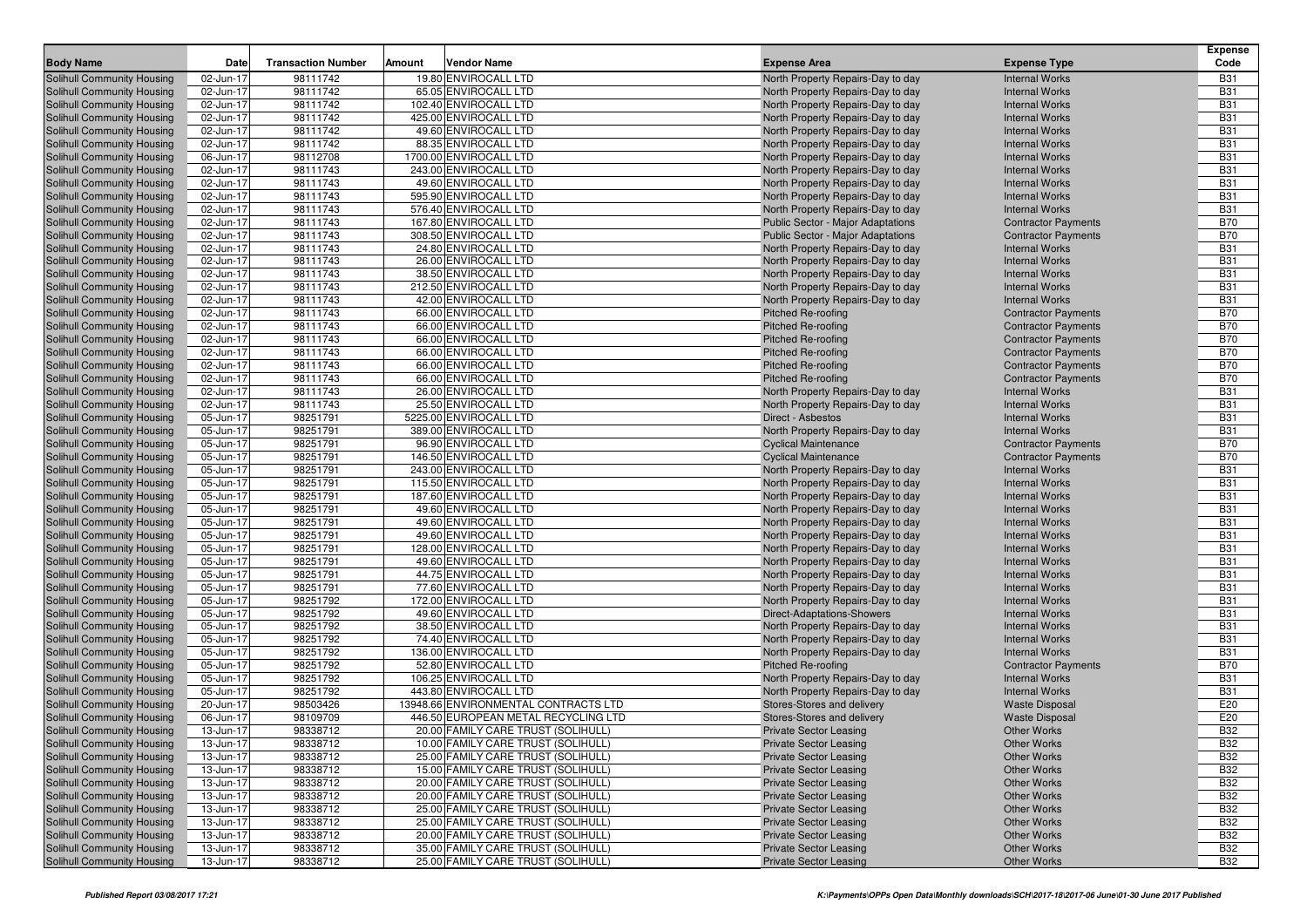| <b>Body Name</b>                                                       | Date                   | <b>Transaction Number</b> | Amount | <b>Vendor Name</b>                           | <b>Expense Area</b>                                             | <b>Expense Type</b>                            | <b>Expense</b><br>Code   |
|------------------------------------------------------------------------|------------------------|---------------------------|--------|----------------------------------------------|-----------------------------------------------------------------|------------------------------------------------|--------------------------|
| Solihull Community Housing                                             | 02-Jun-17              | 98111742                  |        | 19.80 ENVIROCALL LTD                         | North Property Repairs-Day to day                               | <b>Internal Works</b>                          | <b>B31</b>               |
| Solihull Community Housing                                             | 02-Jun-17              | 98111742                  |        | 65.05 ENVIROCALL LTD                         | North Property Repairs-Day to day                               | <b>Internal Works</b>                          | <b>B31</b>               |
| <b>Solihull Community Housing</b>                                      | 02-Jun-17              | 98111742                  |        | 102.40 ENVIROCALL LTD                        | North Property Repairs-Day to day                               | <b>Internal Works</b>                          | <b>B31</b>               |
| <b>Solihull Community Housing</b>                                      | 02-Jun-17              | 98111742                  |        | 425.00 ENVIROCALL LTD                        | North Property Repairs-Day to day                               | <b>Internal Works</b>                          | <b>B31</b>               |
| <b>Solihull Community Housing</b>                                      | 02-Jun-17              | 98111742                  |        | 49.60 ENVIROCALL LTD                         | North Property Repairs-Day to day                               | <b>Internal Works</b>                          | <b>B31</b>               |
| Solihull Community Housing                                             | 02-Jun-17              | 98111742                  |        | 88.35 ENVIROCALL LTD                         | North Property Repairs-Day to day                               | <b>Internal Works</b>                          | <b>B31</b>               |
| <b>Solihull Community Housing</b>                                      | 06-Jun-17              | 98112708                  |        | 1700.00 ENVIROCALL LTD                       | North Property Repairs-Day to day                               | <b>Internal Works</b>                          | <b>B31</b>               |
| <b>Solihull Community Housing</b>                                      | 02-Jun-17              | 98111743                  |        | 243.00 ENVIROCALL LTD                        | North Property Repairs-Day to day                               | <b>Internal Works</b>                          | <b>B31</b>               |
| <b>Solihull Community Housing</b>                                      | 02-Jun-17              | 98111743                  |        | 49.60 ENVIROCALL LTD                         | North Property Repairs-Day to day                               | <b>Internal Works</b>                          | <b>B31</b>               |
| <b>Solihull Community Housing</b>                                      | 02-Jun-17              | 98111743                  |        | 595.90 ENVIROCALL LTD                        | North Property Repairs-Day to day                               | <b>Internal Works</b>                          | <b>B31</b>               |
| <b>Solihull Community Housing</b>                                      | 02-Jun-17              | 98111743                  |        | 576.40 ENVIROCALL LTD                        | North Property Repairs-Day to day                               | <b>Internal Works</b>                          | <b>B31</b>               |
| Solihull Community Housing                                             | 02-Jun-17              | 98111743                  |        | 167.80 ENVIROCALL LTD                        | <b>Public Sector - Major Adaptations</b>                        | <b>Contractor Payments</b>                     | <b>B70</b>               |
| Solihull Community Housing                                             | 02-Jun-17              | 98111743                  |        | 308.50 ENVIROCALL LTD                        | <b>Public Sector - Major Adaptations</b>                        | <b>Contractor Payments</b>                     | <b>B70</b>               |
| <b>Solihull Community Housing</b>                                      | 02-Jun-17              | 98111743                  |        | 24.80 ENVIROCALL LTD                         | North Property Repairs-Day to day                               | <b>Internal Works</b>                          | <b>B31</b>               |
| <b>Solihull Community Housing</b>                                      | 02-Jun-17              | 98111743                  |        | 26.00 ENVIROCALL LTD                         | North Property Repairs-Day to day                               | <b>Internal Works</b>                          | <b>B31</b>               |
| <b>Solihull Community Housing</b>                                      | 02-Jun-17              | 98111743                  |        | 38.50 ENVIROCALL LTD                         | North Property Repairs-Day to day                               | <b>Internal Works</b>                          | <b>B31</b>               |
| <b>Solihull Community Housing</b>                                      | 02-Jun-17              | 98111743                  |        | 212.50 ENVIROCALL LTD                        | North Property Repairs-Day to day                               | <b>Internal Works</b>                          | <b>B31</b>               |
| <b>Solihull Community Housing</b>                                      | 02-Jun-17              | 98111743                  |        | 42.00 ENVIROCALL LTD                         | North Property Repairs-Day to day                               | <b>Internal Works</b>                          | <b>B31</b>               |
| <b>Solihull Community Housing</b>                                      | 02-Jun-17              | 98111743                  |        | 66.00 ENVIROCALL LTD                         | <b>Pitched Re-roofing</b>                                       | <b>Contractor Payments</b>                     | <b>B70</b>               |
| <b>Solihull Community Housing</b>                                      | 02-Jun-17              | 98111743                  |        | 66.00 ENVIROCALL LTD                         | Pitched Re-roofing                                              | <b>Contractor Payments</b>                     | <b>B70</b>               |
| <b>Solihull Community Housing</b>                                      | 02-Jun-17              | 98111743                  |        | 66.00 ENVIROCALL LTD                         | Pitched Re-roofing                                              | <b>Contractor Payments</b>                     | <b>B70</b>               |
| Solihull Community Housing                                             | 02-Jun-17              | 98111743                  |        | 66.00 ENVIROCALL LTD                         | Pitched Re-roofing                                              | <b>Contractor Payments</b>                     | <b>B70</b>               |
| <b>Solihull Community Housing</b>                                      | 02-Jun-17              | 98111743                  |        | 66.00 ENVIROCALL LTD                         | <b>Pitched Re-roofing</b>                                       | <b>Contractor Payments</b>                     | <b>B70</b>               |
| <b>Solihull Community Housing</b>                                      | 02-Jun-17              | 98111743                  |        | 66.00 ENVIROCALL LTD                         | Pitched Re-roofing                                              | <b>Contractor Payments</b>                     | <b>B70</b>               |
| <b>Solihull Community Housing</b>                                      | 02-Jun-17              | 98111743                  |        | 26.00 ENVIROCALL LTD                         | North Property Repairs-Day to day                               | <b>Internal Works</b>                          | <b>B31</b>               |
| <b>Solihull Community Housing</b>                                      | 02-Jun-17              | 98111743                  |        | 25.50 ENVIROCALL LTD                         | North Property Repairs-Day to day                               | <b>Internal Works</b>                          | <b>B31</b>               |
| <b>Solihull Community Housing</b>                                      | 05-Jun-17              | 98251791                  |        | 5225.00 ENVIROCALL LTD                       | Direct - Asbestos                                               | <b>Internal Works</b>                          | <b>B31</b>               |
| <b>Solihull Community Housing</b>                                      | 05-Jun-17              | 98251791                  |        | 389.00 ENVIROCALL LTD                        | North Property Repairs-Day to day                               | <b>Internal Works</b>                          | <b>B31</b>               |
| <b>Solihull Community Housing</b>                                      | 05-Jun-17              | 98251791                  |        | 96.90 ENVIROCALL LTD                         | <b>Cyclical Maintenance</b>                                     | <b>Contractor Payments</b>                     | <b>B70</b>               |
| <b>Solihull Community Housing</b>                                      | 05-Jun-17              | 98251791                  |        | 146.50 ENVIROCALL LTD                        | <b>Cyclical Maintenance</b>                                     | <b>Contractor Payments</b>                     | <b>B70</b>               |
| <b>Solihull Community Housing</b>                                      | 05-Jun-17              | 98251791                  |        | 243.00 ENVIROCALL LTD                        | North Property Repairs-Day to day                               | <b>Internal Works</b>                          | <b>B31</b>               |
| <b>Solihull Community Housing</b>                                      | 05-Jun-17              | 98251791                  |        | 115.50 ENVIROCALL LTD                        | North Property Repairs-Day to day                               | <b>Internal Works</b>                          | <b>B31</b>               |
| <b>Solihull Community Housing</b>                                      | 05-Jun-17              | 98251791                  |        | 187.60 ENVIROCALL LTD                        | North Property Repairs-Day to day                               | <b>Internal Works</b>                          | <b>B31</b>               |
| <b>Solihull Community Housing</b>                                      | 05-Jun-17              | 98251791                  |        | 49.60 ENVIROCALL LTD                         | North Property Repairs-Day to day                               | <b>Internal Works</b>                          | <b>B31</b>               |
| <b>Solihull Community Housing</b>                                      | 05-Jun-17              | 98251791                  |        | 49.60 ENVIROCALL LTD                         | North Property Repairs-Day to day                               | <b>Internal Works</b>                          | <b>B31</b>               |
| <b>Solihull Community Housing</b>                                      | 05-Jun-17              | 98251791                  |        | 49.60 ENVIROCALL LTD                         | North Property Repairs-Day to day                               | <b>Internal Works</b>                          | <b>B31</b>               |
| <b>Solihull Community Housing</b>                                      | 05-Jun-17              | 98251791                  |        | 128.00 ENVIROCALL LTD                        | North Property Repairs-Day to day                               | <b>Internal Works</b>                          | <b>B31</b><br><b>B31</b> |
| <b>Solihull Community Housing</b>                                      | 05-Jun-17              | 98251791                  |        | 49.60 ENVIROCALL LTD                         | North Property Repairs-Day to day                               | <b>Internal Works</b>                          | <b>B31</b>               |
| <b>Solihull Community Housing</b>                                      | 05-Jun-17              | 98251791<br>98251791      |        | 44.75 ENVIROCALL LTD<br>77.60 ENVIROCALL LTD | North Property Repairs-Day to day                               | <b>Internal Works</b><br><b>Internal Works</b> | <b>B31</b>               |
| <b>Solihull Community Housing</b>                                      | 05-Jun-17              | 98251792                  |        | 172.00 ENVIROCALL LTD                        | North Property Repairs-Day to day                               | <b>Internal Works</b>                          | <b>B31</b>               |
| <b>Solihull Community Housing</b><br><b>Solihull Community Housing</b> | 05-Jun-17<br>05-Jun-17 | 98251792                  |        | 49.60 ENVIROCALL LTD                         | North Property Repairs-Day to day<br>Direct-Adaptations-Showers | <b>Internal Works</b>                          | <b>B31</b>               |
| <b>Solihull Community Housing</b>                                      | 05-Jun-17              | 98251792                  |        | 38.50 ENVIROCALL LTD                         | North Property Repairs-Day to day                               | <b>Internal Works</b>                          | <b>B31</b>               |
| <b>Solihull Community Housing</b>                                      | 05-Jun-17              | 98251792                  |        | 74.40 ENVIROCALL LTD                         | North Property Repairs-Day to day                               | <b>Internal Works</b>                          | <b>B31</b>               |
| <b>Solihull Community Housing</b>                                      | 05-Jun-17              | 98251792                  |        | 136.00 ENVIROCALL LTD                        | North Property Repairs-Day to day                               | <b>Internal Works</b>                          | <b>B31</b>               |
| <b>Solihull Community Housing</b>                                      | 05-Jun-17              | 98251792                  |        | 52.80 ENVIROCALL LTD                         | Pitched Re-roofing                                              | <b>Contractor Payments</b>                     | <b>B70</b>               |
| <b>Solihull Community Housing</b>                                      | 05-Jun-17              | 98251792                  |        | 106.25 ENVIROCALL LTD                        | North Property Repairs-Day to day                               | <b>Internal Works</b>                          | <b>B31</b>               |
| Solihull Community Housing                                             | 05-Jun-17              | 98251792                  |        | 443.80 ENVIROCALL LTD                        | North Property Repairs-Day to day                               | <b>Internal Works</b>                          | <b>B31</b>               |
| <b>Solihull Community Housing</b>                                      | 20-Jun-17              | 98503426                  |        | 13948.66 ENVIRONMENTAL CONTRACTS LTD         | Stores-Stores and delivery                                      | <b>Waste Disposal</b>                          | E20                      |
| <b>Solihull Community Housing</b>                                      | 06-Jun-17              | 98109709                  |        | 446.50 EUROPEAN METAL RECYCLING LTD          | Stores-Stores and delivery                                      | <b>Waste Disposal</b>                          | E20                      |
| <b>Solihull Community Housing</b>                                      | 13-Jun-17              | 98338712                  |        | 20.00 FAMILY CARE TRUST (SOLIHULL)           | <b>Private Sector Leasing</b>                                   | <b>Other Works</b>                             | <b>B32</b>               |
| <b>Solihull Community Housing</b>                                      | 13-Jun-17              | 98338712                  |        | 10.00 FAMILY CARE TRUST (SOLIHULL)           | <b>Private Sector Leasing</b>                                   | <b>Other Works</b>                             | <b>B32</b>               |
| <b>Solihull Community Housing</b>                                      | 13-Jun-17              | 98338712                  |        | 25.00 FAMILY CARE TRUST (SOLIHULL)           | <b>Private Sector Leasing</b>                                   | <b>Other Works</b>                             | <b>B32</b>               |
| Solihull Community Housing                                             | 13-Jun-17              | 98338712                  |        | 15.00 FAMILY CARE TRUST (SOLIHULL)           | <b>Private Sector Leasing</b>                                   | <b>Other Works</b>                             | <b>B32</b>               |
| <b>Solihull Community Housing</b>                                      | 13-Jun-17              | 98338712                  |        | 20.00 FAMILY CARE TRUST (SOLIHULL)           | <b>Private Sector Leasing</b>                                   | <b>Other Works</b>                             | <b>B32</b>               |
| <b>Solihull Community Housing</b>                                      | 13-Jun-17              | 98338712                  |        | 20.00 FAMILY CARE TRUST (SOLIHULL)           | <b>Private Sector Leasing</b>                                   | <b>Other Works</b>                             | <b>B32</b>               |
| Solihull Community Housing                                             | 13-Jun-17              | 98338712                  |        | 25.00 FAMILY CARE TRUST (SOLIHULL)           | <b>Private Sector Leasing</b>                                   | <b>Other Works</b>                             | <b>B32</b>               |
| <b>Solihull Community Housing</b>                                      | 13-Jun-17              | 98338712                  |        | 25.00 FAMILY CARE TRUST (SOLIHULL)           | <b>Private Sector Leasing</b>                                   | <b>Other Works</b>                             | <b>B32</b>               |
| <b>Solihull Community Housing</b>                                      | 13-Jun-17              | 98338712                  |        | 20.00 FAMILY CARE TRUST (SOLIHULL)           | <b>Private Sector Leasing</b>                                   | <b>Other Works</b>                             | <b>B32</b>               |
| Solihull Community Housing                                             | 13-Jun-17              | 98338712                  |        | 35.00 FAMILY CARE TRUST (SOLIHULL)           | <b>Private Sector Leasing</b>                                   | <b>Other Works</b>                             | <b>B32</b>               |
| Solihull Community Housing                                             | 13-Jun-17              | 98338712                  |        | 25.00 FAMILY CARE TRUST (SOLIHULL)           | <b>Private Sector Leasing</b>                                   | <b>Other Works</b>                             | <b>B32</b>               |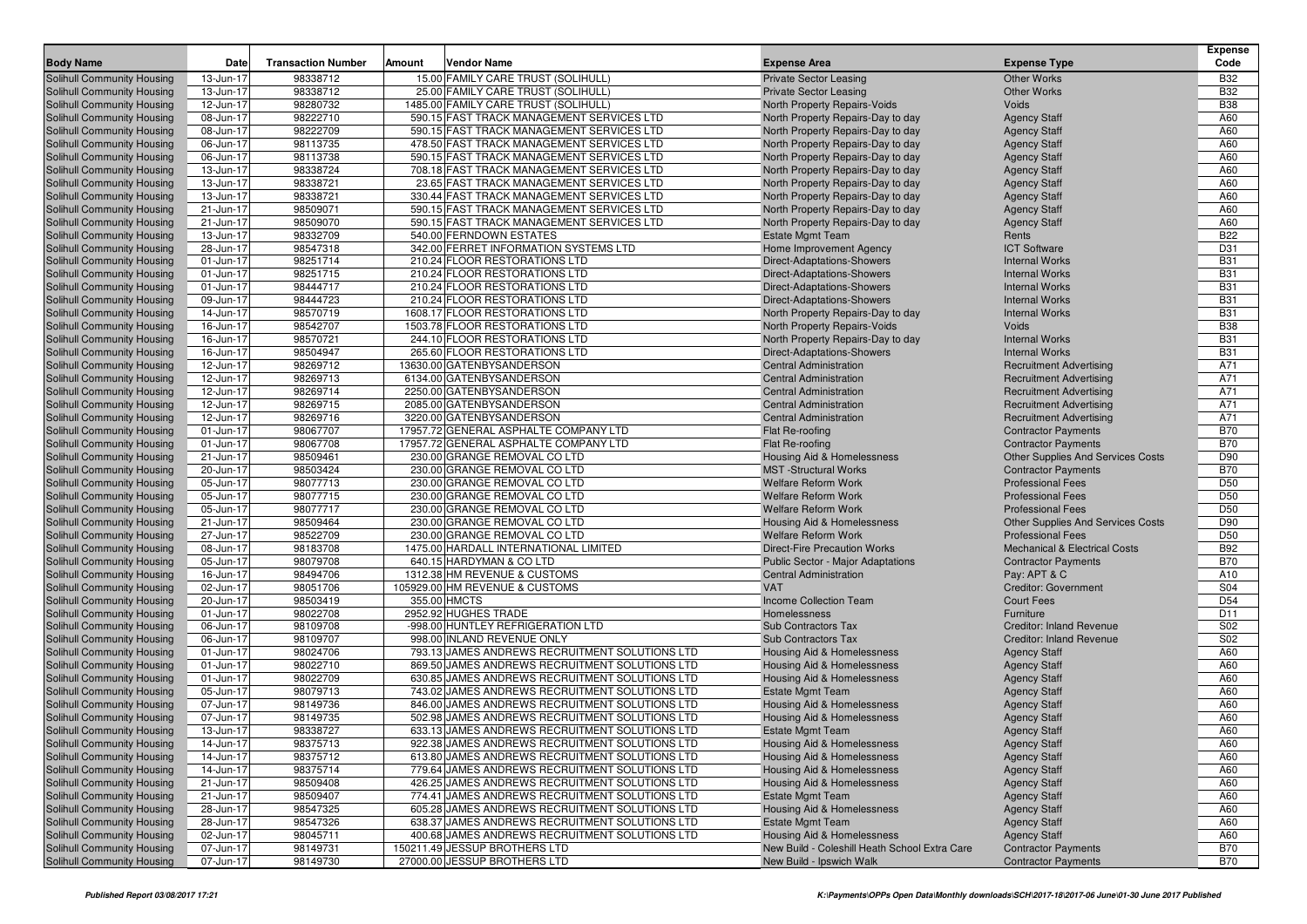| <b>Body Name</b>                                         | Date                   | <b>Transaction Number</b> | Amount | <b>Vendor Name</b>                                                                               | <b>Expense Area</b>                                                   | <b>Expense Type</b>                                                    | <b>Expense</b><br>Code |
|----------------------------------------------------------|------------------------|---------------------------|--------|--------------------------------------------------------------------------------------------------|-----------------------------------------------------------------------|------------------------------------------------------------------------|------------------------|
| Solihull Community Housing                               | 13-Jun-17              | 98338712                  |        | 15.00 FAMILY CARE TRUST (SOLIHULL)                                                               | <b>Private Sector Leasing</b>                                         | <b>Other Works</b>                                                     | <b>B32</b>             |
| Solihull Community Housing                               | 13-Jun-17              | 98338712                  |        | 25.00 FAMILY CARE TRUST (SOLIHULL)                                                               | <b>Private Sector Leasing</b>                                         | <b>Other Works</b>                                                     | <b>B32</b>             |
| Solihull Community Housing                               | 12-Jun-17              | 98280732                  |        | 1485.00 FAMILY CARE TRUST (SOLIHULL)                                                             | North Property Repairs-Voids                                          | Voids                                                                  | <b>B38</b>             |
| Solihull Community Housing                               | 08-Jun-17              | 98222710                  |        | 590.15 FAST TRACK MANAGEMENT SERVICES LTD                                                        | North Property Repairs-Day to day                                     | <b>Agency Staff</b>                                                    | A60                    |
| Solihull Community Housing                               | 08-Jun-17              | 98222709                  |        | 590.15 FAST TRACK MANAGEMENT SERVICES LTD                                                        | North Property Repairs-Day to day                                     | <b>Agency Staff</b>                                                    | A60                    |
| Solihull Community Housing                               | 06-Jun-17              | 98113735                  |        | 478.50 FAST TRACK MANAGEMENT SERVICES LTD                                                        | North Property Repairs-Day to day                                     | <b>Agency Staff</b>                                                    | A60                    |
| Solihull Community Housing                               | 06-Jun-17              | 98113738                  |        | 590.15 FAST TRACK MANAGEMENT SERVICES LTD                                                        | North Property Repairs-Day to day                                     | <b>Agency Staff</b>                                                    | A60                    |
| Solihull Community Housing                               | 13-Jun-17              | 98338724                  |        | 708.18 FAST TRACK MANAGEMENT SERVICES LTD                                                        | North Property Repairs-Day to day                                     | <b>Agency Staff</b>                                                    | A60                    |
| Solihull Community Housing                               | 13-Jun-17              | 98338721                  |        | 23.65 FAST TRACK MANAGEMENT SERVICES LTD                                                         | North Property Repairs-Day to day                                     | <b>Agency Staff</b>                                                    | A60                    |
| Solihull Community Housing                               | 13-Jun-17              | 98338721                  |        | 330.44 FAST TRACK MANAGEMENT SERVICES LTD                                                        | North Property Repairs-Day to day                                     | <b>Agency Staff</b>                                                    | A60                    |
| Solihull Community Housing                               | 21-Jun-17              | 98509071                  |        | 590.15 FAST TRACK MANAGEMENT SERVICES LTD                                                        | North Property Repairs-Day to day                                     | <b>Agency Staff</b>                                                    | A60                    |
| Solihull Community Housing                               | 21-Jun-17              | 98509070                  |        | 590.15 FAST TRACK MANAGEMENT SERVICES LTD                                                        | North Property Repairs-Day to day                                     | <b>Agency Staff</b>                                                    | A60                    |
| Solihull Community Housing                               | 13-Jun-17              | 98332709                  |        | 540.00 FERNDOWN ESTATES                                                                          | <b>Estate Mgmt Team</b>                                               | Rents                                                                  | <b>B22</b>             |
| Solihull Community Housing                               | 28-Jun-17              | 98547318                  |        | 342.00 FERRET INFORMATION SYSTEMS LTD                                                            | Home Improvement Agency                                               | <b>ICT Software</b>                                                    | D31                    |
| Solihull Community Housing                               | 01-Jun-17              | 98251714                  |        | 210.24 FLOOR RESTORATIONS LTD                                                                    | Direct-Adaptations-Showers                                            | <b>Internal Works</b>                                                  | <b>B31</b>             |
| Solihull Community Housing                               | 01-Jun-17              | 98251715                  |        | 210.24 FLOOR RESTORATIONS LTD                                                                    | Direct-Adaptations-Showers                                            | <b>Internal Works</b>                                                  | <b>B31</b>             |
| Solihull Community Housing                               | 01-Jun-17              | 98444717                  |        | 210.24 FLOOR RESTORATIONS LTD                                                                    | Direct-Adaptations-Showers                                            | <b>Internal Works</b>                                                  | <b>B31</b>             |
| Solihull Community Housing                               | 09-Jun-17              | 98444723                  |        | 210.24 FLOOR RESTORATIONS LTD                                                                    | Direct-Adaptations-Showers                                            | <b>Internal Works</b>                                                  | <b>B31</b>             |
| Solihull Community Housing                               | 14-Jun-17              | 98570719                  |        | 1608.17 FLOOR RESTORATIONS LTD                                                                   | North Property Repairs-Day to day                                     | <b>Internal Works</b>                                                  | <b>B31</b>             |
| Solihull Community Housing                               | 16-Jun-17              | 98542707                  |        | 1503.78 FLOOR RESTORATIONS LTD                                                                   | North Property Repairs-Voids                                          | Voids                                                                  | <b>B38</b>             |
| Solihull Community Housing                               | 16-Jun-17              | 98570721                  |        | 244.10 FLOOR RESTORATIONS LTD                                                                    | North Property Repairs-Day to day                                     | <b>Internal Works</b>                                                  | <b>B31</b>             |
| Solihull Community Housing                               | 16-Jun-17              | 98504947                  |        | 265.60 FLOOR RESTORATIONS LTD                                                                    | Direct-Adaptations-Showers                                            | <b>Internal Works</b>                                                  | <b>B31</b>             |
| Solihull Community Housing                               | 12-Jun-17              | 98269712                  |        | 13630.00 GATENBYSANDERSON                                                                        | <b>Central Administration</b>                                         | <b>Recruitment Advertising</b>                                         | A71                    |
| Solihull Community Housing                               | 12-Jun-17              | 98269713                  |        | 6134.00 GATENBYSANDERSON                                                                         | <b>Central Administration</b>                                         | <b>Recruitment Advertising</b>                                         | A71                    |
| Solihull Community Housing                               | 12-Jun-17              | 98269714                  |        | 2250.00 GATENBYSANDERSON                                                                         | <b>Central Administration</b>                                         | <b>Recruitment Advertising</b>                                         | A71                    |
| Solihull Community Housing                               | 12-Jun-17              | 98269715                  |        | 2085.00 GATENBYSANDERSON                                                                         | <b>Central Administration</b>                                         | <b>Recruitment Advertising</b>                                         | A71                    |
| Solihull Community Housing                               | 12-Jun-17              | 98269716                  |        | 3220.00 GATENBYSANDERSON                                                                         | <b>Central Administration</b>                                         | <b>Recruitment Advertising</b>                                         | A71                    |
| Solihull Community Housing                               | 01-Jun-17              | 98067707                  |        | 17957.72 GENERAL ASPHALTE COMPANY LTD<br>17957.72 GENERAL ASPHALTE COMPANY LTD                   | Flat Re-roofing                                                       | <b>Contractor Payments</b>                                             | <b>B70</b>             |
| Solihull Community Housing                               | 01-Jun-17              | 98067708                  |        |                                                                                                  | Flat Re-roofing                                                       | <b>Contractor Payments</b>                                             | <b>B70</b><br>D90      |
| Solihull Community Housing<br>Solihull Community Housing | 21-Jun-17<br>20-Jun-17 | 98509461<br>98503424      |        | 230.00 GRANGE REMOVAL CO LTD<br>230.00 GRANGE REMOVAL CO LTD                                     | <b>Housing Aid &amp; Homelessness</b><br><b>MST</b> -Structural Works | <b>Other Supplies And Services Costs</b><br><b>Contractor Payments</b> | <b>B70</b>             |
| Solihull Community Housing                               | 05-Jun-17              | 98077713                  |        | 230.00 GRANGE REMOVAL CO LTD                                                                     | <b>Welfare Reform Work</b>                                            | <b>Professional Fees</b>                                               | D <sub>50</sub>        |
| Solihull Community Housing                               | 05-Jun-17              | 98077715                  |        | 230.00 GRANGE REMOVAL CO LTD                                                                     | <b>Welfare Reform Work</b>                                            | <b>Professional Fees</b>                                               | D <sub>50</sub>        |
| Solihull Community Housing                               | 05-Jun-17              | 98077717                  |        | 230.00 GRANGE REMOVAL CO LTD                                                                     | <b>Welfare Reform Work</b>                                            | <b>Professional Fees</b>                                               | D <sub>50</sub>        |
| Solihull Community Housing                               | 21-Jun-17              | 98509464                  |        | 230.00 GRANGE REMOVAL CO LTD                                                                     | Housing Aid & Homelessness                                            | <b>Other Supplies And Services Costs</b>                               | D90                    |
| Solihull Community Housing                               | 27-Jun-17              | 98522709                  |        | 230.00 GRANGE REMOVAL CO LTD                                                                     | <b>Welfare Reform Work</b>                                            | <b>Professional Fees</b>                                               | D <sub>50</sub>        |
| Solihull Community Housing                               | 08-Jun-17              | 98183708                  |        | 1475.00 HARDALL INTERNATIONAL LIMITED                                                            | <b>Direct-Fire Precaution Works</b>                                   | <b>Mechanical &amp; Electrical Costs</b>                               | <b>B92</b>             |
| Solihull Community Housing                               | 05-Jun-17              | 98079708                  |        | 640.15 HARDYMAN & CO LTD                                                                         | Public Sector - Major Adaptations                                     | <b>Contractor Payments</b>                                             | <b>B70</b>             |
| Solihull Community Housing                               | 16-Jun-17              | 98494706                  |        | 1312.38 HM REVENUE & CUSTOMS                                                                     | <b>Central Administration</b>                                         | Pay: APT & C                                                           | A10                    |
| Solihull Community Housing                               | 02-Jun-17              | 98051706                  |        | 105929.00 HM REVENUE & CUSTOMS                                                                   | <b>VAT</b>                                                            | <b>Creditor: Government</b>                                            | S04                    |
| Solihull Community Housing                               | 20-Jun-17              | 98503419                  |        | 355.00 HMCTS                                                                                     | <b>Income Collection Team</b>                                         | <b>Court Fees</b>                                                      | D <sub>54</sub>        |
| Solihull Community Housing                               | 01-Jun-17              | 98022708                  |        | 2952.92 HUGHES TRADE                                                                             | Homelessness                                                          | Furniture                                                              | D <sub>11</sub>        |
| Solihull Community Housing                               | 06-Jun-17              | 98109708                  |        | -998.00 HUNTLEY REFRIGERATION LTD                                                                | <b>Sub Contractors Tax</b>                                            | <b>Creditor: Inland Revenue</b>                                        | S <sub>02</sub>        |
| Solihull Community Housing                               | 06-Jun-17              | 98109707                  |        | 998.00 INLAND REVENUE ONLY                                                                       | <b>Sub Contractors Tax</b>                                            | <b>Creditor: Inland Revenue</b>                                        | S02                    |
| Solihull Community Housing                               | 01-Jun-17              | 98024706                  |        | 793.13 JAMES ANDREWS RECRUITMENT SOLUTIONS LTD                                                   | <b>Housing Aid &amp; Homelessness</b>                                 | <b>Agency Staff</b>                                                    | A60                    |
| Solihull Community Housing                               | 01-Jun-17              | 98022710                  |        | 869.50 JAMES ANDREWS RECRUITMENT SOLUTIONS LTD                                                   | Housing Aid & Homelessness                                            | <b>Agency Staff</b>                                                    | A60                    |
| Solihull Community Housing                               | 01-Jun-17              | 98022709                  |        | 630.85 JAMES ANDREWS RECRUITMENT SOLUTIONS LTD                                                   | <b>Housing Aid &amp; Homelessness</b>                                 | <b>Agency Staff</b>                                                    | A60                    |
| Solihull Community Housing                               | 05-Jun-17              | 98079713                  |        | 743.02 JAMES ANDREWS RECRUITMENT SOLUTIONS LTD                                                   | <b>Estate Mgmt Team</b>                                               | <b>Agency Staff</b>                                                    | A60                    |
| Solihull Community Housing                               | 07-Jun-17              | 98149736                  |        | 846.00 JAMES ANDREWS RECRUITMENT SOLUTIONS LTD                                                   | <b>Housing Aid &amp; Homelessness</b>                                 | <b>Agency Staff</b>                                                    | A60                    |
| Solihull Community Housing                               | 07-Jun-17              | 98149735                  |        | 502.98 JAMES ANDREWS RECRUITMENT SOLUTIONS LTD                                                   | <b>Housing Aid &amp; Homelessness</b>                                 | <b>Agency Staff</b>                                                    | A60                    |
| Solihull Community Housing                               | 13-Jun-17              | 98338727                  |        | 633.13 JAMES ANDREWS RECRUITMENT SOLUTIONS LTD                                                   | <b>Estate Mgmt Team</b>                                               | <b>Agency Staff</b>                                                    | A60                    |
| Solihull Community Housing                               | 14-Jun-17              | 98375713                  |        | 922.38 JAMES ANDREWS RECRUITMENT SOLUTIONS LTD                                                   | Housing Aid & Homelessness                                            | <b>Agency Staff</b>                                                    | A60                    |
| Solihull Community Housing                               | 14-Jun-17              | 98375712                  |        | 613.80 JAMES ANDREWS RECRUITMENT SOLUTIONS LTD                                                   | <b>Housing Aid &amp; Homelessness</b>                                 | <b>Agency Staff</b>                                                    | A60                    |
| Solihull Community Housing                               | 14-Jun-17              | 98375714                  |        | 779.64 JAMES ANDREWS RECRUITMENT SOLUTIONS LTD                                                   | Housing Aid & Homelessness                                            | <b>Agency Staff</b>                                                    | A60                    |
| Solihull Community Housing                               | 21-Jun-17              | 98509408                  |        | 426.25 JAMES ANDREWS RECRUITMENT SOLUTIONS LTD                                                   | Housing Aid & Homelessness                                            | <b>Agency Staff</b>                                                    | A60                    |
| Solihull Community Housing                               | 21-Jun-17              | 98509407                  |        | 774.41 JAMES ANDREWS RECRUITMENT SOLUTIONS LTD<br>605.28 JAMES ANDREWS RECRUITMENT SOLUTIONS LTD | <b>Estate Mgmt Team</b>                                               | <b>Agency Staff</b>                                                    | A60                    |
| Solihull Community Housing                               | 28-Jun-17              | 98547325                  |        |                                                                                                  | <b>Housing Aid &amp; Homelessness</b>                                 | <b>Agency Staff</b>                                                    | A60                    |
| Solihull Community Housing<br>Solihull Community Housing | 28-Jun-17<br>02-Jun-17 | 98547326                  |        | 638.37 JAMES ANDREWS RECRUITMENT SOLUTIONS LTD<br>400.68 JAMES ANDREWS RECRUITMENT SOLUTIONS LTD | <b>Estate Mgmt Team</b><br>Housing Aid & Homelessness                 | <b>Agency Staff</b><br><b>Agency Staff</b>                             | A60<br>A60             |
| Solihull Community Housing                               | 07-Jun-17              | 98045711<br>98149731      |        | 150211.49 JESSUP BROTHERS LTD                                                                    | New Build - Coleshill Heath School Extra Care                         | <b>Contractor Payments</b>                                             | <b>B70</b>             |
| Solihull Community Housing                               | 07-Jun-17              | 98149730                  |        | 27000.00 JESSUP BROTHERS LTD                                                                     | New Build - Ipswich Walk                                              | <b>Contractor Payments</b>                                             | <b>B70</b>             |
|                                                          |                        |                           |        |                                                                                                  |                                                                       |                                                                        |                        |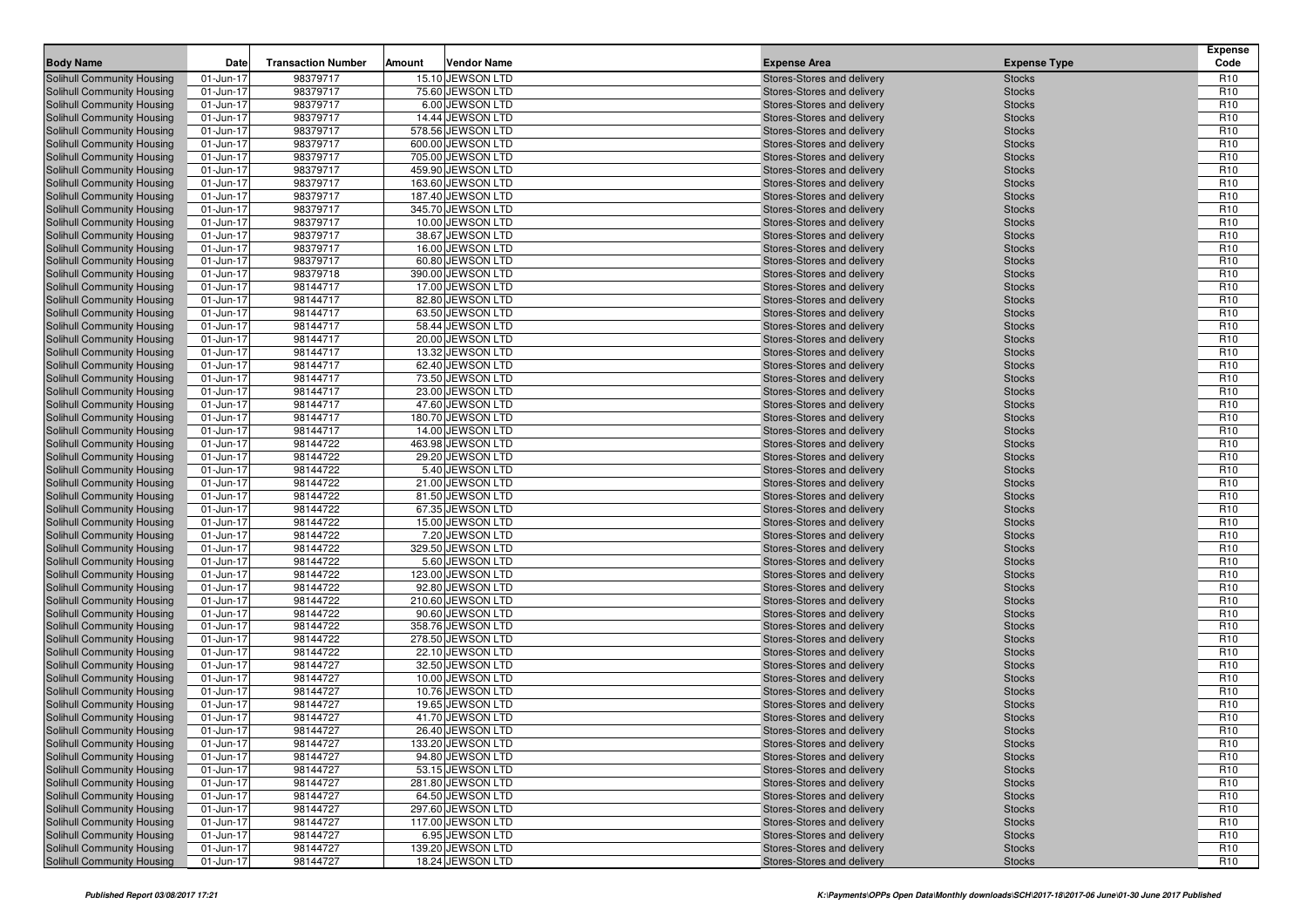| 98379717<br>Solihull Community Housing<br>15.10 JEWSON LTD<br>Stores-Stores and delivery<br>R <sub>10</sub><br>01-Jun-17<br><b>Stocks</b><br>98379717<br>75.60 JEWSON LTD<br>R <sub>10</sub><br>Solihull Community Housing<br>01-Jun-17<br><b>Stocks</b><br>Stores-Stores and delivery<br>R <sub>10</sub><br>Solihull Community Housing<br>01-Jun-17<br>98379717<br>6.00 JEWSON LTD<br>Stores-Stores and delivery<br><b>Stocks</b><br>98379717<br>14.44 JEWSON LTD<br>R <sub>10</sub><br>Solihull Community Housing<br>01-Jun-17<br><b>Stocks</b><br>Stores-Stores and delivery<br>Solihull Community Housing<br>98379717<br>578.56 JEWSON LTD<br>R <sub>10</sub><br>01-Jun-17<br>Stores-Stores and delivery<br><b>Stocks</b><br>98379717<br>R <sub>10</sub><br>600.00 JEWSON LTD<br>Solihull Community Housing<br>01-Jun-17<br>Stores-Stores and delivery<br><b>Stocks</b><br>98379717<br>705.00 JEWSON LTD<br>R <sub>10</sub><br>Solihull Community Housing<br>01-Jun-17<br>Stores-Stores and delivery<br><b>Stocks</b><br>R <sub>10</sub><br>01-Jun-17<br>98379717<br>459.90 JEWSON LTD<br><b>Stocks</b><br>Solihull Community Housing<br>Stores-Stores and delivery<br>98379717<br>163.60 JEWSON LTD<br>R <sub>10</sub><br>Solihull Community Housing<br>01-Jun-17<br><b>Stocks</b><br>Stores-Stores and delivery<br>R <sub>10</sub><br>Solihull Community Housing<br>01-Jun-17<br>98379717<br>187.40 JEWSON LTD<br>Stores-Stores and delivery<br><b>Stocks</b><br>98379717<br>345.70 JEWSON LTD<br>R <sub>10</sub><br>Solihull Community Housing<br>01-Jun-17<br>Stores-Stores and delivery<br><b>Stocks</b><br>98379717<br>10.00 JEWSON LTD<br>R <sub>10</sub><br><b>Solihull Community Housing</b><br>01-Jun-17<br>Stores-Stores and delivery<br><b>Stocks</b><br>R <sub>10</sub><br>01-Jun-17<br>98379717<br>38.67 JEWSON LTD<br>Solihull Community Housing<br>Stores-Stores and delivery<br><b>Stocks</b><br>98379717<br>R <sub>10</sub><br>Solihull Community Housing<br>01-Jun-17<br>16.00 JEWSON LTD<br><b>Stocks</b><br>Stores-Stores and delivery<br>R <sub>10</sub><br>Solihull Community Housing<br>98379717<br>60.80 JEWSON LTD<br>01-Jun-17<br>Stores-Stores and delivery<br><b>Stocks</b><br>98379718<br>R <sub>10</sub><br>Solihull Community Housing<br>01-Jun-17<br>390.00 JEWSON LTD<br>Stores-Stores and delivery<br><b>Stocks</b><br>98144717<br>17.00 JEWSON LTD<br>R <sub>10</sub><br>01-Jun-17<br>Solihull Community Housing<br>Stores-Stores and delivery<br><b>Stocks</b><br>98144717<br>R <sub>10</sub><br>01-Jun-17<br>82.80 JEWSON LTD<br>Solihull Community Housing<br>Stores-Stores and delivery<br><b>Stocks</b><br>R <sub>10</sub><br>98144717<br>63.50 JEWSON LTD<br><b>Solihull Community Housing</b><br>01-Jun-17<br><b>Stocks</b><br>Stores-Stores and delivery<br>R <sub>10</sub><br>Solihull Community Housing<br>98144717<br>58.44 JEWSON LTD<br>01-Jun-17<br>Stores-Stores and delivery<br><b>Stocks</b><br>98144717<br>R <sub>10</sub><br><b>Solihull Community Housing</b><br>01-Jun-17<br>20.00 JEWSON LTD<br>Stores-Stores and delivery<br><b>Stocks</b><br>98144717<br>13.32 JEWSON LTD<br>R <sub>10</sub><br><b>Solihull Community Housing</b><br>01-Jun-17<br>Stores-Stores and delivery<br><b>Stocks</b><br>R <sub>10</sub><br>01-Jun-17<br>98144717<br>62.40 JEWSON LTD<br>Solihull Community Housing<br>Stores-Stores and delivery<br><b>Stocks</b><br>98144717<br>73.50 JEWSON LTD<br>R <sub>10</sub><br>Solihull Community Housing<br>01-Jun-17<br><b>Stocks</b><br>Stores-Stores and delivery<br>98144717<br>R <sub>10</sub><br>Solihull Community Housing<br>23.00 JEWSON LTD<br>01-Jun-17<br>Stores-Stores and delivery<br><b>Stocks</b><br>98144717<br>47.60 JEWSON LTD<br>R <sub>10</sub><br>Solihull Community Housing<br>01-Jun-17<br>Stores-Stores and delivery<br><b>Stocks</b><br>98144717<br>180.70 JEWSON LTD<br>R <sub>10</sub><br>01-Jun-17<br>Solihull Community Housing<br>Stores-Stores and delivery<br><b>Stocks</b><br>98144717<br>R <sub>10</sub><br>01-Jun-17<br>14.00 JEWSON LTD<br>Solihull Community Housing<br>Stores-Stores and delivery<br><b>Stocks</b><br>R <sub>10</sub><br>98144722<br>463.98 JEWSON LTD<br>Solihull Community Housing<br>01-Jun-17<br><b>Stocks</b><br>Stores-Stores and delivery<br>29.20 JEWSON LTD<br>R <sub>10</sub><br>Solihull Community Housing<br>98144722<br>01-Jun-17<br>Stores-Stores and delivery<br><b>Stocks</b><br>98144722<br>5.40 JEWSON LTD<br>R <sub>10</sub><br><b>Solihull Community Housing</b><br>01-Jun-17<br>Stores-Stores and delivery<br><b>Stocks</b><br>98144722<br>21.00 JEWSON LTD<br>R <sub>10</sub><br>Solihull Community Housing<br>01-Jun-17<br>Stores-Stores and delivery<br><b>Stocks</b><br>R <sub>10</sub><br>01-Jun-17<br>98144722<br>81.50 JEWSON LTD<br>Solihull Community Housing<br>Stores-Stores and delivery<br><b>Stocks</b><br>R <sub>10</sub><br>98144722<br>67.35 JEWSON LTD<br><b>Solihull Community Housing</b><br>01-Jun-17<br><b>Stocks</b><br>Stores-Stores and delivery<br>R <sub>10</sub><br>Solihull Community Housing<br>98144722<br>15.00 JEWSON LTD<br>01-Jun-17<br>Stores-Stores and delivery<br><b>Stocks</b><br>98144722<br>7.20 JEWSON LTD<br>R <sub>10</sub><br><b>Solihull Community Housing</b><br>01-Jun-17<br>Stores-Stores and delivery<br><b>Stocks</b><br>98144722<br>329.50 JEWSON LTD<br>R <sub>10</sub><br>01-Jun-17<br>Solihull Community Housing<br>Stores-Stores and delivery<br><b>Stocks</b><br>98144722<br>R <sub>10</sub><br>01-Jun-17<br>5.60 JEWSON LTD<br>Solihull Community Housing<br>Stores-Stores and delivery<br><b>Stocks</b><br>R <sub>10</sub><br>98144722<br>123.00 JEWSON LTD<br>Solihull Community Housing<br>01-Jun-17<br><b>Stocks</b><br>Stores-Stores and delivery<br>R <sub>10</sub><br>Solihull Community Housing<br>98144722<br>92.80 JEWSON LTD<br>01-Jun-17<br>Stores-Stores and delivery<br><b>Stocks</b><br>98144722<br>210.60 JEWSON LTD<br>R <sub>10</sub><br>Solihull Community Housing<br>01-Jun-17<br>Stores-Stores and delivery<br><b>Stocks</b><br>98144722<br>R <sub>10</sub><br><b>Solihull Community Housing</b><br>01-Jun-17<br>90.60 JEWSON LTD<br>Stores-Stores and delivery<br><b>Stocks</b><br>01-Jun-17<br>98144722<br>358.76 JEWSON LTD<br>R <sub>10</sub><br>Solihull Community Housing<br>Stores-Stores and delivery<br><b>Stocks</b><br>R <sub>10</sub><br>98144722<br>278.50 JEWSON LTD<br>Solihull Community Housing<br>01-Jun-17<br><b>Stocks</b><br>Stores-Stores and delivery<br>R <sub>10</sub><br>Solihull Community Housing<br>98144722<br>22.10 JEWSON LTD<br>01-Jun-17<br>Stores-Stores and delivery<br><b>Stocks</b><br>98144727<br>32.50 JEWSON LTD<br>R <sub>10</sub><br>Solihull Community Housing<br>01-Jun-17<br>Stores-Stores and delivery<br><b>Stocks</b><br>98144727<br>R <sub>10</sub><br>01-Jun-17<br>10.00 JEWSON LTD<br>Solihull Community Housing<br>Stores-Stores and delivery<br><b>Stocks</b><br>98144727<br>01-Jun-17<br>10.76 JEWSON LTD<br>R <sub>10</sub><br>Solihull Community Housing<br>Stores-Stores and delivery<br><b>Stocks</b><br>R <sub>10</sub><br>98144727<br>Solihull Community Housing<br>19.65 JEWSON LTD<br><b>Stocks</b><br>01-Jun-17<br>Stores-Stores and delivery<br>R <sub>10</sub><br>98144727<br>41.70 JEWSON LTD<br>Solihull Community Housing<br>01-Jun-17<br>Stores-Stores and delivery<br><b>Stocks</b><br>98144727<br>R <sub>10</sub><br>Solihull Community Housing<br>01-Jun-17<br>26.40 JEWSON LTD<br>Stores-Stores and delivery<br><b>Stocks</b><br>98144727<br>133.20 JEWSON LTD<br><b>Stocks</b><br>R <sub>10</sub><br>Solihull Community Housing<br>01-Jun-17<br>Stores-Stores and delivery<br>98144727<br>94.80 JEWSON LTD<br>R <sub>10</sub><br>Solihull Community Housing<br>01-Jun-17<br>Stores-Stores and delivery<br><b>Stocks</b><br>R <sub>10</sub><br>98144727<br>53.15 JEWSON LTD<br>Solihull Community Housing<br>01-Jun-17<br>Stores-Stores and delivery<br><b>Stocks</b><br>98144727<br>R <sub>10</sub><br>Solihull Community Housing<br>01-Jun-17<br>281.80 JEWSON LTD<br>Stores-Stores and delivery<br><b>Stocks</b><br>98144727<br>64.50 JEWSON LTD<br>R <sub>10</sub><br>Solihull Community Housing<br>01-Jun-17<br>Stores-Stores and delivery<br><b>Stocks</b><br>98144727<br>R <sub>10</sub><br>Solihull Community Housing<br>01-Jun-17<br>297.60 JEWSON LTD<br>Stores-Stores and delivery<br><b>Stocks</b><br>98144727<br>117.00 JEWSON LTD<br>R <sub>10</sub><br>Solihull Community Housing<br>01-Jun-17<br>Stores-Stores and delivery<br><b>Stocks</b><br>98144727<br>6.95 JEWSON LTD<br>R <sub>10</sub><br>Solihull Community Housing<br>01-Jun-17<br>Stores-Stores and delivery<br><b>Stocks</b><br>98144727<br>139.20 JEWSON LTD<br>R <sub>10</sub><br>Solihull Community Housing<br>01-Jun-17<br>Stores-Stores and delivery<br><b>Stocks</b><br>98144727<br>18.24 JEWSON LTD<br>R <sub>10</sub><br>Solihull Community Housing<br>01-Jun-17<br>Stores-Stores and delivery<br><b>Stocks</b> | <b>Body Name</b> | Date | <b>Transaction Number</b> | Amount | <b>Vendor Name</b> | <b>Expense Area</b> | <b>Expense Type</b> | <b>Expense</b><br>Code |
|------------------------------------------------------------------------------------------------------------------------------------------------------------------------------------------------------------------------------------------------------------------------------------------------------------------------------------------------------------------------------------------------------------------------------------------------------------------------------------------------------------------------------------------------------------------------------------------------------------------------------------------------------------------------------------------------------------------------------------------------------------------------------------------------------------------------------------------------------------------------------------------------------------------------------------------------------------------------------------------------------------------------------------------------------------------------------------------------------------------------------------------------------------------------------------------------------------------------------------------------------------------------------------------------------------------------------------------------------------------------------------------------------------------------------------------------------------------------------------------------------------------------------------------------------------------------------------------------------------------------------------------------------------------------------------------------------------------------------------------------------------------------------------------------------------------------------------------------------------------------------------------------------------------------------------------------------------------------------------------------------------------------------------------------------------------------------------------------------------------------------------------------------------------------------------------------------------------------------------------------------------------------------------------------------------------------------------------------------------------------------------------------------------------------------------------------------------------------------------------------------------------------------------------------------------------------------------------------------------------------------------------------------------------------------------------------------------------------------------------------------------------------------------------------------------------------------------------------------------------------------------------------------------------------------------------------------------------------------------------------------------------------------------------------------------------------------------------------------------------------------------------------------------------------------------------------------------------------------------------------------------------------------------------------------------------------------------------------------------------------------------------------------------------------------------------------------------------------------------------------------------------------------------------------------------------------------------------------------------------------------------------------------------------------------------------------------------------------------------------------------------------------------------------------------------------------------------------------------------------------------------------------------------------------------------------------------------------------------------------------------------------------------------------------------------------------------------------------------------------------------------------------------------------------------------------------------------------------------------------------------------------------------------------------------------------------------------------------------------------------------------------------------------------------------------------------------------------------------------------------------------------------------------------------------------------------------------------------------------------------------------------------------------------------------------------------------------------------------------------------------------------------------------------------------------------------------------------------------------------------------------------------------------------------------------------------------------------------------------------------------------------------------------------------------------------------------------------------------------------------------------------------------------------------------------------------------------------------------------------------------------------------------------------------------------------------------------------------------------------------------------------------------------------------------------------------------------------------------------------------------------------------------------------------------------------------------------------------------------------------------------------------------------------------------------------------------------------------------------------------------------------------------------------------------------------------------------------------------------------------------------------------------------------------------------------------------------------------------------------------------------------------------------------------------------------------------------------------------------------------------------------------------------------------------------------------------------------------------------------------------------------------------------------------------------------------------------------------------------------------------------------------------------------------------------------------------------------------------------------------------------------------------------------------------------------------------------------------------------------------------------------------------------------------------------------------------------------------------------------------------------------------------------------------------------------------------------------------------------------------------------------------------------------------------------------------------------------------------------------------------------------------------------------------------------------------------------------------------------------------------------------------------------------------------------------------------------------------------------------------------------------------------------------------------------------------------------------------------------------------------------------------------------------------------------------------------------------------------------------------------------------------------------------------------------------------------------------------------------------------------------------------------------------------------------------------------------------------------------------------------------------------------------------------------------------------------------------------------------------------------------------------------------------------------------------------------------------------------------------------------------------------------------------------------------------------------------------------------------------------------------------------------------------------------------------------------------------------------------------------------------------------------------------------------------------------------------------------------------------------------------------------------------------------------------------------------------------------------------------------------------------------------------------------------------------------------------------------------------------------------------------------------------------------------------------------------------------------------------------------------------------------------------------------------------------------------------------------------------------------------------------------------------------------------------------------------------------------------------------------------------------------------|------------------|------|---------------------------|--------|--------------------|---------------------|---------------------|------------------------|
|                                                                                                                                                                                                                                                                                                                                                                                                                                                                                                                                                                                                                                                                                                                                                                                                                                                                                                                                                                                                                                                                                                                                                                                                                                                                                                                                                                                                                                                                                                                                                                                                                                                                                                                                                                                                                                                                                                                                                                                                                                                                                                                                                                                                                                                                                                                                                                                                                                                                                                                                                                                                                                                                                                                                                                                                                                                                                                                                                                                                                                                                                                                                                                                                                                                                                                                                                                                                                                                                                                                                                                                                                                                                                                                                                                                                                                                                                                                                                                                                                                                                                                                                                                                                                                                                                                                                                                                                                                                                                                                                                                                                                                                                                                                                                                                                                                                                                                                                                                                                                                                                                                                                                                                                                                                                                                                                                                                                                                                                                                                                                                                                                                                                                                                                                                                                                                                                                                                                                                                                                                                                                                                                                                                                                                                                                                                                                                                                                                                                                                                                                                                                                                                                                                                                                                                                                                                                                                                                                                                                                                                                                                                                                                                                                                                                                                                                                                                                                                                                                                                                                                                                                                                                                                                                                                                                                                                                                                                                                                                                                                                                                                                                                                                                                                                                                                                                                                                                                                                                                                                                                                                                                                                                                                                                                                                                                                                                                                                                                                                                                              |                  |      |                           |        |                    |                     |                     |                        |
|                                                                                                                                                                                                                                                                                                                                                                                                                                                                                                                                                                                                                                                                                                                                                                                                                                                                                                                                                                                                                                                                                                                                                                                                                                                                                                                                                                                                                                                                                                                                                                                                                                                                                                                                                                                                                                                                                                                                                                                                                                                                                                                                                                                                                                                                                                                                                                                                                                                                                                                                                                                                                                                                                                                                                                                                                                                                                                                                                                                                                                                                                                                                                                                                                                                                                                                                                                                                                                                                                                                                                                                                                                                                                                                                                                                                                                                                                                                                                                                                                                                                                                                                                                                                                                                                                                                                                                                                                                                                                                                                                                                                                                                                                                                                                                                                                                                                                                                                                                                                                                                                                                                                                                                                                                                                                                                                                                                                                                                                                                                                                                                                                                                                                                                                                                                                                                                                                                                                                                                                                                                                                                                                                                                                                                                                                                                                                                                                                                                                                                                                                                                                                                                                                                                                                                                                                                                                                                                                                                                                                                                                                                                                                                                                                                                                                                                                                                                                                                                                                                                                                                                                                                                                                                                                                                                                                                                                                                                                                                                                                                                                                                                                                                                                                                                                                                                                                                                                                                                                                                                                                                                                                                                                                                                                                                                                                                                                                                                                                                                                                              |                  |      |                           |        |                    |                     |                     |                        |
|                                                                                                                                                                                                                                                                                                                                                                                                                                                                                                                                                                                                                                                                                                                                                                                                                                                                                                                                                                                                                                                                                                                                                                                                                                                                                                                                                                                                                                                                                                                                                                                                                                                                                                                                                                                                                                                                                                                                                                                                                                                                                                                                                                                                                                                                                                                                                                                                                                                                                                                                                                                                                                                                                                                                                                                                                                                                                                                                                                                                                                                                                                                                                                                                                                                                                                                                                                                                                                                                                                                                                                                                                                                                                                                                                                                                                                                                                                                                                                                                                                                                                                                                                                                                                                                                                                                                                                                                                                                                                                                                                                                                                                                                                                                                                                                                                                                                                                                                                                                                                                                                                                                                                                                                                                                                                                                                                                                                                                                                                                                                                                                                                                                                                                                                                                                                                                                                                                                                                                                                                                                                                                                                                                                                                                                                                                                                                                                                                                                                                                                                                                                                                                                                                                                                                                                                                                                                                                                                                                                                                                                                                                                                                                                                                                                                                                                                                                                                                                                                                                                                                                                                                                                                                                                                                                                                                                                                                                                                                                                                                                                                                                                                                                                                                                                                                                                                                                                                                                                                                                                                                                                                                                                                                                                                                                                                                                                                                                                                                                                                                              |                  |      |                           |        |                    |                     |                     |                        |
|                                                                                                                                                                                                                                                                                                                                                                                                                                                                                                                                                                                                                                                                                                                                                                                                                                                                                                                                                                                                                                                                                                                                                                                                                                                                                                                                                                                                                                                                                                                                                                                                                                                                                                                                                                                                                                                                                                                                                                                                                                                                                                                                                                                                                                                                                                                                                                                                                                                                                                                                                                                                                                                                                                                                                                                                                                                                                                                                                                                                                                                                                                                                                                                                                                                                                                                                                                                                                                                                                                                                                                                                                                                                                                                                                                                                                                                                                                                                                                                                                                                                                                                                                                                                                                                                                                                                                                                                                                                                                                                                                                                                                                                                                                                                                                                                                                                                                                                                                                                                                                                                                                                                                                                                                                                                                                                                                                                                                                                                                                                                                                                                                                                                                                                                                                                                                                                                                                                                                                                                                                                                                                                                                                                                                                                                                                                                                                                                                                                                                                                                                                                                                                                                                                                                                                                                                                                                                                                                                                                                                                                                                                                                                                                                                                                                                                                                                                                                                                                                                                                                                                                                                                                                                                                                                                                                                                                                                                                                                                                                                                                                                                                                                                                                                                                                                                                                                                                                                                                                                                                                                                                                                                                                                                                                                                                                                                                                                                                                                                                                                              |                  |      |                           |        |                    |                     |                     |                        |
|                                                                                                                                                                                                                                                                                                                                                                                                                                                                                                                                                                                                                                                                                                                                                                                                                                                                                                                                                                                                                                                                                                                                                                                                                                                                                                                                                                                                                                                                                                                                                                                                                                                                                                                                                                                                                                                                                                                                                                                                                                                                                                                                                                                                                                                                                                                                                                                                                                                                                                                                                                                                                                                                                                                                                                                                                                                                                                                                                                                                                                                                                                                                                                                                                                                                                                                                                                                                                                                                                                                                                                                                                                                                                                                                                                                                                                                                                                                                                                                                                                                                                                                                                                                                                                                                                                                                                                                                                                                                                                                                                                                                                                                                                                                                                                                                                                                                                                                                                                                                                                                                                                                                                                                                                                                                                                                                                                                                                                                                                                                                                                                                                                                                                                                                                                                                                                                                                                                                                                                                                                                                                                                                                                                                                                                                                                                                                                                                                                                                                                                                                                                                                                                                                                                                                                                                                                                                                                                                                                                                                                                                                                                                                                                                                                                                                                                                                                                                                                                                                                                                                                                                                                                                                                                                                                                                                                                                                                                                                                                                                                                                                                                                                                                                                                                                                                                                                                                                                                                                                                                                                                                                                                                                                                                                                                                                                                                                                                                                                                                                                              |                  |      |                           |        |                    |                     |                     |                        |
|                                                                                                                                                                                                                                                                                                                                                                                                                                                                                                                                                                                                                                                                                                                                                                                                                                                                                                                                                                                                                                                                                                                                                                                                                                                                                                                                                                                                                                                                                                                                                                                                                                                                                                                                                                                                                                                                                                                                                                                                                                                                                                                                                                                                                                                                                                                                                                                                                                                                                                                                                                                                                                                                                                                                                                                                                                                                                                                                                                                                                                                                                                                                                                                                                                                                                                                                                                                                                                                                                                                                                                                                                                                                                                                                                                                                                                                                                                                                                                                                                                                                                                                                                                                                                                                                                                                                                                                                                                                                                                                                                                                                                                                                                                                                                                                                                                                                                                                                                                                                                                                                                                                                                                                                                                                                                                                                                                                                                                                                                                                                                                                                                                                                                                                                                                                                                                                                                                                                                                                                                                                                                                                                                                                                                                                                                                                                                                                                                                                                                                                                                                                                                                                                                                                                                                                                                                                                                                                                                                                                                                                                                                                                                                                                                                                                                                                                                                                                                                                                                                                                                                                                                                                                                                                                                                                                                                                                                                                                                                                                                                                                                                                                                                                                                                                                                                                                                                                                                                                                                                                                                                                                                                                                                                                                                                                                                                                                                                                                                                                                                              |                  |      |                           |        |                    |                     |                     |                        |
|                                                                                                                                                                                                                                                                                                                                                                                                                                                                                                                                                                                                                                                                                                                                                                                                                                                                                                                                                                                                                                                                                                                                                                                                                                                                                                                                                                                                                                                                                                                                                                                                                                                                                                                                                                                                                                                                                                                                                                                                                                                                                                                                                                                                                                                                                                                                                                                                                                                                                                                                                                                                                                                                                                                                                                                                                                                                                                                                                                                                                                                                                                                                                                                                                                                                                                                                                                                                                                                                                                                                                                                                                                                                                                                                                                                                                                                                                                                                                                                                                                                                                                                                                                                                                                                                                                                                                                                                                                                                                                                                                                                                                                                                                                                                                                                                                                                                                                                                                                                                                                                                                                                                                                                                                                                                                                                                                                                                                                                                                                                                                                                                                                                                                                                                                                                                                                                                                                                                                                                                                                                                                                                                                                                                                                                                                                                                                                                                                                                                                                                                                                                                                                                                                                                                                                                                                                                                                                                                                                                                                                                                                                                                                                                                                                                                                                                                                                                                                                                                                                                                                                                                                                                                                                                                                                                                                                                                                                                                                                                                                                                                                                                                                                                                                                                                                                                                                                                                                                                                                                                                                                                                                                                                                                                                                                                                                                                                                                                                                                                                                              |                  |      |                           |        |                    |                     |                     |                        |
|                                                                                                                                                                                                                                                                                                                                                                                                                                                                                                                                                                                                                                                                                                                                                                                                                                                                                                                                                                                                                                                                                                                                                                                                                                                                                                                                                                                                                                                                                                                                                                                                                                                                                                                                                                                                                                                                                                                                                                                                                                                                                                                                                                                                                                                                                                                                                                                                                                                                                                                                                                                                                                                                                                                                                                                                                                                                                                                                                                                                                                                                                                                                                                                                                                                                                                                                                                                                                                                                                                                                                                                                                                                                                                                                                                                                                                                                                                                                                                                                                                                                                                                                                                                                                                                                                                                                                                                                                                                                                                                                                                                                                                                                                                                                                                                                                                                                                                                                                                                                                                                                                                                                                                                                                                                                                                                                                                                                                                                                                                                                                                                                                                                                                                                                                                                                                                                                                                                                                                                                                                                                                                                                                                                                                                                                                                                                                                                                                                                                                                                                                                                                                                                                                                                                                                                                                                                                                                                                                                                                                                                                                                                                                                                                                                                                                                                                                                                                                                                                                                                                                                                                                                                                                                                                                                                                                                                                                                                                                                                                                                                                                                                                                                                                                                                                                                                                                                                                                                                                                                                                                                                                                                                                                                                                                                                                                                                                                                                                                                                                                              |                  |      |                           |        |                    |                     |                     |                        |
|                                                                                                                                                                                                                                                                                                                                                                                                                                                                                                                                                                                                                                                                                                                                                                                                                                                                                                                                                                                                                                                                                                                                                                                                                                                                                                                                                                                                                                                                                                                                                                                                                                                                                                                                                                                                                                                                                                                                                                                                                                                                                                                                                                                                                                                                                                                                                                                                                                                                                                                                                                                                                                                                                                                                                                                                                                                                                                                                                                                                                                                                                                                                                                                                                                                                                                                                                                                                                                                                                                                                                                                                                                                                                                                                                                                                                                                                                                                                                                                                                                                                                                                                                                                                                                                                                                                                                                                                                                                                                                                                                                                                                                                                                                                                                                                                                                                                                                                                                                                                                                                                                                                                                                                                                                                                                                                                                                                                                                                                                                                                                                                                                                                                                                                                                                                                                                                                                                                                                                                                                                                                                                                                                                                                                                                                                                                                                                                                                                                                                                                                                                                                                                                                                                                                                                                                                                                                                                                                                                                                                                                                                                                                                                                                                                                                                                                                                                                                                                                                                                                                                                                                                                                                                                                                                                                                                                                                                                                                                                                                                                                                                                                                                                                                                                                                                                                                                                                                                                                                                                                                                                                                                                                                                                                                                                                                                                                                                                                                                                                                                              |                  |      |                           |        |                    |                     |                     |                        |
|                                                                                                                                                                                                                                                                                                                                                                                                                                                                                                                                                                                                                                                                                                                                                                                                                                                                                                                                                                                                                                                                                                                                                                                                                                                                                                                                                                                                                                                                                                                                                                                                                                                                                                                                                                                                                                                                                                                                                                                                                                                                                                                                                                                                                                                                                                                                                                                                                                                                                                                                                                                                                                                                                                                                                                                                                                                                                                                                                                                                                                                                                                                                                                                                                                                                                                                                                                                                                                                                                                                                                                                                                                                                                                                                                                                                                                                                                                                                                                                                                                                                                                                                                                                                                                                                                                                                                                                                                                                                                                                                                                                                                                                                                                                                                                                                                                                                                                                                                                                                                                                                                                                                                                                                                                                                                                                                                                                                                                                                                                                                                                                                                                                                                                                                                                                                                                                                                                                                                                                                                                                                                                                                                                                                                                                                                                                                                                                                                                                                                                                                                                                                                                                                                                                                                                                                                                                                                                                                                                                                                                                                                                                                                                                                                                                                                                                                                                                                                                                                                                                                                                                                                                                                                                                                                                                                                                                                                                                                                                                                                                                                                                                                                                                                                                                                                                                                                                                                                                                                                                                                                                                                                                                                                                                                                                                                                                                                                                                                                                                                                              |                  |      |                           |        |                    |                     |                     |                        |
|                                                                                                                                                                                                                                                                                                                                                                                                                                                                                                                                                                                                                                                                                                                                                                                                                                                                                                                                                                                                                                                                                                                                                                                                                                                                                                                                                                                                                                                                                                                                                                                                                                                                                                                                                                                                                                                                                                                                                                                                                                                                                                                                                                                                                                                                                                                                                                                                                                                                                                                                                                                                                                                                                                                                                                                                                                                                                                                                                                                                                                                                                                                                                                                                                                                                                                                                                                                                                                                                                                                                                                                                                                                                                                                                                                                                                                                                                                                                                                                                                                                                                                                                                                                                                                                                                                                                                                                                                                                                                                                                                                                                                                                                                                                                                                                                                                                                                                                                                                                                                                                                                                                                                                                                                                                                                                                                                                                                                                                                                                                                                                                                                                                                                                                                                                                                                                                                                                                                                                                                                                                                                                                                                                                                                                                                                                                                                                                                                                                                                                                                                                                                                                                                                                                                                                                                                                                                                                                                                                                                                                                                                                                                                                                                                                                                                                                                                                                                                                                                                                                                                                                                                                                                                                                                                                                                                                                                                                                                                                                                                                                                                                                                                                                                                                                                                                                                                                                                                                                                                                                                                                                                                                                                                                                                                                                                                                                                                                                                                                                                                              |                  |      |                           |        |                    |                     |                     |                        |
|                                                                                                                                                                                                                                                                                                                                                                                                                                                                                                                                                                                                                                                                                                                                                                                                                                                                                                                                                                                                                                                                                                                                                                                                                                                                                                                                                                                                                                                                                                                                                                                                                                                                                                                                                                                                                                                                                                                                                                                                                                                                                                                                                                                                                                                                                                                                                                                                                                                                                                                                                                                                                                                                                                                                                                                                                                                                                                                                                                                                                                                                                                                                                                                                                                                                                                                                                                                                                                                                                                                                                                                                                                                                                                                                                                                                                                                                                                                                                                                                                                                                                                                                                                                                                                                                                                                                                                                                                                                                                                                                                                                                                                                                                                                                                                                                                                                                                                                                                                                                                                                                                                                                                                                                                                                                                                                                                                                                                                                                                                                                                                                                                                                                                                                                                                                                                                                                                                                                                                                                                                                                                                                                                                                                                                                                                                                                                                                                                                                                                                                                                                                                                                                                                                                                                                                                                                                                                                                                                                                                                                                                                                                                                                                                                                                                                                                                                                                                                                                                                                                                                                                                                                                                                                                                                                                                                                                                                                                                                                                                                                                                                                                                                                                                                                                                                                                                                                                                                                                                                                                                                                                                                                                                                                                                                                                                                                                                                                                                                                                                                              |                  |      |                           |        |                    |                     |                     |                        |
|                                                                                                                                                                                                                                                                                                                                                                                                                                                                                                                                                                                                                                                                                                                                                                                                                                                                                                                                                                                                                                                                                                                                                                                                                                                                                                                                                                                                                                                                                                                                                                                                                                                                                                                                                                                                                                                                                                                                                                                                                                                                                                                                                                                                                                                                                                                                                                                                                                                                                                                                                                                                                                                                                                                                                                                                                                                                                                                                                                                                                                                                                                                                                                                                                                                                                                                                                                                                                                                                                                                                                                                                                                                                                                                                                                                                                                                                                                                                                                                                                                                                                                                                                                                                                                                                                                                                                                                                                                                                                                                                                                                                                                                                                                                                                                                                                                                                                                                                                                                                                                                                                                                                                                                                                                                                                                                                                                                                                                                                                                                                                                                                                                                                                                                                                                                                                                                                                                                                                                                                                                                                                                                                                                                                                                                                                                                                                                                                                                                                                                                                                                                                                                                                                                                                                                                                                                                                                                                                                                                                                                                                                                                                                                                                                                                                                                                                                                                                                                                                                                                                                                                                                                                                                                                                                                                                                                                                                                                                                                                                                                                                                                                                                                                                                                                                                                                                                                                                                                                                                                                                                                                                                                                                                                                                                                                                                                                                                                                                                                                                                              |                  |      |                           |        |                    |                     |                     |                        |
|                                                                                                                                                                                                                                                                                                                                                                                                                                                                                                                                                                                                                                                                                                                                                                                                                                                                                                                                                                                                                                                                                                                                                                                                                                                                                                                                                                                                                                                                                                                                                                                                                                                                                                                                                                                                                                                                                                                                                                                                                                                                                                                                                                                                                                                                                                                                                                                                                                                                                                                                                                                                                                                                                                                                                                                                                                                                                                                                                                                                                                                                                                                                                                                                                                                                                                                                                                                                                                                                                                                                                                                                                                                                                                                                                                                                                                                                                                                                                                                                                                                                                                                                                                                                                                                                                                                                                                                                                                                                                                                                                                                                                                                                                                                                                                                                                                                                                                                                                                                                                                                                                                                                                                                                                                                                                                                                                                                                                                                                                                                                                                                                                                                                                                                                                                                                                                                                                                                                                                                                                                                                                                                                                                                                                                                                                                                                                                                                                                                                                                                                                                                                                                                                                                                                                                                                                                                                                                                                                                                                                                                                                                                                                                                                                                                                                                                                                                                                                                                                                                                                                                                                                                                                                                                                                                                                                                                                                                                                                                                                                                                                                                                                                                                                                                                                                                                                                                                                                                                                                                                                                                                                                                                                                                                                                                                                                                                                                                                                                                                                                              |                  |      |                           |        |                    |                     |                     |                        |
|                                                                                                                                                                                                                                                                                                                                                                                                                                                                                                                                                                                                                                                                                                                                                                                                                                                                                                                                                                                                                                                                                                                                                                                                                                                                                                                                                                                                                                                                                                                                                                                                                                                                                                                                                                                                                                                                                                                                                                                                                                                                                                                                                                                                                                                                                                                                                                                                                                                                                                                                                                                                                                                                                                                                                                                                                                                                                                                                                                                                                                                                                                                                                                                                                                                                                                                                                                                                                                                                                                                                                                                                                                                                                                                                                                                                                                                                                                                                                                                                                                                                                                                                                                                                                                                                                                                                                                                                                                                                                                                                                                                                                                                                                                                                                                                                                                                                                                                                                                                                                                                                                                                                                                                                                                                                                                                                                                                                                                                                                                                                                                                                                                                                                                                                                                                                                                                                                                                                                                                                                                                                                                                                                                                                                                                                                                                                                                                                                                                                                                                                                                                                                                                                                                                                                                                                                                                                                                                                                                                                                                                                                                                                                                                                                                                                                                                                                                                                                                                                                                                                                                                                                                                                                                                                                                                                                                                                                                                                                                                                                                                                                                                                                                                                                                                                                                                                                                                                                                                                                                                                                                                                                                                                                                                                                                                                                                                                                                                                                                                                                              |                  |      |                           |        |                    |                     |                     |                        |
|                                                                                                                                                                                                                                                                                                                                                                                                                                                                                                                                                                                                                                                                                                                                                                                                                                                                                                                                                                                                                                                                                                                                                                                                                                                                                                                                                                                                                                                                                                                                                                                                                                                                                                                                                                                                                                                                                                                                                                                                                                                                                                                                                                                                                                                                                                                                                                                                                                                                                                                                                                                                                                                                                                                                                                                                                                                                                                                                                                                                                                                                                                                                                                                                                                                                                                                                                                                                                                                                                                                                                                                                                                                                                                                                                                                                                                                                                                                                                                                                                                                                                                                                                                                                                                                                                                                                                                                                                                                                                                                                                                                                                                                                                                                                                                                                                                                                                                                                                                                                                                                                                                                                                                                                                                                                                                                                                                                                                                                                                                                                                                                                                                                                                                                                                                                                                                                                                                                                                                                                                                                                                                                                                                                                                                                                                                                                                                                                                                                                                                                                                                                                                                                                                                                                                                                                                                                                                                                                                                                                                                                                                                                                                                                                                                                                                                                                                                                                                                                                                                                                                                                                                                                                                                                                                                                                                                                                                                                                                                                                                                                                                                                                                                                                                                                                                                                                                                                                                                                                                                                                                                                                                                                                                                                                                                                                                                                                                                                                                                                                                              |                  |      |                           |        |                    |                     |                     |                        |
|                                                                                                                                                                                                                                                                                                                                                                                                                                                                                                                                                                                                                                                                                                                                                                                                                                                                                                                                                                                                                                                                                                                                                                                                                                                                                                                                                                                                                                                                                                                                                                                                                                                                                                                                                                                                                                                                                                                                                                                                                                                                                                                                                                                                                                                                                                                                                                                                                                                                                                                                                                                                                                                                                                                                                                                                                                                                                                                                                                                                                                                                                                                                                                                                                                                                                                                                                                                                                                                                                                                                                                                                                                                                                                                                                                                                                                                                                                                                                                                                                                                                                                                                                                                                                                                                                                                                                                                                                                                                                                                                                                                                                                                                                                                                                                                                                                                                                                                                                                                                                                                                                                                                                                                                                                                                                                                                                                                                                                                                                                                                                                                                                                                                                                                                                                                                                                                                                                                                                                                                                                                                                                                                                                                                                                                                                                                                                                                                                                                                                                                                                                                                                                                                                                                                                                                                                                                                                                                                                                                                                                                                                                                                                                                                                                                                                                                                                                                                                                                                                                                                                                                                                                                                                                                                                                                                                                                                                                                                                                                                                                                                                                                                                                                                                                                                                                                                                                                                                                                                                                                                                                                                                                                                                                                                                                                                                                                                                                                                                                                                                              |                  |      |                           |        |                    |                     |                     |                        |
|                                                                                                                                                                                                                                                                                                                                                                                                                                                                                                                                                                                                                                                                                                                                                                                                                                                                                                                                                                                                                                                                                                                                                                                                                                                                                                                                                                                                                                                                                                                                                                                                                                                                                                                                                                                                                                                                                                                                                                                                                                                                                                                                                                                                                                                                                                                                                                                                                                                                                                                                                                                                                                                                                                                                                                                                                                                                                                                                                                                                                                                                                                                                                                                                                                                                                                                                                                                                                                                                                                                                                                                                                                                                                                                                                                                                                                                                                                                                                                                                                                                                                                                                                                                                                                                                                                                                                                                                                                                                                                                                                                                                                                                                                                                                                                                                                                                                                                                                                                                                                                                                                                                                                                                                                                                                                                                                                                                                                                                                                                                                                                                                                                                                                                                                                                                                                                                                                                                                                                                                                                                                                                                                                                                                                                                                                                                                                                                                                                                                                                                                                                                                                                                                                                                                                                                                                                                                                                                                                                                                                                                                                                                                                                                                                                                                                                                                                                                                                                                                                                                                                                                                                                                                                                                                                                                                                                                                                                                                                                                                                                                                                                                                                                                                                                                                                                                                                                                                                                                                                                                                                                                                                                                                                                                                                                                                                                                                                                                                                                                                                              |                  |      |                           |        |                    |                     |                     |                        |
|                                                                                                                                                                                                                                                                                                                                                                                                                                                                                                                                                                                                                                                                                                                                                                                                                                                                                                                                                                                                                                                                                                                                                                                                                                                                                                                                                                                                                                                                                                                                                                                                                                                                                                                                                                                                                                                                                                                                                                                                                                                                                                                                                                                                                                                                                                                                                                                                                                                                                                                                                                                                                                                                                                                                                                                                                                                                                                                                                                                                                                                                                                                                                                                                                                                                                                                                                                                                                                                                                                                                                                                                                                                                                                                                                                                                                                                                                                                                                                                                                                                                                                                                                                                                                                                                                                                                                                                                                                                                                                                                                                                                                                                                                                                                                                                                                                                                                                                                                                                                                                                                                                                                                                                                                                                                                                                                                                                                                                                                                                                                                                                                                                                                                                                                                                                                                                                                                                                                                                                                                                                                                                                                                                                                                                                                                                                                                                                                                                                                                                                                                                                                                                                                                                                                                                                                                                                                                                                                                                                                                                                                                                                                                                                                                                                                                                                                                                                                                                                                                                                                                                                                                                                                                                                                                                                                                                                                                                                                                                                                                                                                                                                                                                                                                                                                                                                                                                                                                                                                                                                                                                                                                                                                                                                                                                                                                                                                                                                                                                                                                              |                  |      |                           |        |                    |                     |                     |                        |
|                                                                                                                                                                                                                                                                                                                                                                                                                                                                                                                                                                                                                                                                                                                                                                                                                                                                                                                                                                                                                                                                                                                                                                                                                                                                                                                                                                                                                                                                                                                                                                                                                                                                                                                                                                                                                                                                                                                                                                                                                                                                                                                                                                                                                                                                                                                                                                                                                                                                                                                                                                                                                                                                                                                                                                                                                                                                                                                                                                                                                                                                                                                                                                                                                                                                                                                                                                                                                                                                                                                                                                                                                                                                                                                                                                                                                                                                                                                                                                                                                                                                                                                                                                                                                                                                                                                                                                                                                                                                                                                                                                                                                                                                                                                                                                                                                                                                                                                                                                                                                                                                                                                                                                                                                                                                                                                                                                                                                                                                                                                                                                                                                                                                                                                                                                                                                                                                                                                                                                                                                                                                                                                                                                                                                                                                                                                                                                                                                                                                                                                                                                                                                                                                                                                                                                                                                                                                                                                                                                                                                                                                                                                                                                                                                                                                                                                                                                                                                                                                                                                                                                                                                                                                                                                                                                                                                                                                                                                                                                                                                                                                                                                                                                                                                                                                                                                                                                                                                                                                                                                                                                                                                                                                                                                                                                                                                                                                                                                                                                                                                              |                  |      |                           |        |                    |                     |                     |                        |
|                                                                                                                                                                                                                                                                                                                                                                                                                                                                                                                                                                                                                                                                                                                                                                                                                                                                                                                                                                                                                                                                                                                                                                                                                                                                                                                                                                                                                                                                                                                                                                                                                                                                                                                                                                                                                                                                                                                                                                                                                                                                                                                                                                                                                                                                                                                                                                                                                                                                                                                                                                                                                                                                                                                                                                                                                                                                                                                                                                                                                                                                                                                                                                                                                                                                                                                                                                                                                                                                                                                                                                                                                                                                                                                                                                                                                                                                                                                                                                                                                                                                                                                                                                                                                                                                                                                                                                                                                                                                                                                                                                                                                                                                                                                                                                                                                                                                                                                                                                                                                                                                                                                                                                                                                                                                                                                                                                                                                                                                                                                                                                                                                                                                                                                                                                                                                                                                                                                                                                                                                                                                                                                                                                                                                                                                                                                                                                                                                                                                                                                                                                                                                                                                                                                                                                                                                                                                                                                                                                                                                                                                                                                                                                                                                                                                                                                                                                                                                                                                                                                                                                                                                                                                                                                                                                                                                                                                                                                                                                                                                                                                                                                                                                                                                                                                                                                                                                                                                                                                                                                                                                                                                                                                                                                                                                                                                                                                                                                                                                                                                              |                  |      |                           |        |                    |                     |                     |                        |
|                                                                                                                                                                                                                                                                                                                                                                                                                                                                                                                                                                                                                                                                                                                                                                                                                                                                                                                                                                                                                                                                                                                                                                                                                                                                                                                                                                                                                                                                                                                                                                                                                                                                                                                                                                                                                                                                                                                                                                                                                                                                                                                                                                                                                                                                                                                                                                                                                                                                                                                                                                                                                                                                                                                                                                                                                                                                                                                                                                                                                                                                                                                                                                                                                                                                                                                                                                                                                                                                                                                                                                                                                                                                                                                                                                                                                                                                                                                                                                                                                                                                                                                                                                                                                                                                                                                                                                                                                                                                                                                                                                                                                                                                                                                                                                                                                                                                                                                                                                                                                                                                                                                                                                                                                                                                                                                                                                                                                                                                                                                                                                                                                                                                                                                                                                                                                                                                                                                                                                                                                                                                                                                                                                                                                                                                                                                                                                                                                                                                                                                                                                                                                                                                                                                                                                                                                                                                                                                                                                                                                                                                                                                                                                                                                                                                                                                                                                                                                                                                                                                                                                                                                                                                                                                                                                                                                                                                                                                                                                                                                                                                                                                                                                                                                                                                                                                                                                                                                                                                                                                                                                                                                                                                                                                                                                                                                                                                                                                                                                                                                              |                  |      |                           |        |                    |                     |                     |                        |
|                                                                                                                                                                                                                                                                                                                                                                                                                                                                                                                                                                                                                                                                                                                                                                                                                                                                                                                                                                                                                                                                                                                                                                                                                                                                                                                                                                                                                                                                                                                                                                                                                                                                                                                                                                                                                                                                                                                                                                                                                                                                                                                                                                                                                                                                                                                                                                                                                                                                                                                                                                                                                                                                                                                                                                                                                                                                                                                                                                                                                                                                                                                                                                                                                                                                                                                                                                                                                                                                                                                                                                                                                                                                                                                                                                                                                                                                                                                                                                                                                                                                                                                                                                                                                                                                                                                                                                                                                                                                                                                                                                                                                                                                                                                                                                                                                                                                                                                                                                                                                                                                                                                                                                                                                                                                                                                                                                                                                                                                                                                                                                                                                                                                                                                                                                                                                                                                                                                                                                                                                                                                                                                                                                                                                                                                                                                                                                                                                                                                                                                                                                                                                                                                                                                                                                                                                                                                                                                                                                                                                                                                                                                                                                                                                                                                                                                                                                                                                                                                                                                                                                                                                                                                                                                                                                                                                                                                                                                                                                                                                                                                                                                                                                                                                                                                                                                                                                                                                                                                                                                                                                                                                                                                                                                                                                                                                                                                                                                                                                                                                              |                  |      |                           |        |                    |                     |                     |                        |
|                                                                                                                                                                                                                                                                                                                                                                                                                                                                                                                                                                                                                                                                                                                                                                                                                                                                                                                                                                                                                                                                                                                                                                                                                                                                                                                                                                                                                                                                                                                                                                                                                                                                                                                                                                                                                                                                                                                                                                                                                                                                                                                                                                                                                                                                                                                                                                                                                                                                                                                                                                                                                                                                                                                                                                                                                                                                                                                                                                                                                                                                                                                                                                                                                                                                                                                                                                                                                                                                                                                                                                                                                                                                                                                                                                                                                                                                                                                                                                                                                                                                                                                                                                                                                                                                                                                                                                                                                                                                                                                                                                                                                                                                                                                                                                                                                                                                                                                                                                                                                                                                                                                                                                                                                                                                                                                                                                                                                                                                                                                                                                                                                                                                                                                                                                                                                                                                                                                                                                                                                                                                                                                                                                                                                                                                                                                                                                                                                                                                                                                                                                                                                                                                                                                                                                                                                                                                                                                                                                                                                                                                                                                                                                                                                                                                                                                                                                                                                                                                                                                                                                                                                                                                                                                                                                                                                                                                                                                                                                                                                                                                                                                                                                                                                                                                                                                                                                                                                                                                                                                                                                                                                                                                                                                                                                                                                                                                                                                                                                                                                              |                  |      |                           |        |                    |                     |                     |                        |
|                                                                                                                                                                                                                                                                                                                                                                                                                                                                                                                                                                                                                                                                                                                                                                                                                                                                                                                                                                                                                                                                                                                                                                                                                                                                                                                                                                                                                                                                                                                                                                                                                                                                                                                                                                                                                                                                                                                                                                                                                                                                                                                                                                                                                                                                                                                                                                                                                                                                                                                                                                                                                                                                                                                                                                                                                                                                                                                                                                                                                                                                                                                                                                                                                                                                                                                                                                                                                                                                                                                                                                                                                                                                                                                                                                                                                                                                                                                                                                                                                                                                                                                                                                                                                                                                                                                                                                                                                                                                                                                                                                                                                                                                                                                                                                                                                                                                                                                                                                                                                                                                                                                                                                                                                                                                                                                                                                                                                                                                                                                                                                                                                                                                                                                                                                                                                                                                                                                                                                                                                                                                                                                                                                                                                                                                                                                                                                                                                                                                                                                                                                                                                                                                                                                                                                                                                                                                                                                                                                                                                                                                                                                                                                                                                                                                                                                                                                                                                                                                                                                                                                                                                                                                                                                                                                                                                                                                                                                                                                                                                                                                                                                                                                                                                                                                                                                                                                                                                                                                                                                                                                                                                                                                                                                                                                                                                                                                                                                                                                                                                              |                  |      |                           |        |                    |                     |                     |                        |
|                                                                                                                                                                                                                                                                                                                                                                                                                                                                                                                                                                                                                                                                                                                                                                                                                                                                                                                                                                                                                                                                                                                                                                                                                                                                                                                                                                                                                                                                                                                                                                                                                                                                                                                                                                                                                                                                                                                                                                                                                                                                                                                                                                                                                                                                                                                                                                                                                                                                                                                                                                                                                                                                                                                                                                                                                                                                                                                                                                                                                                                                                                                                                                                                                                                                                                                                                                                                                                                                                                                                                                                                                                                                                                                                                                                                                                                                                                                                                                                                                                                                                                                                                                                                                                                                                                                                                                                                                                                                                                                                                                                                                                                                                                                                                                                                                                                                                                                                                                                                                                                                                                                                                                                                                                                                                                                                                                                                                                                                                                                                                                                                                                                                                                                                                                                                                                                                                                                                                                                                                                                                                                                                                                                                                                                                                                                                                                                                                                                                                                                                                                                                                                                                                                                                                                                                                                                                                                                                                                                                                                                                                                                                                                                                                                                                                                                                                                                                                                                                                                                                                                                                                                                                                                                                                                                                                                                                                                                                                                                                                                                                                                                                                                                                                                                                                                                                                                                                                                                                                                                                                                                                                                                                                                                                                                                                                                                                                                                                                                                                                              |                  |      |                           |        |                    |                     |                     |                        |
|                                                                                                                                                                                                                                                                                                                                                                                                                                                                                                                                                                                                                                                                                                                                                                                                                                                                                                                                                                                                                                                                                                                                                                                                                                                                                                                                                                                                                                                                                                                                                                                                                                                                                                                                                                                                                                                                                                                                                                                                                                                                                                                                                                                                                                                                                                                                                                                                                                                                                                                                                                                                                                                                                                                                                                                                                                                                                                                                                                                                                                                                                                                                                                                                                                                                                                                                                                                                                                                                                                                                                                                                                                                                                                                                                                                                                                                                                                                                                                                                                                                                                                                                                                                                                                                                                                                                                                                                                                                                                                                                                                                                                                                                                                                                                                                                                                                                                                                                                                                                                                                                                                                                                                                                                                                                                                                                                                                                                                                                                                                                                                                                                                                                                                                                                                                                                                                                                                                                                                                                                                                                                                                                                                                                                                                                                                                                                                                                                                                                                                                                                                                                                                                                                                                                                                                                                                                                                                                                                                                                                                                                                                                                                                                                                                                                                                                                                                                                                                                                                                                                                                                                                                                                                                                                                                                                                                                                                                                                                                                                                                                                                                                                                                                                                                                                                                                                                                                                                                                                                                                                                                                                                                                                                                                                                                                                                                                                                                                                                                                                                              |                  |      |                           |        |                    |                     |                     |                        |
|                                                                                                                                                                                                                                                                                                                                                                                                                                                                                                                                                                                                                                                                                                                                                                                                                                                                                                                                                                                                                                                                                                                                                                                                                                                                                                                                                                                                                                                                                                                                                                                                                                                                                                                                                                                                                                                                                                                                                                                                                                                                                                                                                                                                                                                                                                                                                                                                                                                                                                                                                                                                                                                                                                                                                                                                                                                                                                                                                                                                                                                                                                                                                                                                                                                                                                                                                                                                                                                                                                                                                                                                                                                                                                                                                                                                                                                                                                                                                                                                                                                                                                                                                                                                                                                                                                                                                                                                                                                                                                                                                                                                                                                                                                                                                                                                                                                                                                                                                                                                                                                                                                                                                                                                                                                                                                                                                                                                                                                                                                                                                                                                                                                                                                                                                                                                                                                                                                                                                                                                                                                                                                                                                                                                                                                                                                                                                                                                                                                                                                                                                                                                                                                                                                                                                                                                                                                                                                                                                                                                                                                                                                                                                                                                                                                                                                                                                                                                                                                                                                                                                                                                                                                                                                                                                                                                                                                                                                                                                                                                                                                                                                                                                                                                                                                                                                                                                                                                                                                                                                                                                                                                                                                                                                                                                                                                                                                                                                                                                                                                                              |                  |      |                           |        |                    |                     |                     |                        |
|                                                                                                                                                                                                                                                                                                                                                                                                                                                                                                                                                                                                                                                                                                                                                                                                                                                                                                                                                                                                                                                                                                                                                                                                                                                                                                                                                                                                                                                                                                                                                                                                                                                                                                                                                                                                                                                                                                                                                                                                                                                                                                                                                                                                                                                                                                                                                                                                                                                                                                                                                                                                                                                                                                                                                                                                                                                                                                                                                                                                                                                                                                                                                                                                                                                                                                                                                                                                                                                                                                                                                                                                                                                                                                                                                                                                                                                                                                                                                                                                                                                                                                                                                                                                                                                                                                                                                                                                                                                                                                                                                                                                                                                                                                                                                                                                                                                                                                                                                                                                                                                                                                                                                                                                                                                                                                                                                                                                                                                                                                                                                                                                                                                                                                                                                                                                                                                                                                                                                                                                                                                                                                                                                                                                                                                                                                                                                                                                                                                                                                                                                                                                                                                                                                                                                                                                                                                                                                                                                                                                                                                                                                                                                                                                                                                                                                                                                                                                                                                                                                                                                                                                                                                                                                                                                                                                                                                                                                                                                                                                                                                                                                                                                                                                                                                                                                                                                                                                                                                                                                                                                                                                                                                                                                                                                                                                                                                                                                                                                                                                                              |                  |      |                           |        |                    |                     |                     |                        |
|                                                                                                                                                                                                                                                                                                                                                                                                                                                                                                                                                                                                                                                                                                                                                                                                                                                                                                                                                                                                                                                                                                                                                                                                                                                                                                                                                                                                                                                                                                                                                                                                                                                                                                                                                                                                                                                                                                                                                                                                                                                                                                                                                                                                                                                                                                                                                                                                                                                                                                                                                                                                                                                                                                                                                                                                                                                                                                                                                                                                                                                                                                                                                                                                                                                                                                                                                                                                                                                                                                                                                                                                                                                                                                                                                                                                                                                                                                                                                                                                                                                                                                                                                                                                                                                                                                                                                                                                                                                                                                                                                                                                                                                                                                                                                                                                                                                                                                                                                                                                                                                                                                                                                                                                                                                                                                                                                                                                                                                                                                                                                                                                                                                                                                                                                                                                                                                                                                                                                                                                                                                                                                                                                                                                                                                                                                                                                                                                                                                                                                                                                                                                                                                                                                                                                                                                                                                                                                                                                                                                                                                                                                                                                                                                                                                                                                                                                                                                                                                                                                                                                                                                                                                                                                                                                                                                                                                                                                                                                                                                                                                                                                                                                                                                                                                                                                                                                                                                                                                                                                                                                                                                                                                                                                                                                                                                                                                                                                                                                                                                                              |                  |      |                           |        |                    |                     |                     |                        |
|                                                                                                                                                                                                                                                                                                                                                                                                                                                                                                                                                                                                                                                                                                                                                                                                                                                                                                                                                                                                                                                                                                                                                                                                                                                                                                                                                                                                                                                                                                                                                                                                                                                                                                                                                                                                                                                                                                                                                                                                                                                                                                                                                                                                                                                                                                                                                                                                                                                                                                                                                                                                                                                                                                                                                                                                                                                                                                                                                                                                                                                                                                                                                                                                                                                                                                                                                                                                                                                                                                                                                                                                                                                                                                                                                                                                                                                                                                                                                                                                                                                                                                                                                                                                                                                                                                                                                                                                                                                                                                                                                                                                                                                                                                                                                                                                                                                                                                                                                                                                                                                                                                                                                                                                                                                                                                                                                                                                                                                                                                                                                                                                                                                                                                                                                                                                                                                                                                                                                                                                                                                                                                                                                                                                                                                                                                                                                                                                                                                                                                                                                                                                                                                                                                                                                                                                                                                                                                                                                                                                                                                                                                                                                                                                                                                                                                                                                                                                                                                                                                                                                                                                                                                                                                                                                                                                                                                                                                                                                                                                                                                                                                                                                                                                                                                                                                                                                                                                                                                                                                                                                                                                                                                                                                                                                                                                                                                                                                                                                                                                                              |                  |      |                           |        |                    |                     |                     |                        |
|                                                                                                                                                                                                                                                                                                                                                                                                                                                                                                                                                                                                                                                                                                                                                                                                                                                                                                                                                                                                                                                                                                                                                                                                                                                                                                                                                                                                                                                                                                                                                                                                                                                                                                                                                                                                                                                                                                                                                                                                                                                                                                                                                                                                                                                                                                                                                                                                                                                                                                                                                                                                                                                                                                                                                                                                                                                                                                                                                                                                                                                                                                                                                                                                                                                                                                                                                                                                                                                                                                                                                                                                                                                                                                                                                                                                                                                                                                                                                                                                                                                                                                                                                                                                                                                                                                                                                                                                                                                                                                                                                                                                                                                                                                                                                                                                                                                                                                                                                                                                                                                                                                                                                                                                                                                                                                                                                                                                                                                                                                                                                                                                                                                                                                                                                                                                                                                                                                                                                                                                                                                                                                                                                                                                                                                                                                                                                                                                                                                                                                                                                                                                                                                                                                                                                                                                                                                                                                                                                                                                                                                                                                                                                                                                                                                                                                                                                                                                                                                                                                                                                                                                                                                                                                                                                                                                                                                                                                                                                                                                                                                                                                                                                                                                                                                                                                                                                                                                                                                                                                                                                                                                                                                                                                                                                                                                                                                                                                                                                                                                                              |                  |      |                           |        |                    |                     |                     |                        |
|                                                                                                                                                                                                                                                                                                                                                                                                                                                                                                                                                                                                                                                                                                                                                                                                                                                                                                                                                                                                                                                                                                                                                                                                                                                                                                                                                                                                                                                                                                                                                                                                                                                                                                                                                                                                                                                                                                                                                                                                                                                                                                                                                                                                                                                                                                                                                                                                                                                                                                                                                                                                                                                                                                                                                                                                                                                                                                                                                                                                                                                                                                                                                                                                                                                                                                                                                                                                                                                                                                                                                                                                                                                                                                                                                                                                                                                                                                                                                                                                                                                                                                                                                                                                                                                                                                                                                                                                                                                                                                                                                                                                                                                                                                                                                                                                                                                                                                                                                                                                                                                                                                                                                                                                                                                                                                                                                                                                                                                                                                                                                                                                                                                                                                                                                                                                                                                                                                                                                                                                                                                                                                                                                                                                                                                                                                                                                                                                                                                                                                                                                                                                                                                                                                                                                                                                                                                                                                                                                                                                                                                                                                                                                                                                                                                                                                                                                                                                                                                                                                                                                                                                                                                                                                                                                                                                                                                                                                                                                                                                                                                                                                                                                                                                                                                                                                                                                                                                                                                                                                                                                                                                                                                                                                                                                                                                                                                                                                                                                                                                                              |                  |      |                           |        |                    |                     |                     |                        |
|                                                                                                                                                                                                                                                                                                                                                                                                                                                                                                                                                                                                                                                                                                                                                                                                                                                                                                                                                                                                                                                                                                                                                                                                                                                                                                                                                                                                                                                                                                                                                                                                                                                                                                                                                                                                                                                                                                                                                                                                                                                                                                                                                                                                                                                                                                                                                                                                                                                                                                                                                                                                                                                                                                                                                                                                                                                                                                                                                                                                                                                                                                                                                                                                                                                                                                                                                                                                                                                                                                                                                                                                                                                                                                                                                                                                                                                                                                                                                                                                                                                                                                                                                                                                                                                                                                                                                                                                                                                                                                                                                                                                                                                                                                                                                                                                                                                                                                                                                                                                                                                                                                                                                                                                                                                                                                                                                                                                                                                                                                                                                                                                                                                                                                                                                                                                                                                                                                                                                                                                                                                                                                                                                                                                                                                                                                                                                                                                                                                                                                                                                                                                                                                                                                                                                                                                                                                                                                                                                                                                                                                                                                                                                                                                                                                                                                                                                                                                                                                                                                                                                                                                                                                                                                                                                                                                                                                                                                                                                                                                                                                                                                                                                                                                                                                                                                                                                                                                                                                                                                                                                                                                                                                                                                                                                                                                                                                                                                                                                                                                                              |                  |      |                           |        |                    |                     |                     |                        |
|                                                                                                                                                                                                                                                                                                                                                                                                                                                                                                                                                                                                                                                                                                                                                                                                                                                                                                                                                                                                                                                                                                                                                                                                                                                                                                                                                                                                                                                                                                                                                                                                                                                                                                                                                                                                                                                                                                                                                                                                                                                                                                                                                                                                                                                                                                                                                                                                                                                                                                                                                                                                                                                                                                                                                                                                                                                                                                                                                                                                                                                                                                                                                                                                                                                                                                                                                                                                                                                                                                                                                                                                                                                                                                                                                                                                                                                                                                                                                                                                                                                                                                                                                                                                                                                                                                                                                                                                                                                                                                                                                                                                                                                                                                                                                                                                                                                                                                                                                                                                                                                                                                                                                                                                                                                                                                                                                                                                                                                                                                                                                                                                                                                                                                                                                                                                                                                                                                                                                                                                                                                                                                                                                                                                                                                                                                                                                                                                                                                                                                                                                                                                                                                                                                                                                                                                                                                                                                                                                                                                                                                                                                                                                                                                                                                                                                                                                                                                                                                                                                                                                                                                                                                                                                                                                                                                                                                                                                                                                                                                                                                                                                                                                                                                                                                                                                                                                                                                                                                                                                                                                                                                                                                                                                                                                                                                                                                                                                                                                                                                                              |                  |      |                           |        |                    |                     |                     |                        |
|                                                                                                                                                                                                                                                                                                                                                                                                                                                                                                                                                                                                                                                                                                                                                                                                                                                                                                                                                                                                                                                                                                                                                                                                                                                                                                                                                                                                                                                                                                                                                                                                                                                                                                                                                                                                                                                                                                                                                                                                                                                                                                                                                                                                                                                                                                                                                                                                                                                                                                                                                                                                                                                                                                                                                                                                                                                                                                                                                                                                                                                                                                                                                                                                                                                                                                                                                                                                                                                                                                                                                                                                                                                                                                                                                                                                                                                                                                                                                                                                                                                                                                                                                                                                                                                                                                                                                                                                                                                                                                                                                                                                                                                                                                                                                                                                                                                                                                                                                                                                                                                                                                                                                                                                                                                                                                                                                                                                                                                                                                                                                                                                                                                                                                                                                                                                                                                                                                                                                                                                                                                                                                                                                                                                                                                                                                                                                                                                                                                                                                                                                                                                                                                                                                                                                                                                                                                                                                                                                                                                                                                                                                                                                                                                                                                                                                                                                                                                                                                                                                                                                                                                                                                                                                                                                                                                                                                                                                                                                                                                                                                                                                                                                                                                                                                                                                                                                                                                                                                                                                                                                                                                                                                                                                                                                                                                                                                                                                                                                                                                                              |                  |      |                           |        |                    |                     |                     |                        |
|                                                                                                                                                                                                                                                                                                                                                                                                                                                                                                                                                                                                                                                                                                                                                                                                                                                                                                                                                                                                                                                                                                                                                                                                                                                                                                                                                                                                                                                                                                                                                                                                                                                                                                                                                                                                                                                                                                                                                                                                                                                                                                                                                                                                                                                                                                                                                                                                                                                                                                                                                                                                                                                                                                                                                                                                                                                                                                                                                                                                                                                                                                                                                                                                                                                                                                                                                                                                                                                                                                                                                                                                                                                                                                                                                                                                                                                                                                                                                                                                                                                                                                                                                                                                                                                                                                                                                                                                                                                                                                                                                                                                                                                                                                                                                                                                                                                                                                                                                                                                                                                                                                                                                                                                                                                                                                                                                                                                                                                                                                                                                                                                                                                                                                                                                                                                                                                                                                                                                                                                                                                                                                                                                                                                                                                                                                                                                                                                                                                                                                                                                                                                                                                                                                                                                                                                                                                                                                                                                                                                                                                                                                                                                                                                                                                                                                                                                                                                                                                                                                                                                                                                                                                                                                                                                                                                                                                                                                                                                                                                                                                                                                                                                                                                                                                                                                                                                                                                                                                                                                                                                                                                                                                                                                                                                                                                                                                                                                                                                                                                                              |                  |      |                           |        |                    |                     |                     |                        |
|                                                                                                                                                                                                                                                                                                                                                                                                                                                                                                                                                                                                                                                                                                                                                                                                                                                                                                                                                                                                                                                                                                                                                                                                                                                                                                                                                                                                                                                                                                                                                                                                                                                                                                                                                                                                                                                                                                                                                                                                                                                                                                                                                                                                                                                                                                                                                                                                                                                                                                                                                                                                                                                                                                                                                                                                                                                                                                                                                                                                                                                                                                                                                                                                                                                                                                                                                                                                                                                                                                                                                                                                                                                                                                                                                                                                                                                                                                                                                                                                                                                                                                                                                                                                                                                                                                                                                                                                                                                                                                                                                                                                                                                                                                                                                                                                                                                                                                                                                                                                                                                                                                                                                                                                                                                                                                                                                                                                                                                                                                                                                                                                                                                                                                                                                                                                                                                                                                                                                                                                                                                                                                                                                                                                                                                                                                                                                                                                                                                                                                                                                                                                                                                                                                                                                                                                                                                                                                                                                                                                                                                                                                                                                                                                                                                                                                                                                                                                                                                                                                                                                                                                                                                                                                                                                                                                                                                                                                                                                                                                                                                                                                                                                                                                                                                                                                                                                                                                                                                                                                                                                                                                                                                                                                                                                                                                                                                                                                                                                                                                                              |                  |      |                           |        |                    |                     |                     |                        |
|                                                                                                                                                                                                                                                                                                                                                                                                                                                                                                                                                                                                                                                                                                                                                                                                                                                                                                                                                                                                                                                                                                                                                                                                                                                                                                                                                                                                                                                                                                                                                                                                                                                                                                                                                                                                                                                                                                                                                                                                                                                                                                                                                                                                                                                                                                                                                                                                                                                                                                                                                                                                                                                                                                                                                                                                                                                                                                                                                                                                                                                                                                                                                                                                                                                                                                                                                                                                                                                                                                                                                                                                                                                                                                                                                                                                                                                                                                                                                                                                                                                                                                                                                                                                                                                                                                                                                                                                                                                                                                                                                                                                                                                                                                                                                                                                                                                                                                                                                                                                                                                                                                                                                                                                                                                                                                                                                                                                                                                                                                                                                                                                                                                                                                                                                                                                                                                                                                                                                                                                                                                                                                                                                                                                                                                                                                                                                                                                                                                                                                                                                                                                                                                                                                                                                                                                                                                                                                                                                                                                                                                                                                                                                                                                                                                                                                                                                                                                                                                                                                                                                                                                                                                                                                                                                                                                                                                                                                                                                                                                                                                                                                                                                                                                                                                                                                                                                                                                                                                                                                                                                                                                                                                                                                                                                                                                                                                                                                                                                                                                                              |                  |      |                           |        |                    |                     |                     |                        |
|                                                                                                                                                                                                                                                                                                                                                                                                                                                                                                                                                                                                                                                                                                                                                                                                                                                                                                                                                                                                                                                                                                                                                                                                                                                                                                                                                                                                                                                                                                                                                                                                                                                                                                                                                                                                                                                                                                                                                                                                                                                                                                                                                                                                                                                                                                                                                                                                                                                                                                                                                                                                                                                                                                                                                                                                                                                                                                                                                                                                                                                                                                                                                                                                                                                                                                                                                                                                                                                                                                                                                                                                                                                                                                                                                                                                                                                                                                                                                                                                                                                                                                                                                                                                                                                                                                                                                                                                                                                                                                                                                                                                                                                                                                                                                                                                                                                                                                                                                                                                                                                                                                                                                                                                                                                                                                                                                                                                                                                                                                                                                                                                                                                                                                                                                                                                                                                                                                                                                                                                                                                                                                                                                                                                                                                                                                                                                                                                                                                                                                                                                                                                                                                                                                                                                                                                                                                                                                                                                                                                                                                                                                                                                                                                                                                                                                                                                                                                                                                                                                                                                                                                                                                                                                                                                                                                                                                                                                                                                                                                                                                                                                                                                                                                                                                                                                                                                                                                                                                                                                                                                                                                                                                                                                                                                                                                                                                                                                                                                                                                                              |                  |      |                           |        |                    |                     |                     |                        |
|                                                                                                                                                                                                                                                                                                                                                                                                                                                                                                                                                                                                                                                                                                                                                                                                                                                                                                                                                                                                                                                                                                                                                                                                                                                                                                                                                                                                                                                                                                                                                                                                                                                                                                                                                                                                                                                                                                                                                                                                                                                                                                                                                                                                                                                                                                                                                                                                                                                                                                                                                                                                                                                                                                                                                                                                                                                                                                                                                                                                                                                                                                                                                                                                                                                                                                                                                                                                                                                                                                                                                                                                                                                                                                                                                                                                                                                                                                                                                                                                                                                                                                                                                                                                                                                                                                                                                                                                                                                                                                                                                                                                                                                                                                                                                                                                                                                                                                                                                                                                                                                                                                                                                                                                                                                                                                                                                                                                                                                                                                                                                                                                                                                                                                                                                                                                                                                                                                                                                                                                                                                                                                                                                                                                                                                                                                                                                                                                                                                                                                                                                                                                                                                                                                                                                                                                                                                                                                                                                                                                                                                                                                                                                                                                                                                                                                                                                                                                                                                                                                                                                                                                                                                                                                                                                                                                                                                                                                                                                                                                                                                                                                                                                                                                                                                                                                                                                                                                                                                                                                                                                                                                                                                                                                                                                                                                                                                                                                                                                                                                                              |                  |      |                           |        |                    |                     |                     |                        |
|                                                                                                                                                                                                                                                                                                                                                                                                                                                                                                                                                                                                                                                                                                                                                                                                                                                                                                                                                                                                                                                                                                                                                                                                                                                                                                                                                                                                                                                                                                                                                                                                                                                                                                                                                                                                                                                                                                                                                                                                                                                                                                                                                                                                                                                                                                                                                                                                                                                                                                                                                                                                                                                                                                                                                                                                                                                                                                                                                                                                                                                                                                                                                                                                                                                                                                                                                                                                                                                                                                                                                                                                                                                                                                                                                                                                                                                                                                                                                                                                                                                                                                                                                                                                                                                                                                                                                                                                                                                                                                                                                                                                                                                                                                                                                                                                                                                                                                                                                                                                                                                                                                                                                                                                                                                                                                                                                                                                                                                                                                                                                                                                                                                                                                                                                                                                                                                                                                                                                                                                                                                                                                                                                                                                                                                                                                                                                                                                                                                                                                                                                                                                                                                                                                                                                                                                                                                                                                                                                                                                                                                                                                                                                                                                                                                                                                                                                                                                                                                                                                                                                                                                                                                                                                                                                                                                                                                                                                                                                                                                                                                                                                                                                                                                                                                                                                                                                                                                                                                                                                                                                                                                                                                                                                                                                                                                                                                                                                                                                                                                                              |                  |      |                           |        |                    |                     |                     |                        |
|                                                                                                                                                                                                                                                                                                                                                                                                                                                                                                                                                                                                                                                                                                                                                                                                                                                                                                                                                                                                                                                                                                                                                                                                                                                                                                                                                                                                                                                                                                                                                                                                                                                                                                                                                                                                                                                                                                                                                                                                                                                                                                                                                                                                                                                                                                                                                                                                                                                                                                                                                                                                                                                                                                                                                                                                                                                                                                                                                                                                                                                                                                                                                                                                                                                                                                                                                                                                                                                                                                                                                                                                                                                                                                                                                                                                                                                                                                                                                                                                                                                                                                                                                                                                                                                                                                                                                                                                                                                                                                                                                                                                                                                                                                                                                                                                                                                                                                                                                                                                                                                                                                                                                                                                                                                                                                                                                                                                                                                                                                                                                                                                                                                                                                                                                                                                                                                                                                                                                                                                                                                                                                                                                                                                                                                                                                                                                                                                                                                                                                                                                                                                                                                                                                                                                                                                                                                                                                                                                                                                                                                                                                                                                                                                                                                                                                                                                                                                                                                                                                                                                                                                                                                                                                                                                                                                                                                                                                                                                                                                                                                                                                                                                                                                                                                                                                                                                                                                                                                                                                                                                                                                                                                                                                                                                                                                                                                                                                                                                                                                                              |                  |      |                           |        |                    |                     |                     |                        |
|                                                                                                                                                                                                                                                                                                                                                                                                                                                                                                                                                                                                                                                                                                                                                                                                                                                                                                                                                                                                                                                                                                                                                                                                                                                                                                                                                                                                                                                                                                                                                                                                                                                                                                                                                                                                                                                                                                                                                                                                                                                                                                                                                                                                                                                                                                                                                                                                                                                                                                                                                                                                                                                                                                                                                                                                                                                                                                                                                                                                                                                                                                                                                                                                                                                                                                                                                                                                                                                                                                                                                                                                                                                                                                                                                                                                                                                                                                                                                                                                                                                                                                                                                                                                                                                                                                                                                                                                                                                                                                                                                                                                                                                                                                                                                                                                                                                                                                                                                                                                                                                                                                                                                                                                                                                                                                                                                                                                                                                                                                                                                                                                                                                                                                                                                                                                                                                                                                                                                                                                                                                                                                                                                                                                                                                                                                                                                                                                                                                                                                                                                                                                                                                                                                                                                                                                                                                                                                                                                                                                                                                                                                                                                                                                                                                                                                                                                                                                                                                                                                                                                                                                                                                                                                                                                                                                                                                                                                                                                                                                                                                                                                                                                                                                                                                                                                                                                                                                                                                                                                                                                                                                                                                                                                                                                                                                                                                                                                                                                                                                                              |                  |      |                           |        |                    |                     |                     |                        |
|                                                                                                                                                                                                                                                                                                                                                                                                                                                                                                                                                                                                                                                                                                                                                                                                                                                                                                                                                                                                                                                                                                                                                                                                                                                                                                                                                                                                                                                                                                                                                                                                                                                                                                                                                                                                                                                                                                                                                                                                                                                                                                                                                                                                                                                                                                                                                                                                                                                                                                                                                                                                                                                                                                                                                                                                                                                                                                                                                                                                                                                                                                                                                                                                                                                                                                                                                                                                                                                                                                                                                                                                                                                                                                                                                                                                                                                                                                                                                                                                                                                                                                                                                                                                                                                                                                                                                                                                                                                                                                                                                                                                                                                                                                                                                                                                                                                                                                                                                                                                                                                                                                                                                                                                                                                                                                                                                                                                                                                                                                                                                                                                                                                                                                                                                                                                                                                                                                                                                                                                                                                                                                                                                                                                                                                                                                                                                                                                                                                                                                                                                                                                                                                                                                                                                                                                                                                                                                                                                                                                                                                                                                                                                                                                                                                                                                                                                                                                                                                                                                                                                                                                                                                                                                                                                                                                                                                                                                                                                                                                                                                                                                                                                                                                                                                                                                                                                                                                                                                                                                                                                                                                                                                                                                                                                                                                                                                                                                                                                                                                                              |                  |      |                           |        |                    |                     |                     |                        |
|                                                                                                                                                                                                                                                                                                                                                                                                                                                                                                                                                                                                                                                                                                                                                                                                                                                                                                                                                                                                                                                                                                                                                                                                                                                                                                                                                                                                                                                                                                                                                                                                                                                                                                                                                                                                                                                                                                                                                                                                                                                                                                                                                                                                                                                                                                                                                                                                                                                                                                                                                                                                                                                                                                                                                                                                                                                                                                                                                                                                                                                                                                                                                                                                                                                                                                                                                                                                                                                                                                                                                                                                                                                                                                                                                                                                                                                                                                                                                                                                                                                                                                                                                                                                                                                                                                                                                                                                                                                                                                                                                                                                                                                                                                                                                                                                                                                                                                                                                                                                                                                                                                                                                                                                                                                                                                                                                                                                                                                                                                                                                                                                                                                                                                                                                                                                                                                                                                                                                                                                                                                                                                                                                                                                                                                                                                                                                                                                                                                                                                                                                                                                                                                                                                                                                                                                                                                                                                                                                                                                                                                                                                                                                                                                                                                                                                                                                                                                                                                                                                                                                                                                                                                                                                                                                                                                                                                                                                                                                                                                                                                                                                                                                                                                                                                                                                                                                                                                                                                                                                                                                                                                                                                                                                                                                                                                                                                                                                                                                                                                                              |                  |      |                           |        |                    |                     |                     |                        |
|                                                                                                                                                                                                                                                                                                                                                                                                                                                                                                                                                                                                                                                                                                                                                                                                                                                                                                                                                                                                                                                                                                                                                                                                                                                                                                                                                                                                                                                                                                                                                                                                                                                                                                                                                                                                                                                                                                                                                                                                                                                                                                                                                                                                                                                                                                                                                                                                                                                                                                                                                                                                                                                                                                                                                                                                                                                                                                                                                                                                                                                                                                                                                                                                                                                                                                                                                                                                                                                                                                                                                                                                                                                                                                                                                                                                                                                                                                                                                                                                                                                                                                                                                                                                                                                                                                                                                                                                                                                                                                                                                                                                                                                                                                                                                                                                                                                                                                                                                                                                                                                                                                                                                                                                                                                                                                                                                                                                                                                                                                                                                                                                                                                                                                                                                                                                                                                                                                                                                                                                                                                                                                                                                                                                                                                                                                                                                                                                                                                                                                                                                                                                                                                                                                                                                                                                                                                                                                                                                                                                                                                                                                                                                                                                                                                                                                                                                                                                                                                                                                                                                                                                                                                                                                                                                                                                                                                                                                                                                                                                                                                                                                                                                                                                                                                                                                                                                                                                                                                                                                                                                                                                                                                                                                                                                                                                                                                                                                                                                                                                                              |                  |      |                           |        |                    |                     |                     |                        |
|                                                                                                                                                                                                                                                                                                                                                                                                                                                                                                                                                                                                                                                                                                                                                                                                                                                                                                                                                                                                                                                                                                                                                                                                                                                                                                                                                                                                                                                                                                                                                                                                                                                                                                                                                                                                                                                                                                                                                                                                                                                                                                                                                                                                                                                                                                                                                                                                                                                                                                                                                                                                                                                                                                                                                                                                                                                                                                                                                                                                                                                                                                                                                                                                                                                                                                                                                                                                                                                                                                                                                                                                                                                                                                                                                                                                                                                                                                                                                                                                                                                                                                                                                                                                                                                                                                                                                                                                                                                                                                                                                                                                                                                                                                                                                                                                                                                                                                                                                                                                                                                                                                                                                                                                                                                                                                                                                                                                                                                                                                                                                                                                                                                                                                                                                                                                                                                                                                                                                                                                                                                                                                                                                                                                                                                                                                                                                                                                                                                                                                                                                                                                                                                                                                                                                                                                                                                                                                                                                                                                                                                                                                                                                                                                                                                                                                                                                                                                                                                                                                                                                                                                                                                                                                                                                                                                                                                                                                                                                                                                                                                                                                                                                                                                                                                                                                                                                                                                                                                                                                                                                                                                                                                                                                                                                                                                                                                                                                                                                                                                                              |                  |      |                           |        |                    |                     |                     |                        |
|                                                                                                                                                                                                                                                                                                                                                                                                                                                                                                                                                                                                                                                                                                                                                                                                                                                                                                                                                                                                                                                                                                                                                                                                                                                                                                                                                                                                                                                                                                                                                                                                                                                                                                                                                                                                                                                                                                                                                                                                                                                                                                                                                                                                                                                                                                                                                                                                                                                                                                                                                                                                                                                                                                                                                                                                                                                                                                                                                                                                                                                                                                                                                                                                                                                                                                                                                                                                                                                                                                                                                                                                                                                                                                                                                                                                                                                                                                                                                                                                                                                                                                                                                                                                                                                                                                                                                                                                                                                                                                                                                                                                                                                                                                                                                                                                                                                                                                                                                                                                                                                                                                                                                                                                                                                                                                                                                                                                                                                                                                                                                                                                                                                                                                                                                                                                                                                                                                                                                                                                                                                                                                                                                                                                                                                                                                                                                                                                                                                                                                                                                                                                                                                                                                                                                                                                                                                                                                                                                                                                                                                                                                                                                                                                                                                                                                                                                                                                                                                                                                                                                                                                                                                                                                                                                                                                                                                                                                                                                                                                                                                                                                                                                                                                                                                                                                                                                                                                                                                                                                                                                                                                                                                                                                                                                                                                                                                                                                                                                                                                                              |                  |      |                           |        |                    |                     |                     |                        |
|                                                                                                                                                                                                                                                                                                                                                                                                                                                                                                                                                                                                                                                                                                                                                                                                                                                                                                                                                                                                                                                                                                                                                                                                                                                                                                                                                                                                                                                                                                                                                                                                                                                                                                                                                                                                                                                                                                                                                                                                                                                                                                                                                                                                                                                                                                                                                                                                                                                                                                                                                                                                                                                                                                                                                                                                                                                                                                                                                                                                                                                                                                                                                                                                                                                                                                                                                                                                                                                                                                                                                                                                                                                                                                                                                                                                                                                                                                                                                                                                                                                                                                                                                                                                                                                                                                                                                                                                                                                                                                                                                                                                                                                                                                                                                                                                                                                                                                                                                                                                                                                                                                                                                                                                                                                                                                                                                                                                                                                                                                                                                                                                                                                                                                                                                                                                                                                                                                                                                                                                                                                                                                                                                                                                                                                                                                                                                                                                                                                                                                                                                                                                                                                                                                                                                                                                                                                                                                                                                                                                                                                                                                                                                                                                                                                                                                                                                                                                                                                                                                                                                                                                                                                                                                                                                                                                                                                                                                                                                                                                                                                                                                                                                                                                                                                                                                                                                                                                                                                                                                                                                                                                                                                                                                                                                                                                                                                                                                                                                                                                                              |                  |      |                           |        |                    |                     |                     |                        |
|                                                                                                                                                                                                                                                                                                                                                                                                                                                                                                                                                                                                                                                                                                                                                                                                                                                                                                                                                                                                                                                                                                                                                                                                                                                                                                                                                                                                                                                                                                                                                                                                                                                                                                                                                                                                                                                                                                                                                                                                                                                                                                                                                                                                                                                                                                                                                                                                                                                                                                                                                                                                                                                                                                                                                                                                                                                                                                                                                                                                                                                                                                                                                                                                                                                                                                                                                                                                                                                                                                                                                                                                                                                                                                                                                                                                                                                                                                                                                                                                                                                                                                                                                                                                                                                                                                                                                                                                                                                                                                                                                                                                                                                                                                                                                                                                                                                                                                                                                                                                                                                                                                                                                                                                                                                                                                                                                                                                                                                                                                                                                                                                                                                                                                                                                                                                                                                                                                                                                                                                                                                                                                                                                                                                                                                                                                                                                                                                                                                                                                                                                                                                                                                                                                                                                                                                                                                                                                                                                                                                                                                                                                                                                                                                                                                                                                                                                                                                                                                                                                                                                                                                                                                                                                                                                                                                                                                                                                                                                                                                                                                                                                                                                                                                                                                                                                                                                                                                                                                                                                                                                                                                                                                                                                                                                                                                                                                                                                                                                                                                                              |                  |      |                           |        |                    |                     |                     |                        |
|                                                                                                                                                                                                                                                                                                                                                                                                                                                                                                                                                                                                                                                                                                                                                                                                                                                                                                                                                                                                                                                                                                                                                                                                                                                                                                                                                                                                                                                                                                                                                                                                                                                                                                                                                                                                                                                                                                                                                                                                                                                                                                                                                                                                                                                                                                                                                                                                                                                                                                                                                                                                                                                                                                                                                                                                                                                                                                                                                                                                                                                                                                                                                                                                                                                                                                                                                                                                                                                                                                                                                                                                                                                                                                                                                                                                                                                                                                                                                                                                                                                                                                                                                                                                                                                                                                                                                                                                                                                                                                                                                                                                                                                                                                                                                                                                                                                                                                                                                                                                                                                                                                                                                                                                                                                                                                                                                                                                                                                                                                                                                                                                                                                                                                                                                                                                                                                                                                                                                                                                                                                                                                                                                                                                                                                                                                                                                                                                                                                                                                                                                                                                                                                                                                                                                                                                                                                                                                                                                                                                                                                                                                                                                                                                                                                                                                                                                                                                                                                                                                                                                                                                                                                                                                                                                                                                                                                                                                                                                                                                                                                                                                                                                                                                                                                                                                                                                                                                                                                                                                                                                                                                                                                                                                                                                                                                                                                                                                                                                                                                                              |                  |      |                           |        |                    |                     |                     |                        |
|                                                                                                                                                                                                                                                                                                                                                                                                                                                                                                                                                                                                                                                                                                                                                                                                                                                                                                                                                                                                                                                                                                                                                                                                                                                                                                                                                                                                                                                                                                                                                                                                                                                                                                                                                                                                                                                                                                                                                                                                                                                                                                                                                                                                                                                                                                                                                                                                                                                                                                                                                                                                                                                                                                                                                                                                                                                                                                                                                                                                                                                                                                                                                                                                                                                                                                                                                                                                                                                                                                                                                                                                                                                                                                                                                                                                                                                                                                                                                                                                                                                                                                                                                                                                                                                                                                                                                                                                                                                                                                                                                                                                                                                                                                                                                                                                                                                                                                                                                                                                                                                                                                                                                                                                                                                                                                                                                                                                                                                                                                                                                                                                                                                                                                                                                                                                                                                                                                                                                                                                                                                                                                                                                                                                                                                                                                                                                                                                                                                                                                                                                                                                                                                                                                                                                                                                                                                                                                                                                                                                                                                                                                                                                                                                                                                                                                                                                                                                                                                                                                                                                                                                                                                                                                                                                                                                                                                                                                                                                                                                                                                                                                                                                                                                                                                                                                                                                                                                                                                                                                                                                                                                                                                                                                                                                                                                                                                                                                                                                                                                                              |                  |      |                           |        |                    |                     |                     |                        |
|                                                                                                                                                                                                                                                                                                                                                                                                                                                                                                                                                                                                                                                                                                                                                                                                                                                                                                                                                                                                                                                                                                                                                                                                                                                                                                                                                                                                                                                                                                                                                                                                                                                                                                                                                                                                                                                                                                                                                                                                                                                                                                                                                                                                                                                                                                                                                                                                                                                                                                                                                                                                                                                                                                                                                                                                                                                                                                                                                                                                                                                                                                                                                                                                                                                                                                                                                                                                                                                                                                                                                                                                                                                                                                                                                                                                                                                                                                                                                                                                                                                                                                                                                                                                                                                                                                                                                                                                                                                                                                                                                                                                                                                                                                                                                                                                                                                                                                                                                                                                                                                                                                                                                                                                                                                                                                                                                                                                                                                                                                                                                                                                                                                                                                                                                                                                                                                                                                                                                                                                                                                                                                                                                                                                                                                                                                                                                                                                                                                                                                                                                                                                                                                                                                                                                                                                                                                                                                                                                                                                                                                                                                                                                                                                                                                                                                                                                                                                                                                                                                                                                                                                                                                                                                                                                                                                                                                                                                                                                                                                                                                                                                                                                                                                                                                                                                                                                                                                                                                                                                                                                                                                                                                                                                                                                                                                                                                                                                                                                                                                                              |                  |      |                           |        |                    |                     |                     |                        |
|                                                                                                                                                                                                                                                                                                                                                                                                                                                                                                                                                                                                                                                                                                                                                                                                                                                                                                                                                                                                                                                                                                                                                                                                                                                                                                                                                                                                                                                                                                                                                                                                                                                                                                                                                                                                                                                                                                                                                                                                                                                                                                                                                                                                                                                                                                                                                                                                                                                                                                                                                                                                                                                                                                                                                                                                                                                                                                                                                                                                                                                                                                                                                                                                                                                                                                                                                                                                                                                                                                                                                                                                                                                                                                                                                                                                                                                                                                                                                                                                                                                                                                                                                                                                                                                                                                                                                                                                                                                                                                                                                                                                                                                                                                                                                                                                                                                                                                                                                                                                                                                                                                                                                                                                                                                                                                                                                                                                                                                                                                                                                                                                                                                                                                                                                                                                                                                                                                                                                                                                                                                                                                                                                                                                                                                                                                                                                                                                                                                                                                                                                                                                                                                                                                                                                                                                                                                                                                                                                                                                                                                                                                                                                                                                                                                                                                                                                                                                                                                                                                                                                                                                                                                                                                                                                                                                                                                                                                                                                                                                                                                                                                                                                                                                                                                                                                                                                                                                                                                                                                                                                                                                                                                                                                                                                                                                                                                                                                                                                                                                                              |                  |      |                           |        |                    |                     |                     |                        |
|                                                                                                                                                                                                                                                                                                                                                                                                                                                                                                                                                                                                                                                                                                                                                                                                                                                                                                                                                                                                                                                                                                                                                                                                                                                                                                                                                                                                                                                                                                                                                                                                                                                                                                                                                                                                                                                                                                                                                                                                                                                                                                                                                                                                                                                                                                                                                                                                                                                                                                                                                                                                                                                                                                                                                                                                                                                                                                                                                                                                                                                                                                                                                                                                                                                                                                                                                                                                                                                                                                                                                                                                                                                                                                                                                                                                                                                                                                                                                                                                                                                                                                                                                                                                                                                                                                                                                                                                                                                                                                                                                                                                                                                                                                                                                                                                                                                                                                                                                                                                                                                                                                                                                                                                                                                                                                                                                                                                                                                                                                                                                                                                                                                                                                                                                                                                                                                                                                                                                                                                                                                                                                                                                                                                                                                                                                                                                                                                                                                                                                                                                                                                                                                                                                                                                                                                                                                                                                                                                                                                                                                                                                                                                                                                                                                                                                                                                                                                                                                                                                                                                                                                                                                                                                                                                                                                                                                                                                                                                                                                                                                                                                                                                                                                                                                                                                                                                                                                                                                                                                                                                                                                                                                                                                                                                                                                                                                                                                                                                                                                                              |                  |      |                           |        |                    |                     |                     |                        |
|                                                                                                                                                                                                                                                                                                                                                                                                                                                                                                                                                                                                                                                                                                                                                                                                                                                                                                                                                                                                                                                                                                                                                                                                                                                                                                                                                                                                                                                                                                                                                                                                                                                                                                                                                                                                                                                                                                                                                                                                                                                                                                                                                                                                                                                                                                                                                                                                                                                                                                                                                                                                                                                                                                                                                                                                                                                                                                                                                                                                                                                                                                                                                                                                                                                                                                                                                                                                                                                                                                                                                                                                                                                                                                                                                                                                                                                                                                                                                                                                                                                                                                                                                                                                                                                                                                                                                                                                                                                                                                                                                                                                                                                                                                                                                                                                                                                                                                                                                                                                                                                                                                                                                                                                                                                                                                                                                                                                                                                                                                                                                                                                                                                                                                                                                                                                                                                                                                                                                                                                                                                                                                                                                                                                                                                                                                                                                                                                                                                                                                                                                                                                                                                                                                                                                                                                                                                                                                                                                                                                                                                                                                                                                                                                                                                                                                                                                                                                                                                                                                                                                                                                                                                                                                                                                                                                                                                                                                                                                                                                                                                                                                                                                                                                                                                                                                                                                                                                                                                                                                                                                                                                                                                                                                                                                                                                                                                                                                                                                                                                                              |                  |      |                           |        |                    |                     |                     |                        |
|                                                                                                                                                                                                                                                                                                                                                                                                                                                                                                                                                                                                                                                                                                                                                                                                                                                                                                                                                                                                                                                                                                                                                                                                                                                                                                                                                                                                                                                                                                                                                                                                                                                                                                                                                                                                                                                                                                                                                                                                                                                                                                                                                                                                                                                                                                                                                                                                                                                                                                                                                                                                                                                                                                                                                                                                                                                                                                                                                                                                                                                                                                                                                                                                                                                                                                                                                                                                                                                                                                                                                                                                                                                                                                                                                                                                                                                                                                                                                                                                                                                                                                                                                                                                                                                                                                                                                                                                                                                                                                                                                                                                                                                                                                                                                                                                                                                                                                                                                                                                                                                                                                                                                                                                                                                                                                                                                                                                                                                                                                                                                                                                                                                                                                                                                                                                                                                                                                                                                                                                                                                                                                                                                                                                                                                                                                                                                                                                                                                                                                                                                                                                                                                                                                                                                                                                                                                                                                                                                                                                                                                                                                                                                                                                                                                                                                                                                                                                                                                                                                                                                                                                                                                                                                                                                                                                                                                                                                                                                                                                                                                                                                                                                                                                                                                                                                                                                                                                                                                                                                                                                                                                                                                                                                                                                                                                                                                                                                                                                                                                                              |                  |      |                           |        |                    |                     |                     |                        |
|                                                                                                                                                                                                                                                                                                                                                                                                                                                                                                                                                                                                                                                                                                                                                                                                                                                                                                                                                                                                                                                                                                                                                                                                                                                                                                                                                                                                                                                                                                                                                                                                                                                                                                                                                                                                                                                                                                                                                                                                                                                                                                                                                                                                                                                                                                                                                                                                                                                                                                                                                                                                                                                                                                                                                                                                                                                                                                                                                                                                                                                                                                                                                                                                                                                                                                                                                                                                                                                                                                                                                                                                                                                                                                                                                                                                                                                                                                                                                                                                                                                                                                                                                                                                                                                                                                                                                                                                                                                                                                                                                                                                                                                                                                                                                                                                                                                                                                                                                                                                                                                                                                                                                                                                                                                                                                                                                                                                                                                                                                                                                                                                                                                                                                                                                                                                                                                                                                                                                                                                                                                                                                                                                                                                                                                                                                                                                                                                                                                                                                                                                                                                                                                                                                                                                                                                                                                                                                                                                                                                                                                                                                                                                                                                                                                                                                                                                                                                                                                                                                                                                                                                                                                                                                                                                                                                                                                                                                                                                                                                                                                                                                                                                                                                                                                                                                                                                                                                                                                                                                                                                                                                                                                                                                                                                                                                                                                                                                                                                                                                                              |                  |      |                           |        |                    |                     |                     |                        |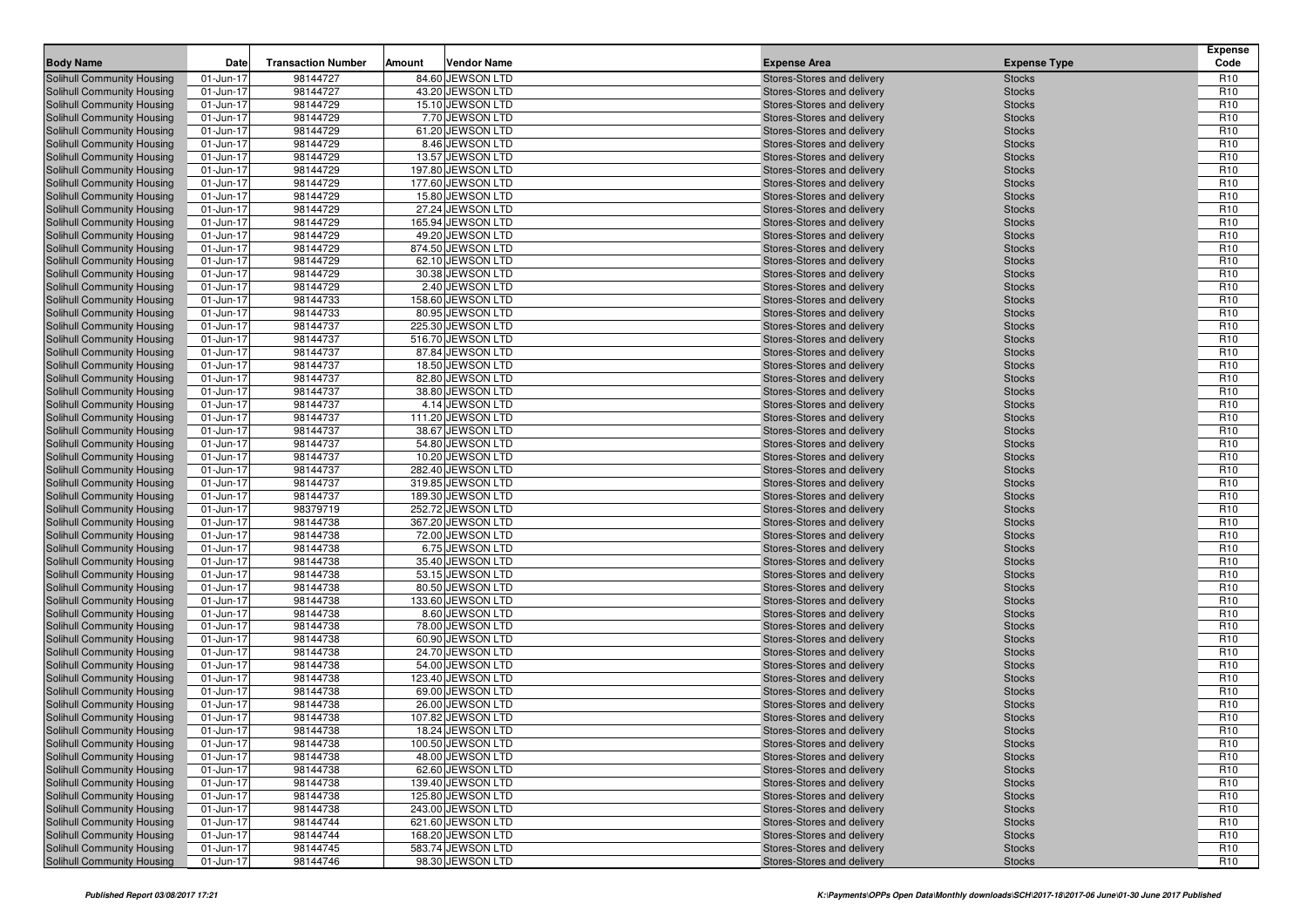| <b>Body Name</b>                                         | Date                   | <b>Transaction Number</b> | Amount | <b>Vendor Name</b>                   | <b>Expense Area</b>                                      | <b>Expense Type</b>            | <b>Expense</b><br>Code             |
|----------------------------------------------------------|------------------------|---------------------------|--------|--------------------------------------|----------------------------------------------------------|--------------------------------|------------------------------------|
| Solihull Community Housing                               |                        | 98144727                  |        | 84.60 JEWSON LTD                     | Stores-Stores and delivery                               | <b>Stocks</b>                  | R <sub>10</sub>                    |
| Solihull Community Housing                               | 01-Jun-17<br>01-Jun-17 | 98144727                  |        | 43.20 JEWSON LTD                     | Stores-Stores and delivery                               | <b>Stocks</b>                  | R <sub>10</sub>                    |
| Solihull Community Housing                               | 01-Jun-17              | 98144729                  |        | 15.10 JEWSON LTD                     | Stores-Stores and delivery                               | <b>Stocks</b>                  | R <sub>10</sub>                    |
| Solihull Community Housing                               | 01-Jun-17              | 98144729                  |        | 7.70 JEWSON LTD                      | Stores-Stores and delivery                               | <b>Stocks</b>                  | R <sub>10</sub>                    |
| Solihull Community Housing                               | 01-Jun-17              | 98144729                  |        | 61.20 JEWSON LTD                     | Stores-Stores and delivery                               | <b>Stocks</b>                  | R <sub>10</sub>                    |
| Solihull Community Housing                               | 01-Jun-17              | 98144729                  |        | 8.46 JEWSON LTD                      | Stores-Stores and delivery                               | <b>Stocks</b>                  | R <sub>10</sub>                    |
| Solihull Community Housing                               | 01-Jun-17              | 98144729                  |        | 13.57 JEWSON LTD                     | Stores-Stores and delivery                               | <b>Stocks</b>                  | R <sub>10</sub>                    |
| Solihull Community Housing                               | 01-Jun-17              | 98144729                  |        | 197.80 JEWSON LTD                    | Stores-Stores and delivery                               | <b>Stocks</b>                  | R <sub>10</sub>                    |
| Solihull Community Housing                               | 01-Jun-17              | 98144729                  |        | 177.60 JEWSON LTD                    | Stores-Stores and delivery                               | <b>Stocks</b>                  | R <sub>10</sub>                    |
| Solihull Community Housing                               | 01-Jun-17              | 98144729                  |        | 15.80 JEWSON LTD                     | Stores-Stores and delivery                               | <b>Stocks</b>                  | R <sub>10</sub>                    |
| Solihull Community Housing                               | 01-Jun-17              | 98144729                  |        | 27.24 JEWSON LTD                     | Stores-Stores and delivery                               | <b>Stocks</b>                  | R <sub>10</sub>                    |
| <b>Solihull Community Housing</b>                        | 01-Jun-17              | 98144729                  |        | 165.94 JEWSON LTD                    | Stores-Stores and delivery                               | <b>Stocks</b>                  | R <sub>10</sub>                    |
| Solihull Community Housing                               | 01-Jun-17              | 98144729                  |        | 49.20 JEWSON LTD                     | Stores-Stores and delivery                               | <b>Stocks</b>                  | R <sub>10</sub>                    |
| Solihull Community Housing                               | 01-Jun-17              | 98144729                  |        | 874.50 JEWSON LTD                    | Stores-Stores and delivery                               | <b>Stocks</b>                  | R <sub>10</sub>                    |
| Solihull Community Housing                               | 01-Jun-17              | 98144729                  |        | 62.10 JEWSON LTD                     | Stores-Stores and delivery                               | <b>Stocks</b>                  | R <sub>10</sub>                    |
| <b>Solihull Community Housing</b>                        | 01-Jun-17              | 98144729                  |        | 30.38 JEWSON LTD                     | Stores-Stores and delivery                               | <b>Stocks</b>                  | R <sub>10</sub>                    |
| Solihull Community Housing                               | 01-Jun-17              | 98144729                  |        | 2.40 JEWSON LTD                      | Stores-Stores and delivery                               | <b>Stocks</b>                  | R <sub>10</sub>                    |
| Solihull Community Housing                               | 01-Jun-17              | 98144733                  |        | 158.60 JEWSON LTD                    | Stores-Stores and delivery                               | <b>Stocks</b>                  | R <sub>10</sub>                    |
| Solihull Community Housing                               | 01-Jun-17              | 98144733                  |        | 80.95 JEWSON LTD                     | Stores-Stores and delivery                               | <b>Stocks</b>                  | R <sub>10</sub>                    |
| Solihull Community Housing                               | 01-Jun-17              | 98144737                  |        | 225.30 JEWSON LTD                    | Stores-Stores and delivery                               | <b>Stocks</b>                  | R <sub>10</sub>                    |
| <b>Solihull Community Housing</b>                        | 01-Jun-17              | 98144737                  |        | 516.70 JEWSON LTD                    | Stores-Stores and delivery                               | <b>Stocks</b>                  | R <sub>10</sub>                    |
| <b>Solihull Community Housing</b>                        | 01-Jun-17              | 98144737                  |        | 87.84 JEWSON LTD                     | Stores-Stores and delivery                               | <b>Stocks</b>                  | R <sub>10</sub>                    |
| Solihull Community Housing                               | 01-Jun-17              | 98144737                  |        | 18.50 JEWSON LTD                     | Stores-Stores and delivery                               | <b>Stocks</b>                  | R <sub>10</sub>                    |
| Solihull Community Housing                               | 01-Jun-17              | 98144737                  |        | 82.80 JEWSON LTD                     | Stores-Stores and delivery                               | <b>Stocks</b>                  | R <sub>10</sub>                    |
| Solihull Community Housing                               | 01-Jun-17              | 98144737                  |        | 38.80 JEWSON LTD                     | Stores-Stores and delivery                               | <b>Stocks</b>                  | R <sub>10</sub>                    |
| Solihull Community Housing                               | 01-Jun-17              | 98144737                  |        | 4.14 JEWSON LTD                      | Stores-Stores and delivery                               | <b>Stocks</b>                  | R <sub>10</sub>                    |
| Solihull Community Housing                               | 01-Jun-17              | 98144737                  |        | 111.20 JEWSON LTD                    | Stores-Stores and delivery                               | <b>Stocks</b>                  | R <sub>10</sub>                    |
| Solihull Community Housing                               | 01-Jun-17              | 98144737                  |        | 38.67 JEWSON LTD                     | Stores-Stores and delivery                               | <b>Stocks</b>                  | R <sub>10</sub>                    |
| Solihull Community Housing                               | 01-Jun-17              | 98144737                  |        | 54.80 JEWSON LTD                     | Stores-Stores and delivery                               | <b>Stocks</b>                  | R <sub>10</sub>                    |
| Solihull Community Housing                               | 01-Jun-17              | 98144737                  |        | 10.20 JEWSON LTD                     | Stores-Stores and delivery                               | <b>Stocks</b>                  | R <sub>10</sub>                    |
| <b>Solihull Community Housing</b>                        | 01-Jun-17              | 98144737                  |        | 282.40 JEWSON LTD                    | Stores-Stores and delivery                               | <b>Stocks</b>                  | R <sub>10</sub>                    |
| <b>Solihull Community Housing</b>                        | 01-Jun-17              | 98144737                  |        | 319.85 JEWSON LTD                    | Stores-Stores and delivery                               | <b>Stocks</b>                  | R <sub>10</sub>                    |
| Solihull Community Housing                               | 01-Jun-17              | 98144737                  |        | 189.30 JEWSON LTD                    | Stores-Stores and delivery                               | <b>Stocks</b>                  | R <sub>10</sub>                    |
| Solihull Community Housing                               | 01-Jun-17              | 98379719                  |        | 252.72 JEWSON LTD                    | Stores-Stores and delivery                               | <b>Stocks</b>                  | R <sub>10</sub>                    |
| Solihull Community Housing                               | 01-Jun-17              | 98144738                  |        | 367.20 JEWSON LTD                    | Stores-Stores and delivery                               | <b>Stocks</b>                  | R <sub>10</sub>                    |
| Solihull Community Housing                               | 01-Jun-17              | 98144738                  |        | 72.00 JEWSON LTD                     | Stores-Stores and delivery                               | <b>Stocks</b>                  | R <sub>10</sub>                    |
| Solihull Community Housing                               | 01-Jun-17              | 98144738                  |        | 6.75 JEWSON LTD                      | Stores-Stores and delivery                               | <b>Stocks</b>                  | R <sub>10</sub>                    |
| Solihull Community Housing                               | 01-Jun-17              | 98144738                  |        | 35.40 JEWSON LTD                     | Stores-Stores and delivery                               | <b>Stocks</b>                  | R <sub>10</sub><br>R <sub>10</sub> |
| Solihull Community Housing<br>Solihull Community Housing | 01-Jun-17              | 98144738<br>98144738      |        | 53.15 JEWSON LTD<br>80.50 JEWSON LTD | Stores-Stores and delivery                               | <b>Stocks</b><br><b>Stocks</b> | R <sub>10</sub>                    |
| Solihull Community Housing                               | 01-Jun-17<br>01-Jun-17 | 98144738                  |        | 133.60 JEWSON LTD                    | Stores-Stores and delivery<br>Stores-Stores and delivery |                                | R <sub>10</sub>                    |
| <b>Solihull Community Housing</b>                        | 01-Jun-17              | 98144738                  |        | 8.60 JEWSON LTD                      | Stores-Stores and delivery                               | <b>Stocks</b><br><b>Stocks</b> | R <sub>10</sub>                    |
| Solihull Community Housing                               | 01-Jun-17              | 98144738                  |        | 78.00 JEWSON LTD                     | Stores-Stores and delivery                               | <b>Stocks</b>                  | R <sub>10</sub>                    |
| Solihull Community Housing                               | 01-Jun-17              | 98144738                  |        | 60.90 JEWSON LTD                     | Stores-Stores and delivery                               | <b>Stocks</b>                  | R <sub>10</sub>                    |
| Solihull Community Housing                               | 01-Jun-17              | 98144738                  |        | 24.70 JEWSON LTD                     | Stores-Stores and delivery                               | <b>Stocks</b>                  | R <sub>10</sub>                    |
| Solihull Community Housing                               | 01-Jun-17              | 98144738                  |        | 54.00 JEWSON LTD                     | Stores-Stores and delivery                               | <b>Stocks</b>                  | R <sub>10</sub>                    |
| Solihull Community Housing                               | 01-Jun-17              | 98144738                  |        | 123.40 JEWSON LTD                    | Stores-Stores and delivery                               | <b>Stocks</b>                  | R <sub>10</sub>                    |
| Solihull Community Housing                               | 01-Jun-17              | 98144738                  |        | 69.00 JEWSON LTD                     | Stores-Stores and delivery                               | <b>Stocks</b>                  | R <sub>10</sub>                    |
| Solihull Community Housing                               | 01-Jun-17              | 98144738                  |        | 26.00 JEWSON LTD                     | Stores-Stores and delivery                               | <b>Stocks</b>                  | R <sub>10</sub>                    |
| Solihull Community Housing                               | 01-Jun-17              | 98144738                  |        | 107.82 JEWSON LTD                    | Stores-Stores and delivery                               | <b>Stocks</b>                  | R <sub>10</sub>                    |
| Solihull Community Housing                               | 01-Jun-17              | 98144738                  |        | 18.24 JEWSON LTD                     | Stores-Stores and delivery                               | <b>Stocks</b>                  | R <sub>10</sub>                    |
| Solihull Community Housing                               | 01-Jun-17              | 98144738                  |        | 100.50 JEWSON LTD                    | Stores-Stores and delivery                               | <b>Stocks</b>                  | R <sub>10</sub>                    |
| Solihull Community Housing                               | 01-Jun-17              | 98144738                  |        | 48.00 JEWSON LTD                     | Stores-Stores and delivery                               | <b>Stocks</b>                  | R <sub>10</sub>                    |
| Solihull Community Housing                               | 01-Jun-17              | 98144738                  |        | 62.60 JEWSON LTD                     | Stores-Stores and delivery                               | <b>Stocks</b>                  | R <sub>10</sub>                    |
| Solihull Community Housing                               | 01-Jun-17              | 98144738                  |        | 139.40 JEWSON LTD                    | Stores-Stores and delivery                               | <b>Stocks</b>                  | R <sub>10</sub>                    |
| Solihull Community Housing                               | 01-Jun-17              | 98144738                  |        | 125.80 JEWSON LTD                    | Stores-Stores and delivery                               | <b>Stocks</b>                  | R <sub>10</sub>                    |
| Solihull Community Housing                               | 01-Jun-17              | 98144738                  |        | 243.00 JEWSON LTD                    | Stores-Stores and delivery                               | <b>Stocks</b>                  | R <sub>10</sub>                    |
| Solihull Community Housing                               | 01-Jun-17              | 98144744                  |        | 621.60 JEWSON LTD                    | Stores-Stores and delivery                               | <b>Stocks</b>                  | R <sub>10</sub>                    |
| Solihull Community Housing                               | 01-Jun-17              | 98144744                  |        | 168.20 JEWSON LTD                    | Stores-Stores and delivery                               | <b>Stocks</b>                  | R <sub>10</sub>                    |
| Solihull Community Housing                               | 01-Jun-17              | 98144745                  |        | 583.74 JEWSON LTD                    | Stores-Stores and delivery                               | <b>Stocks</b>                  | R <sub>10</sub>                    |
| Solihull Community Housing                               | 01-Jun-17              | 98144746                  |        | 98.30 JEWSON LTD                     | Stores-Stores and delivery                               | <b>Stocks</b>                  | R <sub>10</sub>                    |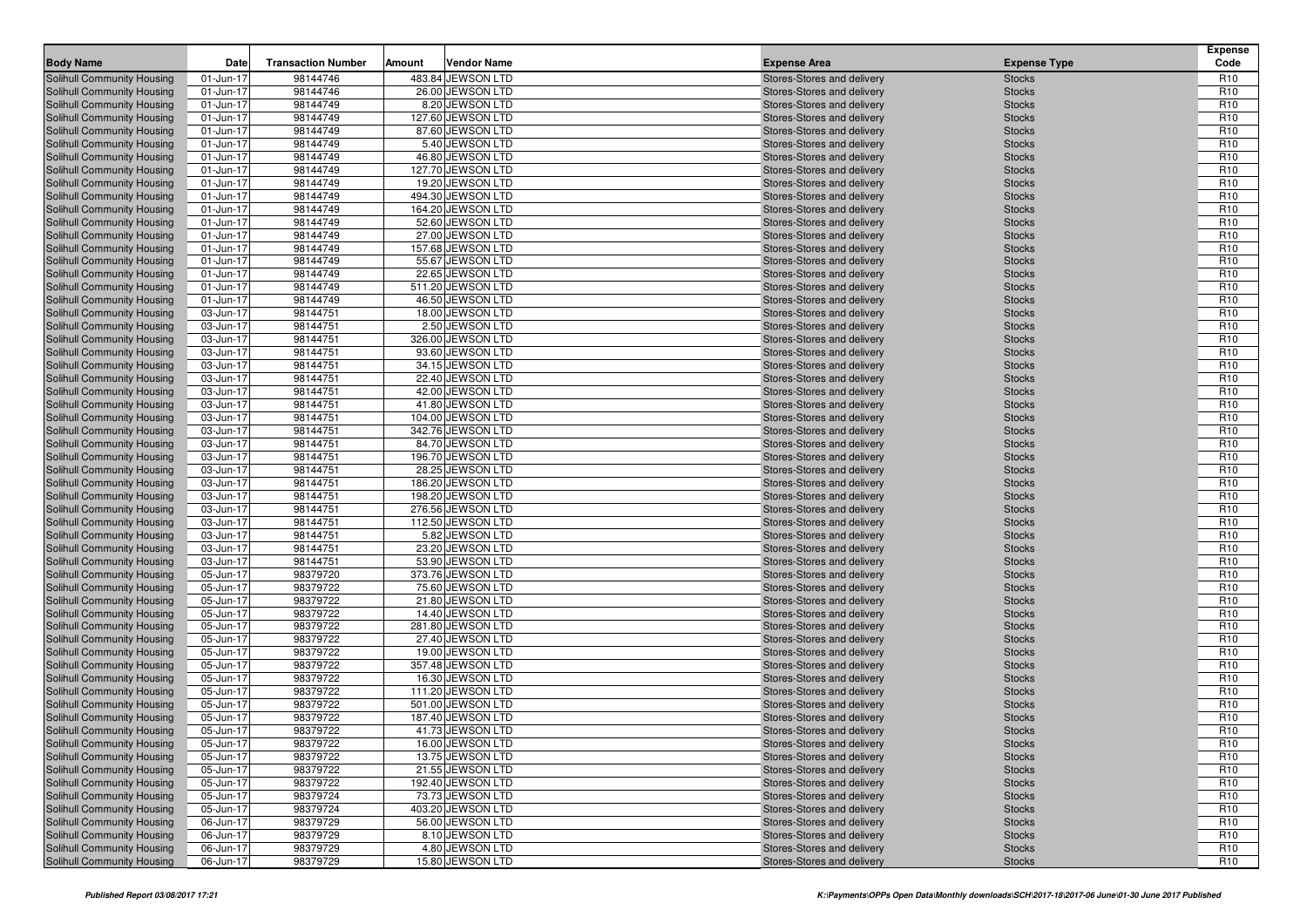|                                                                 |                        |                           |        |                                       |                                                          |                                | <b>Expense</b>                     |
|-----------------------------------------------------------------|------------------------|---------------------------|--------|---------------------------------------|----------------------------------------------------------|--------------------------------|------------------------------------|
| <b>Body Name</b>                                                | Date                   | <b>Transaction Number</b> | Amount | <b>Vendor Name</b>                    | <b>Expense Area</b>                                      | <b>Expense Type</b>            | Code                               |
| Solihull Community Housing<br>Solihull Community Housing        | 01-Jun-17              | 98144746                  |        | 483.84 JEWSON LTD<br>26.00 JEWSON LTD | Stores-Stores and delivery                               | <b>Stocks</b>                  | R <sub>10</sub><br>R <sub>10</sub> |
| Solihull Community Housing                                      | 01-Jun-17<br>01-Jun-17 | 98144746<br>98144749      |        | 8.20 JEWSON LTD                       | Stores-Stores and delivery<br>Stores-Stores and delivery | <b>Stocks</b><br><b>Stocks</b> | R <sub>10</sub>                    |
| Solihull Community Housing                                      | 01-Jun-17              | 98144749                  |        | 127.60 JEWSON LTD                     | Stores-Stores and delivery                               | <b>Stocks</b>                  | R <sub>10</sub>                    |
| Solihull Community Housing                                      | 01-Jun-17              | 98144749                  |        | 87.60 JEWSON LTD                      | Stores-Stores and delivery                               | <b>Stocks</b>                  | R <sub>10</sub>                    |
| Solihull Community Housing                                      | 01-Jun-17              | 98144749                  |        | 5.40 JEWSON LTD                       | Stores-Stores and delivery                               | <b>Stocks</b>                  | R <sub>10</sub>                    |
| Solihull Community Housing                                      | 01-Jun-17              | 98144749                  |        | 46.80 JEWSON LTD                      | Stores-Stores and delivery                               | <b>Stocks</b>                  | R <sub>10</sub>                    |
| Solihull Community Housing                                      | 01-Jun-17              | 98144749                  |        | 127.70 JEWSON LTD                     | Stores-Stores and delivery                               | <b>Stocks</b>                  | R <sub>10</sub>                    |
| Solihull Community Housing                                      | 01-Jun-17              | 98144749                  |        | 19.20 JEWSON LTD                      | Stores-Stores and delivery                               | <b>Stocks</b>                  | R <sub>10</sub>                    |
| Solihull Community Housing                                      | 01-Jun-17              | 98144749                  |        | 494.30 JEWSON LTD                     | Stores-Stores and delivery                               | <b>Stocks</b>                  | R <sub>10</sub>                    |
| Solihull Community Housing                                      | 01-Jun-17              | 98144749                  |        | 164.20 JEWSON LTD                     | Stores-Stores and delivery                               | <b>Stocks</b>                  | R <sub>10</sub>                    |
| Solihull Community Housing                                      | 01-Jun-17              | 98144749                  |        | 52.60 JEWSON LTD                      | Stores-Stores and delivery                               | <b>Stocks</b>                  | R <sub>10</sub>                    |
| Solihull Community Housing                                      | 01-Jun-17              | 98144749                  |        | 27.00 JEWSON LTD                      | Stores-Stores and delivery                               | <b>Stocks</b>                  | R <sub>10</sub>                    |
| Solihull Community Housing                                      | 01-Jun-17              | 98144749                  |        | 157.68 JEWSON LTD                     | Stores-Stores and delivery                               | <b>Stocks</b>                  | R <sub>10</sub>                    |
| Solihull Community Housing                                      | 01-Jun-17              | 98144749                  |        | 55.67 JEWSON LTD                      | Stores-Stores and delivery                               | <b>Stocks</b>                  | R <sub>10</sub>                    |
| Solihull Community Housing                                      | 01-Jun-17              | 98144749                  |        | 22.65 JEWSON LTD                      | Stores-Stores and delivery                               | <b>Stocks</b>                  | R <sub>10</sub>                    |
| Solihull Community Housing                                      | 01-Jun-17              | 98144749                  |        | 511.20 JEWSON LTD                     | Stores-Stores and delivery                               | <b>Stocks</b>                  | R <sub>10</sub>                    |
| Solihull Community Housing                                      | 01-Jun-17              | 98144749                  |        | 46.50 JEWSON LTD                      | Stores-Stores and delivery                               | <b>Stocks</b>                  | R <sub>10</sub>                    |
| <b>Solihull Community Housing</b>                               | 03-Jun-17              | 98144751                  |        | 18.00 JEWSON LTD                      | Stores-Stores and delivery                               | <b>Stocks</b>                  | R <sub>10</sub>                    |
| Solihull Community Housing                                      | 03-Jun-17              | 98144751                  |        | 2.50 JEWSON LTD                       | Stores-Stores and delivery                               | <b>Stocks</b>                  | R <sub>10</sub>                    |
| <b>Solihull Community Housing</b>                               | 03-Jun-17              | 98144751                  |        | 326.00 JEWSON LTD                     | Stores-Stores and delivery                               | <b>Stocks</b>                  | R <sub>10</sub>                    |
| Solihull Community Housing<br>Solihull Community Housing        | 03-Jun-17<br>03-Jun-17 | 98144751                  |        | 93.60 JEWSON LTD                      | Stores-Stores and delivery                               | <b>Stocks</b>                  | R <sub>10</sub><br>R <sub>10</sub> |
| Solihull Community Housing                                      |                        | 98144751<br>98144751      |        | 34.15 JEWSON LTD                      | Stores-Stores and delivery                               | <b>Stocks</b>                  | R <sub>10</sub>                    |
| Solihull Community Housing                                      | 03-Jun-17<br>03-Jun-17 | 98144751                  |        | 22.40 JEWSON LTD<br>42.00 JEWSON LTD  | Stores-Stores and delivery<br>Stores-Stores and delivery | <b>Stocks</b><br><b>Stocks</b> | R <sub>10</sub>                    |
| <b>Solihull Community Housing</b>                               | 03-Jun-17              | 98144751                  |        | 41.80 JEWSON LTD                      | Stores-Stores and delivery                               | <b>Stocks</b>                  | R <sub>10</sub>                    |
| Solihull Community Housing                                      | 03-Jun-17              | 98144751                  |        | 104.00 JEWSON LTD                     | Stores-Stores and delivery                               | <b>Stocks</b>                  | R <sub>10</sub>                    |
| Solihull Community Housing                                      | 03-Jun-17              | 98144751                  |        | 342.76 JEWSON LTD                     | Stores-Stores and delivery                               | <b>Stocks</b>                  | R <sub>10</sub>                    |
| Solihull Community Housing                                      | 03-Jun-17              | 98144751                  |        | 84.70 JEWSON LTD                      | Stores-Stores and delivery                               | <b>Stocks</b>                  | R <sub>10</sub>                    |
| Solihull Community Housing                                      | 03-Jun-17              | 98144751                  |        | 196.70 JEWSON LTD                     | Stores-Stores and delivery                               | <b>Stocks</b>                  | R <sub>10</sub>                    |
| Solihull Community Housing                                      | 03-Jun-17              | 98144751                  |        | 28.25 JEWSON LTD                      | Stores-Stores and delivery                               | <b>Stocks</b>                  | R <sub>10</sub>                    |
| Solihull Community Housing                                      | 03-Jun-17              | 98144751                  |        | 186.20 JEWSON LTD                     | Stores-Stores and delivery                               | <b>Stocks</b>                  | R <sub>10</sub>                    |
| Solihull Community Housing                                      | 03-Jun-17              | 98144751                  |        | 198.20 JEWSON LTD                     | Stores-Stores and delivery                               | <b>Stocks</b>                  | R <sub>10</sub>                    |
| Solihull Community Housing                                      | 03-Jun-17              | 98144751                  |        | 276.56 JEWSON LTD                     | Stores-Stores and delivery                               | <b>Stocks</b>                  | R <sub>10</sub>                    |
| Solihull Community Housing                                      | 03-Jun-17              | 98144751                  |        | 112.50 JEWSON LTD                     | Stores-Stores and delivery                               | <b>Stocks</b>                  | R <sub>10</sub>                    |
| Solihull Community Housing                                      | 03-Jun-17              | 98144751                  |        | 5.82 JEWSON LTD                       | Stores-Stores and delivery                               | <b>Stocks</b>                  | R <sub>10</sub>                    |
| Solihull Community Housing                                      | 03-Jun-17              | 98144751                  |        | 23.20 JEWSON LTD                      | Stores-Stores and delivery                               | <b>Stocks</b>                  | R <sub>10</sub>                    |
| <b>Solihull Community Housing</b>                               | 03-Jun-17              | 98144751                  |        | 53.90 JEWSON LTD                      | Stores-Stores and delivery                               | <b>Stocks</b>                  | R <sub>10</sub>                    |
| Solihull Community Housing                                      | 05-Jun-17              | 98379720                  |        | 373.76 JEWSON LTD                     | Stores-Stores and delivery                               | <b>Stocks</b>                  | R <sub>10</sub>                    |
| Solihull Community Housing                                      | 05-Jun-17              | 98379722                  |        | 75.60 JEWSON LTD                      | Stores-Stores and delivery                               | <b>Stocks</b>                  | R <sub>10</sub>                    |
| Solihull Community Housing                                      | 05-Jun-17              | 98379722                  |        | 21.80 JEWSON LTD                      | Stores-Stores and delivery                               | <b>Stocks</b>                  | R <sub>10</sub>                    |
| Solihull Community Housing                                      | 05-Jun-17<br>05-Jun-17 | 98379722<br>98379722      |        | 14.40 JEWSON LTD<br>281.80 JEWSON LTD | Stores-Stores and delivery                               | <b>Stocks</b>                  | R <sub>10</sub><br>R <sub>10</sub> |
| <b>Solihull Community Housing</b><br>Solihull Community Housing | 05-Jun-17              | 98379722                  |        | 27.40 JEWSON LTD                      | Stores-Stores and delivery<br>Stores-Stores and delivery | <b>Stocks</b><br><b>Stocks</b> | R <sub>10</sub>                    |
| Solihull Community Housing                                      | 05-Jun-17              | 98379722                  |        | 19.00 JEWSON LTD                      | Stores-Stores and delivery                               | <b>Stocks</b>                  | R <sub>10</sub>                    |
| Solihull Community Housing                                      | 05-Jun-17              | 98379722                  |        | 357.48 JEWSON LTD                     | Stores-Stores and delivery                               | <b>Stocks</b>                  | R <sub>10</sub>                    |
| Solihull Community Housing                                      | 05-Jun-17              | 98379722                  |        | 16.30 JEWSON LTD                      | Stores-Stores and delivery                               | <b>Stocks</b>                  | R <sub>10</sub>                    |
| Solihull Community Housing                                      | 05-Jun-17              | 98379722                  |        | 111.20 JEWSON LTD                     | Stores-Stores and delivery                               | <b>Stocks</b>                  | R <sub>10</sub>                    |
| Solihull Community Housing                                      | 05-Jun-17              | 98379722                  |        | 501.00 JEWSON LTD                     | Stores-Stores and delivery                               | <b>Stocks</b>                  | R <sub>10</sub>                    |
| Solihull Community Housing                                      | 05-Jun-17              | 98379722                  |        | 187.40 JEWSON LTD                     | Stores-Stores and delivery                               | <b>Stocks</b>                  | R <sub>10</sub>                    |
| <b>Solihull Community Housing</b>                               | 05-Jun-17              | 98379722                  |        | 41.73 JEWSON LTD                      | Stores-Stores and delivery                               | <b>Stocks</b>                  | R <sub>10</sub>                    |
| Solihull Community Housing                                      | 05-Jun-17              | 98379722                  |        | 16.00 JEWSON LTD                      | Stores-Stores and delivery                               | <b>Stocks</b>                  | R <sub>10</sub>                    |
| Solihull Community Housing                                      | 05-Jun-17              | 98379722                  |        | 13.75 JEWSON LTD                      | Stores-Stores and delivery                               | <b>Stocks</b>                  | R <sub>10</sub>                    |
| Solihull Community Housing                                      | 05-Jun-17              | 98379722                  |        | 21.55 JEWSON LTD                      | Stores-Stores and delivery                               | <b>Stocks</b>                  | R <sub>10</sub>                    |
| Solihull Community Housing                                      | 05-Jun-17              | 98379722                  |        | 192.40 JEWSON LTD                     | Stores-Stores and delivery                               | <b>Stocks</b>                  | R <sub>10</sub>                    |
| Solihull Community Housing                                      | 05-Jun-17              | 98379724                  |        | 73.73 JEWSON LTD                      | Stores-Stores and delivery                               | <b>Stocks</b>                  | R <sub>10</sub>                    |
| Solihull Community Housing                                      | 05-Jun-17              | 98379724                  |        | 403.20 JEWSON LTD                     | Stores-Stores and delivery                               | <b>Stocks</b>                  | R <sub>10</sub>                    |
| Solihull Community Housing                                      | 06-Jun-17              | 98379729                  |        | 56.00 JEWSON LTD                      | Stores-Stores and delivery                               | <b>Stocks</b>                  | R <sub>10</sub>                    |
| Solihull Community Housing                                      | 06-Jun-17              | 98379729                  |        | 8.10 JEWSON LTD                       | Stores-Stores and delivery                               | <b>Stocks</b>                  | R <sub>10</sub>                    |
| Solihull Community Housing                                      | 06-Jun-17              | 98379729                  |        | 4.80 JEWSON LTD                       | Stores-Stores and delivery                               | <b>Stocks</b>                  | R <sub>10</sub>                    |
| Solihull Community Housing                                      | 06-Jun-17              | 98379729                  |        | 15.80 JEWSON LTD                      | Stores-Stores and delivery                               | <b>Stocks</b>                  | R <sub>10</sub>                    |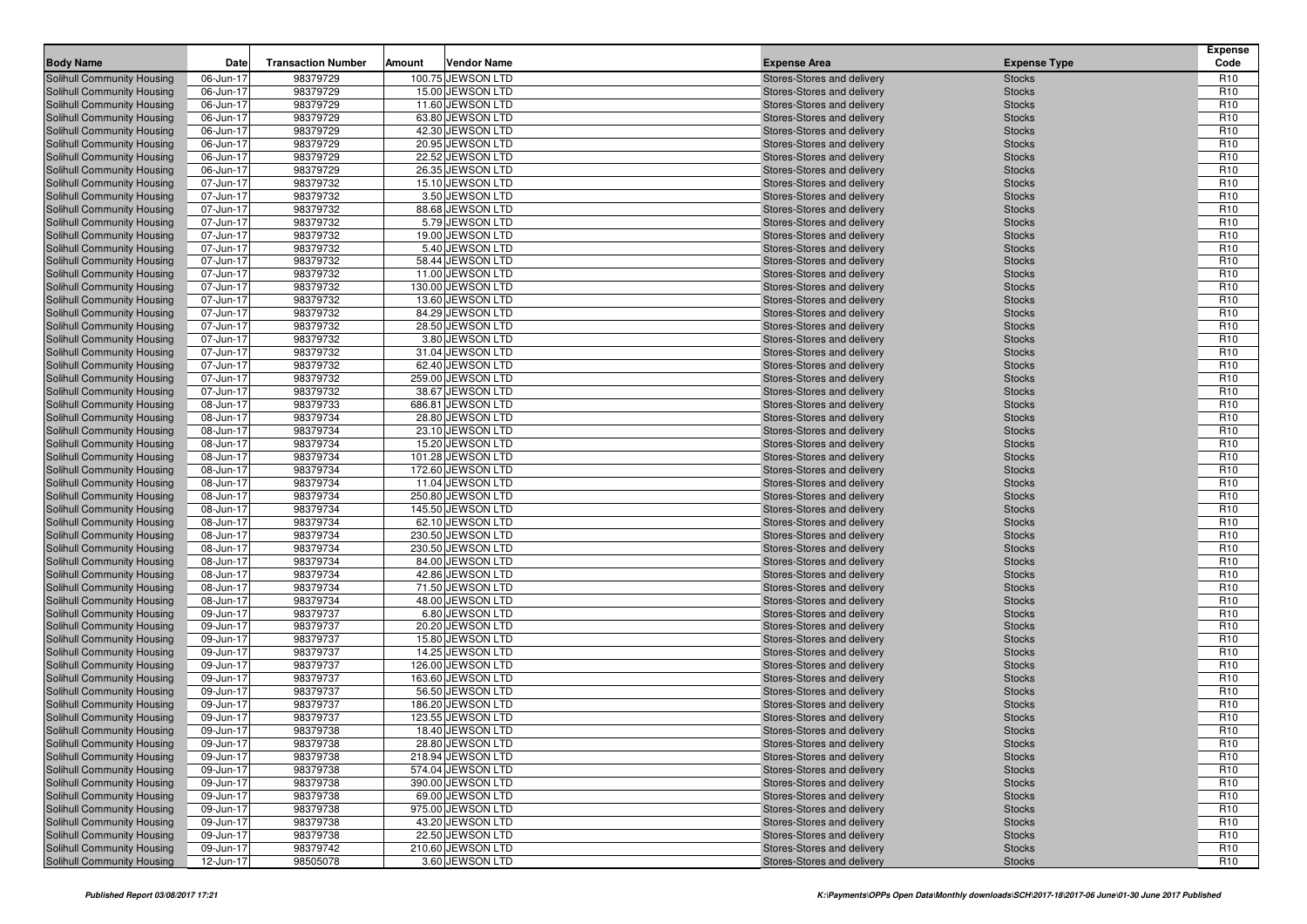| <b>Body Name</b>                                         | Date                   | <b>Transaction Number</b> | Amount | <b>Vendor Name</b>                   | <b>Expense Area</b>                                      | <b>Expense Type</b>            | <b>Expense</b><br>Code             |
|----------------------------------------------------------|------------------------|---------------------------|--------|--------------------------------------|----------------------------------------------------------|--------------------------------|------------------------------------|
|                                                          |                        | 98379729                  |        | 100.75 JEWSON LTD                    | Stores-Stores and delivery                               | <b>Stocks</b>                  | R <sub>10</sub>                    |
| Solihull Community Housing<br>Solihull Community Housing | 06-Jun-17<br>06-Jun-17 | 98379729                  |        | 15.00 JEWSON LTD                     | Stores-Stores and delivery                               | <b>Stocks</b>                  | R <sub>10</sub>                    |
| Solihull Community Housing                               | 06-Jun-17              | 98379729                  |        | 11.60 JEWSON LTD                     | Stores-Stores and delivery                               | <b>Stocks</b>                  | R <sub>10</sub>                    |
| Solihull Community Housing                               | 06-Jun-17              | 98379729                  |        | 63.80 JEWSON LTD                     | Stores-Stores and delivery                               | <b>Stocks</b>                  | R <sub>10</sub>                    |
| Solihull Community Housing                               | 06-Jun-17              | 98379729                  |        | 42.30 JEWSON LTD                     | Stores-Stores and delivery                               | <b>Stocks</b>                  | R <sub>10</sub>                    |
| Solihull Community Housing                               | 06-Jun-17              | 98379729                  |        | 20.95 JEWSON LTD                     | Stores-Stores and delivery                               | <b>Stocks</b>                  | R <sub>10</sub>                    |
| Solihull Community Housing                               | 06-Jun-17              | 98379729                  |        | 22.52 JEWSON LTD                     | Stores-Stores and delivery                               | <b>Stocks</b>                  | R <sub>10</sub>                    |
| Solihull Community Housing                               | 06-Jun-17              | 98379729                  |        | 26.35 JEWSON LTD                     | Stores-Stores and delivery                               | <b>Stocks</b>                  | R <sub>10</sub>                    |
| Solihull Community Housing                               | 07-Jun-17              | 98379732                  |        | 15.10 JEWSON LTD                     | Stores-Stores and delivery                               | <b>Stocks</b>                  | R <sub>10</sub>                    |
| Solihull Community Housing                               | 07-Jun-17              | 98379732                  |        | 3.50 JEWSON LTD                      | Stores-Stores and delivery                               | <b>Stocks</b>                  | R <sub>10</sub>                    |
| Solihull Community Housing                               | 07-Jun-17              | 98379732                  |        | 88.68 JEWSON LTD                     | Stores-Stores and delivery                               | <b>Stocks</b>                  | R <sub>10</sub>                    |
| <b>Solihull Community Housing</b>                        | 07-Jun-17              | 98379732                  |        | 5.79 JEWSON LTD                      | Stores-Stores and delivery                               | <b>Stocks</b>                  | R <sub>10</sub>                    |
| Solihull Community Housing                               | 07-Jun-17              | 98379732                  |        | 19.00 JEWSON LTD                     | Stores-Stores and delivery                               | <b>Stocks</b>                  | R <sub>10</sub>                    |
| Solihull Community Housing                               | 07-Jun-17              | 98379732                  |        | 5.40 JEWSON LTD                      | Stores-Stores and delivery                               | <b>Stocks</b>                  | R <sub>10</sub>                    |
| Solihull Community Housing                               | 07-Jun-17              | 98379732                  |        | 58.44 JEWSON LTD                     | Stores-Stores and delivery                               | <b>Stocks</b>                  | R <sub>10</sub>                    |
| <b>Solihull Community Housing</b>                        | 07-Jun-17              | 98379732                  |        | 11.00 JEWSON LTD                     | Stores-Stores and delivery                               | <b>Stocks</b>                  | R <sub>10</sub>                    |
| Solihull Community Housing                               | 07-Jun-17              | 98379732                  |        | 130.00 JEWSON LTD                    | Stores-Stores and delivery                               | <b>Stocks</b>                  | R <sub>10</sub>                    |
| Solihull Community Housing                               | 07-Jun-17              | 98379732                  |        | 13.60 JEWSON LTD                     | Stores-Stores and delivery                               | <b>Stocks</b>                  | R <sub>10</sub>                    |
| Solihull Community Housing                               | 07-Jun-17              | 98379732                  |        | 84.29 JEWSON LTD                     | Stores-Stores and delivery                               | <b>Stocks</b>                  | R <sub>10</sub>                    |
| Solihull Community Housing                               | 07-Jun-17              | 98379732                  |        | 28.50 JEWSON LTD                     | Stores-Stores and delivery                               | <b>Stocks</b>                  | R <sub>10</sub>                    |
| <b>Solihull Community Housing</b>                        | 07-Jun-17              | 98379732                  |        | 3.80 JEWSON LTD                      | Stores-Stores and delivery                               | <b>Stocks</b>                  | R <sub>10</sub>                    |
| <b>Solihull Community Housing</b>                        | 07-Jun-17              | 98379732                  |        | 31.04 JEWSON LTD                     | Stores-Stores and delivery                               | <b>Stocks</b>                  | R <sub>10</sub>                    |
| Solihull Community Housing                               | 07-Jun-17              | 98379732                  |        | 62.40 JEWSON LTD                     | Stores-Stores and delivery                               | <b>Stocks</b>                  | R <sub>10</sub>                    |
| Solihull Community Housing                               | 07-Jun-17              | 98379732                  |        | 259.00 JEWSON LTD                    | Stores-Stores and delivery                               | <b>Stocks</b>                  | R <sub>10</sub>                    |
| Solihull Community Housing                               | 07-Jun-17              | 98379732                  |        | 38.67 JEWSON LTD                     | Stores-Stores and delivery                               | <b>Stocks</b>                  | R <sub>10</sub>                    |
| <b>Solihull Community Housing</b>                        | 08-Jun-17              | 98379733                  |        | 686.81 JEWSON LTD                    | Stores-Stores and delivery                               | <b>Stocks</b>                  | R <sub>10</sub>                    |
| Solihull Community Housing                               | 08-Jun-17              | 98379734                  |        | 28.80 JEWSON LTD                     | Stores-Stores and delivery                               | <b>Stocks</b>                  | R <sub>10</sub>                    |
| Solihull Community Housing                               | 08-Jun-17              | 98379734                  |        | 23.10 JEWSON LTD                     | Stores-Stores and delivery                               | <b>Stocks</b>                  | R <sub>10</sub>                    |
| Solihull Community Housing                               | 08-Jun-17              | 98379734                  |        | 15.20 JEWSON LTD                     | Stores-Stores and delivery                               | <b>Stocks</b>                  | R <sub>10</sub>                    |
| Solihull Community Housing                               | 08-Jun-17              | 98379734                  |        | 101.28 JEWSON LTD                    | Stores-Stores and delivery                               | <b>Stocks</b>                  | R <sub>10</sub>                    |
| <b>Solihull Community Housing</b>                        | 08-Jun-17              | 98379734                  |        | 172.60 JEWSON LTD                    | Stores-Stores and delivery                               | <b>Stocks</b>                  | R <sub>10</sub>                    |
| <b>Solihull Community Housing</b>                        | 08-Jun-17              | 98379734                  |        | 11.04 JEWSON LTD                     | Stores-Stores and delivery                               | <b>Stocks</b>                  | R <sub>10</sub>                    |
| Solihull Community Housing                               | 08-Jun-17              | 98379734                  |        | 250.80 JEWSON LTD                    | Stores-Stores and delivery                               | <b>Stocks</b>                  | R <sub>10</sub>                    |
| <b>Solihull Community Housing</b>                        | 08-Jun-17              | 98379734                  |        | 145.50 JEWSON LTD                    | Stores-Stores and delivery                               | <b>Stocks</b>                  | R <sub>10</sub>                    |
| Solihull Community Housing                               | 08-Jun-17              | 98379734                  |        | 62.10 JEWSON LTD                     | Stores-Stores and delivery                               | <b>Stocks</b>                  | R <sub>10</sub>                    |
| <b>Solihull Community Housing</b>                        | 08-Jun-17              | 98379734                  |        | 230.50 JEWSON LTD                    | Stores-Stores and delivery                               | <b>Stocks</b>                  | R <sub>10</sub>                    |
| <b>Solihull Community Housing</b>                        | 08-Jun-17              | 98379734                  |        | 230.50 JEWSON LTD                    | Stores-Stores and delivery                               | <b>Stocks</b>                  | R <sub>10</sub>                    |
| Solihull Community Housing                               | 08-Jun-17              | 98379734                  |        | 84.00 JEWSON LTD                     | Stores-Stores and delivery                               | <b>Stocks</b>                  | R <sub>10</sub><br>R <sub>10</sub> |
| Solihull Community Housing<br>Solihull Community Housing | 08-Jun-17              | 98379734<br>98379734      |        | 42.86 JEWSON LTD<br>71.50 JEWSON LTD | Stores-Stores and delivery                               | <b>Stocks</b><br><b>Stocks</b> | R <sub>10</sub>                    |
| <b>Solihull Community Housing</b>                        | 08-Jun-17<br>08-Jun-17 | 98379734                  |        | 48.00 JEWSON LTD                     | Stores-Stores and delivery<br>Stores-Stores and delivery |                                | R <sub>10</sub>                    |
| <b>Solihull Community Housing</b>                        | 09-Jun-17              | 98379737                  |        | 6.80 JEWSON LTD                      | Stores-Stores and delivery                               | <b>Stocks</b><br><b>Stocks</b> | R <sub>10</sub>                    |
| Solihull Community Housing                               | 09-Jun-17              | 98379737                  |        | 20.20 JEWSON LTD                     | Stores-Stores and delivery                               | <b>Stocks</b>                  | R <sub>10</sub>                    |
| Solihull Community Housing                               | 09-Jun-17              | 98379737                  |        | 15.80 JEWSON LTD                     | Stores-Stores and delivery                               | <b>Stocks</b>                  | R <sub>10</sub>                    |
| Solihull Community Housing                               | 09-Jun-17              | 98379737                  |        | 14.25 JEWSON LTD                     | Stores-Stores and delivery                               | <b>Stocks</b>                  | R <sub>10</sub>                    |
| <b>Solihull Community Housing</b>                        | 09-Jun-17              | 98379737                  |        | 126.00 JEWSON LTD                    | Stores-Stores and delivery                               | <b>Stocks</b>                  | R <sub>10</sub>                    |
| Solihull Community Housing                               | 09-Jun-17              | 98379737                  |        | 163.60 JEWSON LTD                    | Stores-Stores and delivery                               | <b>Stocks</b>                  | R <sub>10</sub>                    |
| Solihull Community Housing                               | 09-Jun-17              | 98379737                  |        | 56.50 JEWSON LTD                     | Stores-Stores and delivery                               | <b>Stocks</b>                  | R <sub>10</sub>                    |
| Solihull Community Housing                               | 09-Jun-17              | 98379737                  |        | 186.20 JEWSON LTD                    | Stores-Stores and delivery                               | <b>Stocks</b>                  | R <sub>10</sub>                    |
| Solihull Community Housing                               | 09-Jun-17              | 98379737                  |        | 123.55 JEWSON LTD                    | Stores-Stores and delivery                               | <b>Stocks</b>                  | R <sub>10</sub>                    |
| Solihull Community Housing                               | 09-Jun-17              | 98379738                  |        | 18.40 JEWSON LTD                     | Stores-Stores and delivery                               | <b>Stocks</b>                  | R <sub>10</sub>                    |
| Solihull Community Housing                               | 09-Jun-17              | 98379738                  |        | 28.80 JEWSON LTD                     | Stores-Stores and delivery                               | <b>Stocks</b>                  | R <sub>10</sub>                    |
| Solihull Community Housing                               | 09-Jun-17              | 98379738                  |        | 218.94 JEWSON LTD                    | Stores-Stores and delivery                               | <b>Stocks</b>                  | R <sub>10</sub>                    |
| Solihull Community Housing                               | 09-Jun-17              | 98379738                  |        | 574.04 JEWSON LTD                    | Stores-Stores and delivery                               | <b>Stocks</b>                  | R <sub>10</sub>                    |
| Solihull Community Housing                               | 09-Jun-17              | 98379738                  |        | 390.00 JEWSON LTD                    | Stores-Stores and delivery                               | <b>Stocks</b>                  | R <sub>10</sub>                    |
| Solihull Community Housing                               | 09-Jun-17              | 98379738                  |        | 69.00 JEWSON LTD                     | Stores-Stores and delivery                               | <b>Stocks</b>                  | R <sub>10</sub>                    |
| Solihull Community Housing                               | 09-Jun-17              | 98379738                  |        | 975.00 JEWSON LTD                    | Stores-Stores and delivery                               | <b>Stocks</b>                  | R <sub>10</sub>                    |
| Solihull Community Housing                               | 09-Jun-17              | 98379738                  |        | 43.20 JEWSON LTD                     | Stores-Stores and delivery                               | <b>Stocks</b>                  | R <sub>10</sub>                    |
| Solihull Community Housing                               | 09-Jun-17              | 98379738                  |        | 22.50 JEWSON LTD                     | Stores-Stores and delivery                               | <b>Stocks</b>                  | R <sub>10</sub>                    |
| Solihull Community Housing                               | 09-Jun-17              | 98379742                  |        | 210.60 JEWSON LTD                    | Stores-Stores and delivery                               | <b>Stocks</b>                  | R <sub>10</sub>                    |
| Solihull Community Housing                               | 12-Jun-17              | 98505078                  |        | 3.60 JEWSON LTD                      | Stores-Stores and delivery                               | <b>Stocks</b>                  | R <sub>10</sub>                    |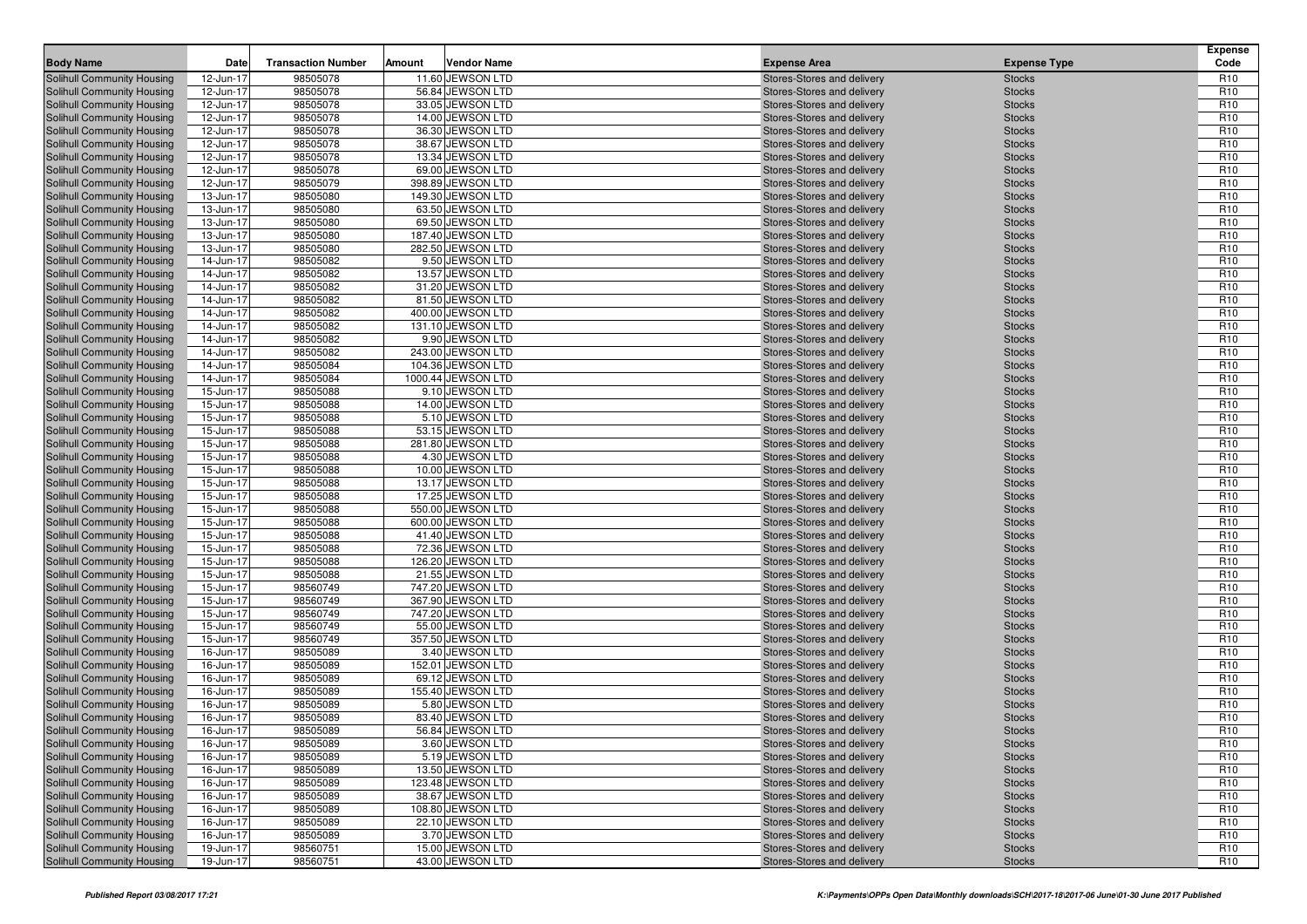| <b>Body Name</b>                  | Date                   | <b>Transaction Number</b> | Amount | <b>Vendor Name</b> | <b>Expense Area</b>                                      | <b>Expense Type</b> | <b>Expense</b><br>Code |
|-----------------------------------|------------------------|---------------------------|--------|--------------------|----------------------------------------------------------|---------------------|------------------------|
| Solihull Community Housing        |                        | 98505078                  |        | 11.60 JEWSON LTD   | Stores-Stores and delivery                               | <b>Stocks</b>       | R <sub>10</sub>        |
| Solihull Community Housing        | 12-Jun-17<br>12-Jun-17 | 98505078                  |        | 56.84 JEWSON LTD   |                                                          | <b>Stocks</b>       | R <sub>10</sub>        |
| Solihull Community Housing        | 12-Jun-17              | 98505078                  |        | 33.05 JEWSON LTD   | Stores-Stores and delivery<br>Stores-Stores and delivery | <b>Stocks</b>       | R <sub>10</sub>        |
| Solihull Community Housing        | 12-Jun-17              | 98505078                  |        | 14.00 JEWSON LTD   | Stores-Stores and delivery                               | <b>Stocks</b>       | R <sub>10</sub>        |
| Solihull Community Housing        | 12-Jun-17              | 98505078                  |        | 36.30 JEWSON LTD   | Stores-Stores and delivery                               | <b>Stocks</b>       | R <sub>10</sub>        |
| Solihull Community Housing        | 12-Jun-17              | 98505078                  |        | 38.67 JEWSON LTD   | Stores-Stores and delivery                               | <b>Stocks</b>       | R <sub>10</sub>        |
| Solihull Community Housing        | 12-Jun-17              | 98505078                  |        | 13.34 JEWSON LTD   | Stores-Stores and delivery                               | <b>Stocks</b>       | R <sub>10</sub>        |
| Solihull Community Housing        | 12-Jun-17              | 98505078                  |        | 69.00 JEWSON LTD   | Stores-Stores and delivery                               | <b>Stocks</b>       | R <sub>10</sub>        |
| Solihull Community Housing        | 12-Jun-17              | 98505079                  |        | 398.89 JEWSON LTD  | Stores-Stores and delivery                               | <b>Stocks</b>       | R <sub>10</sub>        |
| Solihull Community Housing        | 13-Jun-17              | 98505080                  |        | 149.30 JEWSON LTD  | Stores-Stores and delivery                               | <b>Stocks</b>       | R <sub>10</sub>        |
| Solihull Community Housing        | 13-Jun-17              | 98505080                  |        | 63.50 JEWSON LTD   | Stores-Stores and delivery                               | <b>Stocks</b>       | R <sub>10</sub>        |
| Solihull Community Housing        | 13-Jun-17              | 98505080                  |        | 69.50 JEWSON LTD   | Stores-Stores and delivery                               | <b>Stocks</b>       | R <sub>10</sub>        |
| Solihull Community Housing        | 13-Jun-17              | 98505080                  |        | 187.40 JEWSON LTD  | Stores-Stores and delivery                               | <b>Stocks</b>       | R <sub>10</sub>        |
| Solihull Community Housing        | 13-Jun-17              | 98505080                  |        | 282.50 JEWSON LTD  | Stores-Stores and delivery                               | <b>Stocks</b>       | R <sub>10</sub>        |
| Solihull Community Housing        | 14-Jun-17              | 98505082                  |        | 9.50 JEWSON LTD    | Stores-Stores and delivery                               | <b>Stocks</b>       | R <sub>10</sub>        |
| Solihull Community Housing        | 14-Jun-17              | 98505082                  |        | 13.57 JEWSON LTD   | Stores-Stores and delivery                               | <b>Stocks</b>       | R <sub>10</sub>        |
| Solihull Community Housing        | 14-Jun-17              | 98505082                  |        | 31.20 JEWSON LTD   | Stores-Stores and delivery                               | <b>Stocks</b>       | R <sub>10</sub>        |
| Solihull Community Housing        | 14-Jun-17              | 98505082                  |        | 81.50 JEWSON LTD   | Stores-Stores and delivery                               | <b>Stocks</b>       | R <sub>10</sub>        |
| Solihull Community Housing        | 14-Jun-17              | 98505082                  |        | 400.00 JEWSON LTD  | Stores-Stores and delivery                               | <b>Stocks</b>       | R <sub>10</sub>        |
| Solihull Community Housing        | 14-Jun-17              | 98505082                  |        | 131.10 JEWSON LTD  | Stores-Stores and delivery                               | <b>Stocks</b>       | R <sub>10</sub>        |
| Solihull Community Housing        | 14-Jun-17              | 98505082                  |        | 9.90 JEWSON LTD    | Stores-Stores and delivery                               | <b>Stocks</b>       | R <sub>10</sub>        |
| Solihull Community Housing        | 14-Jun-17              | 98505082                  |        | 243.00 JEWSON LTD  | Stores-Stores and delivery                               | <b>Stocks</b>       | R <sub>10</sub>        |
| Solihull Community Housing        | 14-Jun-17              | 98505084                  |        | 104.36 JEWSON LTD  | Stores-Stores and delivery                               | <b>Stocks</b>       | R <sub>10</sub>        |
| <b>Solihull Community Housing</b> | 14-Jun-17              | 98505084                  |        | 1000.44 JEWSON LTD | Stores-Stores and delivery                               | <b>Stocks</b>       | R <sub>10</sub>        |
| Solihull Community Housing        | 15-Jun-17              | 98505088                  |        | 9.10 JEWSON LTD    | Stores-Stores and delivery                               | <b>Stocks</b>       | R <sub>10</sub>        |
| <b>Solihull Community Housing</b> | 15-Jun-17              | 98505088                  |        | 14.00 JEWSON LTD   | Stores-Stores and delivery                               | <b>Stocks</b>       | R <sub>10</sub>        |
| <b>Solihull Community Housing</b> | 15-Jun-17              | 98505088                  |        | 5.10 JEWSON LTD    | Stores-Stores and delivery                               | <b>Stocks</b>       | R <sub>10</sub>        |
| Solihull Community Housing        | 15-Jun-17              | 98505088                  |        | 53.15 JEWSON LTD   | Stores-Stores and delivery                               | <b>Stocks</b>       | R <sub>10</sub>        |
| <b>Solihull Community Housing</b> | 15-Jun-17              | 98505088                  |        | 281.80 JEWSON LTD  | Stores-Stores and delivery                               | <b>Stocks</b>       | R <sub>10</sub>        |
| Solihull Community Housing        | 15-Jun-17              | 98505088                  |        | 4.30 JEWSON LTD    | Stores-Stores and delivery                               | <b>Stocks</b>       | R <sub>10</sub>        |
| Solihull Community Housing        | 15-Jun-17              | 98505088                  |        | 10.00 JEWSON LTD   | Stores-Stores and delivery                               | <b>Stocks</b>       | R <sub>10</sub>        |
| Solihull Community Housing        | 15-Jun-17              | 98505088                  |        | 13.17 JEWSON LTD   | Stores-Stores and delivery                               | <b>Stocks</b>       | R <sub>10</sub>        |
| Solihull Community Housing        | 15-Jun-17              | 98505088                  |        | 17.25 JEWSON LTD   | Stores-Stores and delivery                               | <b>Stocks</b>       | R <sub>10</sub>        |
| Solihull Community Housing        | 15-Jun-17              | 98505088                  |        | 550.00 JEWSON LTD  | Stores-Stores and delivery                               | <b>Stocks</b>       | R <sub>10</sub>        |
| Solihull Community Housing        | 15-Jun-17              | 98505088                  |        | 600.00 JEWSON LTD  | Stores-Stores and delivery                               | <b>Stocks</b>       | R <sub>10</sub>        |
| Solihull Community Housing        | 15-Jun-17              | 98505088                  |        | 41.40 JEWSON LTD   | Stores-Stores and delivery                               | <b>Stocks</b>       | R <sub>10</sub>        |
| Solihull Community Housing        | 15-Jun-17              | 98505088                  |        | 72.36 JEWSON LTD   | Stores-Stores and delivery                               | <b>Stocks</b>       | R <sub>10</sub>        |
| Solihull Community Housing        | 15-Jun-17              | 98505088                  |        | 126.20 JEWSON LTD  | Stores-Stores and delivery                               | <b>Stocks</b>       | R <sub>10</sub>        |
| Solihull Community Housing        | 15-Jun-17              | 98505088                  |        | 21.55 JEWSON LTD   | Stores-Stores and delivery                               | <b>Stocks</b>       | R <sub>10</sub>        |
| Solihull Community Housing        | 15-Jun-17              | 98560749                  |        | 747.20 JEWSON LTD  | Stores-Stores and delivery                               | <b>Stocks</b>       | R <sub>10</sub>        |
| Solihull Community Housing        | 15-Jun-17              | 98560749                  |        | 367.90 JEWSON LTD  | Stores-Stores and delivery                               | <b>Stocks</b>       | R <sub>10</sub>        |
| <b>Solihull Community Housing</b> | 15-Jun-17              | 98560749                  |        | 747.20 JEWSON LTD  | Stores-Stores and delivery                               | <b>Stocks</b>       | R <sub>10</sub>        |
| Solihull Community Housing        | 15-Jun-17              | 98560749                  |        | 55.00 JEWSON LTD   | Stores-Stores and delivery                               | <b>Stocks</b>       | R <sub>10</sub>        |
| Solihull Community Housing        | 15-Jun-17              | 98560749                  |        | 357.50 JEWSON LTD  | Stores-Stores and delivery                               | <b>Stocks</b>       | R <sub>10</sub>        |
| Solihull Community Housing        | 16-Jun-17              | 98505089                  |        | 3.40 JEWSON LTD    | Stores-Stores and delivery                               | <b>Stocks</b>       | R <sub>10</sub>        |
| Solihull Community Housing        | 16-Jun-17              | 98505089                  |        | 152.01 JEWSON LTD  | Stores-Stores and delivery                               | <b>Stocks</b>       | R <sub>10</sub>        |
| Solihull Community Housing        | 16-Jun-17              | 98505089                  |        | 69.12 JEWSON LTD   | Stores-Stores and delivery                               | <b>Stocks</b>       | R <sub>10</sub>        |
| Solihull Community Housing        | 16-Jun-17              | 98505089                  |        | 155.40 JEWSON LTD  | Stores-Stores and delivery                               | <b>Stocks</b>       | R <sub>10</sub>        |
| Solihull Community Housing        | 16-Jun-17              | 98505089                  |        | 5.80 JEWSON LTD    | Stores-Stores and delivery                               | <b>Stocks</b>       | R <sub>10</sub>        |
| Solihull Community Housing        | 16-Jun-17              | 98505089                  |        | 83.40 JEWSON LTD   | Stores-Stores and delivery                               | <b>Stocks</b>       | R <sub>10</sub>        |
| Solihull Community Housing        | 16-Jun-17              | 98505089                  |        | 56.84 JEWSON LTD   | Stores-Stores and delivery                               | <b>Stocks</b>       | R <sub>10</sub>        |
| Solihull Community Housing        | 16-Jun-17              | 98505089                  |        | 3.60 JEWSON LTD    | Stores-Stores and delivery                               | <b>Stocks</b>       | R <sub>10</sub>        |
| Solihull Community Housing        | 16-Jun-17              | 98505089                  |        | 5.19 JEWSON LTD    | Stores-Stores and delivery                               | <b>Stocks</b>       | R <sub>10</sub>        |
| Solihull Community Housing        | 16-Jun-17              | 98505089                  |        | 13.50 JEWSON LTD   | Stores-Stores and delivery                               | <b>Stocks</b>       | R <sub>10</sub>        |
| Solihull Community Housing        | 16-Jun-17              | 98505089                  |        | 123.48 JEWSON LTD  | Stores-Stores and delivery                               | <b>Stocks</b>       | R <sub>10</sub>        |
| Solihull Community Housing        | 16-Jun-17              | 98505089                  |        | 38.67 JEWSON LTD   | Stores-Stores and delivery                               | <b>Stocks</b>       | R <sub>10</sub>        |
| Solihull Community Housing        | 16-Jun-17              | 98505089                  |        | 108.80 JEWSON LTD  | Stores-Stores and delivery                               | <b>Stocks</b>       | R <sub>10</sub>        |
| Solihull Community Housing        | 16-Jun-17              | 98505089                  |        | 22.10 JEWSON LTD   | Stores-Stores and delivery                               | <b>Stocks</b>       | R <sub>10</sub>        |
| Solihull Community Housing        | 16-Jun-17              | 98505089                  |        | 3.70 JEWSON LTD    | Stores-Stores and delivery                               | <b>Stocks</b>       | R <sub>10</sub>        |
| Solihull Community Housing        | 19-Jun-17              | 98560751                  |        | 15.00 JEWSON LTD   | Stores-Stores and delivery                               | <b>Stocks</b>       | R <sub>10</sub>        |
| Solihull Community Housing        | 19-Jun-17              | 98560751                  |        | 43.00 JEWSON LTD   | Stores-Stores and delivery                               | <b>Stocks</b>       | R <sub>10</sub>        |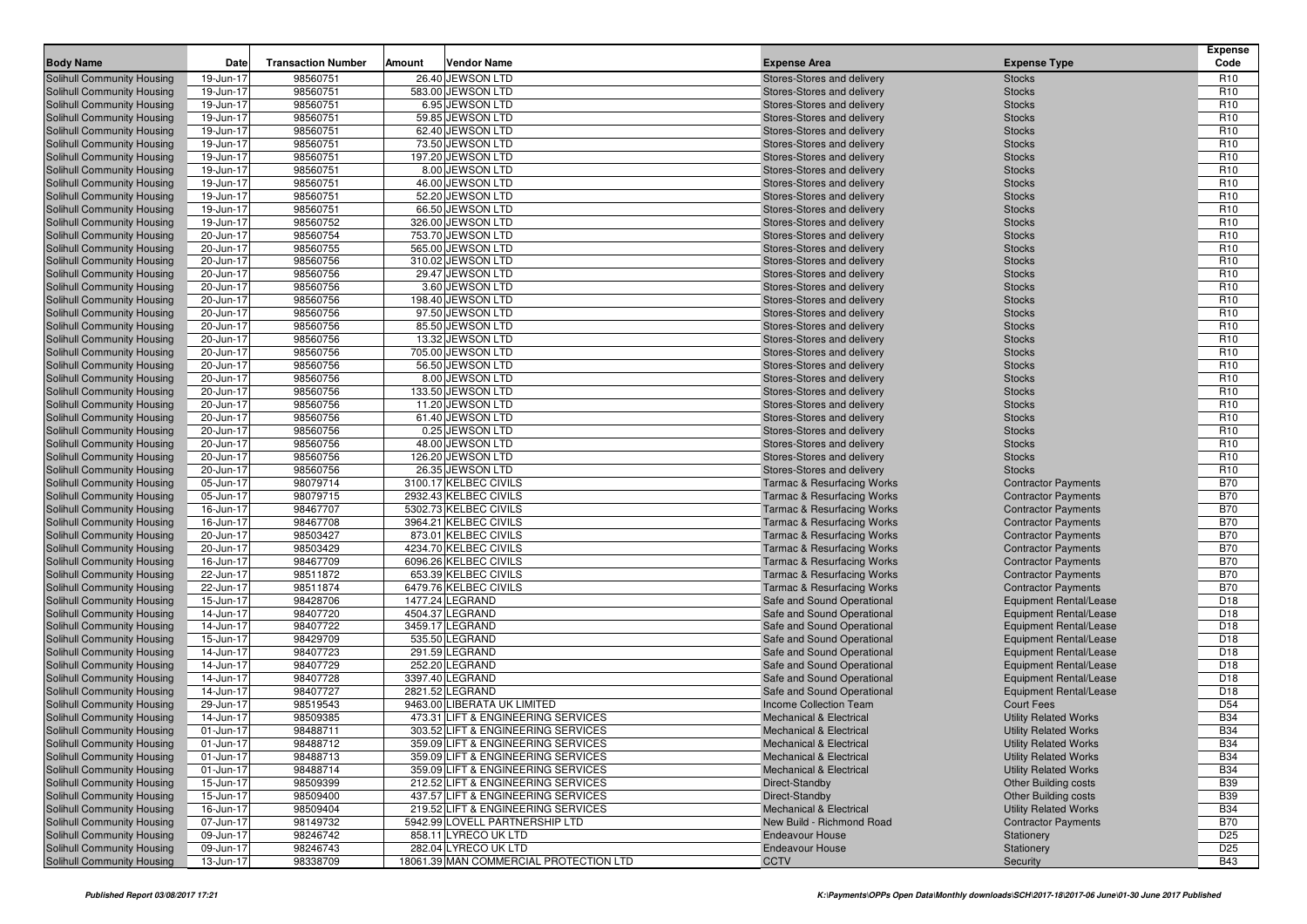|                                                                        |                        |                           |                                                                          |                                                                                |                                                             | <b>Expense</b>                     |
|------------------------------------------------------------------------|------------------------|---------------------------|--------------------------------------------------------------------------|--------------------------------------------------------------------------------|-------------------------------------------------------------|------------------------------------|
| <b>Body Name</b>                                                       | <b>Date</b>            | <b>Transaction Number</b> | <b>Vendor Name</b><br>Amount                                             | <b>Expense Area</b>                                                            | <b>Expense Type</b>                                         | Code                               |
| Solihull Community Housing<br>Solihull Community Housing               | 19-Jun-17              | 98560751                  | 26.40 JEWSON LTD<br>583.00 JEWSON LTD                                    | Stores-Stores and delivery                                                     | <b>Stocks</b>                                               | R <sub>10</sub><br>R <sub>10</sub> |
| Solihull Community Housing                                             | 19-Jun-17<br>19-Jun-17 | 98560751<br>98560751      | 6.95 JEWSON LTD                                                          | Stores-Stores and delivery<br>Stores-Stores and delivery                       | <b>Stocks</b><br><b>Stocks</b>                              | R <sub>10</sub>                    |
| <b>Solihull Community Housing</b>                                      | 19-Jun-17              | 98560751                  | 59.85 JEWSON LTD                                                         | Stores-Stores and delivery                                                     | <b>Stocks</b>                                               | R <sub>10</sub>                    |
| Solihull Community Housing                                             | 19-Jun-17              | 98560751                  | 62.40 JEWSON LTD                                                         | Stores-Stores and delivery                                                     | <b>Stocks</b>                                               | R <sub>10</sub>                    |
| Solihull Community Housing                                             | 19-Jun-17              | 98560751                  | 73.50 JEWSON LTD                                                         | Stores-Stores and delivery                                                     | <b>Stocks</b>                                               | R <sub>10</sub>                    |
| <b>Solihull Community Housing</b>                                      | 19-Jun-17              | 98560751                  | 197.20 JEWSON LTD                                                        | Stores-Stores and delivery                                                     | <b>Stocks</b>                                               | R <sub>10</sub>                    |
| Solihull Community Housing                                             | 19-Jun-17              | 98560751                  | 8.00 JEWSON LTD                                                          | Stores-Stores and delivery                                                     | <b>Stocks</b>                                               | R <sub>10</sub>                    |
| Solihull Community Housing                                             | 19-Jun-17              | 98560751                  | 46.00 JEWSON LTD                                                         | Stores-Stores and delivery                                                     | <b>Stocks</b>                                               | R <sub>10</sub>                    |
| Solihull Community Housing                                             | 19-Jun-17              | 98560751                  | 52.20 JEWSON LTD                                                         | Stores-Stores and delivery                                                     | <b>Stocks</b>                                               | R <sub>10</sub>                    |
| Solihull Community Housing                                             | 19-Jun-17              | 98560751                  | 66.50 JEWSON LTD                                                         | Stores-Stores and delivery                                                     | <b>Stocks</b>                                               | R <sub>10</sub>                    |
| <b>Solihull Community Housing</b>                                      | 19-Jun-17              | 98560752                  | 326.00 JEWSON LTD                                                        | Stores-Stores and delivery                                                     | <b>Stocks</b>                                               | R <sub>10</sub>                    |
| Solihull Community Housing                                             | 20-Jun-17              | 98560754                  | 753.70 JEWSON LTD                                                        | Stores-Stores and delivery                                                     | <b>Stocks</b>                                               | R <sub>10</sub>                    |
| Solihull Community Housing                                             | 20-Jun-17              | 98560755                  | 565.00 JEWSON LTD                                                        | Stores-Stores and delivery                                                     | <b>Stocks</b>                                               | R <sub>10</sub>                    |
| Solihull Community Housing                                             | 20-Jun-17              | 98560756                  | 310.02 JEWSON LTD                                                        | Stores-Stores and delivery                                                     | <b>Stocks</b>                                               | R <sub>10</sub>                    |
| Solihull Community Housing                                             | 20-Jun-17              | 98560756                  | 29.47 JEWSON LTD                                                         | Stores-Stores and delivery                                                     | <b>Stocks</b>                                               | R <sub>10</sub>                    |
| Solihull Community Housing                                             | 20-Jun-17<br>20-Jun-17 | 98560756<br>98560756      | 3.60 JEWSON LTD<br>198.40 JEWSON LTD                                     | Stores-Stores and delivery                                                     | <b>Stocks</b>                                               | R <sub>10</sub><br>R <sub>10</sub> |
| <b>Solihull Community Housing</b><br><b>Solihull Community Housing</b> | 20-Jun-17              | 98560756                  | 97.50 JEWSON LTD                                                         | Stores-Stores and delivery<br>Stores-Stores and delivery                       | <b>Stocks</b><br><b>Stocks</b>                              | R <sub>10</sub>                    |
| <b>Solihull Community Housing</b>                                      | 20-Jun-17              | 98560756                  | 85.50 JEWSON LTD                                                         | Stores-Stores and delivery                                                     | <b>Stocks</b>                                               | R <sub>10</sub>                    |
| <b>Solihull Community Housing</b>                                      | 20-Jun-17              | 98560756                  | 13.32 JEWSON LTD                                                         | Stores-Stores and delivery                                                     | <b>Stocks</b>                                               | R <sub>10</sub>                    |
| <b>Solihull Community Housing</b>                                      | 20-Jun-17              | 98560756                  | 705.00 JEWSON LTD                                                        | Stores-Stores and delivery                                                     | <b>Stocks</b>                                               | R <sub>10</sub>                    |
| <b>Solihull Community Housing</b>                                      | 20-Jun-17              | 98560756                  | 56.50 JEWSON LTD                                                         | Stores-Stores and delivery                                                     | <b>Stocks</b>                                               | R <sub>10</sub>                    |
| <b>Solihull Community Housing</b>                                      | 20-Jun-17              | 98560756                  | 8.00 JEWSON LTD                                                          | Stores-Stores and delivery                                                     | <b>Stocks</b>                                               | R <sub>10</sub>                    |
| Solihull Community Housing                                             | 20-Jun-17              | 98560756                  | 133.50 JEWSON LTD                                                        | Stores-Stores and delivery                                                     | <b>Stocks</b>                                               | R <sub>10</sub>                    |
| <b>Solihull Community Housing</b>                                      | 20-Jun-17              | 98560756                  | 11.20 JEWSON LTD                                                         | Stores-Stores and delivery                                                     | <b>Stocks</b>                                               | R <sub>10</sub>                    |
| <b>Solihull Community Housing</b>                                      | 20-Jun-17              | 98560756                  | 61.40 JEWSON LTD                                                         | Stores-Stores and delivery                                                     | <b>Stocks</b>                                               | R <sub>10</sub>                    |
| Solihull Community Housing                                             | 20-Jun-17              | 98560756                  | 0.25 JEWSON LTD                                                          | Stores-Stores and delivery                                                     | <b>Stocks</b>                                               | R <sub>10</sub>                    |
| Solihull Community Housing                                             | 20-Jun-17              | 98560756                  | 48.00 JEWSON LTD                                                         | Stores-Stores and delivery                                                     | <b>Stocks</b>                                               | R <sub>10</sub>                    |
| Solihull Community Housing                                             | 20-Jun-17              | 98560756                  | 126.20 JEWSON LTD                                                        | Stores-Stores and delivery                                                     | <b>Stocks</b>                                               | R <sub>10</sub>                    |
| Solihull Community Housing                                             | 20-Jun-17              | 98560756                  | 26.35 JEWSON LTD                                                         | Stores-Stores and delivery                                                     | <b>Stocks</b>                                               | R <sub>10</sub>                    |
| <b>Solihull Community Housing</b>                                      | 05-Jun-17              | 98079714                  | 3100.17 KELBEC CIVILS                                                    | <b>Tarmac &amp; Resurfacing Works</b>                                          | <b>Contractor Payments</b>                                  | <b>B70</b>                         |
| Solihull Community Housing                                             | 05-Jun-17              | 98079715                  | 2932.43 KELBEC CIVILS                                                    | <b>Tarmac &amp; Resurfacing Works</b>                                          | <b>Contractor Payments</b>                                  | <b>B70</b>                         |
| Solihull Community Housing                                             | 16-Jun-17              | 98467707                  | 5302.73 KELBEC CIVILS                                                    | <b>Tarmac &amp; Resurfacing Works</b>                                          | <b>Contractor Payments</b>                                  | <b>B70</b>                         |
| Solihull Community Housing                                             | 16-Jun-17              | 98467708                  | 3964.21 KELBEC CIVILS                                                    | <b>Tarmac &amp; Resurfacing Works</b>                                          | <b>Contractor Payments</b>                                  | <b>B70</b>                         |
| Solihull Community Housing                                             | 20-Jun-17              | 98503427<br>98503429      | 873.01 KELBEC CIVILS<br>4234.70 KELBEC CIVILS                            | <b>Tarmac &amp; Resurfacing Works</b>                                          | <b>Contractor Payments</b>                                  | <b>B70</b><br><b>B70</b>           |
| Solihull Community Housing<br>Solihull Community Housing               | 20-Jun-17<br>16-Jun-17 | 98467709                  | 6096.26 KELBEC CIVILS                                                    | <b>Tarmac &amp; Resurfacing Works</b><br><b>Tarmac &amp; Resurfacing Works</b> | <b>Contractor Payments</b><br><b>Contractor Payments</b>    | <b>B70</b>                         |
| Solihull Community Housing                                             | 22-Jun-17              | 98511872                  | 653.39 KELBEC CIVILS                                                     | <b>Tarmac &amp; Resurfacing Works</b>                                          | <b>Contractor Payments</b>                                  | <b>B70</b>                         |
| Solihull Community Housing                                             | 22-Jun-17              | 98511874                  | 6479.76 KELBEC CIVILS                                                    | <b>Tarmac &amp; Resurfacing Works</b>                                          | <b>Contractor Payments</b>                                  | <b>B70</b>                         |
| Solihull Community Housing                                             | 15-Jun-17              | 98428706                  | 1477.24 LEGRAND                                                          | Safe and Sound Operational                                                     | <b>Equipment Rental/Lease</b>                               | D <sub>18</sub>                    |
| Solihull Community Housing                                             | 14-Jun-17              | 98407720                  | 4504.37 LEGRAND                                                          | Safe and Sound Operational                                                     | <b>Equipment Rental/Lease</b>                               | D <sub>18</sub>                    |
| Solihull Community Housing                                             | 14-Jun-17              | 98407722                  | 3459.17 LEGRAND                                                          | Safe and Sound Operational                                                     | <b>Equipment Rental/Lease</b>                               | D <sub>18</sub>                    |
| <b>Solihull Community Housing</b>                                      | 15-Jun-17              | 98429709                  | 535.50 LEGRAND                                                           | Safe and Sound Operational                                                     | <b>Equipment Rental/Lease</b>                               | D <sub>18</sub>                    |
| Solihull Community Housing                                             | 14-Jun-17              | 98407723                  | 291.59 LEGRAND                                                           | Safe and Sound Operational                                                     | <b>Equipment Rental/Lease</b>                               | D <sub>18</sub>                    |
| Solihull Community Housing                                             | 14-Jun-17              | 98407729                  | 252.20 LEGRAND                                                           | Safe and Sound Operational                                                     | <b>Equipment Rental/Lease</b>                               | D <sub>18</sub>                    |
| <b>Solihull Community Housing</b>                                      | 14-Jun-17              | 98407728                  | 3397.40 LEGRAND                                                          | Safe and Sound Operational                                                     | <b>Equipment Rental/Lease</b>                               | D <sub>18</sub>                    |
| <b>Solihull Community Housing</b>                                      | 14-Jun-17              | 98407727                  | 2821.52 LEGRAND                                                          | Safe and Sound Operational                                                     | <b>Equipment Rental/Lease</b>                               | D <sub>18</sub>                    |
| <b>Solihull Community Housing</b>                                      | 29-Jun-17              | 98519543                  | 9463.00 LIBERATA UK LIMITED                                              | <b>Income Collection Team</b>                                                  | <b>Court Fees</b>                                           | D <sub>54</sub>                    |
| Solihull Community Housing                                             | 14-Jun-17              | 98509385                  | 473.31 LIFT & ENGINEERING SERVICES                                       | <b>Mechanical &amp; Electrical</b>                                             | <b>Utility Related Works</b>                                | <b>B34</b>                         |
| Solihull Community Housing                                             | 01-Jun-17              | 98488711                  | 303.52 LIFT & ENGINEERING SERVICES                                       | <b>Mechanical &amp; Electrical</b>                                             | <b>Utility Related Works</b>                                | <b>B34</b>                         |
| Solihull Community Housing                                             | 01-Jun-17              | 98488712                  | 359.09 LIFT & ENGINEERING SERVICES                                       | <b>Mechanical &amp; Electrical</b>                                             | <b>Utility Related Works</b>                                | <b>B34</b>                         |
| Solihull Community Housing                                             | 01-Jun-17              | 98488713                  | 359.09 LIFT & ENGINEERING SERVICES                                       | <b>Mechanical &amp; Electrical</b>                                             | <b>Utility Related Works</b>                                | <b>B34</b>                         |
| Solihull Community Housing                                             | 01-Jun-17              | 98488714                  | 359.09 LIFT & ENGINEERING SERVICES                                       | <b>Mechanical &amp; Electrical</b>                                             | <b>Utility Related Works</b>                                | <b>B34</b>                         |
| Solihull Community Housing                                             | 15-Jun-17              | 98509399                  | 212.52 LIFT & ENGINEERING SERVICES<br>437.57 LIFT & ENGINEERING SERVICES | Direct-Standby                                                                 | <b>Other Building costs</b>                                 | <b>B39</b>                         |
| <b>Solihull Community Housing</b><br>Solihull Community Housing        | 15-Jun-17<br>16-Jun-17 | 98509400<br>98509404      | 219.52 LIFT & ENGINEERING SERVICES                                       | Direct-Standby<br><b>Mechanical &amp; Electrical</b>                           | <b>Other Building costs</b><br><b>Utility Related Works</b> | <b>B39</b><br><b>B34</b>           |
| <b>Solihull Community Housing</b>                                      | 07-Jun-17              | 98149732                  | 5942.99 LOVELL PARTNERSHIP LTD                                           | New Build - Richmond Road                                                      | <b>Contractor Payments</b>                                  | <b>B70</b>                         |
| Solihull Community Housing                                             | 09-Jun-17              | 98246742                  | 858.11 LYRECO UK LTD                                                     | <b>Endeavour House</b>                                                         | Stationery                                                  | D <sub>25</sub>                    |
| Solihull Community Housing                                             | 09-Jun-17              | 98246743                  | 282.04 LYRECO UK LTD                                                     | <b>Endeavour House</b>                                                         | Stationery                                                  | D <sub>25</sub>                    |
| Solihull Community Housing                                             | 13-Jun-17              | 98338709                  | 18061.39 MAN COMMERCIAL PROTECTION LTD                                   | <b>CCTV</b>                                                                    | Security                                                    | <b>B43</b>                         |
|                                                                        |                        |                           |                                                                          |                                                                                |                                                             |                                    |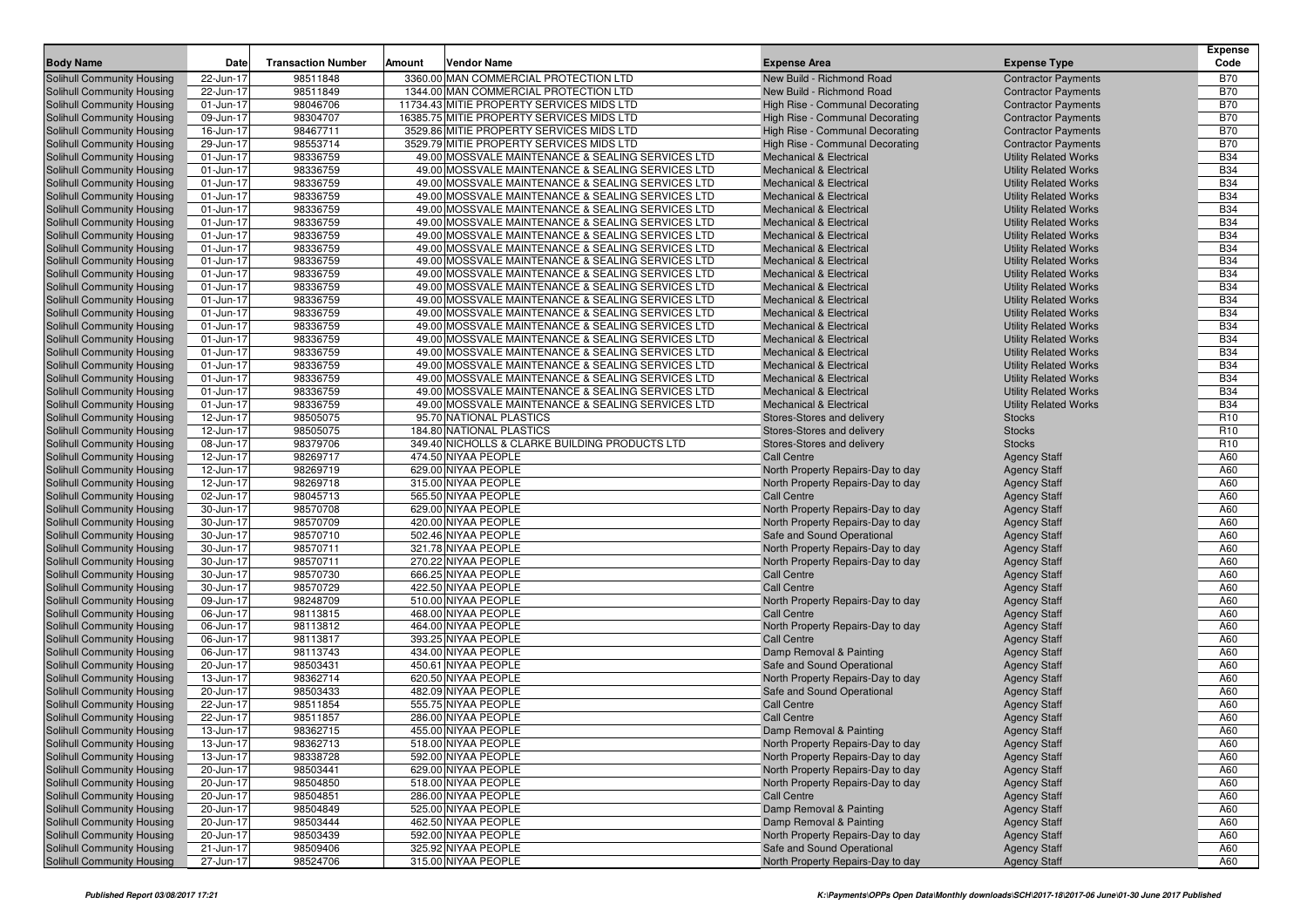| <b>Body Name</b>                                                | Date                   | <b>Transaction Number</b> | Amount | <b>Vendor Name</b>                                | <b>Expense Area</b>                                          | <b>Expense Type</b>                        | <b>Expense</b><br>Code |
|-----------------------------------------------------------------|------------------------|---------------------------|--------|---------------------------------------------------|--------------------------------------------------------------|--------------------------------------------|------------------------|
| <b>Solihull Community Housing</b>                               | 22-Jun-17              | 98511848                  |        | 3360.00 MAN COMMERCIAL PROTECTION LTD             | New Build - Richmond Road                                    | <b>Contractor Payments</b>                 | <b>B70</b>             |
| Solihull Community Housing                                      | 22-Jun-17              | 98511849                  |        | 1344.00 MAN COMMERCIAL PROTECTION LTD             | New Build - Richmond Road                                    | <b>Contractor Payments</b>                 | <b>B70</b>             |
| Solihull Community Housing                                      | 01-Jun-17              | 98046706                  |        | 11734.43 MITIE PROPERTY SERVICES MIDS LTD         | High Rise - Communal Decorating                              | <b>Contractor Payments</b>                 | <b>B70</b>             |
| Solihull Community Housing                                      | 09-Jun-17              | 98304707                  |        | 16385.75 MITIE PROPERTY SERVICES MIDS LTD         | High Rise - Communal Decorating                              | <b>Contractor Payments</b>                 | <b>B70</b>             |
| Solihull Community Housing                                      | 16-Jun-17              | 98467711                  |        | 3529.86 MITIE PROPERTY SERVICES MIDS LTD          | High Rise - Communal Decorating                              | <b>Contractor Payments</b>                 | <b>B70</b>             |
| Solihull Community Housing                                      | 29-Jun-17              | 98553714                  |        | 3529.79 MITIE PROPERTY SERVICES MIDS LTD          | High Rise - Communal Decorating                              | <b>Contractor Payments</b>                 | <b>B70</b>             |
| Solihull Community Housing                                      | 01-Jun-17              | 98336759                  |        | 49.00 MOSSVALE MAINTENANCE & SEALING SERVICES LTD | Mechanical & Electrical                                      | <b>Utility Related Works</b>               | <b>B34</b>             |
| Solihull Community Housing                                      | 01-Jun-17              | 98336759                  |        | 49.00 MOSSVALE MAINTENANCE & SEALING SERVICES LTD | <b>Mechanical &amp; Electrical</b>                           | <b>Utility Related Works</b>               | <b>B34</b>             |
| Solihull Community Housing                                      | 01-Jun-17              | 98336759                  |        | 49.00 MOSSVALE MAINTENANCE & SEALING SERVICES LTD | <b>Mechanical &amp; Electrical</b>                           | <b>Utility Related Works</b>               | <b>B34</b>             |
| Solihull Community Housing                                      | 01-Jun-17              | 98336759                  |        | 49.00 MOSSVALE MAINTENANCE & SEALING SERVICES LTD | <b>Mechanical &amp; Electrical</b>                           | <b>Utility Related Works</b>               | <b>B34</b>             |
| <b>Solihull Community Housing</b>                               | 01-Jun-17              | 98336759                  |        | 49.00 MOSSVALE MAINTENANCE & SEALING SERVICES LTD | <b>Mechanical &amp; Electrical</b>                           | <b>Utility Related Works</b>               | <b>B34</b>             |
| Solihull Community Housing                                      | 01-Jun-17              | 98336759                  |        | 49.00 MOSSVALE MAINTENANCE & SEALING SERVICES LTD | <b>Mechanical &amp; Electrical</b>                           | <b>Utility Related Works</b>               | <b>B34</b>             |
| Solihull Community Housing                                      | 01-Jun-17              | 98336759                  |        | 49.00 MOSSVALE MAINTENANCE & SEALING SERVICES LTD | <b>Mechanical &amp; Electrical</b>                           | <b>Utility Related Works</b>               | <b>B34</b>             |
| Solihull Community Housing                                      | 01-Jun-17              | 98336759                  |        | 49.00 MOSSVALE MAINTENANCE & SEALING SERVICES LTD | <b>Mechanical &amp; Electrical</b>                           | <b>Utility Related Works</b>               | <b>B34</b>             |
| Solihull Community Housing                                      | 01-Jun-17              | 98336759                  |        | 49.00 MOSSVALE MAINTENANCE & SEALING SERVICES LTD | <b>Mechanical &amp; Electrical</b>                           | <b>Utility Related Works</b>               | <b>B34</b>             |
| <b>Solihull Community Housing</b>                               | 01-Jun-17              | 98336759                  |        | 49.00 MOSSVALE MAINTENANCE & SEALING SERVICES LTD | <b>Mechanical &amp; Electrical</b>                           | <b>Utility Related Works</b>               | <b>B34</b>             |
| Solihull Community Housing                                      | 01-Jun-17              | 98336759                  |        | 49.00 MOSSVALE MAINTENANCE & SEALING SERVICES LTD | <b>Mechanical &amp; Electrical</b>                           | <b>Utility Related Works</b>               | <b>B34</b>             |
| Solihull Community Housing                                      | 01-Jun-17              | 98336759                  |        | 49.00 MOSSVALE MAINTENANCE & SEALING SERVICES LTD | <b>Mechanical &amp; Electrical</b>                           | <b>Utility Related Works</b>               | <b>B34</b>             |
| Solihull Community Housing                                      | 01-Jun-17              | 98336759                  |        | 49.00 MOSSVALE MAINTENANCE & SEALING SERVICES LTD | <b>Mechanical &amp; Electrical</b>                           | <b>Utility Related Works</b>               | <b>B34</b>             |
| Solihull Community Housing                                      | 01-Jun-17              | 98336759                  |        | 49.00 MOSSVALE MAINTENANCE & SEALING SERVICES LTD | <b>Mechanical &amp; Electrical</b>                           | <b>Utility Related Works</b>               | <b>B34</b>             |
| <b>Solihull Community Housing</b>                               | 01-Jun-17              | 98336759                  |        | 49.00 MOSSVALE MAINTENANCE & SEALING SERVICES LTD | <b>Mechanical &amp; Electrical</b>                           | <b>Utility Related Works</b>               | <b>B34</b>             |
| Solihull Community Housing                                      | 01-Jun-17              | 98336759                  |        | 49.00 MOSSVALE MAINTENANCE & SEALING SERVICES LTD | <b>Mechanical &amp; Electrical</b>                           | <b>Utility Related Works</b>               | <b>B34</b>             |
| Solihull Community Housing                                      | 01-Jun-17              | 98336759                  |        | 49.00 MOSSVALE MAINTENANCE & SEALING SERVICES LTD | <b>Mechanical &amp; Electrical</b>                           | <b>Utility Related Works</b>               | <b>B34</b>             |
| Solihull Community Housing                                      | 01-Jun-17              | 98336759                  |        | 49.00 MOSSVALE MAINTENANCE & SEALING SERVICES LTD | <b>Mechanical &amp; Electrical</b>                           | <b>Utility Related Works</b>               | <b>B34</b>             |
| Solihull Community Housing                                      | 01-Jun-17              | 98336759                  |        | 49.00 MOSSVALE MAINTENANCE & SEALING SERVICES LTD | <b>Mechanical &amp; Electrical</b>                           | <b>Utility Related Works</b>               | <b>B34</b>             |
| <b>Solihull Community Housing</b>                               | 01-Jun-17              | 98336759                  |        | 49.00 MOSSVALE MAINTENANCE & SEALING SERVICES LTD | <b>Mechanical &amp; Electrical</b>                           | <b>Utility Related Works</b>               | <b>B34</b>             |
| Solihull Community Housing                                      | 12-Jun-17              | 98505075                  |        | 95.70 NATIONAL PLASTICS                           | Stores-Stores and delivery                                   | <b>Stocks</b>                              | R <sub>10</sub>        |
| Solihull Community Housing                                      | 12-Jun-17              | 98505075                  |        | 184.80 NATIONAL PLASTICS                          | Stores-Stores and delivery                                   | <b>Stocks</b>                              | R <sub>10</sub>        |
| Solihull Community Housing                                      | 08-Jun-17              | 98379706                  |        | 349.40 NICHOLLS & CLARKE BUILDING PRODUCTS LTD    | Stores-Stores and delivery                                   | <b>Stocks</b>                              | R <sub>10</sub>        |
| Solihull Community Housing                                      | 12-Jun-17              | 98269717                  |        | 474.50 NIYAA PEOPLE                               | <b>Call Centre</b>                                           | <b>Agency Staff</b>                        | A60                    |
| <b>Solihull Community Housing</b>                               | 12-Jun-17              | 98269719                  |        | 629.00 NIYAA PEOPLE                               | North Property Repairs-Day to day                            | <b>Agency Staff</b>                        | A60                    |
| Solihull Community Housing                                      | 12-Jun-17              | 98269718                  |        | 315.00 NIYAA PEOPLE                               | North Property Repairs-Day to day                            | <b>Agency Staff</b>                        | A60                    |
| Solihull Community Housing                                      | 02-Jun-17              | 98045713                  |        | 565.50 NIYAA PEOPLE                               | <b>Call Centre</b>                                           | <b>Agency Staff</b>                        | A60                    |
| <b>Solihull Community Housing</b>                               | 30-Jun-17              | 98570708                  |        | 629.00 NIYAA PEOPLE                               | North Property Repairs-Day to day                            | <b>Agency Staff</b>                        | A60                    |
| <b>Solihull Community Housing</b>                               | 30-Jun-17              | 98570709                  |        | 420.00 NIYAA PEOPLE                               | North Property Repairs-Day to day                            | <b>Agency Staff</b>                        | A60                    |
| <b>Solihull Community Housing</b>                               | 30-Jun-17              | 98570710                  |        | 502.46 NIYAA PEOPLE                               | Safe and Sound Operational                                   | <b>Agency Staff</b>                        | A60                    |
| <b>Solihull Community Housing</b>                               | 30-Jun-17              | 98570711                  |        | 321.78 NIYAA PEOPLE                               | North Property Repairs-Day to day                            | <b>Agency Staff</b>                        | A60                    |
| Solihull Community Housing                                      | 30-Jun-17              | 98570711                  |        | 270.22 NIYAA PEOPLE                               | North Property Repairs-Day to day                            | <b>Agency Staff</b>                        | A60                    |
| <b>Solihull Community Housing</b>                               | 30-Jun-17              | 98570730                  |        | 666.25 NIYAA PEOPLE                               | <b>Call Centre</b>                                           | <b>Agency Staff</b>                        | A60                    |
| Solihull Community Housing                                      | 30-Jun-17              | 98570729                  |        | 422.50 NIYAA PEOPLE                               | <b>Call Centre</b>                                           | <b>Agency Staff</b>                        | A60                    |
| <b>Solihull Community Housing</b>                               | 09-Jun-17              | 98248709                  |        | 510.00 NIYAA PEOPLE                               | North Property Repairs-Day to day                            | <b>Agency Staff</b>                        | A60                    |
| Solihull Community Housing                                      | 06-Jun-17              | 98113815                  |        | 468.00 NIYAA PEOPLE                               | <b>Call Centre</b>                                           | <b>Agency Staff</b>                        | A60                    |
| Solihull Community Housing                                      | 06-Jun-17              | 98113812                  |        | 464.00 NIYAA PEOPLE                               | North Property Repairs-Day to day                            | <b>Agency Staff</b>                        | A60                    |
| <b>Solihull Community Housing</b>                               | 06-Jun-17              | 98113817                  |        | 393.25 NIYAA PEOPLE<br>434.00 NIYAA PEOPLE        | <b>Call Centre</b>                                           | <b>Agency Staff</b>                        | A60<br>A60             |
| Solihull Community Housing                                      | 06-Jun-17              | 98113743                  |        | 450.61 NIYAA PEOPLE                               | Damp Removal & Painting                                      | <b>Agency Staff</b>                        |                        |
| <b>Solihull Community Housing</b>                               | 20-Jun-17              | 98503431                  |        |                                                   | Safe and Sound Operational                                   | <b>Agency Staff</b>                        | A60<br>A60             |
| <b>Solihull Community Housing</b>                               | 13-Jun-17<br>20-Jun-17 | 98362714<br>98503433      |        | 620.50 NIYAA PEOPLE<br>482.09 NIYAA PEOPLE        | North Property Repairs-Day to day                            | <b>Agency Staff</b>                        | A60                    |
| Solihull Community Housing                                      |                        | 98511854                  |        | 555.75 NIYAA PEOPLE                               | Safe and Sound Operational<br>Call Centre                    | <b>Agency Staff</b>                        | A60                    |
| <b>Solihull Community Housing</b><br>Solihull Community Housing | 22-Jun-17<br>22-Jun-17 | 98511857                  |        | 286.00 NIYAA PEOPLE                               | <b>Call Centre</b>                                           | <b>Agency Staff</b>                        | A60                    |
| Solihull Community Housing                                      | 13-Jun-17              | 98362715                  |        | 455.00 NIYAA PEOPLE                               |                                                              | <b>Agency Staff</b>                        | A60                    |
| Solihull Community Housing                                      | 13-Jun-17              | 98362713                  |        | 518.00 NIYAA PEOPLE                               | Damp Removal & Painting<br>North Property Repairs-Day to day | <b>Agency Staff</b>                        | A60                    |
| Solihull Community Housing                                      | 13-Jun-17              | 98338728                  |        | 592.00 NIYAA PEOPLE                               | North Property Repairs-Day to day                            | <b>Agency Staff</b><br><b>Agency Staff</b> | A60                    |
| Solihull Community Housing                                      | 20-Jun-17              | 98503441                  |        | 629.00 NIYAA PEOPLE                               | North Property Repairs-Day to day                            | <b>Agency Staff</b>                        | A60                    |
| Solihull Community Housing                                      | 20-Jun-17              | 98504850                  |        | 518.00 NIYAA PEOPLE                               | North Property Repairs-Day to day                            | <b>Agency Staff</b>                        | A60                    |
| Solihull Community Housing                                      | 20-Jun-17              | 98504851                  |        | 286.00 NIYAA PEOPLE                               | <b>Call Centre</b>                                           | <b>Agency Staff</b>                        | A60                    |
| Solihull Community Housing                                      | 20-Jun-17              | 98504849                  |        | 525.00 NIYAA PEOPLE                               | Damp Removal & Painting                                      | <b>Agency Staff</b>                        | A60                    |
| Solihull Community Housing                                      | 20-Jun-17              | 98503444                  |        | 462.50 NIYAA PEOPLE                               | Damp Removal & Painting                                      | <b>Agency Staff</b>                        | A60                    |
| Solihull Community Housing                                      | 20-Jun-17              | 98503439                  |        | 592.00 NIYAA PEOPLE                               | North Property Repairs-Day to day                            | <b>Agency Staff</b>                        | A60                    |
| Solihull Community Housing                                      | 21-Jun-17              | 98509406                  |        | 325.92 NIYAA PEOPLE                               | Safe and Sound Operational                                   | <b>Agency Staff</b>                        | A60                    |
| Solihull Community Housing                                      | 27-Jun-17              | 98524706                  |        | 315.00 NIYAA PEOPLE                               | North Property Repairs-Day to day                            | <b>Agency Staff</b>                        | A60                    |
|                                                                 |                        |                           |        |                                                   |                                                              |                                            |                        |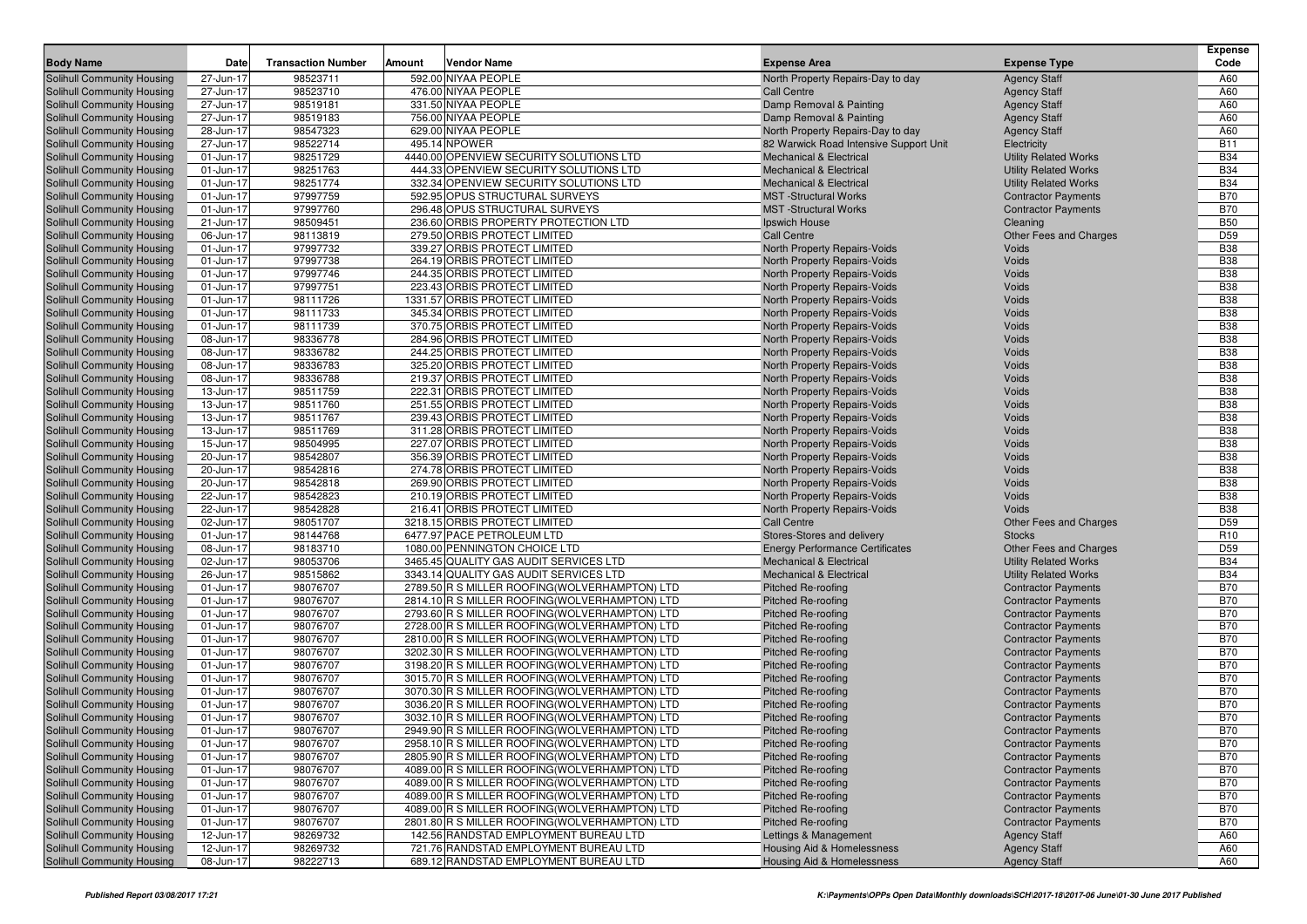| 98523711<br>592.00 NIYAA PEOPLE<br>Solihull Community Housing<br>27-Jun-17<br>A60<br>North Property Repairs-Day to day<br><b>Agency Staff</b><br>98523710<br>476.00 NIYAA PEOPLE<br>A60<br>27-Jun-17<br>Solihull Community Housing<br><b>Call Centre</b><br><b>Agency Staff</b><br>A60<br>27-Jun-17<br>98519181<br>331.50 NIYAA PEOPLE<br>Damp Removal & Painting<br>Solihull Community Housing<br><b>Agency Staff</b><br>98519183<br>756.00 NIYAA PEOPLE<br>A60<br>27-Jun-17<br>Solihull Community Housing<br>Damp Removal & Painting<br><b>Agency Staff</b><br>98547323<br>629.00 NIYAA PEOPLE<br>A60<br>Solihull Community Housing<br>28-Jun-17<br>North Property Repairs-Day to day<br><b>Agency Staff</b><br>98522714<br><b>B11</b><br>27-Jun-17<br>495.14 NPOWER<br>Solihull Community Housing<br>82 Warwick Road Intensive Support Unit<br>Electricity<br>98251729<br>4440.00 OPENVIEW SECURITY SOLUTIONS LTD<br><b>B34</b><br><b>Solihull Community Housing</b><br>01-Jun-17<br><b>Mechanical &amp; Electrical</b><br><b>Utility Related Works</b><br><b>B34</b><br>01-Jun-17<br>98251763<br>444.33 OPENVIEW SECURITY SOLUTIONS LTD<br><b>Utility Related Works</b><br>Solihull Community Housing<br><b>Mechanical &amp; Electrical</b><br><b>B34</b><br>98251774<br>332.34 OPENVIEW SECURITY SOLUTIONS LTD<br>Solihull Community Housing<br>01-Jun-17<br><b>Utility Related Works</b><br><b>Mechanical &amp; Electrical</b><br><b>B70</b><br>01-Jun-17<br>97997759<br>592.95 OPUS STRUCTURAL SURVEYS<br>Solihull Community Housing<br><b>MST</b> -Structural Works<br><b>Contractor Payments</b><br>97997760<br><b>B70</b><br><b>Solihull Community Housing</b><br>296.48 OPUS STRUCTURAL SURVEYS<br><b>MST</b> -Structural Works<br><b>Contractor Payments</b><br>01-Jun-17<br>236.60 ORBIS PROPERTY PROTECTION LTD<br><b>B50</b><br>21-Jun-17<br>98509451<br>Solihull Community Housing<br>Ipswich House<br>Cleaning<br>D <sub>59</sub><br>06-Jun-17<br>98113819<br>279.50 ORBIS PROTECT LIMITED<br><b>Call Centre</b><br>Solihull Community Housing<br>Other Fees and Charges<br><b>B38</b><br>97997732<br>01-Jun-17<br>339.27 ORBIS PROTECT LIMITED<br>Voids<br>Solihull Community Housing<br>North Property Repairs-Voids<br><b>B38</b><br>01-Jun-17<br>97997738<br>264.19 ORBIS PROTECT LIMITED<br>North Property Repairs-Voids<br><b>Voids</b><br>Solihull Community Housing<br>97997746<br><b>B38</b><br><b>Solihull Community Housing</b><br>01-Jun-17<br>244.35 ORBIS PROTECT LIMITED<br>North Property Repairs-Voids<br><b>Voids</b><br>97997751<br><b>B38</b><br>01-Jun-17<br>223.43 ORBIS PROTECT LIMITED<br>North Property Repairs-Voids<br><b>Voids</b><br>Solihull Community Housing<br><b>B38</b><br>01-Jun-17<br>98111726<br>1331.57 ORBIS PROTECT LIMITED<br>Voids<br>Solihull Community Housing<br>North Property Repairs-Voids<br><b>B38</b><br>98111733<br>Solihull Community Housing<br>01-Jun-17<br>345.34 ORBIS PROTECT LIMITED<br>North Property Repairs-Voids<br><b>Voids</b><br><b>B38</b><br>01-Jun-17<br>98111739<br>370.75 ORBIS PROTECT LIMITED<br>Voids<br>Solihull Community Housing<br>North Property Repairs-Voids<br>98336778<br><b>B38</b><br><b>Solihull Community Housing</b><br>08-Jun-17<br>284.96 ORBIS PROTECT LIMITED<br>North Property Repairs-Voids<br>Voids<br>98336782<br>244.25 ORBIS PROTECT LIMITED<br><b>B38</b><br>08-Jun-17<br>North Property Repairs-Voids<br><b>Voids</b><br>Solihull Community Housing<br><b>B38</b><br>08-Jun-17<br>98336783<br>325.20 ORBIS PROTECT LIMITED<br>Voids<br>Solihull Community Housing<br>North Property Repairs-Voids<br><b>B38</b><br>98336788<br>08-Jun-17<br>219.37 ORBIS PROTECT LIMITED<br>North Property Repairs-Voids<br><b>Voids</b><br>Solihull Community Housing<br><b>B38</b><br>98511759<br>222.31 ORBIS PROTECT LIMITED<br>Voids<br>Solihull Community Housing<br>13-Jun-17<br>North Property Repairs-Voids<br><b>B38</b><br>98511760<br>251.55 ORBIS PROTECT LIMITED<br><b>Solihull Community Housing</b><br>13-Jun-17<br>North Property Repairs-Voids<br>Voids<br><b>B38</b><br>13-Jun-17<br>98511767<br>239.43 ORBIS PROTECT LIMITED<br><b>Voids</b><br>Solihull Community Housing<br>North Property Repairs-Voids<br><b>B38</b><br>13-Jun-17<br>98511769<br>311.28 ORBIS PROTECT LIMITED<br>Voids<br>Solihull Community Housing<br>North Property Repairs-Voids<br><b>B38</b><br>98504995<br>Solihull Community Housing<br>15-Jun-17<br>227.07 ORBIS PROTECT LIMITED<br>North Property Repairs-Voids<br>Voids<br><b>B38</b><br>20-Jun-17<br>98542807<br>356.39 ORBIS PROTECT LIMITED<br>Voids<br>Solihull Community Housing<br>North Property Repairs-Voids<br><b>B38</b><br>98542816<br><b>Solihull Community Housing</b><br>20-Jun-17<br>274.78 ORBIS PROTECT LIMITED<br>North Property Repairs-Voids<br>Voids<br><b>B38</b><br>20-Jun-17<br>98542818<br>269.90 ORBIS PROTECT LIMITED<br>North Property Repairs-Voids<br><b>Voids</b><br>Solihull Community Housing<br><b>B38</b><br>22-Jun-17<br>98542823<br>210.19 ORBIS PROTECT LIMITED<br>Voids<br>Solihull Community Housing<br>North Property Repairs-Voids<br>98542828<br><b>B38</b><br>22-Jun-17<br>216.41 ORBIS PROTECT LIMITED<br><b>Voids</b><br>Solihull Community Housing<br>North Property Repairs-Voids<br>D <sub>59</sub><br>02-Jun-17<br>98051707<br>3218.15 ORBIS PROTECT LIMITED<br><b>Call Centre</b><br>Solihull Community Housing<br>Other Fees and Charges<br>98144768<br>6477.97 PACE PETROLEUM LTD<br>R <sub>10</sub><br><b>Solihull Community Housing</b><br>01-Jun-17<br>Stores-Stores and delivery<br><b>Stocks</b><br>98183710<br>D <sub>59</sub><br>08-Jun-17<br>1080.00 PENNINGTON CHOICE LTD<br><b>Solihull Community Housing</b><br><b>Energy Performance Certificates</b><br>Other Fees and Charges<br><b>B34</b><br>02-Jun-17<br>98053706<br>3465.45 QUALITY GAS AUDIT SERVICES LTD<br><b>Utility Related Works</b><br>Solihull Community Housing<br><b>Mechanical &amp; Electrical</b><br><b>B34</b><br>98515862<br>Solihull Community Housing<br>26-Jun-17<br>3343.14 QUALITY GAS AUDIT SERVICES LTD<br><b>Mechanical &amp; Electrical</b><br><b>Utility Related Works</b><br><b>B70</b><br>01-Jun-17<br>98076707<br>2789.50 R S MILLER ROOFING (WOLVERHAMPTON) LTD<br>Solihull Community Housing<br><b>Pitched Re-roofing</b><br><b>Contractor Payments</b><br>98076707<br><b>B70</b><br>Solihull Community Housing<br>01-Jun-17<br>2814.10 R S MILLER ROOFING(WOLVERHAMPTON) LTD<br><b>Pitched Re-roofing</b><br><b>Contractor Payments</b><br>98076707<br><b>B70</b><br>01-Jun-17<br>2793.60 R S MILLER ROOFING (WOLVERHAMPTON) LTD<br><b>Contractor Payments</b><br><b>Solihull Community Housing</b><br><b>Pitched Re-roofing</b><br><b>B70</b><br>01-Jun-17<br>98076707<br>2728.00 R S MILLER ROOFING(WOLVERHAMPTON) LTD<br>Solihull Community Housing<br><b>Pitched Re-roofing</b><br><b>Contractor Payments</b><br>98076707<br><b>B70</b><br>01-Jun-17<br>2810.00 R S MILLER ROOFING (WOLVERHAMPTON) LTD<br>Solihull Community Housing<br><b>Pitched Re-roofing</b><br><b>Contractor Payments</b><br>98076707<br><b>B70</b><br>01-Jun-17<br>3202.30 R S MILLER ROOFING(WOLVERHAMPTON) LTD<br>Solihull Community Housing<br><b>Pitched Re-roofing</b><br><b>Contractor Payments</b><br>98076707<br><b>B70</b><br>Solihull Community Housing<br>01-Jun-17<br>3198.20 R S MILLER ROOFING (WOLVERHAMPTON) LTD<br><b>Pitched Re-roofing</b><br><b>Contractor Payments</b><br>98076707<br><b>B70</b><br>3015.70 R S MILLER ROOFING (WOLVERHAMPTON) LTD<br>Solihull Community Housing<br>01-Jun-17<br><b>Pitched Re-roofing</b><br><b>Contractor Payments</b><br><b>B70</b><br>01-Jun-17<br>98076707<br>3070.30 R S MILLER ROOFING (WOLVERHAMPTON) LTD<br>Solihull Community Housing<br><b>Pitched Re-roofing</b><br><b>Contractor Payments</b><br>98076707<br><b>B70</b><br>Solihull Community Housing<br>01-Jun-17<br>3036.20 R S MILLER ROOFING (WOLVERHAMPTON) LTD<br>Pitched Re-roofing<br><b>Contractor Payments</b><br><b>B70</b><br>01-Jun-17<br>98076707<br>3032.10 R S MILLER ROOFING(WOLVERHAMPTON) LTD<br><b>Pitched Re-roofing</b><br>Solihull Community Housing<br><b>Contractor Payments</b><br>98076707<br><b>B70</b><br>Solihull Community Housing<br>01-Jun-17<br>2949.90 R S MILLER ROOFING (WOLVERHAMPTON) LTD<br><b>Pitched Re-roofing</b><br><b>Contractor Payments</b><br>Solihull Community Housing<br>98076707<br>Pitched Re-roofing<br><b>Contractor Payments</b><br><b>B70</b><br>01-Jun-17<br>2958.10 R S MILLER ROOFING(WOLVERHAMPTON) LTD<br>98076707<br><b>B70</b><br>Solihull Community Housing<br>01-Jun-17<br>2805.90 R S MILLER ROOFING (WOLVERHAMPTON) LTD<br>Pitched Re-roofing<br><b>Contractor Payments</b><br>98076707<br><b>B70</b><br>Solihull Community Housing<br>01-Jun-17<br>4089.00 R S MILLER ROOFING(WOLVERHAMPTON) LTD<br>Pitched Re-roofing<br><b>Contractor Payments</b><br>98076707<br><b>B70</b><br>Solihull Community Housing<br>01-Jun-17<br>4089.00 R S MILLER ROOFING(WOLVERHAMPTON) LTD<br>Pitched Re-roofing<br><b>Contractor Payments</b><br>98076707<br>4089.00 R S MILLER ROOFING(WOLVERHAMPTON) LTD<br><b>B70</b><br>Solihull Community Housing<br>01-Jun-17<br>Pitched Re-roofing<br><b>Contractor Payments</b><br>98076707<br><b>B70</b><br>Solihull Community Housing<br>01-Jun-17<br>4089.00 R S MILLER ROOFING(WOLVERHAMPTON) LTD<br>Pitched Re-roofing<br><b>Contractor Payments</b><br>98076707<br><b>B70</b><br>Solihull Community Housing<br>01-Jun-17<br>2801.80 R S MILLER ROOFING (WOLVERHAMPTON) LTD<br>Pitched Re-roofing<br><b>Contractor Payments</b><br>98269732<br>Solihull Community Housing<br>12-Jun-17<br>142.56 RANDSTAD EMPLOYMENT BUREAU LTD<br>Lettings & Management<br>A60<br><b>Agency Staff</b><br>98269732<br>A60<br>Solihull Community Housing<br>12-Jun-17<br>721.76 RANDSTAD EMPLOYMENT BUREAU LTD<br>Housing Aid & Homelessness<br><b>Agency Staff</b><br>98222713<br>689.12 RANDSTAD EMPLOYMENT BUREAU LTD<br>A60<br>Solihull Community Housing<br>08-Jun-17<br>Housing Aid & Homelessness<br><b>Agency Staff</b> | <b>Body Name</b> | Date | <b>Transaction Number</b> | Amount | <b>Vendor Name</b> | <b>Expense Area</b> | <b>Expense Type</b> | <b>Expense</b><br>Code |
|---------------------------------------------------------------------------------------------------------------------------------------------------------------------------------------------------------------------------------------------------------------------------------------------------------------------------------------------------------------------------------------------------------------------------------------------------------------------------------------------------------------------------------------------------------------------------------------------------------------------------------------------------------------------------------------------------------------------------------------------------------------------------------------------------------------------------------------------------------------------------------------------------------------------------------------------------------------------------------------------------------------------------------------------------------------------------------------------------------------------------------------------------------------------------------------------------------------------------------------------------------------------------------------------------------------------------------------------------------------------------------------------------------------------------------------------------------------------------------------------------------------------------------------------------------------------------------------------------------------------------------------------------------------------------------------------------------------------------------------------------------------------------------------------------------------------------------------------------------------------------------------------------------------------------------------------------------------------------------------------------------------------------------------------------------------------------------------------------------------------------------------------------------------------------------------------------------------------------------------------------------------------------------------------------------------------------------------------------------------------------------------------------------------------------------------------------------------------------------------------------------------------------------------------------------------------------------------------------------------------------------------------------------------------------------------------------------------------------------------------------------------------------------------------------------------------------------------------------------------------------------------------------------------------------------------------------------------------------------------------------------------------------------------------------------------------------------------------------------------------------------------------------------------------------------------------------------------------------------------------------------------------------------------------------------------------------------------------------------------------------------------------------------------------------------------------------------------------------------------------------------------------------------------------------------------------------------------------------------------------------------------------------------------------------------------------------------------------------------------------------------------------------------------------------------------------------------------------------------------------------------------------------------------------------------------------------------------------------------------------------------------------------------------------------------------------------------------------------------------------------------------------------------------------------------------------------------------------------------------------------------------------------------------------------------------------------------------------------------------------------------------------------------------------------------------------------------------------------------------------------------------------------------------------------------------------------------------------------------------------------------------------------------------------------------------------------------------------------------------------------------------------------------------------------------------------------------------------------------------------------------------------------------------------------------------------------------------------------------------------------------------------------------------------------------------------------------------------------------------------------------------------------------------------------------------------------------------------------------------------------------------------------------------------------------------------------------------------------------------------------------------------------------------------------------------------------------------------------------------------------------------------------------------------------------------------------------------------------------------------------------------------------------------------------------------------------------------------------------------------------------------------------------------------------------------------------------------------------------------------------------------------------------------------------------------------------------------------------------------------------------------------------------------------------------------------------------------------------------------------------------------------------------------------------------------------------------------------------------------------------------------------------------------------------------------------------------------------------------------------------------------------------------------------------------------------------------------------------------------------------------------------------------------------------------------------------------------------------------------------------------------------------------------------------------------------------------------------------------------------------------------------------------------------------------------------------------------------------------------------------------------------------------------------------------------------------------------------------------------------------------------------------------------------------------------------------------------------------------------------------------------------------------------------------------------------------------------------------------------------------------------------------------------------------------------------------------------------------------------------------------------------------------------------------------------------------------------------------------------------------------------------------------------------------------------------------------------------------------------------------------------------------------------------------------------------------------------------------------------------------------------------------------------------------------------------------------------------------------------------------------------------------------------------------------------------------------------------------------------------------------------------------------------------------------------------------------------------------------------------------------------------------------------------------------------------------------------------------------------------------------------------------------------------------------------------------------------------------------------------------------------------------------------------------------------------------------------------------------------------------------------------------------------------------------------------------------------------------------------------------------------------------------------------------------------------------------------------------------------------------------------------------------------------------------------------------------------------------------------------------------------------------------------------------------------------------------------------------------------------------------------------------------------------------------------------------------------------------------------------------------------------------------------------------------------------------------------------------------------------------------------------------------------------------------------------------------------------------------------------------------------------------------------------------------------------------------------------------------------------------------------------------------------------------------------------------------------------------------------------------------------------------------------------------------------------------------------------------------------------------------------------------------------------------------------------------------------------------------------------------------------------------------------------------------------------------------------------------------------------------------------------------------------------------------------------------------------------------------------------------------|------------------|------|---------------------------|--------|--------------------|---------------------|---------------------|------------------------|
|                                                                                                                                                                                                                                                                                                                                                                                                                                                                                                                                                                                                                                                                                                                                                                                                                                                                                                                                                                                                                                                                                                                                                                                                                                                                                                                                                                                                                                                                                                                                                                                                                                                                                                                                                                                                                                                                                                                                                                                                                                                                                                                                                                                                                                                                                                                                                                                                                                                                                                                                                                                                                                                                                                                                                                                                                                                                                                                                                                                                                                                                                                                                                                                                                                                                                                                                                                                                                                                                                                                                                                                                                                                                                                                                                                                                                                                                                                                                                                                                                                                                                                                                                                                                                                                                                                                                                                                                                                                                                                                                                                                                                                                                                                                                                                                                                                                                                                                                                                                                                                                                                                                                                                                                                                                                                                                                                                                                                                                                                                                                                                                                                                                                                                                                                                                                                                                                                                                                                                                                                                                                                                                                                                                                                                                                                                                                                                                                                                                                                                                                                                                                                                                                                                                                                                                                                                                                                                                                                                                                                                                                                                                                                                                                                                                                                                                                                                                                                                                                                                                                                                                                                                                                                                                                                                                                                                                                                                                                                                                                                                                                                                                                                                                                                                                                                                                                                                                                                                                                                                                                                                                                                                                                                                                                                                                                                                                                                                                                                                                                                                                                                                                                                                                                                                                                                                                                                                                                                                                                                                                                                                                                                                                                                                                                                                                                                                                                                                                                                                                                                                                                                                                                 |                  |      |                           |        |                    |                     |                     |                        |
|                                                                                                                                                                                                                                                                                                                                                                                                                                                                                                                                                                                                                                                                                                                                                                                                                                                                                                                                                                                                                                                                                                                                                                                                                                                                                                                                                                                                                                                                                                                                                                                                                                                                                                                                                                                                                                                                                                                                                                                                                                                                                                                                                                                                                                                                                                                                                                                                                                                                                                                                                                                                                                                                                                                                                                                                                                                                                                                                                                                                                                                                                                                                                                                                                                                                                                                                                                                                                                                                                                                                                                                                                                                                                                                                                                                                                                                                                                                                                                                                                                                                                                                                                                                                                                                                                                                                                                                                                                                                                                                                                                                                                                                                                                                                                                                                                                                                                                                                                                                                                                                                                                                                                                                                                                                                                                                                                                                                                                                                                                                                                                                                                                                                                                                                                                                                                                                                                                                                                                                                                                                                                                                                                                                                                                                                                                                                                                                                                                                                                                                                                                                                                                                                                                                                                                                                                                                                                                                                                                                                                                                                                                                                                                                                                                                                                                                                                                                                                                                                                                                                                                                                                                                                                                                                                                                                                                                                                                                                                                                                                                                                                                                                                                                                                                                                                                                                                                                                                                                                                                                                                                                                                                                                                                                                                                                                                                                                                                                                                                                                                                                                                                                                                                                                                                                                                                                                                                                                                                                                                                                                                                                                                                                                                                                                                                                                                                                                                                                                                                                                                                                                                                                                 |                  |      |                           |        |                    |                     |                     |                        |
|                                                                                                                                                                                                                                                                                                                                                                                                                                                                                                                                                                                                                                                                                                                                                                                                                                                                                                                                                                                                                                                                                                                                                                                                                                                                                                                                                                                                                                                                                                                                                                                                                                                                                                                                                                                                                                                                                                                                                                                                                                                                                                                                                                                                                                                                                                                                                                                                                                                                                                                                                                                                                                                                                                                                                                                                                                                                                                                                                                                                                                                                                                                                                                                                                                                                                                                                                                                                                                                                                                                                                                                                                                                                                                                                                                                                                                                                                                                                                                                                                                                                                                                                                                                                                                                                                                                                                                                                                                                                                                                                                                                                                                                                                                                                                                                                                                                                                                                                                                                                                                                                                                                                                                                                                                                                                                                                                                                                                                                                                                                                                                                                                                                                                                                                                                                                                                                                                                                                                                                                                                                                                                                                                                                                                                                                                                                                                                                                                                                                                                                                                                                                                                                                                                                                                                                                                                                                                                                                                                                                                                                                                                                                                                                                                                                                                                                                                                                                                                                                                                                                                                                                                                                                                                                                                                                                                                                                                                                                                                                                                                                                                                                                                                                                                                                                                                                                                                                                                                                                                                                                                                                                                                                                                                                                                                                                                                                                                                                                                                                                                                                                                                                                                                                                                                                                                                                                                                                                                                                                                                                                                                                                                                                                                                                                                                                                                                                                                                                                                                                                                                                                                                                                 |                  |      |                           |        |                    |                     |                     |                        |
|                                                                                                                                                                                                                                                                                                                                                                                                                                                                                                                                                                                                                                                                                                                                                                                                                                                                                                                                                                                                                                                                                                                                                                                                                                                                                                                                                                                                                                                                                                                                                                                                                                                                                                                                                                                                                                                                                                                                                                                                                                                                                                                                                                                                                                                                                                                                                                                                                                                                                                                                                                                                                                                                                                                                                                                                                                                                                                                                                                                                                                                                                                                                                                                                                                                                                                                                                                                                                                                                                                                                                                                                                                                                                                                                                                                                                                                                                                                                                                                                                                                                                                                                                                                                                                                                                                                                                                                                                                                                                                                                                                                                                                                                                                                                                                                                                                                                                                                                                                                                                                                                                                                                                                                                                                                                                                                                                                                                                                                                                                                                                                                                                                                                                                                                                                                                                                                                                                                                                                                                                                                                                                                                                                                                                                                                                                                                                                                                                                                                                                                                                                                                                                                                                                                                                                                                                                                                                                                                                                                                                                                                                                                                                                                                                                                                                                                                                                                                                                                                                                                                                                                                                                                                                                                                                                                                                                                                                                                                                                                                                                                                                                                                                                                                                                                                                                                                                                                                                                                                                                                                                                                                                                                                                                                                                                                                                                                                                                                                                                                                                                                                                                                                                                                                                                                                                                                                                                                                                                                                                                                                                                                                                                                                                                                                                                                                                                                                                                                                                                                                                                                                                                                                 |                  |      |                           |        |                    |                     |                     |                        |
|                                                                                                                                                                                                                                                                                                                                                                                                                                                                                                                                                                                                                                                                                                                                                                                                                                                                                                                                                                                                                                                                                                                                                                                                                                                                                                                                                                                                                                                                                                                                                                                                                                                                                                                                                                                                                                                                                                                                                                                                                                                                                                                                                                                                                                                                                                                                                                                                                                                                                                                                                                                                                                                                                                                                                                                                                                                                                                                                                                                                                                                                                                                                                                                                                                                                                                                                                                                                                                                                                                                                                                                                                                                                                                                                                                                                                                                                                                                                                                                                                                                                                                                                                                                                                                                                                                                                                                                                                                                                                                                                                                                                                                                                                                                                                                                                                                                                                                                                                                                                                                                                                                                                                                                                                                                                                                                                                                                                                                                                                                                                                                                                                                                                                                                                                                                                                                                                                                                                                                                                                                                                                                                                                                                                                                                                                                                                                                                                                                                                                                                                                                                                                                                                                                                                                                                                                                                                                                                                                                                                                                                                                                                                                                                                                                                                                                                                                                                                                                                                                                                                                                                                                                                                                                                                                                                                                                                                                                                                                                                                                                                                                                                                                                                                                                                                                                                                                                                                                                                                                                                                                                                                                                                                                                                                                                                                                                                                                                                                                                                                                                                                                                                                                                                                                                                                                                                                                                                                                                                                                                                                                                                                                                                                                                                                                                                                                                                                                                                                                                                                                                                                                                                                 |                  |      |                           |        |                    |                     |                     |                        |
|                                                                                                                                                                                                                                                                                                                                                                                                                                                                                                                                                                                                                                                                                                                                                                                                                                                                                                                                                                                                                                                                                                                                                                                                                                                                                                                                                                                                                                                                                                                                                                                                                                                                                                                                                                                                                                                                                                                                                                                                                                                                                                                                                                                                                                                                                                                                                                                                                                                                                                                                                                                                                                                                                                                                                                                                                                                                                                                                                                                                                                                                                                                                                                                                                                                                                                                                                                                                                                                                                                                                                                                                                                                                                                                                                                                                                                                                                                                                                                                                                                                                                                                                                                                                                                                                                                                                                                                                                                                                                                                                                                                                                                                                                                                                                                                                                                                                                                                                                                                                                                                                                                                                                                                                                                                                                                                                                                                                                                                                                                                                                                                                                                                                                                                                                                                                                                                                                                                                                                                                                                                                                                                                                                                                                                                                                                                                                                                                                                                                                                                                                                                                                                                                                                                                                                                                                                                                                                                                                                                                                                                                                                                                                                                                                                                                                                                                                                                                                                                                                                                                                                                                                                                                                                                                                                                                                                                                                                                                                                                                                                                                                                                                                                                                                                                                                                                                                                                                                                                                                                                                                                                                                                                                                                                                                                                                                                                                                                                                                                                                                                                                                                                                                                                                                                                                                                                                                                                                                                                                                                                                                                                                                                                                                                                                                                                                                                                                                                                                                                                                                                                                                                                                 |                  |      |                           |        |                    |                     |                     |                        |
|                                                                                                                                                                                                                                                                                                                                                                                                                                                                                                                                                                                                                                                                                                                                                                                                                                                                                                                                                                                                                                                                                                                                                                                                                                                                                                                                                                                                                                                                                                                                                                                                                                                                                                                                                                                                                                                                                                                                                                                                                                                                                                                                                                                                                                                                                                                                                                                                                                                                                                                                                                                                                                                                                                                                                                                                                                                                                                                                                                                                                                                                                                                                                                                                                                                                                                                                                                                                                                                                                                                                                                                                                                                                                                                                                                                                                                                                                                                                                                                                                                                                                                                                                                                                                                                                                                                                                                                                                                                                                                                                                                                                                                                                                                                                                                                                                                                                                                                                                                                                                                                                                                                                                                                                                                                                                                                                                                                                                                                                                                                                                                                                                                                                                                                                                                                                                                                                                                                                                                                                                                                                                                                                                                                                                                                                                                                                                                                                                                                                                                                                                                                                                                                                                                                                                                                                                                                                                                                                                                                                                                                                                                                                                                                                                                                                                                                                                                                                                                                                                                                                                                                                                                                                                                                                                                                                                                                                                                                                                                                                                                                                                                                                                                                                                                                                                                                                                                                                                                                                                                                                                                                                                                                                                                                                                                                                                                                                                                                                                                                                                                                                                                                                                                                                                                                                                                                                                                                                                                                                                                                                                                                                                                                                                                                                                                                                                                                                                                                                                                                                                                                                                                                                 |                  |      |                           |        |                    |                     |                     |                        |
|                                                                                                                                                                                                                                                                                                                                                                                                                                                                                                                                                                                                                                                                                                                                                                                                                                                                                                                                                                                                                                                                                                                                                                                                                                                                                                                                                                                                                                                                                                                                                                                                                                                                                                                                                                                                                                                                                                                                                                                                                                                                                                                                                                                                                                                                                                                                                                                                                                                                                                                                                                                                                                                                                                                                                                                                                                                                                                                                                                                                                                                                                                                                                                                                                                                                                                                                                                                                                                                                                                                                                                                                                                                                                                                                                                                                                                                                                                                                                                                                                                                                                                                                                                                                                                                                                                                                                                                                                                                                                                                                                                                                                                                                                                                                                                                                                                                                                                                                                                                                                                                                                                                                                                                                                                                                                                                                                                                                                                                                                                                                                                                                                                                                                                                                                                                                                                                                                                                                                                                                                                                                                                                                                                                                                                                                                                                                                                                                                                                                                                                                                                                                                                                                                                                                                                                                                                                                                                                                                                                                                                                                                                                                                                                                                                                                                                                                                                                                                                                                                                                                                                                                                                                                                                                                                                                                                                                                                                                                                                                                                                                                                                                                                                                                                                                                                                                                                                                                                                                                                                                                                                                                                                                                                                                                                                                                                                                                                                                                                                                                                                                                                                                                                                                                                                                                                                                                                                                                                                                                                                                                                                                                                                                                                                                                                                                                                                                                                                                                                                                                                                                                                                                                 |                  |      |                           |        |                    |                     |                     |                        |
|                                                                                                                                                                                                                                                                                                                                                                                                                                                                                                                                                                                                                                                                                                                                                                                                                                                                                                                                                                                                                                                                                                                                                                                                                                                                                                                                                                                                                                                                                                                                                                                                                                                                                                                                                                                                                                                                                                                                                                                                                                                                                                                                                                                                                                                                                                                                                                                                                                                                                                                                                                                                                                                                                                                                                                                                                                                                                                                                                                                                                                                                                                                                                                                                                                                                                                                                                                                                                                                                                                                                                                                                                                                                                                                                                                                                                                                                                                                                                                                                                                                                                                                                                                                                                                                                                                                                                                                                                                                                                                                                                                                                                                                                                                                                                                                                                                                                                                                                                                                                                                                                                                                                                                                                                                                                                                                                                                                                                                                                                                                                                                                                                                                                                                                                                                                                                                                                                                                                                                                                                                                                                                                                                                                                                                                                                                                                                                                                                                                                                                                                                                                                                                                                                                                                                                                                                                                                                                                                                                                                                                                                                                                                                                                                                                                                                                                                                                                                                                                                                                                                                                                                                                                                                                                                                                                                                                                                                                                                                                                                                                                                                                                                                                                                                                                                                                                                                                                                                                                                                                                                                                                                                                                                                                                                                                                                                                                                                                                                                                                                                                                                                                                                                                                                                                                                                                                                                                                                                                                                                                                                                                                                                                                                                                                                                                                                                                                                                                                                                                                                                                                                                                                                 |                  |      |                           |        |                    |                     |                     |                        |
|                                                                                                                                                                                                                                                                                                                                                                                                                                                                                                                                                                                                                                                                                                                                                                                                                                                                                                                                                                                                                                                                                                                                                                                                                                                                                                                                                                                                                                                                                                                                                                                                                                                                                                                                                                                                                                                                                                                                                                                                                                                                                                                                                                                                                                                                                                                                                                                                                                                                                                                                                                                                                                                                                                                                                                                                                                                                                                                                                                                                                                                                                                                                                                                                                                                                                                                                                                                                                                                                                                                                                                                                                                                                                                                                                                                                                                                                                                                                                                                                                                                                                                                                                                                                                                                                                                                                                                                                                                                                                                                                                                                                                                                                                                                                                                                                                                                                                                                                                                                                                                                                                                                                                                                                                                                                                                                                                                                                                                                                                                                                                                                                                                                                                                                                                                                                                                                                                                                                                                                                                                                                                                                                                                                                                                                                                                                                                                                                                                                                                                                                                                                                                                                                                                                                                                                                                                                                                                                                                                                                                                                                                                                                                                                                                                                                                                                                                                                                                                                                                                                                                                                                                                                                                                                                                                                                                                                                                                                                                                                                                                                                                                                                                                                                                                                                                                                                                                                                                                                                                                                                                                                                                                                                                                                                                                                                                                                                                                                                                                                                                                                                                                                                                                                                                                                                                                                                                                                                                                                                                                                                                                                                                                                                                                                                                                                                                                                                                                                                                                                                                                                                                                                                 |                  |      |                           |        |                    |                     |                     |                        |
|                                                                                                                                                                                                                                                                                                                                                                                                                                                                                                                                                                                                                                                                                                                                                                                                                                                                                                                                                                                                                                                                                                                                                                                                                                                                                                                                                                                                                                                                                                                                                                                                                                                                                                                                                                                                                                                                                                                                                                                                                                                                                                                                                                                                                                                                                                                                                                                                                                                                                                                                                                                                                                                                                                                                                                                                                                                                                                                                                                                                                                                                                                                                                                                                                                                                                                                                                                                                                                                                                                                                                                                                                                                                                                                                                                                                                                                                                                                                                                                                                                                                                                                                                                                                                                                                                                                                                                                                                                                                                                                                                                                                                                                                                                                                                                                                                                                                                                                                                                                                                                                                                                                                                                                                                                                                                                                                                                                                                                                                                                                                                                                                                                                                                                                                                                                                                                                                                                                                                                                                                                                                                                                                                                                                                                                                                                                                                                                                                                                                                                                                                                                                                                                                                                                                                                                                                                                                                                                                                                                                                                                                                                                                                                                                                                                                                                                                                                                                                                                                                                                                                                                                                                                                                                                                                                                                                                                                                                                                                                                                                                                                                                                                                                                                                                                                                                                                                                                                                                                                                                                                                                                                                                                                                                                                                                                                                                                                                                                                                                                                                                                                                                                                                                                                                                                                                                                                                                                                                                                                                                                                                                                                                                                                                                                                                                                                                                                                                                                                                                                                                                                                                                                                 |                  |      |                           |        |                    |                     |                     |                        |
|                                                                                                                                                                                                                                                                                                                                                                                                                                                                                                                                                                                                                                                                                                                                                                                                                                                                                                                                                                                                                                                                                                                                                                                                                                                                                                                                                                                                                                                                                                                                                                                                                                                                                                                                                                                                                                                                                                                                                                                                                                                                                                                                                                                                                                                                                                                                                                                                                                                                                                                                                                                                                                                                                                                                                                                                                                                                                                                                                                                                                                                                                                                                                                                                                                                                                                                                                                                                                                                                                                                                                                                                                                                                                                                                                                                                                                                                                                                                                                                                                                                                                                                                                                                                                                                                                                                                                                                                                                                                                                                                                                                                                                                                                                                                                                                                                                                                                                                                                                                                                                                                                                                                                                                                                                                                                                                                                                                                                                                                                                                                                                                                                                                                                                                                                                                                                                                                                                                                                                                                                                                                                                                                                                                                                                                                                                                                                                                                                                                                                                                                                                                                                                                                                                                                                                                                                                                                                                                                                                                                                                                                                                                                                                                                                                                                                                                                                                                                                                                                                                                                                                                                                                                                                                                                                                                                                                                                                                                                                                                                                                                                                                                                                                                                                                                                                                                                                                                                                                                                                                                                                                                                                                                                                                                                                                                                                                                                                                                                                                                                                                                                                                                                                                                                                                                                                                                                                                                                                                                                                                                                                                                                                                                                                                                                                                                                                                                                                                                                                                                                                                                                                                                                 |                  |      |                           |        |                    |                     |                     |                        |
|                                                                                                                                                                                                                                                                                                                                                                                                                                                                                                                                                                                                                                                                                                                                                                                                                                                                                                                                                                                                                                                                                                                                                                                                                                                                                                                                                                                                                                                                                                                                                                                                                                                                                                                                                                                                                                                                                                                                                                                                                                                                                                                                                                                                                                                                                                                                                                                                                                                                                                                                                                                                                                                                                                                                                                                                                                                                                                                                                                                                                                                                                                                                                                                                                                                                                                                                                                                                                                                                                                                                                                                                                                                                                                                                                                                                                                                                                                                                                                                                                                                                                                                                                                                                                                                                                                                                                                                                                                                                                                                                                                                                                                                                                                                                                                                                                                                                                                                                                                                                                                                                                                                                                                                                                                                                                                                                                                                                                                                                                                                                                                                                                                                                                                                                                                                                                                                                                                                                                                                                                                                                                                                                                                                                                                                                                                                                                                                                                                                                                                                                                                                                                                                                                                                                                                                                                                                                                                                                                                                                                                                                                                                                                                                                                                                                                                                                                                                                                                                                                                                                                                                                                                                                                                                                                                                                                                                                                                                                                                                                                                                                                                                                                                                                                                                                                                                                                                                                                                                                                                                                                                                                                                                                                                                                                                                                                                                                                                                                                                                                                                                                                                                                                                                                                                                                                                                                                                                                                                                                                                                                                                                                                                                                                                                                                                                                                                                                                                                                                                                                                                                                                                                                 |                  |      |                           |        |                    |                     |                     |                        |
|                                                                                                                                                                                                                                                                                                                                                                                                                                                                                                                                                                                                                                                                                                                                                                                                                                                                                                                                                                                                                                                                                                                                                                                                                                                                                                                                                                                                                                                                                                                                                                                                                                                                                                                                                                                                                                                                                                                                                                                                                                                                                                                                                                                                                                                                                                                                                                                                                                                                                                                                                                                                                                                                                                                                                                                                                                                                                                                                                                                                                                                                                                                                                                                                                                                                                                                                                                                                                                                                                                                                                                                                                                                                                                                                                                                                                                                                                                                                                                                                                                                                                                                                                                                                                                                                                                                                                                                                                                                                                                                                                                                                                                                                                                                                                                                                                                                                                                                                                                                                                                                                                                                                                                                                                                                                                                                                                                                                                                                                                                                                                                                                                                                                                                                                                                                                                                                                                                                                                                                                                                                                                                                                                                                                                                                                                                                                                                                                                                                                                                                                                                                                                                                                                                                                                                                                                                                                                                                                                                                                                                                                                                                                                                                                                                                                                                                                                                                                                                                                                                                                                                                                                                                                                                                                                                                                                                                                                                                                                                                                                                                                                                                                                                                                                                                                                                                                                                                                                                                                                                                                                                                                                                                                                                                                                                                                                                                                                                                                                                                                                                                                                                                                                                                                                                                                                                                                                                                                                                                                                                                                                                                                                                                                                                                                                                                                                                                                                                                                                                                                                                                                                                                                 |                  |      |                           |        |                    |                     |                     |                        |
|                                                                                                                                                                                                                                                                                                                                                                                                                                                                                                                                                                                                                                                                                                                                                                                                                                                                                                                                                                                                                                                                                                                                                                                                                                                                                                                                                                                                                                                                                                                                                                                                                                                                                                                                                                                                                                                                                                                                                                                                                                                                                                                                                                                                                                                                                                                                                                                                                                                                                                                                                                                                                                                                                                                                                                                                                                                                                                                                                                                                                                                                                                                                                                                                                                                                                                                                                                                                                                                                                                                                                                                                                                                                                                                                                                                                                                                                                                                                                                                                                                                                                                                                                                                                                                                                                                                                                                                                                                                                                                                                                                                                                                                                                                                                                                                                                                                                                                                                                                                                                                                                                                                                                                                                                                                                                                                                                                                                                                                                                                                                                                                                                                                                                                                                                                                                                                                                                                                                                                                                                                                                                                                                                                                                                                                                                                                                                                                                                                                                                                                                                                                                                                                                                                                                                                                                                                                                                                                                                                                                                                                                                                                                                                                                                                                                                                                                                                                                                                                                                                                                                                                                                                                                                                                                                                                                                                                                                                                                                                                                                                                                                                                                                                                                                                                                                                                                                                                                                                                                                                                                                                                                                                                                                                                                                                                                                                                                                                                                                                                                                                                                                                                                                                                                                                                                                                                                                                                                                                                                                                                                                                                                                                                                                                                                                                                                                                                                                                                                                                                                                                                                                                                                 |                  |      |                           |        |                    |                     |                     |                        |
|                                                                                                                                                                                                                                                                                                                                                                                                                                                                                                                                                                                                                                                                                                                                                                                                                                                                                                                                                                                                                                                                                                                                                                                                                                                                                                                                                                                                                                                                                                                                                                                                                                                                                                                                                                                                                                                                                                                                                                                                                                                                                                                                                                                                                                                                                                                                                                                                                                                                                                                                                                                                                                                                                                                                                                                                                                                                                                                                                                                                                                                                                                                                                                                                                                                                                                                                                                                                                                                                                                                                                                                                                                                                                                                                                                                                                                                                                                                                                                                                                                                                                                                                                                                                                                                                                                                                                                                                                                                                                                                                                                                                                                                                                                                                                                                                                                                                                                                                                                                                                                                                                                                                                                                                                                                                                                                                                                                                                                                                                                                                                                                                                                                                                                                                                                                                                                                                                                                                                                                                                                                                                                                                                                                                                                                                                                                                                                                                                                                                                                                                                                                                                                                                                                                                                                                                                                                                                                                                                                                                                                                                                                                                                                                                                                                                                                                                                                                                                                                                                                                                                                                                                                                                                                                                                                                                                                                                                                                                                                                                                                                                                                                                                                                                                                                                                                                                                                                                                                                                                                                                                                                                                                                                                                                                                                                                                                                                                                                                                                                                                                                                                                                                                                                                                                                                                                                                                                                                                                                                                                                                                                                                                                                                                                                                                                                                                                                                                                                                                                                                                                                                                                                                 |                  |      |                           |        |                    |                     |                     |                        |
|                                                                                                                                                                                                                                                                                                                                                                                                                                                                                                                                                                                                                                                                                                                                                                                                                                                                                                                                                                                                                                                                                                                                                                                                                                                                                                                                                                                                                                                                                                                                                                                                                                                                                                                                                                                                                                                                                                                                                                                                                                                                                                                                                                                                                                                                                                                                                                                                                                                                                                                                                                                                                                                                                                                                                                                                                                                                                                                                                                                                                                                                                                                                                                                                                                                                                                                                                                                                                                                                                                                                                                                                                                                                                                                                                                                                                                                                                                                                                                                                                                                                                                                                                                                                                                                                                                                                                                                                                                                                                                                                                                                                                                                                                                                                                                                                                                                                                                                                                                                                                                                                                                                                                                                                                                                                                                                                                                                                                                                                                                                                                                                                                                                                                                                                                                                                                                                                                                                                                                                                                                                                                                                                                                                                                                                                                                                                                                                                                                                                                                                                                                                                                                                                                                                                                                                                                                                                                                                                                                                                                                                                                                                                                                                                                                                                                                                                                                                                                                                                                                                                                                                                                                                                                                                                                                                                                                                                                                                                                                                                                                                                                                                                                                                                                                                                                                                                                                                                                                                                                                                                                                                                                                                                                                                                                                                                                                                                                                                                                                                                                                                                                                                                                                                                                                                                                                                                                                                                                                                                                                                                                                                                                                                                                                                                                                                                                                                                                                                                                                                                                                                                                                                                 |                  |      |                           |        |                    |                     |                     |                        |
|                                                                                                                                                                                                                                                                                                                                                                                                                                                                                                                                                                                                                                                                                                                                                                                                                                                                                                                                                                                                                                                                                                                                                                                                                                                                                                                                                                                                                                                                                                                                                                                                                                                                                                                                                                                                                                                                                                                                                                                                                                                                                                                                                                                                                                                                                                                                                                                                                                                                                                                                                                                                                                                                                                                                                                                                                                                                                                                                                                                                                                                                                                                                                                                                                                                                                                                                                                                                                                                                                                                                                                                                                                                                                                                                                                                                                                                                                                                                                                                                                                                                                                                                                                                                                                                                                                                                                                                                                                                                                                                                                                                                                                                                                                                                                                                                                                                                                                                                                                                                                                                                                                                                                                                                                                                                                                                                                                                                                                                                                                                                                                                                                                                                                                                                                                                                                                                                                                                                                                                                                                                                                                                                                                                                                                                                                                                                                                                                                                                                                                                                                                                                                                                                                                                                                                                                                                                                                                                                                                                                                                                                                                                                                                                                                                                                                                                                                                                                                                                                                                                                                                                                                                                                                                                                                                                                                                                                                                                                                                                                                                                                                                                                                                                                                                                                                                                                                                                                                                                                                                                                                                                                                                                                                                                                                                                                                                                                                                                                                                                                                                                                                                                                                                                                                                                                                                                                                                                                                                                                                                                                                                                                                                                                                                                                                                                                                                                                                                                                                                                                                                                                                                                                 |                  |      |                           |        |                    |                     |                     |                        |
|                                                                                                                                                                                                                                                                                                                                                                                                                                                                                                                                                                                                                                                                                                                                                                                                                                                                                                                                                                                                                                                                                                                                                                                                                                                                                                                                                                                                                                                                                                                                                                                                                                                                                                                                                                                                                                                                                                                                                                                                                                                                                                                                                                                                                                                                                                                                                                                                                                                                                                                                                                                                                                                                                                                                                                                                                                                                                                                                                                                                                                                                                                                                                                                                                                                                                                                                                                                                                                                                                                                                                                                                                                                                                                                                                                                                                                                                                                                                                                                                                                                                                                                                                                                                                                                                                                                                                                                                                                                                                                                                                                                                                                                                                                                                                                                                                                                                                                                                                                                                                                                                                                                                                                                                                                                                                                                                                                                                                                                                                                                                                                                                                                                                                                                                                                                                                                                                                                                                                                                                                                                                                                                                                                                                                                                                                                                                                                                                                                                                                                                                                                                                                                                                                                                                                                                                                                                                                                                                                                                                                                                                                                                                                                                                                                                                                                                                                                                                                                                                                                                                                                                                                                                                                                                                                                                                                                                                                                                                                                                                                                                                                                                                                                                                                                                                                                                                                                                                                                                                                                                                                                                                                                                                                                                                                                                                                                                                                                                                                                                                                                                                                                                                                                                                                                                                                                                                                                                                                                                                                                                                                                                                                                                                                                                                                                                                                                                                                                                                                                                                                                                                                                                                 |                  |      |                           |        |                    |                     |                     |                        |
|                                                                                                                                                                                                                                                                                                                                                                                                                                                                                                                                                                                                                                                                                                                                                                                                                                                                                                                                                                                                                                                                                                                                                                                                                                                                                                                                                                                                                                                                                                                                                                                                                                                                                                                                                                                                                                                                                                                                                                                                                                                                                                                                                                                                                                                                                                                                                                                                                                                                                                                                                                                                                                                                                                                                                                                                                                                                                                                                                                                                                                                                                                                                                                                                                                                                                                                                                                                                                                                                                                                                                                                                                                                                                                                                                                                                                                                                                                                                                                                                                                                                                                                                                                                                                                                                                                                                                                                                                                                                                                                                                                                                                                                                                                                                                                                                                                                                                                                                                                                                                                                                                                                                                                                                                                                                                                                                                                                                                                                                                                                                                                                                                                                                                                                                                                                                                                                                                                                                                                                                                                                                                                                                                                                                                                                                                                                                                                                                                                                                                                                                                                                                                                                                                                                                                                                                                                                                                                                                                                                                                                                                                                                                                                                                                                                                                                                                                                                                                                                                                                                                                                                                                                                                                                                                                                                                                                                                                                                                                                                                                                                                                                                                                                                                                                                                                                                                                                                                                                                                                                                                                                                                                                                                                                                                                                                                                                                                                                                                                                                                                                                                                                                                                                                                                                                                                                                                                                                                                                                                                                                                                                                                                                                                                                                                                                                                                                                                                                                                                                                                                                                                                                                                 |                  |      |                           |        |                    |                     |                     |                        |
|                                                                                                                                                                                                                                                                                                                                                                                                                                                                                                                                                                                                                                                                                                                                                                                                                                                                                                                                                                                                                                                                                                                                                                                                                                                                                                                                                                                                                                                                                                                                                                                                                                                                                                                                                                                                                                                                                                                                                                                                                                                                                                                                                                                                                                                                                                                                                                                                                                                                                                                                                                                                                                                                                                                                                                                                                                                                                                                                                                                                                                                                                                                                                                                                                                                                                                                                                                                                                                                                                                                                                                                                                                                                                                                                                                                                                                                                                                                                                                                                                                                                                                                                                                                                                                                                                                                                                                                                                                                                                                                                                                                                                                                                                                                                                                                                                                                                                                                                                                                                                                                                                                                                                                                                                                                                                                                                                                                                                                                                                                                                                                                                                                                                                                                                                                                                                                                                                                                                                                                                                                                                                                                                                                                                                                                                                                                                                                                                                                                                                                                                                                                                                                                                                                                                                                                                                                                                                                                                                                                                                                                                                                                                                                                                                                                                                                                                                                                                                                                                                                                                                                                                                                                                                                                                                                                                                                                                                                                                                                                                                                                                                                                                                                                                                                                                                                                                                                                                                                                                                                                                                                                                                                                                                                                                                                                                                                                                                                                                                                                                                                                                                                                                                                                                                                                                                                                                                                                                                                                                                                                                                                                                                                                                                                                                                                                                                                                                                                                                                                                                                                                                                                                                 |                  |      |                           |        |                    |                     |                     |                        |
|                                                                                                                                                                                                                                                                                                                                                                                                                                                                                                                                                                                                                                                                                                                                                                                                                                                                                                                                                                                                                                                                                                                                                                                                                                                                                                                                                                                                                                                                                                                                                                                                                                                                                                                                                                                                                                                                                                                                                                                                                                                                                                                                                                                                                                                                                                                                                                                                                                                                                                                                                                                                                                                                                                                                                                                                                                                                                                                                                                                                                                                                                                                                                                                                                                                                                                                                                                                                                                                                                                                                                                                                                                                                                                                                                                                                                                                                                                                                                                                                                                                                                                                                                                                                                                                                                                                                                                                                                                                                                                                                                                                                                                                                                                                                                                                                                                                                                                                                                                                                                                                                                                                                                                                                                                                                                                                                                                                                                                                                                                                                                                                                                                                                                                                                                                                                                                                                                                                                                                                                                                                                                                                                                                                                                                                                                                                                                                                                                                                                                                                                                                                                                                                                                                                                                                                                                                                                                                                                                                                                                                                                                                                                                                                                                                                                                                                                                                                                                                                                                                                                                                                                                                                                                                                                                                                                                                                                                                                                                                                                                                                                                                                                                                                                                                                                                                                                                                                                                                                                                                                                                                                                                                                                                                                                                                                                                                                                                                                                                                                                                                                                                                                                                                                                                                                                                                                                                                                                                                                                                                                                                                                                                                                                                                                                                                                                                                                                                                                                                                                                                                                                                                                                 |                  |      |                           |        |                    |                     |                     |                        |
|                                                                                                                                                                                                                                                                                                                                                                                                                                                                                                                                                                                                                                                                                                                                                                                                                                                                                                                                                                                                                                                                                                                                                                                                                                                                                                                                                                                                                                                                                                                                                                                                                                                                                                                                                                                                                                                                                                                                                                                                                                                                                                                                                                                                                                                                                                                                                                                                                                                                                                                                                                                                                                                                                                                                                                                                                                                                                                                                                                                                                                                                                                                                                                                                                                                                                                                                                                                                                                                                                                                                                                                                                                                                                                                                                                                                                                                                                                                                                                                                                                                                                                                                                                                                                                                                                                                                                                                                                                                                                                                                                                                                                                                                                                                                                                                                                                                                                                                                                                                                                                                                                                                                                                                                                                                                                                                                                                                                                                                                                                                                                                                                                                                                                                                                                                                                                                                                                                                                                                                                                                                                                                                                                                                                                                                                                                                                                                                                                                                                                                                                                                                                                                                                                                                                                                                                                                                                                                                                                                                                                                                                                                                                                                                                                                                                                                                                                                                                                                                                                                                                                                                                                                                                                                                                                                                                                                                                                                                                                                                                                                                                                                                                                                                                                                                                                                                                                                                                                                                                                                                                                                                                                                                                                                                                                                                                                                                                                                                                                                                                                                                                                                                                                                                                                                                                                                                                                                                                                                                                                                                                                                                                                                                                                                                                                                                                                                                                                                                                                                                                                                                                                                                                 |                  |      |                           |        |                    |                     |                     |                        |
|                                                                                                                                                                                                                                                                                                                                                                                                                                                                                                                                                                                                                                                                                                                                                                                                                                                                                                                                                                                                                                                                                                                                                                                                                                                                                                                                                                                                                                                                                                                                                                                                                                                                                                                                                                                                                                                                                                                                                                                                                                                                                                                                                                                                                                                                                                                                                                                                                                                                                                                                                                                                                                                                                                                                                                                                                                                                                                                                                                                                                                                                                                                                                                                                                                                                                                                                                                                                                                                                                                                                                                                                                                                                                                                                                                                                                                                                                                                                                                                                                                                                                                                                                                                                                                                                                                                                                                                                                                                                                                                                                                                                                                                                                                                                                                                                                                                                                                                                                                                                                                                                                                                                                                                                                                                                                                                                                                                                                                                                                                                                                                                                                                                                                                                                                                                                                                                                                                                                                                                                                                                                                                                                                                                                                                                                                                                                                                                                                                                                                                                                                                                                                                                                                                                                                                                                                                                                                                                                                                                                                                                                                                                                                                                                                                                                                                                                                                                                                                                                                                                                                                                                                                                                                                                                                                                                                                                                                                                                                                                                                                                                                                                                                                                                                                                                                                                                                                                                                                                                                                                                                                                                                                                                                                                                                                                                                                                                                                                                                                                                                                                                                                                                                                                                                                                                                                                                                                                                                                                                                                                                                                                                                                                                                                                                                                                                                                                                                                                                                                                                                                                                                                                                 |                  |      |                           |        |                    |                     |                     |                        |
|                                                                                                                                                                                                                                                                                                                                                                                                                                                                                                                                                                                                                                                                                                                                                                                                                                                                                                                                                                                                                                                                                                                                                                                                                                                                                                                                                                                                                                                                                                                                                                                                                                                                                                                                                                                                                                                                                                                                                                                                                                                                                                                                                                                                                                                                                                                                                                                                                                                                                                                                                                                                                                                                                                                                                                                                                                                                                                                                                                                                                                                                                                                                                                                                                                                                                                                                                                                                                                                                                                                                                                                                                                                                                                                                                                                                                                                                                                                                                                                                                                                                                                                                                                                                                                                                                                                                                                                                                                                                                                                                                                                                                                                                                                                                                                                                                                                                                                                                                                                                                                                                                                                                                                                                                                                                                                                                                                                                                                                                                                                                                                                                                                                                                                                                                                                                                                                                                                                                                                                                                                                                                                                                                                                                                                                                                                                                                                                                                                                                                                                                                                                                                                                                                                                                                                                                                                                                                                                                                                                                                                                                                                                                                                                                                                                                                                                                                                                                                                                                                                                                                                                                                                                                                                                                                                                                                                                                                                                                                                                                                                                                                                                                                                                                                                                                                                                                                                                                                                                                                                                                                                                                                                                                                                                                                                                                                                                                                                                                                                                                                                                                                                                                                                                                                                                                                                                                                                                                                                                                                                                                                                                                                                                                                                                                                                                                                                                                                                                                                                                                                                                                                                                                 |                  |      |                           |        |                    |                     |                     |                        |
|                                                                                                                                                                                                                                                                                                                                                                                                                                                                                                                                                                                                                                                                                                                                                                                                                                                                                                                                                                                                                                                                                                                                                                                                                                                                                                                                                                                                                                                                                                                                                                                                                                                                                                                                                                                                                                                                                                                                                                                                                                                                                                                                                                                                                                                                                                                                                                                                                                                                                                                                                                                                                                                                                                                                                                                                                                                                                                                                                                                                                                                                                                                                                                                                                                                                                                                                                                                                                                                                                                                                                                                                                                                                                                                                                                                                                                                                                                                                                                                                                                                                                                                                                                                                                                                                                                                                                                                                                                                                                                                                                                                                                                                                                                                                                                                                                                                                                                                                                                                                                                                                                                                                                                                                                                                                                                                                                                                                                                                                                                                                                                                                                                                                                                                                                                                                                                                                                                                                                                                                                                                                                                                                                                                                                                                                                                                                                                                                                                                                                                                                                                                                                                                                                                                                                                                                                                                                                                                                                                                                                                                                                                                                                                                                                                                                                                                                                                                                                                                                                                                                                                                                                                                                                                                                                                                                                                                                                                                                                                                                                                                                                                                                                                                                                                                                                                                                                                                                                                                                                                                                                                                                                                                                                                                                                                                                                                                                                                                                                                                                                                                                                                                                                                                                                                                                                                                                                                                                                                                                                                                                                                                                                                                                                                                                                                                                                                                                                                                                                                                                                                                                                                                                 |                  |      |                           |        |                    |                     |                     |                        |
|                                                                                                                                                                                                                                                                                                                                                                                                                                                                                                                                                                                                                                                                                                                                                                                                                                                                                                                                                                                                                                                                                                                                                                                                                                                                                                                                                                                                                                                                                                                                                                                                                                                                                                                                                                                                                                                                                                                                                                                                                                                                                                                                                                                                                                                                                                                                                                                                                                                                                                                                                                                                                                                                                                                                                                                                                                                                                                                                                                                                                                                                                                                                                                                                                                                                                                                                                                                                                                                                                                                                                                                                                                                                                                                                                                                                                                                                                                                                                                                                                                                                                                                                                                                                                                                                                                                                                                                                                                                                                                                                                                                                                                                                                                                                                                                                                                                                                                                                                                                                                                                                                                                                                                                                                                                                                                                                                                                                                                                                                                                                                                                                                                                                                                                                                                                                                                                                                                                                                                                                                                                                                                                                                                                                                                                                                                                                                                                                                                                                                                                                                                                                                                                                                                                                                                                                                                                                                                                                                                                                                                                                                                                                                                                                                                                                                                                                                                                                                                                                                                                                                                                                                                                                                                                                                                                                                                                                                                                                                                                                                                                                                                                                                                                                                                                                                                                                                                                                                                                                                                                                                                                                                                                                                                                                                                                                                                                                                                                                                                                                                                                                                                                                                                                                                                                                                                                                                                                                                                                                                                                                                                                                                                                                                                                                                                                                                                                                                                                                                                                                                                                                                                                                 |                  |      |                           |        |                    |                     |                     |                        |
|                                                                                                                                                                                                                                                                                                                                                                                                                                                                                                                                                                                                                                                                                                                                                                                                                                                                                                                                                                                                                                                                                                                                                                                                                                                                                                                                                                                                                                                                                                                                                                                                                                                                                                                                                                                                                                                                                                                                                                                                                                                                                                                                                                                                                                                                                                                                                                                                                                                                                                                                                                                                                                                                                                                                                                                                                                                                                                                                                                                                                                                                                                                                                                                                                                                                                                                                                                                                                                                                                                                                                                                                                                                                                                                                                                                                                                                                                                                                                                                                                                                                                                                                                                                                                                                                                                                                                                                                                                                                                                                                                                                                                                                                                                                                                                                                                                                                                                                                                                                                                                                                                                                                                                                                                                                                                                                                                                                                                                                                                                                                                                                                                                                                                                                                                                                                                                                                                                                                                                                                                                                                                                                                                                                                                                                                                                                                                                                                                                                                                                                                                                                                                                                                                                                                                                                                                                                                                                                                                                                                                                                                                                                                                                                                                                                                                                                                                                                                                                                                                                                                                                                                                                                                                                                                                                                                                                                                                                                                                                                                                                                                                                                                                                                                                                                                                                                                                                                                                                                                                                                                                                                                                                                                                                                                                                                                                                                                                                                                                                                                                                                                                                                                                                                                                                                                                                                                                                                                                                                                                                                                                                                                                                                                                                                                                                                                                                                                                                                                                                                                                                                                                                                                 |                  |      |                           |        |                    |                     |                     |                        |
|                                                                                                                                                                                                                                                                                                                                                                                                                                                                                                                                                                                                                                                                                                                                                                                                                                                                                                                                                                                                                                                                                                                                                                                                                                                                                                                                                                                                                                                                                                                                                                                                                                                                                                                                                                                                                                                                                                                                                                                                                                                                                                                                                                                                                                                                                                                                                                                                                                                                                                                                                                                                                                                                                                                                                                                                                                                                                                                                                                                                                                                                                                                                                                                                                                                                                                                                                                                                                                                                                                                                                                                                                                                                                                                                                                                                                                                                                                                                                                                                                                                                                                                                                                                                                                                                                                                                                                                                                                                                                                                                                                                                                                                                                                                                                                                                                                                                                                                                                                                                                                                                                                                                                                                                                                                                                                                                                                                                                                                                                                                                                                                                                                                                                                                                                                                                                                                                                                                                                                                                                                                                                                                                                                                                                                                                                                                                                                                                                                                                                                                                                                                                                                                                                                                                                                                                                                                                                                                                                                                                                                                                                                                                                                                                                                                                                                                                                                                                                                                                                                                                                                                                                                                                                                                                                                                                                                                                                                                                                                                                                                                                                                                                                                                                                                                                                                                                                                                                                                                                                                                                                                                                                                                                                                                                                                                                                                                                                                                                                                                                                                                                                                                                                                                                                                                                                                                                                                                                                                                                                                                                                                                                                                                                                                                                                                                                                                                                                                                                                                                                                                                                                                                                 |                  |      |                           |        |                    |                     |                     |                        |
|                                                                                                                                                                                                                                                                                                                                                                                                                                                                                                                                                                                                                                                                                                                                                                                                                                                                                                                                                                                                                                                                                                                                                                                                                                                                                                                                                                                                                                                                                                                                                                                                                                                                                                                                                                                                                                                                                                                                                                                                                                                                                                                                                                                                                                                                                                                                                                                                                                                                                                                                                                                                                                                                                                                                                                                                                                                                                                                                                                                                                                                                                                                                                                                                                                                                                                                                                                                                                                                                                                                                                                                                                                                                                                                                                                                                                                                                                                                                                                                                                                                                                                                                                                                                                                                                                                                                                                                                                                                                                                                                                                                                                                                                                                                                                                                                                                                                                                                                                                                                                                                                                                                                                                                                                                                                                                                                                                                                                                                                                                                                                                                                                                                                                                                                                                                                                                                                                                                                                                                                                                                                                                                                                                                                                                                                                                                                                                                                                                                                                                                                                                                                                                                                                                                                                                                                                                                                                                                                                                                                                                                                                                                                                                                                                                                                                                                                                                                                                                                                                                                                                                                                                                                                                                                                                                                                                                                                                                                                                                                                                                                                                                                                                                                                                                                                                                                                                                                                                                                                                                                                                                                                                                                                                                                                                                                                                                                                                                                                                                                                                                                                                                                                                                                                                                                                                                                                                                                                                                                                                                                                                                                                                                                                                                                                                                                                                                                                                                                                                                                                                                                                                                                                 |                  |      |                           |        |                    |                     |                     |                        |
|                                                                                                                                                                                                                                                                                                                                                                                                                                                                                                                                                                                                                                                                                                                                                                                                                                                                                                                                                                                                                                                                                                                                                                                                                                                                                                                                                                                                                                                                                                                                                                                                                                                                                                                                                                                                                                                                                                                                                                                                                                                                                                                                                                                                                                                                                                                                                                                                                                                                                                                                                                                                                                                                                                                                                                                                                                                                                                                                                                                                                                                                                                                                                                                                                                                                                                                                                                                                                                                                                                                                                                                                                                                                                                                                                                                                                                                                                                                                                                                                                                                                                                                                                                                                                                                                                                                                                                                                                                                                                                                                                                                                                                                                                                                                                                                                                                                                                                                                                                                                                                                                                                                                                                                                                                                                                                                                                                                                                                                                                                                                                                                                                                                                                                                                                                                                                                                                                                                                                                                                                                                                                                                                                                                                                                                                                                                                                                                                                                                                                                                                                                                                                                                                                                                                                                                                                                                                                                                                                                                                                                                                                                                                                                                                                                                                                                                                                                                                                                                                                                                                                                                                                                                                                                                                                                                                                                                                                                                                                                                                                                                                                                                                                                                                                                                                                                                                                                                                                                                                                                                                                                                                                                                                                                                                                                                                                                                                                                                                                                                                                                                                                                                                                                                                                                                                                                                                                                                                                                                                                                                                                                                                                                                                                                                                                                                                                                                                                                                                                                                                                                                                                                                                 |                  |      |                           |        |                    |                     |                     |                        |
|                                                                                                                                                                                                                                                                                                                                                                                                                                                                                                                                                                                                                                                                                                                                                                                                                                                                                                                                                                                                                                                                                                                                                                                                                                                                                                                                                                                                                                                                                                                                                                                                                                                                                                                                                                                                                                                                                                                                                                                                                                                                                                                                                                                                                                                                                                                                                                                                                                                                                                                                                                                                                                                                                                                                                                                                                                                                                                                                                                                                                                                                                                                                                                                                                                                                                                                                                                                                                                                                                                                                                                                                                                                                                                                                                                                                                                                                                                                                                                                                                                                                                                                                                                                                                                                                                                                                                                                                                                                                                                                                                                                                                                                                                                                                                                                                                                                                                                                                                                                                                                                                                                                                                                                                                                                                                                                                                                                                                                                                                                                                                                                                                                                                                                                                                                                                                                                                                                                                                                                                                                                                                                                                                                                                                                                                                                                                                                                                                                                                                                                                                                                                                                                                                                                                                                                                                                                                                                                                                                                                                                                                                                                                                                                                                                                                                                                                                                                                                                                                                                                                                                                                                                                                                                                                                                                                                                                                                                                                                                                                                                                                                                                                                                                                                                                                                                                                                                                                                                                                                                                                                                                                                                                                                                                                                                                                                                                                                                                                                                                                                                                                                                                                                                                                                                                                                                                                                                                                                                                                                                                                                                                                                                                                                                                                                                                                                                                                                                                                                                                                                                                                                                                                 |                  |      |                           |        |                    |                     |                     |                        |
|                                                                                                                                                                                                                                                                                                                                                                                                                                                                                                                                                                                                                                                                                                                                                                                                                                                                                                                                                                                                                                                                                                                                                                                                                                                                                                                                                                                                                                                                                                                                                                                                                                                                                                                                                                                                                                                                                                                                                                                                                                                                                                                                                                                                                                                                                                                                                                                                                                                                                                                                                                                                                                                                                                                                                                                                                                                                                                                                                                                                                                                                                                                                                                                                                                                                                                                                                                                                                                                                                                                                                                                                                                                                                                                                                                                                                                                                                                                                                                                                                                                                                                                                                                                                                                                                                                                                                                                                                                                                                                                                                                                                                                                                                                                                                                                                                                                                                                                                                                                                                                                                                                                                                                                                                                                                                                                                                                                                                                                                                                                                                                                                                                                                                                                                                                                                                                                                                                                                                                                                                                                                                                                                                                                                                                                                                                                                                                                                                                                                                                                                                                                                                                                                                                                                                                                                                                                                                                                                                                                                                                                                                                                                                                                                                                                                                                                                                                                                                                                                                                                                                                                                                                                                                                                                                                                                                                                                                                                                                                                                                                                                                                                                                                                                                                                                                                                                                                                                                                                                                                                                                                                                                                                                                                                                                                                                                                                                                                                                                                                                                                                                                                                                                                                                                                                                                                                                                                                                                                                                                                                                                                                                                                                                                                                                                                                                                                                                                                                                                                                                                                                                                                                                 |                  |      |                           |        |                    |                     |                     |                        |
|                                                                                                                                                                                                                                                                                                                                                                                                                                                                                                                                                                                                                                                                                                                                                                                                                                                                                                                                                                                                                                                                                                                                                                                                                                                                                                                                                                                                                                                                                                                                                                                                                                                                                                                                                                                                                                                                                                                                                                                                                                                                                                                                                                                                                                                                                                                                                                                                                                                                                                                                                                                                                                                                                                                                                                                                                                                                                                                                                                                                                                                                                                                                                                                                                                                                                                                                                                                                                                                                                                                                                                                                                                                                                                                                                                                                                                                                                                                                                                                                                                                                                                                                                                                                                                                                                                                                                                                                                                                                                                                                                                                                                                                                                                                                                                                                                                                                                                                                                                                                                                                                                                                                                                                                                                                                                                                                                                                                                                                                                                                                                                                                                                                                                                                                                                                                                                                                                                                                                                                                                                                                                                                                                                                                                                                                                                                                                                                                                                                                                                                                                                                                                                                                                                                                                                                                                                                                                                                                                                                                                                                                                                                                                                                                                                                                                                                                                                                                                                                                                                                                                                                                                                                                                                                                                                                                                                                                                                                                                                                                                                                                                                                                                                                                                                                                                                                                                                                                                                                                                                                                                                                                                                                                                                                                                                                                                                                                                                                                                                                                                                                                                                                                                                                                                                                                                                                                                                                                                                                                                                                                                                                                                                                                                                                                                                                                                                                                                                                                                                                                                                                                                                                                 |                  |      |                           |        |                    |                     |                     |                        |
|                                                                                                                                                                                                                                                                                                                                                                                                                                                                                                                                                                                                                                                                                                                                                                                                                                                                                                                                                                                                                                                                                                                                                                                                                                                                                                                                                                                                                                                                                                                                                                                                                                                                                                                                                                                                                                                                                                                                                                                                                                                                                                                                                                                                                                                                                                                                                                                                                                                                                                                                                                                                                                                                                                                                                                                                                                                                                                                                                                                                                                                                                                                                                                                                                                                                                                                                                                                                                                                                                                                                                                                                                                                                                                                                                                                                                                                                                                                                                                                                                                                                                                                                                                                                                                                                                                                                                                                                                                                                                                                                                                                                                                                                                                                                                                                                                                                                                                                                                                                                                                                                                                                                                                                                                                                                                                                                                                                                                                                                                                                                                                                                                                                                                                                                                                                                                                                                                                                                                                                                                                                                                                                                                                                                                                                                                                                                                                                                                                                                                                                                                                                                                                                                                                                                                                                                                                                                                                                                                                                                                                                                                                                                                                                                                                                                                                                                                                                                                                                                                                                                                                                                                                                                                                                                                                                                                                                                                                                                                                                                                                                                                                                                                                                                                                                                                                                                                                                                                                                                                                                                                                                                                                                                                                                                                                                                                                                                                                                                                                                                                                                                                                                                                                                                                                                                                                                                                                                                                                                                                                                                                                                                                                                                                                                                                                                                                                                                                                                                                                                                                                                                                                                                 |                  |      |                           |        |                    |                     |                     |                        |
|                                                                                                                                                                                                                                                                                                                                                                                                                                                                                                                                                                                                                                                                                                                                                                                                                                                                                                                                                                                                                                                                                                                                                                                                                                                                                                                                                                                                                                                                                                                                                                                                                                                                                                                                                                                                                                                                                                                                                                                                                                                                                                                                                                                                                                                                                                                                                                                                                                                                                                                                                                                                                                                                                                                                                                                                                                                                                                                                                                                                                                                                                                                                                                                                                                                                                                                                                                                                                                                                                                                                                                                                                                                                                                                                                                                                                                                                                                                                                                                                                                                                                                                                                                                                                                                                                                                                                                                                                                                                                                                                                                                                                                                                                                                                                                                                                                                                                                                                                                                                                                                                                                                                                                                                                                                                                                                                                                                                                                                                                                                                                                                                                                                                                                                                                                                                                                                                                                                                                                                                                                                                                                                                                                                                                                                                                                                                                                                                                                                                                                                                                                                                                                                                                                                                                                                                                                                                                                                                                                                                                                                                                                                                                                                                                                                                                                                                                                                                                                                                                                                                                                                                                                                                                                                                                                                                                                                                                                                                                                                                                                                                                                                                                                                                                                                                                                                                                                                                                                                                                                                                                                                                                                                                                                                                                                                                                                                                                                                                                                                                                                                                                                                                                                                                                                                                                                                                                                                                                                                                                                                                                                                                                                                                                                                                                                                                                                                                                                                                                                                                                                                                                                                                 |                  |      |                           |        |                    |                     |                     |                        |
|                                                                                                                                                                                                                                                                                                                                                                                                                                                                                                                                                                                                                                                                                                                                                                                                                                                                                                                                                                                                                                                                                                                                                                                                                                                                                                                                                                                                                                                                                                                                                                                                                                                                                                                                                                                                                                                                                                                                                                                                                                                                                                                                                                                                                                                                                                                                                                                                                                                                                                                                                                                                                                                                                                                                                                                                                                                                                                                                                                                                                                                                                                                                                                                                                                                                                                                                                                                                                                                                                                                                                                                                                                                                                                                                                                                                                                                                                                                                                                                                                                                                                                                                                                                                                                                                                                                                                                                                                                                                                                                                                                                                                                                                                                                                                                                                                                                                                                                                                                                                                                                                                                                                                                                                                                                                                                                                                                                                                                                                                                                                                                                                                                                                                                                                                                                                                                                                                                                                                                                                                                                                                                                                                                                                                                                                                                                                                                                                                                                                                                                                                                                                                                                                                                                                                                                                                                                                                                                                                                                                                                                                                                                                                                                                                                                                                                                                                                                                                                                                                                                                                                                                                                                                                                                                                                                                                                                                                                                                                                                                                                                                                                                                                                                                                                                                                                                                                                                                                                                                                                                                                                                                                                                                                                                                                                                                                                                                                                                                                                                                                                                                                                                                                                                                                                                                                                                                                                                                                                                                                                                                                                                                                                                                                                                                                                                                                                                                                                                                                                                                                                                                                                                                 |                  |      |                           |        |                    |                     |                     |                        |
|                                                                                                                                                                                                                                                                                                                                                                                                                                                                                                                                                                                                                                                                                                                                                                                                                                                                                                                                                                                                                                                                                                                                                                                                                                                                                                                                                                                                                                                                                                                                                                                                                                                                                                                                                                                                                                                                                                                                                                                                                                                                                                                                                                                                                                                                                                                                                                                                                                                                                                                                                                                                                                                                                                                                                                                                                                                                                                                                                                                                                                                                                                                                                                                                                                                                                                                                                                                                                                                                                                                                                                                                                                                                                                                                                                                                                                                                                                                                                                                                                                                                                                                                                                                                                                                                                                                                                                                                                                                                                                                                                                                                                                                                                                                                                                                                                                                                                                                                                                                                                                                                                                                                                                                                                                                                                                                                                                                                                                                                                                                                                                                                                                                                                                                                                                                                                                                                                                                                                                                                                                                                                                                                                                                                                                                                                                                                                                                                                                                                                                                                                                                                                                                                                                                                                                                                                                                                                                                                                                                                                                                                                                                                                                                                                                                                                                                                                                                                                                                                                                                                                                                                                                                                                                                                                                                                                                                                                                                                                                                                                                                                                                                                                                                                                                                                                                                                                                                                                                                                                                                                                                                                                                                                                                                                                                                                                                                                                                                                                                                                                                                                                                                                                                                                                                                                                                                                                                                                                                                                                                                                                                                                                                                                                                                                                                                                                                                                                                                                                                                                                                                                                                                                 |                  |      |                           |        |                    |                     |                     |                        |
|                                                                                                                                                                                                                                                                                                                                                                                                                                                                                                                                                                                                                                                                                                                                                                                                                                                                                                                                                                                                                                                                                                                                                                                                                                                                                                                                                                                                                                                                                                                                                                                                                                                                                                                                                                                                                                                                                                                                                                                                                                                                                                                                                                                                                                                                                                                                                                                                                                                                                                                                                                                                                                                                                                                                                                                                                                                                                                                                                                                                                                                                                                                                                                                                                                                                                                                                                                                                                                                                                                                                                                                                                                                                                                                                                                                                                                                                                                                                                                                                                                                                                                                                                                                                                                                                                                                                                                                                                                                                                                                                                                                                                                                                                                                                                                                                                                                                                                                                                                                                                                                                                                                                                                                                                                                                                                                                                                                                                                                                                                                                                                                                                                                                                                                                                                                                                                                                                                                                                                                                                                                                                                                                                                                                                                                                                                                                                                                                                                                                                                                                                                                                                                                                                                                                                                                                                                                                                                                                                                                                                                                                                                                                                                                                                                                                                                                                                                                                                                                                                                                                                                                                                                                                                                                                                                                                                                                                                                                                                                                                                                                                                                                                                                                                                                                                                                                                                                                                                                                                                                                                                                                                                                                                                                                                                                                                                                                                                                                                                                                                                                                                                                                                                                                                                                                                                                                                                                                                                                                                                                                                                                                                                                                                                                                                                                                                                                                                                                                                                                                                                                                                                                                                 |                  |      |                           |        |                    |                     |                     |                        |
|                                                                                                                                                                                                                                                                                                                                                                                                                                                                                                                                                                                                                                                                                                                                                                                                                                                                                                                                                                                                                                                                                                                                                                                                                                                                                                                                                                                                                                                                                                                                                                                                                                                                                                                                                                                                                                                                                                                                                                                                                                                                                                                                                                                                                                                                                                                                                                                                                                                                                                                                                                                                                                                                                                                                                                                                                                                                                                                                                                                                                                                                                                                                                                                                                                                                                                                                                                                                                                                                                                                                                                                                                                                                                                                                                                                                                                                                                                                                                                                                                                                                                                                                                                                                                                                                                                                                                                                                                                                                                                                                                                                                                                                                                                                                                                                                                                                                                                                                                                                                                                                                                                                                                                                                                                                                                                                                                                                                                                                                                                                                                                                                                                                                                                                                                                                                                                                                                                                                                                                                                                                                                                                                                                                                                                                                                                                                                                                                                                                                                                                                                                                                                                                                                                                                                                                                                                                                                                                                                                                                                                                                                                                                                                                                                                                                                                                                                                                                                                                                                                                                                                                                                                                                                                                                                                                                                                                                                                                                                                                                                                                                                                                                                                                                                                                                                                                                                                                                                                                                                                                                                                                                                                                                                                                                                                                                                                                                                                                                                                                                                                                                                                                                                                                                                                                                                                                                                                                                                                                                                                                                                                                                                                                                                                                                                                                                                                                                                                                                                                                                                                                                                                                                 |                  |      |                           |        |                    |                     |                     |                        |
|                                                                                                                                                                                                                                                                                                                                                                                                                                                                                                                                                                                                                                                                                                                                                                                                                                                                                                                                                                                                                                                                                                                                                                                                                                                                                                                                                                                                                                                                                                                                                                                                                                                                                                                                                                                                                                                                                                                                                                                                                                                                                                                                                                                                                                                                                                                                                                                                                                                                                                                                                                                                                                                                                                                                                                                                                                                                                                                                                                                                                                                                                                                                                                                                                                                                                                                                                                                                                                                                                                                                                                                                                                                                                                                                                                                                                                                                                                                                                                                                                                                                                                                                                                                                                                                                                                                                                                                                                                                                                                                                                                                                                                                                                                                                                                                                                                                                                                                                                                                                                                                                                                                                                                                                                                                                                                                                                                                                                                                                                                                                                                                                                                                                                                                                                                                                                                                                                                                                                                                                                                                                                                                                                                                                                                                                                                                                                                                                                                                                                                                                                                                                                                                                                                                                                                                                                                                                                                                                                                                                                                                                                                                                                                                                                                                                                                                                                                                                                                                                                                                                                                                                                                                                                                                                                                                                                                                                                                                                                                                                                                                                                                                                                                                                                                                                                                                                                                                                                                                                                                                                                                                                                                                                                                                                                                                                                                                                                                                                                                                                                                                                                                                                                                                                                                                                                                                                                                                                                                                                                                                                                                                                                                                                                                                                                                                                                                                                                                                                                                                                                                                                                                                                 |                  |      |                           |        |                    |                     |                     |                        |
|                                                                                                                                                                                                                                                                                                                                                                                                                                                                                                                                                                                                                                                                                                                                                                                                                                                                                                                                                                                                                                                                                                                                                                                                                                                                                                                                                                                                                                                                                                                                                                                                                                                                                                                                                                                                                                                                                                                                                                                                                                                                                                                                                                                                                                                                                                                                                                                                                                                                                                                                                                                                                                                                                                                                                                                                                                                                                                                                                                                                                                                                                                                                                                                                                                                                                                                                                                                                                                                                                                                                                                                                                                                                                                                                                                                                                                                                                                                                                                                                                                                                                                                                                                                                                                                                                                                                                                                                                                                                                                                                                                                                                                                                                                                                                                                                                                                                                                                                                                                                                                                                                                                                                                                                                                                                                                                                                                                                                                                                                                                                                                                                                                                                                                                                                                                                                                                                                                                                                                                                                                                                                                                                                                                                                                                                                                                                                                                                                                                                                                                                                                                                                                                                                                                                                                                                                                                                                                                                                                                                                                                                                                                                                                                                                                                                                                                                                                                                                                                                                                                                                                                                                                                                                                                                                                                                                                                                                                                                                                                                                                                                                                                                                                                                                                                                                                                                                                                                                                                                                                                                                                                                                                                                                                                                                                                                                                                                                                                                                                                                                                                                                                                                                                                                                                                                                                                                                                                                                                                                                                                                                                                                                                                                                                                                                                                                                                                                                                                                                                                                                                                                                                                                 |                  |      |                           |        |                    |                     |                     |                        |
|                                                                                                                                                                                                                                                                                                                                                                                                                                                                                                                                                                                                                                                                                                                                                                                                                                                                                                                                                                                                                                                                                                                                                                                                                                                                                                                                                                                                                                                                                                                                                                                                                                                                                                                                                                                                                                                                                                                                                                                                                                                                                                                                                                                                                                                                                                                                                                                                                                                                                                                                                                                                                                                                                                                                                                                                                                                                                                                                                                                                                                                                                                                                                                                                                                                                                                                                                                                                                                                                                                                                                                                                                                                                                                                                                                                                                                                                                                                                                                                                                                                                                                                                                                                                                                                                                                                                                                                                                                                                                                                                                                                                                                                                                                                                                                                                                                                                                                                                                                                                                                                                                                                                                                                                                                                                                                                                                                                                                                                                                                                                                                                                                                                                                                                                                                                                                                                                                                                                                                                                                                                                                                                                                                                                                                                                                                                                                                                                                                                                                                                                                                                                                                                                                                                                                                                                                                                                                                                                                                                                                                                                                                                                                                                                                                                                                                                                                                                                                                                                                                                                                                                                                                                                                                                                                                                                                                                                                                                                                                                                                                                                                                                                                                                                                                                                                                                                                                                                                                                                                                                                                                                                                                                                                                                                                                                                                                                                                                                                                                                                                                                                                                                                                                                                                                                                                                                                                                                                                                                                                                                                                                                                                                                                                                                                                                                                                                                                                                                                                                                                                                                                                                                                 |                  |      |                           |        |                    |                     |                     |                        |
|                                                                                                                                                                                                                                                                                                                                                                                                                                                                                                                                                                                                                                                                                                                                                                                                                                                                                                                                                                                                                                                                                                                                                                                                                                                                                                                                                                                                                                                                                                                                                                                                                                                                                                                                                                                                                                                                                                                                                                                                                                                                                                                                                                                                                                                                                                                                                                                                                                                                                                                                                                                                                                                                                                                                                                                                                                                                                                                                                                                                                                                                                                                                                                                                                                                                                                                                                                                                                                                                                                                                                                                                                                                                                                                                                                                                                                                                                                                                                                                                                                                                                                                                                                                                                                                                                                                                                                                                                                                                                                                                                                                                                                                                                                                                                                                                                                                                                                                                                                                                                                                                                                                                                                                                                                                                                                                                                                                                                                                                                                                                                                                                                                                                                                                                                                                                                                                                                                                                                                                                                                                                                                                                                                                                                                                                                                                                                                                                                                                                                                                                                                                                                                                                                                                                                                                                                                                                                                                                                                                                                                                                                                                                                                                                                                                                                                                                                                                                                                                                                                                                                                                                                                                                                                                                                                                                                                                                                                                                                                                                                                                                                                                                                                                                                                                                                                                                                                                                                                                                                                                                                                                                                                                                                                                                                                                                                                                                                                                                                                                                                                                                                                                                                                                                                                                                                                                                                                                                                                                                                                                                                                                                                                                                                                                                                                                                                                                                                                                                                                                                                                                                                                                                 |                  |      |                           |        |                    |                     |                     |                        |
|                                                                                                                                                                                                                                                                                                                                                                                                                                                                                                                                                                                                                                                                                                                                                                                                                                                                                                                                                                                                                                                                                                                                                                                                                                                                                                                                                                                                                                                                                                                                                                                                                                                                                                                                                                                                                                                                                                                                                                                                                                                                                                                                                                                                                                                                                                                                                                                                                                                                                                                                                                                                                                                                                                                                                                                                                                                                                                                                                                                                                                                                                                                                                                                                                                                                                                                                                                                                                                                                                                                                                                                                                                                                                                                                                                                                                                                                                                                                                                                                                                                                                                                                                                                                                                                                                                                                                                                                                                                                                                                                                                                                                                                                                                                                                                                                                                                                                                                                                                                                                                                                                                                                                                                                                                                                                                                                                                                                                                                                                                                                                                                                                                                                                                                                                                                                                                                                                                                                                                                                                                                                                                                                                                                                                                                                                                                                                                                                                                                                                                                                                                                                                                                                                                                                                                                                                                                                                                                                                                                                                                                                                                                                                                                                                                                                                                                                                                                                                                                                                                                                                                                                                                                                                                                                                                                                                                                                                                                                                                                                                                                                                                                                                                                                                                                                                                                                                                                                                                                                                                                                                                                                                                                                                                                                                                                                                                                                                                                                                                                                                                                                                                                                                                                                                                                                                                                                                                                                                                                                                                                                                                                                                                                                                                                                                                                                                                                                                                                                                                                                                                                                                                                                 |                  |      |                           |        |                    |                     |                     |                        |
|                                                                                                                                                                                                                                                                                                                                                                                                                                                                                                                                                                                                                                                                                                                                                                                                                                                                                                                                                                                                                                                                                                                                                                                                                                                                                                                                                                                                                                                                                                                                                                                                                                                                                                                                                                                                                                                                                                                                                                                                                                                                                                                                                                                                                                                                                                                                                                                                                                                                                                                                                                                                                                                                                                                                                                                                                                                                                                                                                                                                                                                                                                                                                                                                                                                                                                                                                                                                                                                                                                                                                                                                                                                                                                                                                                                                                                                                                                                                                                                                                                                                                                                                                                                                                                                                                                                                                                                                                                                                                                                                                                                                                                                                                                                                                                                                                                                                                                                                                                                                                                                                                                                                                                                                                                                                                                                                                                                                                                                                                                                                                                                                                                                                                                                                                                                                                                                                                                                                                                                                                                                                                                                                                                                                                                                                                                                                                                                                                                                                                                                                                                                                                                                                                                                                                                                                                                                                                                                                                                                                                                                                                                                                                                                                                                                                                                                                                                                                                                                                                                                                                                                                                                                                                                                                                                                                                                                                                                                                                                                                                                                                                                                                                                                                                                                                                                                                                                                                                                                                                                                                                                                                                                                                                                                                                                                                                                                                                                                                                                                                                                                                                                                                                                                                                                                                                                                                                                                                                                                                                                                                                                                                                                                                                                                                                                                                                                                                                                                                                                                                                                                                                                                                 |                  |      |                           |        |                    |                     |                     |                        |
|                                                                                                                                                                                                                                                                                                                                                                                                                                                                                                                                                                                                                                                                                                                                                                                                                                                                                                                                                                                                                                                                                                                                                                                                                                                                                                                                                                                                                                                                                                                                                                                                                                                                                                                                                                                                                                                                                                                                                                                                                                                                                                                                                                                                                                                                                                                                                                                                                                                                                                                                                                                                                                                                                                                                                                                                                                                                                                                                                                                                                                                                                                                                                                                                                                                                                                                                                                                                                                                                                                                                                                                                                                                                                                                                                                                                                                                                                                                                                                                                                                                                                                                                                                                                                                                                                                                                                                                                                                                                                                                                                                                                                                                                                                                                                                                                                                                                                                                                                                                                                                                                                                                                                                                                                                                                                                                                                                                                                                                                                                                                                                                                                                                                                                                                                                                                                                                                                                                                                                                                                                                                                                                                                                                                                                                                                                                                                                                                                                                                                                                                                                                                                                                                                                                                                                                                                                                                                                                                                                                                                                                                                                                                                                                                                                                                                                                                                                                                                                                                                                                                                                                                                                                                                                                                                                                                                                                                                                                                                                                                                                                                                                                                                                                                                                                                                                                                                                                                                                                                                                                                                                                                                                                                                                                                                                                                                                                                                                                                                                                                                                                                                                                                                                                                                                                                                                                                                                                                                                                                                                                                                                                                                                                                                                                                                                                                                                                                                                                                                                                                                                                                                                                                 |                  |      |                           |        |                    |                     |                     |                        |
|                                                                                                                                                                                                                                                                                                                                                                                                                                                                                                                                                                                                                                                                                                                                                                                                                                                                                                                                                                                                                                                                                                                                                                                                                                                                                                                                                                                                                                                                                                                                                                                                                                                                                                                                                                                                                                                                                                                                                                                                                                                                                                                                                                                                                                                                                                                                                                                                                                                                                                                                                                                                                                                                                                                                                                                                                                                                                                                                                                                                                                                                                                                                                                                                                                                                                                                                                                                                                                                                                                                                                                                                                                                                                                                                                                                                                                                                                                                                                                                                                                                                                                                                                                                                                                                                                                                                                                                                                                                                                                                                                                                                                                                                                                                                                                                                                                                                                                                                                                                                                                                                                                                                                                                                                                                                                                                                                                                                                                                                                                                                                                                                                                                                                                                                                                                                                                                                                                                                                                                                                                                                                                                                                                                                                                                                                                                                                                                                                                                                                                                                                                                                                                                                                                                                                                                                                                                                                                                                                                                                                                                                                                                                                                                                                                                                                                                                                                                                                                                                                                                                                                                                                                                                                                                                                                                                                                                                                                                                                                                                                                                                                                                                                                                                                                                                                                                                                                                                                                                                                                                                                                                                                                                                                                                                                                                                                                                                                                                                                                                                                                                                                                                                                                                                                                                                                                                                                                                                                                                                                                                                                                                                                                                                                                                                                                                                                                                                                                                                                                                                                                                                                                                                 |                  |      |                           |        |                    |                     |                     |                        |
|                                                                                                                                                                                                                                                                                                                                                                                                                                                                                                                                                                                                                                                                                                                                                                                                                                                                                                                                                                                                                                                                                                                                                                                                                                                                                                                                                                                                                                                                                                                                                                                                                                                                                                                                                                                                                                                                                                                                                                                                                                                                                                                                                                                                                                                                                                                                                                                                                                                                                                                                                                                                                                                                                                                                                                                                                                                                                                                                                                                                                                                                                                                                                                                                                                                                                                                                                                                                                                                                                                                                                                                                                                                                                                                                                                                                                                                                                                                                                                                                                                                                                                                                                                                                                                                                                                                                                                                                                                                                                                                                                                                                                                                                                                                                                                                                                                                                                                                                                                                                                                                                                                                                                                                                                                                                                                                                                                                                                                                                                                                                                                                                                                                                                                                                                                                                                                                                                                                                                                                                                                                                                                                                                                                                                                                                                                                                                                                                                                                                                                                                                                                                                                                                                                                                                                                                                                                                                                                                                                                                                                                                                                                                                                                                                                                                                                                                                                                                                                                                                                                                                                                                                                                                                                                                                                                                                                                                                                                                                                                                                                                                                                                                                                                                                                                                                                                                                                                                                                                                                                                                                                                                                                                                                                                                                                                                                                                                                                                                                                                                                                                                                                                                                                                                                                                                                                                                                                                                                                                                                                                                                                                                                                                                                                                                                                                                                                                                                                                                                                                                                                                                                                                                 |                  |      |                           |        |                    |                     |                     |                        |
|                                                                                                                                                                                                                                                                                                                                                                                                                                                                                                                                                                                                                                                                                                                                                                                                                                                                                                                                                                                                                                                                                                                                                                                                                                                                                                                                                                                                                                                                                                                                                                                                                                                                                                                                                                                                                                                                                                                                                                                                                                                                                                                                                                                                                                                                                                                                                                                                                                                                                                                                                                                                                                                                                                                                                                                                                                                                                                                                                                                                                                                                                                                                                                                                                                                                                                                                                                                                                                                                                                                                                                                                                                                                                                                                                                                                                                                                                                                                                                                                                                                                                                                                                                                                                                                                                                                                                                                                                                                                                                                                                                                                                                                                                                                                                                                                                                                                                                                                                                                                                                                                                                                                                                                                                                                                                                                                                                                                                                                                                                                                                                                                                                                                                                                                                                                                                                                                                                                                                                                                                                                                                                                                                                                                                                                                                                                                                                                                                                                                                                                                                                                                                                                                                                                                                                                                                                                                                                                                                                                                                                                                                                                                                                                                                                                                                                                                                                                                                                                                                                                                                                                                                                                                                                                                                                                                                                                                                                                                                                                                                                                                                                                                                                                                                                                                                                                                                                                                                                                                                                                                                                                                                                                                                                                                                                                                                                                                                                                                                                                                                                                                                                                                                                                                                                                                                                                                                                                                                                                                                                                                                                                                                                                                                                                                                                                                                                                                                                                                                                                                                                                                                                                                 |                  |      |                           |        |                    |                     |                     |                        |
|                                                                                                                                                                                                                                                                                                                                                                                                                                                                                                                                                                                                                                                                                                                                                                                                                                                                                                                                                                                                                                                                                                                                                                                                                                                                                                                                                                                                                                                                                                                                                                                                                                                                                                                                                                                                                                                                                                                                                                                                                                                                                                                                                                                                                                                                                                                                                                                                                                                                                                                                                                                                                                                                                                                                                                                                                                                                                                                                                                                                                                                                                                                                                                                                                                                                                                                                                                                                                                                                                                                                                                                                                                                                                                                                                                                                                                                                                                                                                                                                                                                                                                                                                                                                                                                                                                                                                                                                                                                                                                                                                                                                                                                                                                                                                                                                                                                                                                                                                                                                                                                                                                                                                                                                                                                                                                                                                                                                                                                                                                                                                                                                                                                                                                                                                                                                                                                                                                                                                                                                                                                                                                                                                                                                                                                                                                                                                                                                                                                                                                                                                                                                                                                                                                                                                                                                                                                                                                                                                                                                                                                                                                                                                                                                                                                                                                                                                                                                                                                                                                                                                                                                                                                                                                                                                                                                                                                                                                                                                                                                                                                                                                                                                                                                                                                                                                                                                                                                                                                                                                                                                                                                                                                                                                                                                                                                                                                                                                                                                                                                                                                                                                                                                                                                                                                                                                                                                                                                                                                                                                                                                                                                                                                                                                                                                                                                                                                                                                                                                                                                                                                                                                                                 |                  |      |                           |        |                    |                     |                     |                        |
|                                                                                                                                                                                                                                                                                                                                                                                                                                                                                                                                                                                                                                                                                                                                                                                                                                                                                                                                                                                                                                                                                                                                                                                                                                                                                                                                                                                                                                                                                                                                                                                                                                                                                                                                                                                                                                                                                                                                                                                                                                                                                                                                                                                                                                                                                                                                                                                                                                                                                                                                                                                                                                                                                                                                                                                                                                                                                                                                                                                                                                                                                                                                                                                                                                                                                                                                                                                                                                                                                                                                                                                                                                                                                                                                                                                                                                                                                                                                                                                                                                                                                                                                                                                                                                                                                                                                                                                                                                                                                                                                                                                                                                                                                                                                                                                                                                                                                                                                                                                                                                                                                                                                                                                                                                                                                                                                                                                                                                                                                                                                                                                                                                                                                                                                                                                                                                                                                                                                                                                                                                                                                                                                                                                                                                                                                                                                                                                                                                                                                                                                                                                                                                                                                                                                                                                                                                                                                                                                                                                                                                                                                                                                                                                                                                                                                                                                                                                                                                                                                                                                                                                                                                                                                                                                                                                                                                                                                                                                                                                                                                                                                                                                                                                                                                                                                                                                                                                                                                                                                                                                                                                                                                                                                                                                                                                                                                                                                                                                                                                                                                                                                                                                                                                                                                                                                                                                                                                                                                                                                                                                                                                                                                                                                                                                                                                                                                                                                                                                                                                                                                                                                                                                 |                  |      |                           |        |                    |                     |                     |                        |
|                                                                                                                                                                                                                                                                                                                                                                                                                                                                                                                                                                                                                                                                                                                                                                                                                                                                                                                                                                                                                                                                                                                                                                                                                                                                                                                                                                                                                                                                                                                                                                                                                                                                                                                                                                                                                                                                                                                                                                                                                                                                                                                                                                                                                                                                                                                                                                                                                                                                                                                                                                                                                                                                                                                                                                                                                                                                                                                                                                                                                                                                                                                                                                                                                                                                                                                                                                                                                                                                                                                                                                                                                                                                                                                                                                                                                                                                                                                                                                                                                                                                                                                                                                                                                                                                                                                                                                                                                                                                                                                                                                                                                                                                                                                                                                                                                                                                                                                                                                                                                                                                                                                                                                                                                                                                                                                                                                                                                                                                                                                                                                                                                                                                                                                                                                                                                                                                                                                                                                                                                                                                                                                                                                                                                                                                                                                                                                                                                                                                                                                                                                                                                                                                                                                                                                                                                                                                                                                                                                                                                                                                                                                                                                                                                                                                                                                                                                                                                                                                                                                                                                                                                                                                                                                                                                                                                                                                                                                                                                                                                                                                                                                                                                                                                                                                                                                                                                                                                                                                                                                                                                                                                                                                                                                                                                                                                                                                                                                                                                                                                                                                                                                                                                                                                                                                                                                                                                                                                                                                                                                                                                                                                                                                                                                                                                                                                                                                                                                                                                                                                                                                                                                                 |                  |      |                           |        |                    |                     |                     |                        |
|                                                                                                                                                                                                                                                                                                                                                                                                                                                                                                                                                                                                                                                                                                                                                                                                                                                                                                                                                                                                                                                                                                                                                                                                                                                                                                                                                                                                                                                                                                                                                                                                                                                                                                                                                                                                                                                                                                                                                                                                                                                                                                                                                                                                                                                                                                                                                                                                                                                                                                                                                                                                                                                                                                                                                                                                                                                                                                                                                                                                                                                                                                                                                                                                                                                                                                                                                                                                                                                                                                                                                                                                                                                                                                                                                                                                                                                                                                                                                                                                                                                                                                                                                                                                                                                                                                                                                                                                                                                                                                                                                                                                                                                                                                                                                                                                                                                                                                                                                                                                                                                                                                                                                                                                                                                                                                                                                                                                                                                                                                                                                                                                                                                                                                                                                                                                                                                                                                                                                                                                                                                                                                                                                                                                                                                                                                                                                                                                                                                                                                                                                                                                                                                                                                                                                                                                                                                                                                                                                                                                                                                                                                                                                                                                                                                                                                                                                                                                                                                                                                                                                                                                                                                                                                                                                                                                                                                                                                                                                                                                                                                                                                                                                                                                                                                                                                                                                                                                                                                                                                                                                                                                                                                                                                                                                                                                                                                                                                                                                                                                                                                                                                                                                                                                                                                                                                                                                                                                                                                                                                                                                                                                                                                                                                                                                                                                                                                                                                                                                                                                                                                                                                                                 |                  |      |                           |        |                    |                     |                     |                        |
|                                                                                                                                                                                                                                                                                                                                                                                                                                                                                                                                                                                                                                                                                                                                                                                                                                                                                                                                                                                                                                                                                                                                                                                                                                                                                                                                                                                                                                                                                                                                                                                                                                                                                                                                                                                                                                                                                                                                                                                                                                                                                                                                                                                                                                                                                                                                                                                                                                                                                                                                                                                                                                                                                                                                                                                                                                                                                                                                                                                                                                                                                                                                                                                                                                                                                                                                                                                                                                                                                                                                                                                                                                                                                                                                                                                                                                                                                                                                                                                                                                                                                                                                                                                                                                                                                                                                                                                                                                                                                                                                                                                                                                                                                                                                                                                                                                                                                                                                                                                                                                                                                                                                                                                                                                                                                                                                                                                                                                                                                                                                                                                                                                                                                                                                                                                                                                                                                                                                                                                                                                                                                                                                                                                                                                                                                                                                                                                                                                                                                                                                                                                                                                                                                                                                                                                                                                                                                                                                                                                                                                                                                                                                                                                                                                                                                                                                                                                                                                                                                                                                                                                                                                                                                                                                                                                                                                                                                                                                                                                                                                                                                                                                                                                                                                                                                                                                                                                                                                                                                                                                                                                                                                                                                                                                                                                                                                                                                                                                                                                                                                                                                                                                                                                                                                                                                                                                                                                                                                                                                                                                                                                                                                                                                                                                                                                                                                                                                                                                                                                                                                                                                                                                 |                  |      |                           |        |                    |                     |                     |                        |
|                                                                                                                                                                                                                                                                                                                                                                                                                                                                                                                                                                                                                                                                                                                                                                                                                                                                                                                                                                                                                                                                                                                                                                                                                                                                                                                                                                                                                                                                                                                                                                                                                                                                                                                                                                                                                                                                                                                                                                                                                                                                                                                                                                                                                                                                                                                                                                                                                                                                                                                                                                                                                                                                                                                                                                                                                                                                                                                                                                                                                                                                                                                                                                                                                                                                                                                                                                                                                                                                                                                                                                                                                                                                                                                                                                                                                                                                                                                                                                                                                                                                                                                                                                                                                                                                                                                                                                                                                                                                                                                                                                                                                                                                                                                                                                                                                                                                                                                                                                                                                                                                                                                                                                                                                                                                                                                                                                                                                                                                                                                                                                                                                                                                                                                                                                                                                                                                                                                                                                                                                                                                                                                                                                                                                                                                                                                                                                                                                                                                                                                                                                                                                                                                                                                                                                                                                                                                                                                                                                                                                                                                                                                                                                                                                                                                                                                                                                                                                                                                                                                                                                                                                                                                                                                                                                                                                                                                                                                                                                                                                                                                                                                                                                                                                                                                                                                                                                                                                                                                                                                                                                                                                                                                                                                                                                                                                                                                                                                                                                                                                                                                                                                                                                                                                                                                                                                                                                                                                                                                                                                                                                                                                                                                                                                                                                                                                                                                                                                                                                                                                                                                                                                                 |                  |      |                           |        |                    |                     |                     |                        |
|                                                                                                                                                                                                                                                                                                                                                                                                                                                                                                                                                                                                                                                                                                                                                                                                                                                                                                                                                                                                                                                                                                                                                                                                                                                                                                                                                                                                                                                                                                                                                                                                                                                                                                                                                                                                                                                                                                                                                                                                                                                                                                                                                                                                                                                                                                                                                                                                                                                                                                                                                                                                                                                                                                                                                                                                                                                                                                                                                                                                                                                                                                                                                                                                                                                                                                                                                                                                                                                                                                                                                                                                                                                                                                                                                                                                                                                                                                                                                                                                                                                                                                                                                                                                                                                                                                                                                                                                                                                                                                                                                                                                                                                                                                                                                                                                                                                                                                                                                                                                                                                                                                                                                                                                                                                                                                                                                                                                                                                                                                                                                                                                                                                                                                                                                                                                                                                                                                                                                                                                                                                                                                                                                                                                                                                                                                                                                                                                                                                                                                                                                                                                                                                                                                                                                                                                                                                                                                                                                                                                                                                                                                                                                                                                                                                                                                                                                                                                                                                                                                                                                                                                                                                                                                                                                                                                                                                                                                                                                                                                                                                                                                                                                                                                                                                                                                                                                                                                                                                                                                                                                                                                                                                                                                                                                                                                                                                                                                                                                                                                                                                                                                                                                                                                                                                                                                                                                                                                                                                                                                                                                                                                                                                                                                                                                                                                                                                                                                                                                                                                                                                                                                                                 |                  |      |                           |        |                    |                     |                     |                        |
|                                                                                                                                                                                                                                                                                                                                                                                                                                                                                                                                                                                                                                                                                                                                                                                                                                                                                                                                                                                                                                                                                                                                                                                                                                                                                                                                                                                                                                                                                                                                                                                                                                                                                                                                                                                                                                                                                                                                                                                                                                                                                                                                                                                                                                                                                                                                                                                                                                                                                                                                                                                                                                                                                                                                                                                                                                                                                                                                                                                                                                                                                                                                                                                                                                                                                                                                                                                                                                                                                                                                                                                                                                                                                                                                                                                                                                                                                                                                                                                                                                                                                                                                                                                                                                                                                                                                                                                                                                                                                                                                                                                                                                                                                                                                                                                                                                                                                                                                                                                                                                                                                                                                                                                                                                                                                                                                                                                                                                                                                                                                                                                                                                                                                                                                                                                                                                                                                                                                                                                                                                                                                                                                                                                                                                                                                                                                                                                                                                                                                                                                                                                                                                                                                                                                                                                                                                                                                                                                                                                                                                                                                                                                                                                                                                                                                                                                                                                                                                                                                                                                                                                                                                                                                                                                                                                                                                                                                                                                                                                                                                                                                                                                                                                                                                                                                                                                                                                                                                                                                                                                                                                                                                                                                                                                                                                                                                                                                                                                                                                                                                                                                                                                                                                                                                                                                                                                                                                                                                                                                                                                                                                                                                                                                                                                                                                                                                                                                                                                                                                                                                                                                                                                 |                  |      |                           |        |                    |                     |                     |                        |
|                                                                                                                                                                                                                                                                                                                                                                                                                                                                                                                                                                                                                                                                                                                                                                                                                                                                                                                                                                                                                                                                                                                                                                                                                                                                                                                                                                                                                                                                                                                                                                                                                                                                                                                                                                                                                                                                                                                                                                                                                                                                                                                                                                                                                                                                                                                                                                                                                                                                                                                                                                                                                                                                                                                                                                                                                                                                                                                                                                                                                                                                                                                                                                                                                                                                                                                                                                                                                                                                                                                                                                                                                                                                                                                                                                                                                                                                                                                                                                                                                                                                                                                                                                                                                                                                                                                                                                                                                                                                                                                                                                                                                                                                                                                                                                                                                                                                                                                                                                                                                                                                                                                                                                                                                                                                                                                                                                                                                                                                                                                                                                                                                                                                                                                                                                                                                                                                                                                                                                                                                                                                                                                                                                                                                                                                                                                                                                                                                                                                                                                                                                                                                                                                                                                                                                                                                                                                                                                                                                                                                                                                                                                                                                                                                                                                                                                                                                                                                                                                                                                                                                                                                                                                                                                                                                                                                                                                                                                                                                                                                                                                                                                                                                                                                                                                                                                                                                                                                                                                                                                                                                                                                                                                                                                                                                                                                                                                                                                                                                                                                                                                                                                                                                                                                                                                                                                                                                                                                                                                                                                                                                                                                                                                                                                                                                                                                                                                                                                                                                                                                                                                                                                                 |                  |      |                           |        |                    |                     |                     |                        |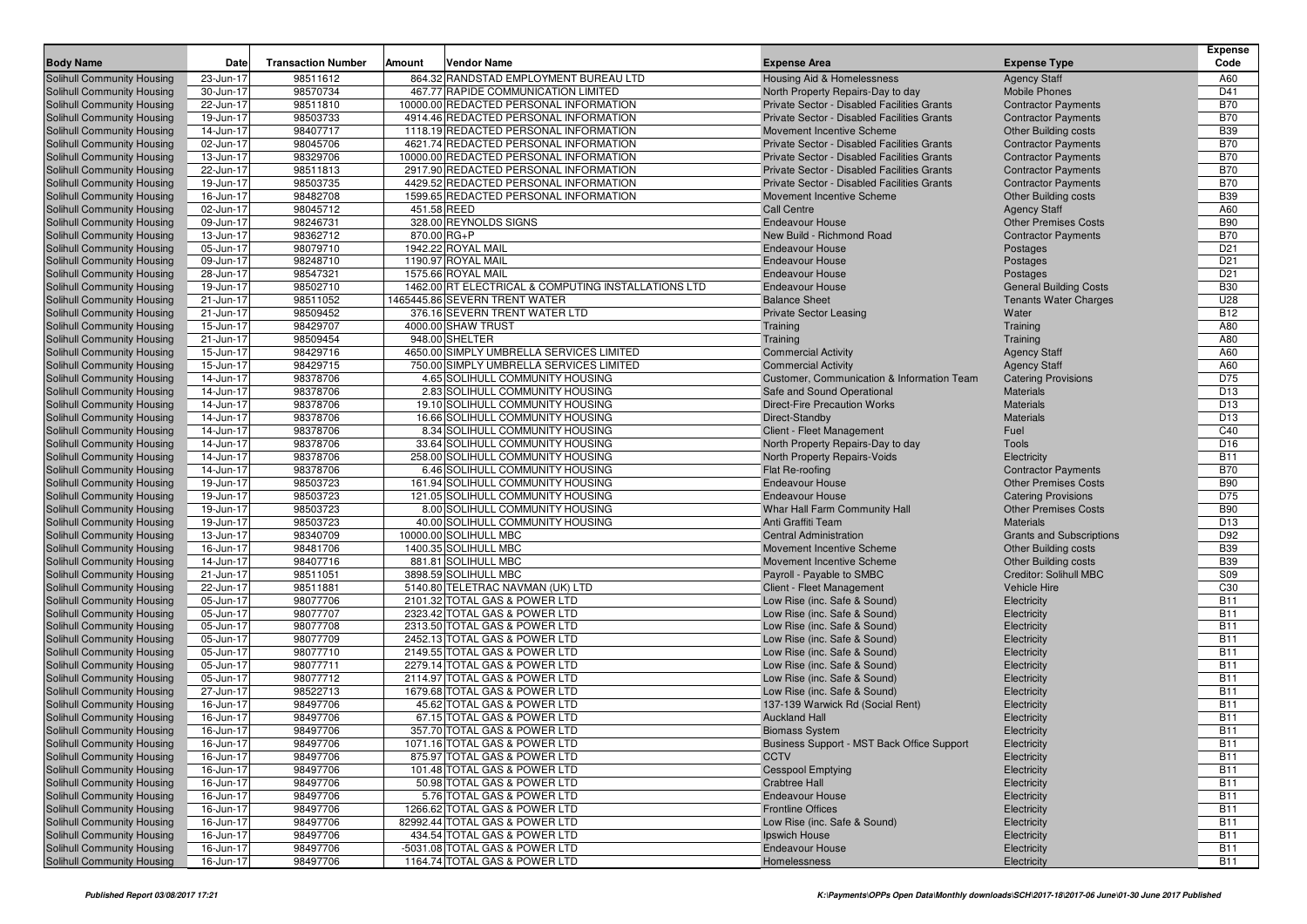| <b>Body Name</b>                                         | Date                   | <b>Transaction Number</b> | Amount | <b>Vendor Name</b>                                                   | <b>Expense Area</b>                                 | <b>Expense Type</b>                                       | <b>Expense</b><br>Code |
|----------------------------------------------------------|------------------------|---------------------------|--------|----------------------------------------------------------------------|-----------------------------------------------------|-----------------------------------------------------------|------------------------|
| Solihull Community Housing                               | 23-Jun-17              | 98511612                  |        | 864.32 RANDSTAD EMPLOYMENT BUREAU LTD                                | Housing Aid & Homelessness                          | <b>Agency Staff</b>                                       | A60                    |
| Solihull Community Housing                               | 30-Jun-17              | 98570734                  |        | 467.77 RAPIDE COMMUNICATION LIMITED                                  | North Property Repairs-Day to day                   | <b>Mobile Phones</b>                                      | D41                    |
| Solihull Community Housing                               | 22-Jun-17              | 98511810                  |        | 10000.00 REDACTED PERSONAL INFORMATION                               | Private Sector - Disabled Facilities Grants         | <b>Contractor Payments</b>                                | <b>B70</b>             |
| Solihull Community Housing                               | 19-Jun-17              | 98503733                  |        | 4914.46 REDACTED PERSONAL INFORMATION                                | Private Sector - Disabled Facilities Grants         | <b>Contractor Payments</b>                                | <b>B70</b>             |
| Solihull Community Housing                               | 14-Jun-17              | 98407717                  |        | 1118.19 REDACTED PERSONAL INFORMATION                                | Movement Incentive Scheme                           | <b>Other Building costs</b>                               | <b>B39</b>             |
| Solihull Community Housing                               | 02-Jun-17              | 98045706                  |        | 4621.74 REDACTED PERSONAL INFORMATION                                | Private Sector - Disabled Facilities Grants         | <b>Contractor Payments</b>                                | <b>B70</b>             |
| Solihull Community Housing                               | 13-Jun-17              | 98329706                  |        | 10000.00 REDACTED PERSONAL INFORMATION                               | Private Sector - Disabled Facilities Grants         | <b>Contractor Payments</b>                                | <b>B70</b>             |
| Solihull Community Housing                               | 22-Jun-17              | 98511813                  |        | 2917.90 REDACTED PERSONAL INFORMATION                                | Private Sector - Disabled Facilities Grants         | <b>Contractor Payments</b>                                | <b>B70</b>             |
| Solihull Community Housing                               | 19-Jun-17              | 98503735                  |        | 4429.52 REDACTED PERSONAL INFORMATION                                | Private Sector - Disabled Facilities Grants         | <b>Contractor Payments</b>                                | <b>B70</b>             |
| Solihull Community Housing                               | 16-Jun-17              | 98482708                  |        | 1599.65 REDACTED PERSONAL INFORMATION                                | Movement Incentive Scheme                           | <b>Other Building costs</b>                               | <b>B39</b>             |
| Solihull Community Housing                               | 02-Jun-17              | 98045712                  |        | 451.58 REED                                                          | Call Centre                                         | <b>Agency Staff</b>                                       | A60                    |
| Solihull Community Housing                               | 09-Jun-17              | 98246731                  |        | 328.00 REYNOLDS SIGNS                                                | <b>Endeavour House</b>                              | <b>Other Premises Costs</b>                               | <b>B90</b>             |
| Solihull Community Housing                               | 13-Jun-17              | 98362712                  |        | 870.00 RG+P                                                          | New Build - Richmond Road                           | <b>Contractor Payments</b>                                | <b>B70</b>             |
| Solihull Community Housing                               | 05-Jun-17              | 98079710                  |        | 1942.22 ROYAL MAIL                                                   | <b>Endeavour House</b>                              | Postages                                                  | D <sub>21</sub>        |
| Solihull Community Housing                               | 09-Jun-17              | 98248710                  |        | 1190.97 ROYAL MAIL                                                   | <b>Endeavour House</b>                              | Postages                                                  | D <sub>21</sub>        |
| Solihull Community Housing                               | 28-Jun-17              | 98547321                  |        | 1575.66 ROYAL MAIL                                                   | <b>Endeavour House</b>                              | Postages                                                  | D <sub>21</sub>        |
| Solihull Community Housing                               | 19-Jun-17              | 98502710                  |        | 1462.00 RT ELECTRICAL & COMPUTING INSTALLATIONS LTD                  | <b>Endeavour House</b>                              | <b>General Building Costs</b>                             | <b>B30</b>             |
| Solihull Community Housing                               | 21-Jun-17              | 98511052                  |        | 1465445.86 SEVERN TRENT WATER                                        | <b>Balance Sheet</b>                                | <b>Tenants Water Charges</b>                              | U28                    |
| Solihull Community Housing                               | 21-Jun-17              | 98509452                  |        | 376.16 SEVERN TRENT WATER LTD                                        | <b>Private Sector Leasing</b>                       | Water                                                     | <b>B12</b>             |
| Solihull Community Housing                               | 15-Jun-17              | 98429707                  |        | 4000.00 SHAW TRUST                                                   | Training                                            | Training                                                  | A80                    |
| Solihull Community Housing                               | 21-Jun-17              | 98509454                  |        | 948.00 SHELTER                                                       | Training                                            | Training                                                  | A80                    |
| Solihull Community Housing                               | 15-Jun-17              | 98429716                  |        | 4650.00 SIMPLY UMBRELLA SERVICES LIMITED                             | <b>Commercial Activity</b>                          | <b>Agency Staff</b>                                       | A60                    |
| Solihull Community Housing                               | 15-Jun-17              | 98429715                  |        | 750.00 SIMPLY UMBRELLA SERVICES LIMITED                              | <b>Commercial Activity</b>                          | <b>Agency Staff</b>                                       | A60                    |
| Solihull Community Housing                               | 14-Jun-17              | 98378706                  |        | 4.65 SOLIHULL COMMUNITY HOUSING                                      | Customer, Communication & Information Team          | <b>Catering Provisions</b>                                | D75                    |
| Solihull Community Housing                               | 14-Jun-17              | 98378706                  |        | 2.83 SOLIHULL COMMUNITY HOUSING                                      | Safe and Sound Operational                          | <b>Materials</b>                                          | D <sub>13</sub>        |
| Solihull Community Housing                               | 14-Jun-17              | 98378706                  |        | 19.10 SOLIHULL COMMUNITY HOUSING                                     | <b>Direct-Fire Precaution Works</b>                 | <b>Materials</b>                                          | D <sub>13</sub>        |
| Solihull Community Housing                               | 14-Jun-17              | 98378706                  |        | 16.66 SOLIHULL COMMUNITY HOUSING                                     | Direct-Standby                                      | <b>Materials</b>                                          | D <sub>13</sub>        |
| Solihull Community Housing                               | 14-Jun-17              | 98378706                  |        | 8.34 SOLIHULL COMMUNITY HOUSING                                      | Client - Fleet Management                           | Fuel                                                      | C40                    |
| Solihull Community Housing                               | 14-Jun-17              | 98378706                  |        | 33.64 SOLIHULL COMMUNITY HOUSING                                     | North Property Repairs-Day to day                   | <b>Tools</b>                                              | D <sub>16</sub>        |
| Solihull Community Housing                               | 14-Jun-17              | 98378706                  |        | 258.00 SOLIHULL COMMUNITY HOUSING                                    | North Property Repairs-Voids                        | Electricity                                               | <b>B11</b>             |
| Solihull Community Housing                               | 14-Jun-17              | 98378706                  |        | 6.46 SOLIHULL COMMUNITY HOUSING                                      | Flat Re-roofing                                     | <b>Contractor Payments</b>                                | <b>B70</b>             |
| Solihull Community Housing                               | 19-Jun-17<br>19-Jun-17 | 98503723                  |        | 161.94 SOLIHULL COMMUNITY HOUSING                                    | <b>Endeavour House</b><br><b>Endeavour House</b>    | <b>Other Premises Costs</b>                               | <b>B90</b><br>D75      |
| Solihull Community Housing                               | 19-Jun-17              | 98503723<br>98503723      |        | 121.05 SOLIHULL COMMUNITY HOUSING<br>8.00 SOLIHULL COMMUNITY HOUSING |                                                     | <b>Catering Provisions</b><br><b>Other Premises Costs</b> | <b>B90</b>             |
| Solihull Community Housing<br>Solihull Community Housing | 19-Jun-17              | 98503723                  |        | 40.00 SOLIHULL COMMUNITY HOUSING                                     | Whar Hall Farm Community Hall<br>Anti Graffiti Team | <b>Materials</b>                                          | D <sub>13</sub>        |
| Solihull Community Housing                               | 13-Jun-17              | 98340709                  |        | 10000.00 SOLIHULL MBC                                                | <b>Central Administration</b>                       | <b>Grants and Subscriptions</b>                           | D92                    |
| Solihull Community Housing                               | 16-Jun-17              | 98481706                  |        | 1400.35 SOLIHULL MBC                                                 | Movement Incentive Scheme                           | <b>Other Building costs</b>                               | <b>B39</b>             |
| Solihull Community Housing                               | 14-Jun-17              | 98407716                  |        | 881.81 SOLIHULL MBC                                                  | Movement Incentive Scheme                           | <b>Other Building costs</b>                               | <b>B39</b>             |
| Solihull Community Housing                               | 21-Jun-17              | 98511051                  |        | 3898.59 SOLIHULL MBC                                                 | Payroll - Payable to SMBC                           | <b>Creditor: Solihull MBC</b>                             | S09                    |
| Solihull Community Housing                               | 22-Jun-17              | 98511881                  |        | 5140.80 TELETRAC NAVMAN (UK) LTD                                     | Client - Fleet Management                           | <b>Vehicle Hire</b>                                       | C30                    |
| Solihull Community Housing                               | 05-Jun-17              | 98077706                  |        | 2101.32 TOTAL GAS & POWER LTD                                        | Low Rise (inc. Safe & Sound)                        | Electricity                                               | <b>B11</b>             |
| Solihull Community Housing                               | 05-Jun-17              | 98077707                  |        | 2323.42 TOTAL GAS & POWER LTD                                        | Low Rise (inc. Safe & Sound)                        | Electricity                                               | <b>B11</b>             |
| Solihull Community Housing                               | 05-Jun-17              | 98077708                  |        | 2313.50 TOTAL GAS & POWER LTD                                        | Low Rise (inc. Safe & Sound)                        | Electricity                                               | <b>B11</b>             |
| Solihull Community Housing                               | 05-Jun-17              | 98077709                  |        | 2452.13 TOTAL GAS & POWER LTD                                        | Low Rise (inc. Safe & Sound)                        | Electricity                                               | <b>B11</b>             |
| Solihull Community Housing                               | 05-Jun-17              | 98077710                  |        | 2149.55 TOTAL GAS & POWER LTD                                        | Low Rise (inc. Safe & Sound)                        | Electricity                                               | <b>B11</b>             |
| Solihull Community Housing                               | 05-Jun-17              | 98077711                  |        | 2279.14 TOTAL GAS & POWER LTD                                        | Low Rise (inc. Safe & Sound)                        | Electricity                                               | <b>B11</b>             |
| Solihull Community Housing                               | 05-Jun-17              | 98077712                  |        | 2114.97 TOTAL GAS & POWER LTD                                        | Low Rise (inc. Safe & Sound)                        | Electricity                                               | <b>B11</b>             |
| Solihull Community Housing                               | 27-Jun-17              | 98522713                  |        | 1679.68 TOTAL GAS & POWER LTD                                        | Low Rise (inc. Safe & Sound)                        | Electricity                                               | <b>B11</b>             |
| Solihull Community Housing                               | 16-Jun-17              | 98497706                  |        | 45.62 TOTAL GAS & POWER LTD                                          | 137-139 Warwick Rd (Social Rent)                    | Electricity                                               | <b>B11</b>             |
| Solihull Community Housing                               | 16-Jun-17              | 98497706                  |        | 67.15 TOTAL GAS & POWER LTD                                          | <b>Auckland Hall</b>                                | Electricity                                               | <b>B11</b>             |
| Solihull Community Housing                               | 16-Jun-17              | 98497706                  |        | 357.70 TOTAL GAS & POWER LTD                                         | <b>Biomass System</b>                               | Electricity                                               | <b>B11</b>             |
| Solihull Community Housing                               | 16-Jun-17              | 98497706                  |        | 1071.16 TOTAL GAS & POWER LTD                                        | Business Support - MST Back Office Support          | Electricity                                               | <b>B11</b>             |
| Solihull Community Housing                               | 16-Jun-17              | 98497706                  |        | 875.97 TOTAL GAS & POWER LTD                                         | <b>CCTV</b>                                         | Electricity                                               | <b>B11</b>             |
| Solihull Community Housing                               | 16-Jun-17              | 98497706                  |        | 101.48 TOTAL GAS & POWER LTD                                         | <b>Cesspool Emptying</b>                            | Electricity                                               | <b>B11</b>             |
| Solihull Community Housing                               | 16-Jun-17              | 98497706                  |        | 50.98 TOTAL GAS & POWER LTD                                          | <b>Crabtree Hall</b>                                | Electricity                                               | <b>B11</b>             |
| Solihull Community Housing                               | 16-Jun-17              | 98497706                  |        | 5.76 TOTAL GAS & POWER LTD                                           | <b>Endeavour House</b>                              | Electricity                                               | <b>B11</b>             |
| Solihull Community Housing                               | 16-Jun-17              | 98497706                  |        | 1266.62 TOTAL GAS & POWER LTD                                        | <b>Frontline Offices</b>                            | Electricity                                               | <b>B11</b>             |
| Solihull Community Housing                               | 16-Jun-17              | 98497706                  |        | 82992.44 TOTAL GAS & POWER LTD                                       | Low Rise (inc. Safe & Sound)                        | Electricity                                               | <b>B11</b>             |
| Solihull Community Housing                               | 16-Jun-17              | 98497706                  |        | 434.54 TOTAL GAS & POWER LTD                                         | Ipswich House                                       | Electricity                                               | <b>B11</b>             |
| Solihull Community Housing                               | 16-Jun-17              | 98497706                  |        | -5031.08 TOTAL GAS & POWER LTD                                       | <b>Endeavour House</b>                              | Electricity                                               | <b>B11</b>             |
| Solihull Community Housing                               | 16-Jun-17              | 98497706                  |        | 1164.74 TOTAL GAS & POWER LTD                                        | Homelessness                                        | Electricity                                               | <b>B11</b>             |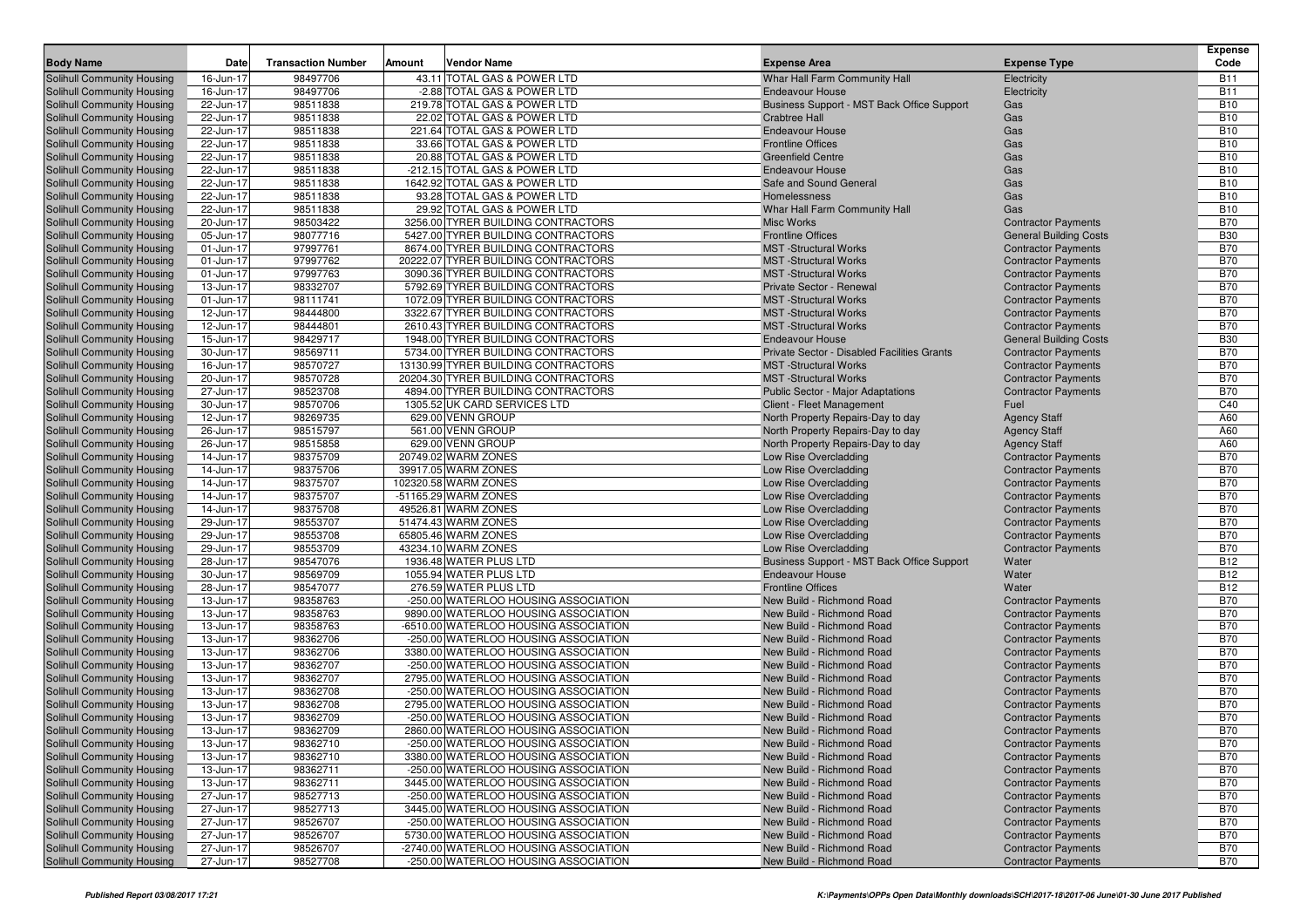|                                                                        |                        |                           |        |                                                                              |                                                        |                                                          | <b>Expense</b>           |
|------------------------------------------------------------------------|------------------------|---------------------------|--------|------------------------------------------------------------------------------|--------------------------------------------------------|----------------------------------------------------------|--------------------------|
| <b>Body Name</b>                                                       | Date                   | <b>Transaction Number</b> | Amount | <b>Vendor Name</b>                                                           | <b>Expense Area</b>                                    | <b>Expense Type</b>                                      | Code                     |
| <b>Solihull Community Housing</b>                                      | 16-Jun-17              | 98497706                  |        | 43.11 TOTAL GAS & POWER LTD                                                  | Whar Hall Farm Community Hall                          | Electricity                                              | <b>B11</b>               |
| <b>Solihull Community Housing</b>                                      | 16-Jun-17              | 98497706                  |        | -2.88 TOTAL GAS & POWER LTD                                                  | <b>Endeavour House</b>                                 | Electricity                                              | <b>B11</b>               |
| <b>Solihull Community Housing</b>                                      | 22-Jun-17              | 98511838                  |        | 219.78 TOTAL GAS & POWER LTD                                                 | Business Support - MST Back Office Support             | Gas                                                      | <b>B10</b>               |
| <b>Solihull Community Housing</b>                                      | 22-Jun-17              | 98511838                  |        | 22.02 TOTAL GAS & POWER LTD                                                  | <b>Crabtree Hall</b>                                   | Gas                                                      | <b>B10</b>               |
| <b>Solihull Community Housing</b>                                      | 22-Jun-17              | 98511838                  |        | 221.64 TOTAL GAS & POWER LTD                                                 | <b>Endeavour House</b>                                 | Gas                                                      | <b>B10</b>               |
| <b>Solihull Community Housing</b>                                      | 22-Jun-17              | 98511838                  |        | 33.66 TOTAL GAS & POWER LTD                                                  | <b>Frontline Offices</b>                               | Gas                                                      | <b>B10</b>               |
| <b>Solihull Community Housing</b>                                      | 22-Jun-17              | 98511838                  |        | 20.88 TOTAL GAS & POWER LTD                                                  | <b>Greenfield Centre</b>                               | Gas                                                      | <b>B10</b>               |
| <b>Solihull Community Housing</b>                                      | 22-Jun-17              | 98511838                  |        | -212.15 TOTAL GAS & POWER LTD                                                | <b>Endeavour House</b>                                 | Gas                                                      | <b>B10</b><br><b>B10</b> |
| <b>Solihull Community Housing</b><br><b>Solihull Community Housing</b> | 22-Jun-17<br>22-Jun-17 | 98511838<br>98511838      |        | 1642.92 TOTAL GAS & POWER LTD<br>93.28 TOTAL GAS & POWER LTD                 | Safe and Sound General<br>Homelessness                 | Gas<br>Gas                                               | <b>B10</b>               |
| <b>Solihull Community Housing</b>                                      | 22-Jun-17              | 98511838                  |        | 29.92 TOTAL GAS & POWER LTD                                                  | Whar Hall Farm Community Hall                          | Gas                                                      | <b>B10</b>               |
| Solihull Community Housing                                             | 20-Jun-17              | 98503422                  |        | 3256.00 TYRER BUILDING CONTRACTORS                                           | <b>Misc Works</b>                                      | <b>Contractor Payments</b>                               | <b>B70</b>               |
| <b>Solihull Community Housing</b>                                      | 05-Jun-17              | 98077716                  |        | 5427.00 TYRER BUILDING CONTRACTORS                                           | <b>Frontline Offices</b>                               | <b>General Building Costs</b>                            | <b>B30</b>               |
| Solihull Community Housing                                             | 01-Jun-17              | 97997761                  |        | 8674.00 TYRER BUILDING CONTRACTORS                                           | <b>MST</b> -Structural Works                           | <b>Contractor Payments</b>                               | <b>B70</b>               |
| Solihull Community Housing                                             | 01-Jun-17              | 97997762                  |        | 20222.07 TYRER BUILDING CONTRACTORS                                          | <b>MST</b> -Structural Works                           | <b>Contractor Payments</b>                               | <b>B70</b>               |
| <b>Solihull Community Housing</b>                                      | 01-Jun-17              | 97997763                  |        | 3090.36 TYRER BUILDING CONTRACTORS                                           | <b>MST</b> -Structural Works                           | <b>Contractor Payments</b>                               | <b>B70</b>               |
| Solihull Community Housing                                             | 13-Jun-17              | 98332707                  |        | 5792.69 TYRER BUILDING CONTRACTORS                                           | Private Sector - Renewal                               | <b>Contractor Payments</b>                               | <b>B70</b>               |
| <b>Solihull Community Housing</b>                                      | 01-Jun-17              | 98111741                  |        | 1072.09 TYRER BUILDING CONTRACTORS                                           | <b>MST</b> -Structural Works                           | <b>Contractor Payments</b>                               | <b>B70</b>               |
| <b>Solihull Community Housing</b>                                      | 12-Jun-17              | 98444800                  |        | 3322.67 TYRER BUILDING CONTRACTORS                                           | <b>MST</b> -Structural Works                           | <b>Contractor Payments</b>                               | <b>B70</b>               |
| <b>Solihull Community Housing</b>                                      | 12-Jun-17              | 98444801                  |        | 2610.43 TYRER BUILDING CONTRACTORS                                           | <b>MST</b> -Structural Works                           | <b>Contractor Payments</b>                               | <b>B70</b>               |
| <b>Solihull Community Housing</b>                                      | 15-Jun-17              | 98429717                  |        | 1948.00 TYRER BUILDING CONTRACTORS                                           | <b>Endeavour House</b>                                 | <b>General Building Costs</b>                            | <b>B30</b>               |
| Solihull Community Housing                                             | 30-Jun-17              | 98569711                  |        | 5734.00 TYRER BUILDING CONTRACTORS                                           | Private Sector - Disabled Facilities Grants            | <b>Contractor Payments</b>                               | <b>B70</b>               |
| <b>Solihull Community Housing</b>                                      | 16-Jun-17              | 98570727                  |        | 13130.99 TYRER BUILDING CONTRACTORS                                          | <b>MST</b> -Structural Works                           | <b>Contractor Payments</b>                               | <b>B70</b>               |
| Solihull Community Housing                                             | 20-Jun-17              | 98570728                  |        | 20204.30 TYRER BUILDING CONTRACTORS                                          | <b>MST</b> -Structural Works                           | <b>Contractor Payments</b>                               | <b>B70</b>               |
| Solihull Community Housing                                             | 27-Jun-17              | 98523708                  |        | 4894.00 TYRER BUILDING CONTRACTORS                                           | <b>Public Sector - Major Adaptations</b>               | <b>Contractor Payments</b>                               | <b>B70</b>               |
| <b>Solihull Community Housing</b>                                      | 30-Jun-17              | 98570706                  |        | 1305.52 UK CARD SERVICES LTD                                                 | Client - Fleet Management                              | Fuel                                                     | C40                      |
| Solihull Community Housing                                             | 12-Jun-17              | 98269735                  |        | 629.00 VENN GROUP                                                            | North Property Repairs-Day to day                      | <b>Agency Staff</b>                                      | A60                      |
| <b>Solihull Community Housing</b>                                      | 26-Jun-17              | 98515797                  |        | 561.00 VENN GROUP                                                            | North Property Repairs-Day to day                      | <b>Agency Staff</b>                                      | A60                      |
| <b>Solihull Community Housing</b>                                      | 26-Jun-17              | 98515858                  |        | 629.00 VENN GROUP                                                            | North Property Repairs-Day to day                      | <b>Agency Staff</b>                                      | A60                      |
| Solihull Community Housing                                             | 14-Jun-17              | 98375709                  |        | 20749.02 WARM ZONES                                                          | Low Rise Overcladding                                  | <b>Contractor Payments</b>                               | <b>B70</b>               |
| Solihull Community Housing                                             | 14-Jun-17              | 98375706                  |        | 39917.05 WARM ZONES                                                          | Low Rise Overcladding                                  | <b>Contractor Payments</b>                               | <b>B70</b>               |
| Solihull Community Housing                                             | 14-Jun-17              | 98375707                  |        | 102320.58 WARM ZONES                                                         | Low Rise Overcladding                                  | <b>Contractor Payments</b>                               | <b>B70</b>               |
| <b>Solihull Community Housing</b>                                      | 14-Jun-17              | 98375707                  |        | -51165.29 WARM ZONES                                                         | Low Rise Overcladding                                  | <b>Contractor Payments</b>                               | <b>B70</b>               |
| <b>Solihull Community Housing</b>                                      | 14-Jun-17              | 98375708                  |        | 49526.81 WARM ZONES                                                          | Low Rise Overcladding                                  | <b>Contractor Payments</b>                               | <b>B70</b>               |
| <b>Solihull Community Housing</b>                                      | 29-Jun-17              | 98553707                  |        | 51474.43 WARM ZONES                                                          | Low Rise Overcladding                                  | <b>Contractor Payments</b>                               | <b>B70</b><br><b>B70</b> |
| <b>Solihull Community Housing</b><br>Solihull Community Housing        | 29-Jun-17<br>29-Jun-17 | 98553708<br>98553709      |        | 65805.46 WARM ZONES<br>43234.10 WARM ZONES                                   | Low Rise Overcladding<br>Low Rise Overcladding         | <b>Contractor Payments</b><br><b>Contractor Payments</b> | <b>B70</b>               |
| <b>Solihull Community Housing</b>                                      | 28-Jun-17              | 98547076                  |        | 1936.48 WATER PLUS LTD                                                       | Business Support - MST Back Office Support             | Water                                                    | <b>B12</b>               |
| <b>Solihull Community Housing</b>                                      | 30-Jun-17              | 98569709                  |        | 1055.94 WATER PLUS LTD                                                       | <b>Endeavour House</b>                                 | Water                                                    | <b>B12</b>               |
| <b>Solihull Community Housing</b>                                      | 28-Jun-17              | 98547077                  |        | 276.59 WATER PLUS LTD                                                        | <b>Frontline Offices</b>                               | Water                                                    | <b>B12</b>               |
| <b>Solihull Community Housing</b>                                      | 13-Jun-17              | 98358763                  |        | -250.00 WATERLOO HOUSING ASSOCIATION                                         | New Build - Richmond Road                              | <b>Contractor Payments</b>                               | <b>B70</b>               |
| <b>Solihull Community Housing</b>                                      | 13-Jun-17              | 98358763                  |        | 9890.00 WATERLOO HOUSING ASSOCIATION                                         | New Build - Richmond Road                              | <b>Contractor Payments</b>                               | <b>B70</b>               |
| <b>Solihull Community Housing</b>                                      | 13-Jun-17              | 98358763                  |        | -6510.00 WATERLOO HOUSING ASSOCIATION                                        | New Build - Richmond Road                              | <b>Contractor Payments</b>                               | <b>B70</b>               |
| <b>Solihull Community Housing</b>                                      | 13-Jun-17              | 98362706                  |        | -250.00 WATERLOO HOUSING ASSOCIATION                                         | New Build - Richmond Road                              | <b>Contractor Payments</b>                               | <b>B70</b>               |
| <b>Solihull Community Housing</b>                                      | 13-Jun-17              | 98362706                  |        | 3380.00 WATERLOO HOUSING ASSOCIATION                                         | New Build - Richmond Road                              | <b>Contractor Payments</b>                               | <b>B70</b>               |
| Solihull Community Housing                                             | 13-Jun-17              | 98362707                  |        | -250.00 WATERLOO HOUSING ASSOCIATION                                         | New Build - Richmond Road                              | <b>Contractor Payments</b>                               | <b>B70</b>               |
| <b>Solihull Community Housing</b>                                      | 13-Jun-17              | 98362707                  |        | 2795.00 WATERLOO HOUSING ASSOCIATION                                         | New Build - Richmond Road                              | <b>Contractor Payments</b>                               | <b>B70</b>               |
| <b>Solihull Community Housing</b>                                      | 13-Jun-17              | 98362708                  |        | -250.00 WATERLOO HOUSING ASSOCIATION                                         | New Build - Richmond Road                              | <b>Contractor Payments</b>                               | <b>B70</b>               |
| Solihull Community Housing                                             | 13-Jun-17              | 98362708                  |        | 2795.00 WATERLOO HOUSING ASSOCIATION                                         | New Build - Richmond Road                              | <b>Contractor Payments</b>                               | <b>B70</b>               |
| <b>Solihull Community Housing</b>                                      | 13-Jun-17              | 98362709                  |        | -250.00 WATERLOO HOUSING ASSOCIATION                                         | New Build - Richmond Road                              | <b>Contractor Payments</b>                               | <b>B70</b>               |
| <b>Solihull Community Housing</b>                                      | 13-Jun-17              | 98362709                  |        | 2860.00 WATERLOO HOUSING ASSOCIATION                                         | New Build - Richmond Road                              | <b>Contractor Payments</b>                               | <b>B70</b>               |
| <b>Solihull Community Housing</b>                                      | 13-Jun-17              | 98362710                  |        | -250.00 WATERLOO HOUSING ASSOCIATION                                         | New Build - Richmond Road                              | <b>Contractor Payments</b>                               | <b>B70</b>               |
| <b>Solihull Community Housing</b>                                      | 13-Jun-17              | 98362710                  |        | 3380.00 WATERLOO HOUSING ASSOCIATION                                         | New Build - Richmond Road                              | <b>Contractor Payments</b>                               | <b>B70</b>               |
| Solihull Community Housing                                             | 13-Jun-17              | 98362711                  |        | -250.00 WATERLOO HOUSING ASSOCIATION                                         | New Build - Richmond Road                              | <b>Contractor Payments</b>                               | <b>B70</b>               |
| <b>Solihull Community Housing</b>                                      | 13-Jun-17              | 98362711                  |        | 3445.00 WATERLOO HOUSING ASSOCIATION                                         | New Build - Richmond Road                              | <b>Contractor Payments</b>                               | <b>B70</b>               |
| <b>Solihull Community Housing</b>                                      | 27-Jun-17              | 98527713                  |        | -250.00 WATERLOO HOUSING ASSOCIATION                                         | New Build - Richmond Road                              | <b>Contractor Payments</b>                               | <b>B70</b>               |
| Solihull Community Housing                                             | 27-Jun-17              | 98527713                  |        | 3445.00 WATERLOO HOUSING ASSOCIATION                                         | New Build - Richmond Road                              | <b>Contractor Payments</b>                               | <b>B70</b>               |
| Solihull Community Housing<br><b>Solihull Community Housing</b>        | 27-Jun-17<br>27-Jun-17 | 98526707<br>98526707      |        | -250.00 WATERLOO HOUSING ASSOCIATION<br>5730.00 WATERLOO HOUSING ASSOCIATION | New Build - Richmond Road<br>New Build - Richmond Road | <b>Contractor Payments</b><br><b>Contractor Payments</b> | <b>B70</b><br><b>B70</b> |
| Solihull Community Housing                                             | 27-Jun-17              | 98526707                  |        | -2740.00 WATERLOO HOUSING ASSOCIATION                                        | New Build - Richmond Road                              | <b>Contractor Payments</b>                               | <b>B70</b>               |
| Solihull Community Housing                                             | 27-Jun-17              | 98527708                  |        | -250.00 WATERLOO HOUSING ASSOCIATION                                         | New Build - Richmond Road                              | <b>Contractor Payments</b>                               | <b>B70</b>               |
|                                                                        |                        |                           |        |                                                                              |                                                        |                                                          |                          |